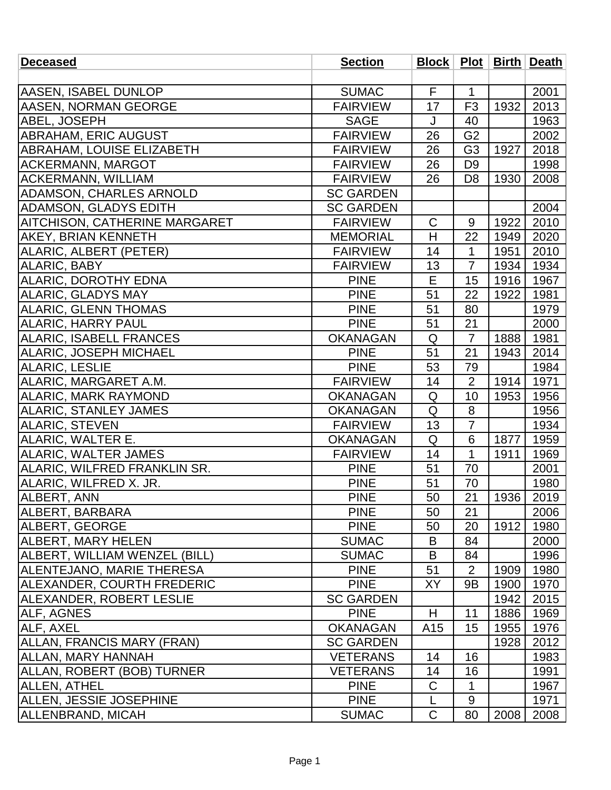| <b>Deceased</b>                  | <b>Section</b>   |                 |                |      | Block   Plot   Birth   Death |
|----------------------------------|------------------|-----------------|----------------|------|------------------------------|
|                                  |                  |                 |                |      |                              |
| <b>AASEN, ISABEL DUNLOP</b>      | <b>SUMAC</b>     | F               | $\mathbf{1}$   |      | 2001                         |
| <b>AASEN, NORMAN GEORGE</b>      | <b>FAIRVIEW</b>  | 17              | F <sub>3</sub> | 1932 | 2013                         |
| <b>ABEL, JOSEPH</b>              | <b>SAGE</b>      | J               | 40             |      | 1963                         |
| ABRAHAM, ERIC AUGUST             | <b>FAIRVIEW</b>  | 26              | G <sub>2</sub> |      | 2002                         |
| <b>ABRAHAM, LOUISE ELIZABETH</b> | <b>FAIRVIEW</b>  | 26              | G <sub>3</sub> | 1927 | 2018                         |
| <b>ACKERMANN, MARGOT</b>         | <b>FAIRVIEW</b>  | 26              | D <sub>9</sub> |      | 1998                         |
| <b>ACKERMANN, WILLIAM</b>        | <b>FAIRVIEW</b>  | 26              | D <sub>8</sub> | 1930 | 2008                         |
| <b>ADAMSON, CHARLES ARNOLD</b>   | <b>SC GARDEN</b> |                 |                |      |                              |
| <b>ADAMSON, GLADYS EDITH</b>     | <b>SC GARDEN</b> |                 |                |      | 2004                         |
| AITCHISON, CATHERINE MARGARET    | <b>FAIRVIEW</b>  | $\mathsf C$     | 9              | 1922 | 2010                         |
| <b>AKEY, BRIAN KENNETH</b>       | <b>MEMORIAL</b>  | H               | 22             | 1949 | 2020                         |
| ALARIC, ALBERT (PETER)           | <b>FAIRVIEW</b>  | 14              | $\mathbf 1$    | 1951 | 2010                         |
| ALARIC, BABY                     | <b>FAIRVIEW</b>  | 13              | $\overline{7}$ | 1934 | 1934                         |
| <b>ALARIC, DOROTHY EDNA</b>      | <b>PINE</b>      | E               | 15             | 1916 | 1967                         |
| <b>ALARIC, GLADYS MAY</b>        | <b>PINE</b>      | 51              | 22             | 1922 | 1981                         |
| <b>ALARIC, GLENN THOMAS</b>      | <b>PINE</b>      | 51              | 80             |      | 1979                         |
| <b>ALARIC, HARRY PAUL</b>        | <b>PINE</b>      | 51              | 21             |      | 2000                         |
| <b>ALARIC, ISABELL FRANCES</b>   | <b>OKANAGAN</b>  | Q               | $\overline{7}$ | 1888 | 1981                         |
| ALARIC, JOSEPH MICHAEL           | <b>PINE</b>      | 51              | 21             | 1943 | 2014                         |
| <b>ALARIC, LESLIE</b>            | <b>PINE</b>      | 53              | 79             |      | 1984                         |
| ALARIC, MARGARET A.M.            | <b>FAIRVIEW</b>  | 14              | $\overline{2}$ | 1914 | 1971                         |
| <b>ALARIC, MARK RAYMOND</b>      | <b>OKANAGAN</b>  | Q               | 10             | 1953 | 1956                         |
| <b>ALARIC, STANLEY JAMES</b>     | <b>OKANAGAN</b>  | Q               | 8              |      | 1956                         |
| <b>ALARIC, STEVEN</b>            | <b>FAIRVIEW</b>  | 13              | $\overline{7}$ |      | 1934                         |
| ALARIC, WALTER E.                | <b>OKANAGAN</b>  | Q               | 6              | 1877 | 1959                         |
| ALARIC, WALTER JAMES             | <b>FAIRVIEW</b>  | 14              | 1              | 1911 | 1969                         |
| ALARIC, WILFRED FRANKLIN SR.     | <b>PINE</b>      | 51              | 70             |      | 2001                         |
| ALARIC, WILFRED X. JR.           | <b>PINE</b>      | 51              | 70             |      | 1980                         |
| <b>ALBERT, ANN</b>               | <b>PINE</b>      | 50              | 21             | 1936 | 2019                         |
| ALBERT, BARBARA                  | <b>PINE</b>      | 50              | 21             |      | 2006                         |
| ALBERT, GEORGE                   | <b>PINE</b>      | 50              | 20             | 1912 | 1980                         |
| ALBERT, MARY HELEN               | <b>SUMAC</b>     | B               | 84             |      | 2000                         |
| ALBERT, WILLIAM WENZEL (BILL)    | <b>SUMAC</b>     | B               | 84             |      | 1996                         |
| <b>ALENTEJANO, MARIE THERESA</b> | <b>PINE</b>      | 51              | $\overline{2}$ | 1909 | 1980                         |
| ALEXANDER, COURTH FREDERIC       | <b>PINE</b>      | XY              | 9B             | 1900 | 1970                         |
| <b>ALEXANDER, ROBERT LESLIE</b>  | <b>SC GARDEN</b> |                 |                | 1942 | 2015                         |
| ALF, AGNES                       | <b>PINE</b>      | H               | 11             | 1886 | 1969                         |
| ALF, AXEL                        | <b>OKANAGAN</b>  | A <sub>15</sub> | 15             | 1955 | 1976                         |
| ALLAN, FRANCIS MARY (FRAN)       | <b>SC GARDEN</b> |                 |                | 1928 | 2012                         |
| ALLAN, MARY HANNAH               | <b>VETERANS</b>  | 14              | 16             |      | 1983                         |
| ALLAN, ROBERT (BOB) TURNER       | <b>VETERANS</b>  | 14              | 16             |      | 1991                         |
| <b>ALLEN, ATHEL</b>              | <b>PINE</b>      | C               | 1              |      | 1967                         |
| <b>ALLEN, JESSIE JOSEPHINE</b>   | <b>PINE</b>      | L               | 9              |      | 1971                         |
| <b>ALLENBRAND, MICAH</b>         | <b>SUMAC</b>     | $\mathsf C$     | 80             | 2008 | 2008                         |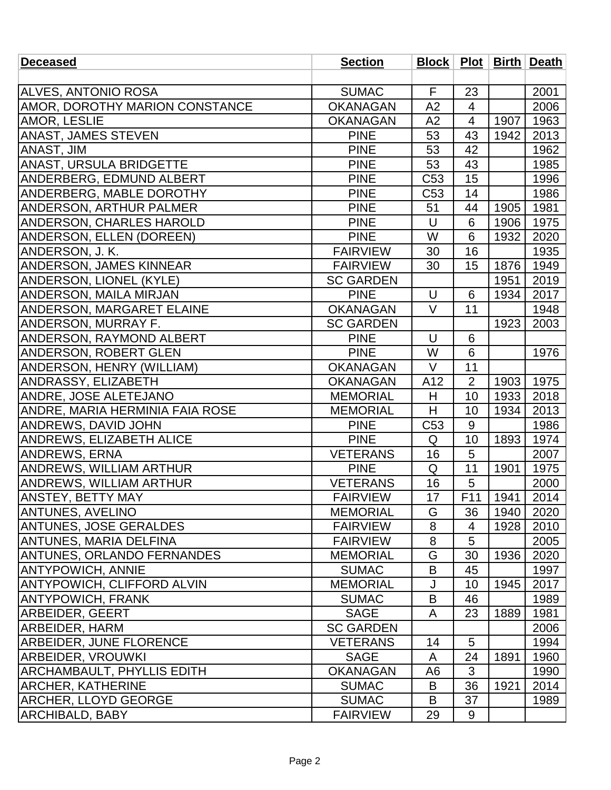| <b>Deceased</b>                        | <b>Section</b>   |                 |                |            | Block   Plot   Birth   Death |
|----------------------------------------|------------------|-----------------|----------------|------------|------------------------------|
|                                        |                  |                 |                |            |                              |
| <b>ALVES, ANTONIO ROSA</b>             | <b>SUMAC</b>     | $\mathsf{F}$    | 23             |            | 2001                         |
| <b>AMOR, DOROTHY MARION CONSTANCE</b>  | <b>OKANAGAN</b>  | A2              | $\overline{4}$ |            | 2006                         |
| <b>AMOR, LESLIE</b>                    | <b>OKANAGAN</b>  | A2              | $\overline{4}$ | 1907       | 1963                         |
| <b>ANAST, JAMES STEVEN</b>             | <b>PINE</b>      | 53              | 43             | 1942       | 2013                         |
| ANAST, JIM                             | <b>PINE</b>      | 53              | 42             |            | 1962                         |
| ANAST, URSULA BRIDGETTE                | <b>PINE</b>      | 53              | 43             |            | 1985                         |
| ANDERBERG, EDMUND ALBERT               | <b>PINE</b>      | C53             | 15             |            | 1996                         |
| ANDERBERG, MABLE DOROTHY               | <b>PINE</b>      | C53             | 14             |            | 1986                         |
| <b>ANDERSON, ARTHUR PALMER</b>         | <b>PINE</b>      | 51              | 44             | 1905       | 1981                         |
| <b>ANDERSON, CHARLES HAROLD</b>        | <b>PINE</b>      | U               | 6              | 1906       | 1975                         |
| <b>ANDERSON, ELLEN (DOREEN)</b>        | <b>PINE</b>      | W               | 6              | 1932       | 2020                         |
| ANDERSON, J. K.                        | <b>FAIRVIEW</b>  | 30              | 16             |            | 1935                         |
| <b>ANDERSON, JAMES KINNEAR</b>         | <b>FAIRVIEW</b>  | 30              | 15             | 1876       | 1949                         |
| <b>ANDERSON, LIONEL (KYLE)</b>         | <b>SC GARDEN</b> |                 |                | 1951       | 2019                         |
| <b>ANDERSON, MAILA MIRJAN</b>          | <b>PINE</b>      | U               | 6              | 1934       | 2017                         |
| <b>ANDERSON, MARGARET ELAINE</b>       | <b>OKANAGAN</b>  | $\vee$          | 11             |            | 1948                         |
| ANDERSON, MURRAY F.                    | <b>SC GARDEN</b> |                 |                | 1923       | 2003                         |
| <b>ANDERSON, RAYMOND ALBERT</b>        | <b>PINE</b>      | $\cup$          | 6              |            |                              |
| <b>ANDERSON, ROBERT GLEN</b>           | <b>PINE</b>      | W               | 6              |            | 1976                         |
| ANDERSON, HENRY (WILLIAM)              | <b>OKANAGAN</b>  | $\vee$          | 11             |            |                              |
| <b>ANDRASSY, ELIZABETH</b>             | <b>OKANAGAN</b>  | A12             | $\overline{2}$ | 1903       | 1975                         |
| <b>ANDRE, JOSE ALETEJANO</b>           | <b>MEMORIAL</b>  | H               | 10             | 1933       | 2018                         |
| <b>ANDRE, MARIA HERMINIA FAIA ROSE</b> | <b>MEMORIAL</b>  | H               | 10             | 1934       | 2013                         |
| <b>ANDREWS, DAVID JOHN</b>             | <b>PINE</b>      | C <sub>53</sub> | 9              |            | 1986                         |
| <b>ANDREWS, ELIZABETH ALICE</b>        | <b>PINE</b>      | Q               | 10             | 1893       | 1974                         |
| <b>ANDREWS, ERNA</b>                   | <b>VETERANS</b>  | 16              | 5              |            | 2007                         |
| <b>ANDREWS, WILLIAM ARTHUR</b>         | <b>PINE</b>      | Q               | 11             | 1901       | 1975                         |
| <b>ANDREWS, WILLIAM ARTHUR</b>         | <b>VETERANS</b>  | 16              | 5              |            | 2000                         |
| <b>ANSTEY, BETTY MAY</b>               | <b>FAIRVIEW</b>  | 17              | F11            | $  1941  $ | 2014                         |
| <b>ANTUNES, AVELINO</b>                | <b>MEMORIAL</b>  | G               | 36             | 1940       | 2020                         |
| <b>ANTUNES, JOSE GERALDES</b>          | <b>FAIRVIEW</b>  | 8               | 4              | 1928       | 2010                         |
| ANTUNES, MARIA DELFINA                 | <b>FAIRVIEW</b>  | 8               | 5              |            | 2005                         |
| <b>ANTUNES, ORLANDO FERNANDES</b>      | <b>MEMORIAL</b>  | G               | 30             | 1936       | 2020                         |
| <b>ANTYPOWICH, ANNIE</b>               | <b>SUMAC</b>     | B               | 45             |            | 1997                         |
| <b>ANTYPOWICH, CLIFFORD ALVIN</b>      | <b>MEMORIAL</b>  | J               | 10             | 1945       | 2017                         |
| <b>ANTYPOWICH, FRANK</b>               | <b>SUMAC</b>     | B               | 46             |            | 1989                         |
| <b>ARBEIDER, GEERT</b>                 | <b>SAGE</b>      | A               | 23             | 1889       | 1981                         |
| <b>ARBEIDER, HARM</b>                  | <b>SC GARDEN</b> |                 |                |            | 2006                         |
| <b>ARBEIDER, JUNE FLORENCE</b>         | <b>VETERANS</b>  | 14              | 5              |            | 1994                         |
| ARBEIDER, VROUWKI                      | <b>SAGE</b>      | A               | 24             | 1891       | 1960                         |
| <b>ARCHAMBAULT, PHYLLIS EDITH</b>      | <b>OKANAGAN</b>  | A6              | 3              |            | 1990                         |
| <b>ARCHER, KATHERINE</b>               | <b>SUMAC</b>     | B               | 36             | 1921       | 2014                         |
| <b>ARCHER, LLOYD GEORGE</b>            | <b>SUMAC</b>     | B               | 37             |            | 1989                         |
| <b>ARCHIBALD, BABY</b>                 | <b>FAIRVIEW</b>  | 29              | 9              |            |                              |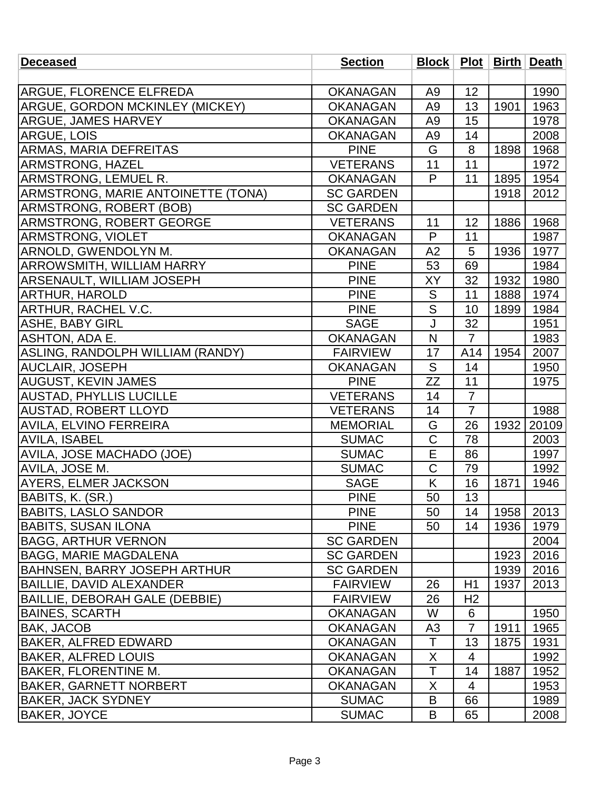| <b>Deceased</b>                           | <b>Section</b>   |                |                 |      | Block   Plot   Birth   Death |
|-------------------------------------------|------------------|----------------|-----------------|------|------------------------------|
|                                           |                  |                |                 |      |                              |
| <b>ARGUE, FLORENCE ELFREDA</b>            | <b>OKANAGAN</b>  | A <sub>9</sub> | 12              |      | 1990                         |
| <b>ARGUE, GORDON MCKINLEY (MICKEY)</b>    | <b>OKANAGAN</b>  | A <sub>9</sub> | 13              | 1901 | 1963                         |
| <b>ARGUE, JAMES HARVEY</b>                | <b>OKANAGAN</b>  | A <sub>9</sub> | 15              |      | 1978                         |
| <b>ARGUE, LOIS</b>                        | <b>OKANAGAN</b>  | A9             | 14              |      | 2008                         |
| <b>ARMAS, MARIA DEFREITAS</b>             | <b>PINE</b>      | G              | 8               | 1898 | 1968                         |
| <b>ARMSTRONG, HAZEL</b>                   | <b>VETERANS</b>  | 11             | 11              |      | 1972                         |
| ARMSTRONG, LEMUEL R.                      | <b>OKANAGAN</b>  | P              | 11              | 1895 | 1954                         |
| <b>ARMSTRONG, MARIE ANTOINETTE (TONA)</b> | <b>SC GARDEN</b> |                |                 | 1918 | 2012                         |
| <b>ARMSTRONG, ROBERT (BOB)</b>            | <b>SC GARDEN</b> |                |                 |      |                              |
| <b>ARMSTRONG, ROBERT GEORGE</b>           | <b>VETERANS</b>  | 11             | 12              | 1886 | 1968                         |
| <b>ARMSTRONG, VIOLET</b>                  | <b>OKANAGAN</b>  | P              | 11              |      | 1987                         |
| ARNOLD, GWENDOLYN M.                      | <b>OKANAGAN</b>  | A2             | 5               | 1936 | 1977                         |
| <b>ARROWSMITH, WILLIAM HARRY</b>          | <b>PINE</b>      | 53             | 69              |      | 1984                         |
| <b>ARSENAULT, WILLIAM JOSEPH</b>          | <b>PINE</b>      | XY             | 32              | 1932 | 1980                         |
| <b>ARTHUR, HAROLD</b>                     | <b>PINE</b>      | S              | 11              | 1888 | 1974                         |
| ARTHUR, RACHEL V.C.                       | <b>PINE</b>      | $\overline{S}$ | 10              | 1899 | 1984                         |
| ASHE, BABY GIRL                           | <b>SAGE</b>      | J              | 32              |      | 1951                         |
| ASHTON, ADA E.                            | <b>OKANAGAN</b>  | N              | $\overline{7}$  |      | 1983                         |
| ASLING, RANDOLPH WILLIAM (RANDY)          | <b>FAIRVIEW</b>  | 17             | A14             | 1954 | 2007                         |
| <b>AUCLAIR, JOSEPH</b>                    | <b>OKANAGAN</b>  | S              | 14              |      | 1950                         |
| <b>AUGUST, KEVIN JAMES</b>                | <b>PINE</b>      | ZΖ             | $\overline{11}$ |      | 1975                         |
| <b>AUSTAD, PHYLLIS LUCILLE</b>            | <b>VETERANS</b>  | 14             | $\overline{7}$  |      |                              |
| <b>AUSTAD, ROBERT LLOYD</b>               | <b>VETERANS</b>  | 14             | $\overline{7}$  |      | 1988                         |
| <b>AVILA, ELVINO FERREIRA</b>             | <b>MEMORIAL</b>  | G              | 26              | 1932 | 20109                        |
| <b>AVILA, ISABEL</b>                      | <b>SUMAC</b>     | C              | 78              |      | 2003                         |
| <b>AVILA, JOSE MACHADO (JOE)</b>          | <b>SUMAC</b>     | E              | 86              |      | 1997                         |
| AVILA, JOSE M.                            | <b>SUMAC</b>     | $\mathsf C$    | 79              |      | 1992                         |
| <b>AYERS, ELMER JACKSON</b>               | <b>SAGE</b>      | Κ              | 16              | 1871 | 1946                         |
| BABITS, K. (SR.)                          | <b>PINE</b>      | 50             | 13              |      |                              |
| <b>BABITS, LASLO SANDOR</b>               | <b>PINE</b>      | 50             | 14              | 1958 | 2013                         |
| BABITS, SUSAN ILONA                       | <b>PINE</b>      | 50             | 14              | 1936 | 1979                         |
| <b>BAGG, ARTHUR VERNON</b>                | <b>SC GARDEN</b> |                |                 |      | 2004                         |
| <b>BAGG, MARIE MAGDALENA</b>              | <b>SC GARDEN</b> |                |                 | 1923 | 2016                         |
| <b>BAHNSEN, BARRY JOSEPH ARTHUR</b>       | <b>SC GARDEN</b> |                |                 | 1939 | 2016                         |
| BAILLIE, DAVID ALEXANDER                  | <b>FAIRVIEW</b>  | 26             | H1              | 1937 | 2013                         |
| BAILLIE, DEBORAH GALE (DEBBIE)            | <b>FAIRVIEW</b>  | 26             | H <sub>2</sub>  |      |                              |
| <b>BAINES, SCARTH</b>                     | <b>OKANAGAN</b>  | W              | 6               |      | 1950                         |
| <b>BAK, JACOB</b>                         | <b>OKANAGAN</b>  | A <sub>3</sub> | 7               | 1911 | 1965                         |
| <b>BAKER, ALFRED EDWARD</b>               | <b>OKANAGAN</b>  | $\top$         | 13              | 1875 | 1931                         |
| <b>BAKER, ALFRED LOUIS</b>                | <b>OKANAGAN</b>  | X              | $\overline{4}$  |      | 1992                         |
| <b>BAKER, FLORENTINE M.</b>               | <b>OKANAGAN</b>  | T              | 14              | 1887 | 1952                         |
| BAKER, GARNETT NORBERT                    | <b>OKANAGAN</b>  | X              | 4               |      | 1953                         |
| <b>BAKER, JACK SYDNEY</b>                 | <b>SUMAC</b>     | B              | 66              |      | 1989                         |
| <b>BAKER, JOYCE</b>                       | <b>SUMAC</b>     | B              | 65              |      | 2008                         |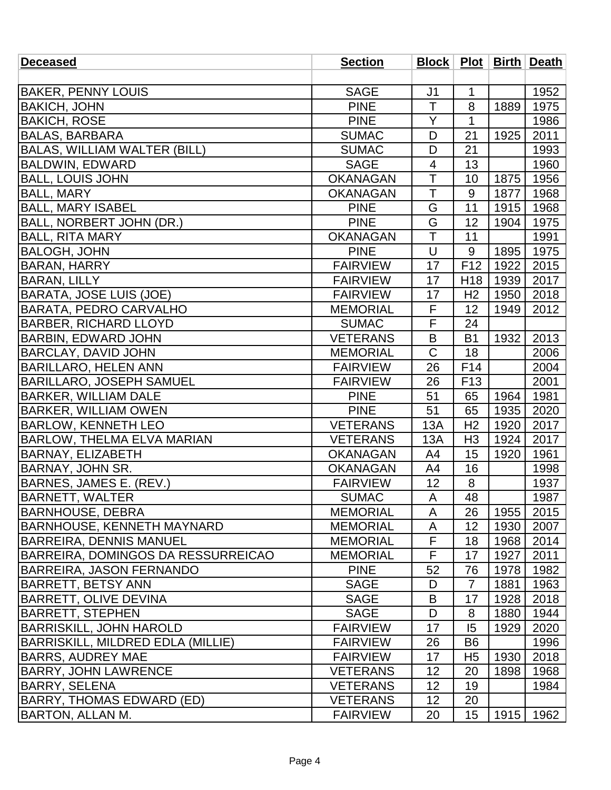| <b>Deceased</b>                     | <b>Section</b>  |                         |                 |      | Block   Plot   Birth   Death |
|-------------------------------------|-----------------|-------------------------|-----------------|------|------------------------------|
|                                     |                 |                         |                 |      |                              |
| <b>BAKER, PENNY LOUIS</b>           | <b>SAGE</b>     | J <sub>1</sub>          | 1               |      | 1952                         |
| <b>BAKICH, JOHN</b>                 | <b>PINE</b>     | T                       | 8               | 1889 | 1975                         |
| <b>BAKICH, ROSE</b>                 | <b>PINE</b>     | Y                       | $\mathbf 1$     |      | 1986                         |
| <b>BALAS, BARBARA</b>               | <b>SUMAC</b>    | D                       | 21              | 1925 | 2011                         |
| <b>BALAS, WILLIAM WALTER (BILL)</b> | <b>SUMAC</b>    | D                       | 21              |      | 1993                         |
| <b>BALDWIN, EDWARD</b>              | <b>SAGE</b>     | $\overline{4}$          | 13              |      | 1960                         |
| <b>BALL, LOUIS JOHN</b>             | <b>OKANAGAN</b> | $\overline{\top}$       | 10              | 1875 | 1956                         |
| <b>BALL, MARY</b>                   | <b>OKANAGAN</b> | T                       | 9               | 1877 | 1968                         |
| <b>BALL, MARY ISABEL</b>            | <b>PINE</b>     | G                       | 11              | 1915 | 1968                         |
| BALL, NORBERT JOHN (DR.)            | <b>PINE</b>     | G                       | 12              | 1904 | 1975                         |
| <b>BALL, RITA MARY</b>              | <b>OKANAGAN</b> | $\overline{\mathsf{T}}$ | 11              |      | 1991                         |
| <b>BALOGH, JOHN</b>                 | <b>PINE</b>     | U                       | 9               | 1895 | 1975                         |
| <b>BARAN, HARRY</b>                 | <b>FAIRVIEW</b> | 17                      | F <sub>12</sub> | 1922 | 2015                         |
| <b>BARAN, LILLY</b>                 | <b>FAIRVIEW</b> | 17                      | H <sub>18</sub> | 1939 | 2017                         |
| <b>BARATA, JOSE LUIS (JOE)</b>      | <b>FAIRVIEW</b> | 17                      | H <sub>2</sub>  | 1950 | 2018                         |
| <b>BARATA, PEDRO CARVALHO</b>       | <b>MEMORIAL</b> | F                       | 12              | 1949 | 2012                         |
| <b>BARBER, RICHARD LLOYD</b>        | <b>SUMAC</b>    | F                       | 24              |      |                              |
| <b>BARBIN, EDWARD JOHN</b>          | <b>VETERANS</b> | B                       | <b>B1</b>       | 1932 | 2013                         |
| <b>BARCLAY, DAVID JOHN</b>          | <b>MEMORIAL</b> | C                       | 18              |      | 2006                         |
| <b>BARILLARO, HELEN ANN</b>         | <b>FAIRVIEW</b> | 26                      | F14             |      | 2004                         |
| <b>BARILLARO, JOSEPH SAMUEL</b>     | <b>FAIRVIEW</b> | 26                      | F <sub>13</sub> |      | 2001                         |
| <b>BARKER, WILLIAM DALE</b>         | <b>PINE</b>     | 51                      | 65              | 1964 | 1981                         |
| <b>BARKER, WILLIAM OWEN</b>         | <b>PINE</b>     | 51                      | 65              | 1935 | 2020                         |
| <b>BARLOW, KENNETH LEO</b>          | <b>VETERANS</b> | 13A                     | H <sub>2</sub>  | 1920 | 2017                         |
| <b>BARLOW, THELMA ELVA MARIAN</b>   | <b>VETERANS</b> | 13A                     | H <sub>3</sub>  | 1924 | 2017                         |
| <b>BARNAY, ELIZABETH</b>            | <b>OKANAGAN</b> | A4                      | 15              | 1920 | 1961                         |
| <b>BARNAY, JOHN SR.</b>             | <b>OKANAGAN</b> | A4                      | 16              |      | 1998                         |
| BARNES, JAMES E. (REV.)             | <b>FAIRVIEW</b> | 12                      | 8               |      | 1937                         |
| <b>BARNETT, WALTER</b>              | <b>SUMAC</b>    | A                       | 48              |      | 1987                         |
| BARNHOUSE, DEBRA                    | <b>MEMORIAL</b> | A                       | 26              | 1955 | 2015                         |
| BARNHOUSE, KENNETH MAYNARD          | <b>MEMORIAL</b> | A                       | 12              | 1930 | 2007                         |
| <b>BARREIRA, DENNIS MANUEL</b>      | <b>MEMORIAL</b> | F                       | 18              | 1968 | 2014                         |
| BARREIRA, DOMINGOS DA RESSURREICAO  | <b>MEMORIAL</b> | F                       | 17              | 1927 | 2011                         |
| BARREIRA, JASON FERNANDO            | <b>PINE</b>     | 52                      | 76              | 1978 | 1982                         |
| BARRETT, BETSY ANN                  | <b>SAGE</b>     | D                       | $\overline{7}$  | 1881 | 1963                         |
| <b>BARRETT, OLIVE DEVINA</b>        | <b>SAGE</b>     | B                       | 17              | 1928 | 2018                         |
| <b>BARRETT, STEPHEN</b>             | <b>SAGE</b>     | D                       | 8               | 1880 | 1944                         |
| BARRISKILL, JOHN HAROLD             | <b>FAIRVIEW</b> | 17                      | 15              | 1929 | 2020                         |
| BARRISKILL, MILDRED EDLA (MILLIE)   | <b>FAIRVIEW</b> | 26                      | B <sub>6</sub>  |      | 1996                         |
| BARRS, AUDREY MAE                   | <b>FAIRVIEW</b> | 17                      | H <sub>5</sub>  | 1930 | 2018                         |
| <b>BARRY, JOHN LAWRENCE</b>         | <b>VETERANS</b> | 12                      | 20              | 1898 | 1968                         |
| BARRY, SELENA                       | <b>VETERANS</b> | 12                      | 19              |      | 1984                         |
| BARRY, THOMAS EDWARD (ED)           | <b>VETERANS</b> | 12                      | 20              |      |                              |
| <b>BARTON, ALLAN M.</b>             | <b>FAIRVIEW</b> | 20                      | 15              | 1915 | 1962                         |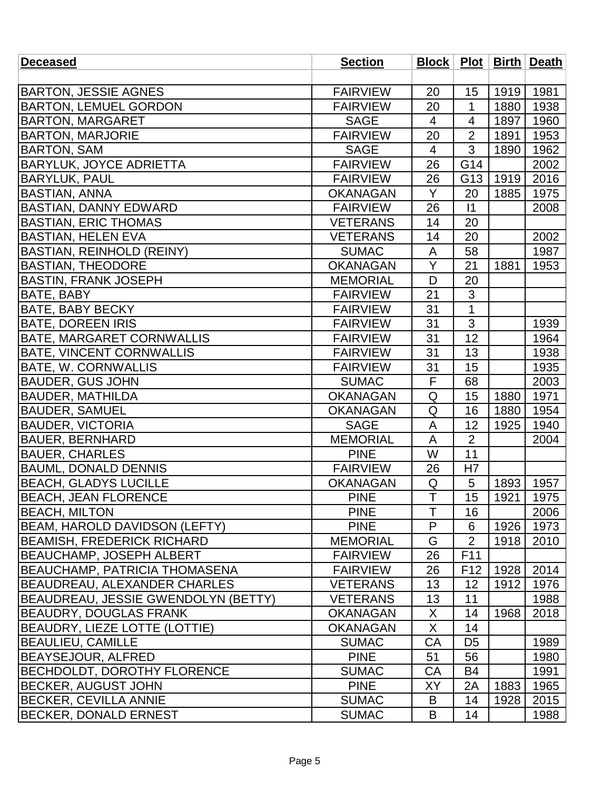| <b>Deceased</b>                     | <b>Section</b>  |                         |                 |      | Block   Plot   Birth   Death |
|-------------------------------------|-----------------|-------------------------|-----------------|------|------------------------------|
|                                     |                 |                         |                 |      |                              |
| <b>BARTON, JESSIE AGNES</b>         | <b>FAIRVIEW</b> | 20                      | 15              | 1919 | 1981                         |
| <b>BARTON, LEMUEL GORDON</b>        | <b>FAIRVIEW</b> | 20                      | 1               | 1880 | 1938                         |
| <b>BARTON, MARGARET</b>             | <b>SAGE</b>     | $\overline{4}$          | 4               | 1897 | 1960                         |
| <b>BARTON, MARJORIE</b>             | <b>FAIRVIEW</b> | 20                      | $\overline{2}$  | 1891 | 1953                         |
| <b>BARTON, SAM</b>                  | <b>SAGE</b>     | $\overline{4}$          | 3               | 1890 | 1962                         |
| <b>BARYLUK, JOYCE ADRIETTA</b>      | <b>FAIRVIEW</b> | 26                      | G14             |      | 2002                         |
| <b>BARYLUK, PAUL</b>                | <b>FAIRVIEW</b> | 26                      | G <sub>13</sub> | 1919 | 2016                         |
| <b>BASTIAN, ANNA</b>                | <b>OKANAGAN</b> | Y                       | 20              | 1885 | 1975                         |
| <b>BASTIAN, DANNY EDWARD</b>        | <b>FAIRVIEW</b> | 26                      | $\vert$ 1       |      | 2008                         |
| <b>BASTIAN, ERIC THOMAS</b>         | <b>VETERANS</b> | 14                      | 20              |      |                              |
| <b>BASTIAN, HELEN EVA</b>           | <b>VETERANS</b> | 14                      | 20              |      | 2002                         |
| <b>BASTIAN, REINHOLD (REINY)</b>    | <b>SUMAC</b>    | A                       | 58              |      | 1987                         |
| <b>BASTIAN, THEODORE</b>            | <b>OKANAGAN</b> | Y                       | 21              | 1881 | 1953                         |
| BASTIN, FRANK JOSEPH                | <b>MEMORIAL</b> | D                       | 20              |      |                              |
| <b>BATE, BABY</b>                   | <b>FAIRVIEW</b> | 21                      | 3               |      |                              |
| BATE, BABY BECKY                    | <b>FAIRVIEW</b> | 31                      | $\overline{1}$  |      |                              |
| <b>BATE, DOREEN IRIS</b>            | <b>FAIRVIEW</b> | 31                      | 3               |      | 1939                         |
| <b>BATE, MARGARET CORNWALLIS</b>    | <b>FAIRVIEW</b> | 31                      | 12              |      | 1964                         |
| <b>BATE, VINCENT CORNWALLIS</b>     | <b>FAIRVIEW</b> | 31                      | 13              |      | 1938                         |
| <b>BATE, W. CORNWALLIS</b>          | <b>FAIRVIEW</b> | 31                      | 15              |      | 1935                         |
| <b>BAUDER, GUS JOHN</b>             | <b>SUMAC</b>    | $\overline{\mathsf{F}}$ | 68              |      | 2003                         |
| <b>BAUDER, MATHILDA</b>             | <b>OKANAGAN</b> | Q                       | 15              | 1880 | 1971                         |
| BAUDER, SAMUEL                      | <b>OKANAGAN</b> | Q                       | 16              | 1880 | 1954                         |
| <b>BAUDER, VICTORIA</b>             | <b>SAGE</b>     | A                       | 12              | 1925 | 1940                         |
| <b>BAUER, BERNHARD</b>              | <b>MEMORIAL</b> | A                       | $\overline{2}$  |      | 2004                         |
| <b>BAUER, CHARLES</b>               | <b>PINE</b>     | W                       | 11              |      |                              |
| <b>BAUML, DONALD DENNIS</b>         | <b>FAIRVIEW</b> | 26                      | H7              |      |                              |
| <b>BEACH, GLADYS LUCILLE</b>        | <b>OKANAGAN</b> | Q                       | 5               | 1893 | 1957                         |
| <b>BEACH, JEAN FLORENCE</b>         | <b>PINE</b>     | T                       | 15              | 1921 | 1975                         |
| <b>BEACH, MILTON</b>                | <b>PINE</b>     | T                       | 16              |      | 2006                         |
| BEAM, HAROLD DAVIDSON (LEFTY)       | <b>PINE</b>     | P                       | 6               | 1926 | 1973                         |
| BEAMISH, FREDERICK RICHARD          | <b>MEMORIAL</b> | G                       | $\overline{2}$  | 1918 | 2010                         |
| BEAUCHAMP, JOSEPH ALBERT            | <b>FAIRVIEW</b> | 26                      | F11             |      |                              |
| BEAUCHAMP, PATRICIA THOMASENA       | <b>FAIRVIEW</b> | 26                      | F <sub>12</sub> | 1928 | 2014                         |
| BEAUDREAU, ALEXANDER CHARLES        | <b>VETERANS</b> | 13                      | 12              | 1912 | 1976                         |
| BEAUDREAU, JESSIE GWENDOLYN (BETTY) | <b>VETERANS</b> | 13                      | 11              |      | 1988                         |
| BEAUDRY, DOUGLAS FRANK              | <b>OKANAGAN</b> | X                       | 14              | 1968 | 2018                         |
| BEAUDRY, LIEZE LOTTE (LOTTIE)       | <b>OKANAGAN</b> | X                       | 14              |      |                              |
| <b>BEAULIEU, CAMILLE</b>            | <b>SUMAC</b>    | CA                      | D <sub>5</sub>  |      | 1989                         |
| BEAYSEJOUR, ALFRED                  | <b>PINE</b>     | 51                      | 56              |      | 1980                         |
| BECHDOLDT, DOROTHY FLORENCE         | <b>SUMAC</b>    | CA                      | B <sub>4</sub>  |      | 1991                         |
| <b>BECKER, AUGUST JOHN</b>          | <b>PINE</b>     | ΧY                      | 2A              | 1883 | 1965                         |
| <b>BECKER, CEVILLA ANNIE</b>        | <b>SUMAC</b>    | B                       | 14              | 1928 | 2015                         |
| <b>BECKER, DONALD ERNEST</b>        | <b>SUMAC</b>    | B                       | 14              |      | 1988                         |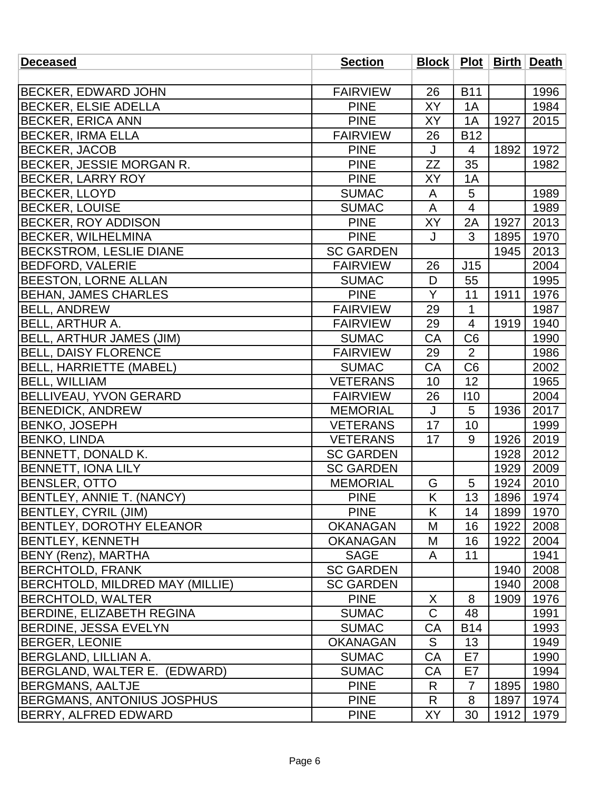| <b>Deceased</b>                        | <b>Section</b>   |              |                |      | Block   Plot   Birth   Death |
|----------------------------------------|------------------|--------------|----------------|------|------------------------------|
|                                        |                  |              |                |      |                              |
| <b>BECKER, EDWARD JOHN</b>             | <b>FAIRVIEW</b>  | 26           | <b>B11</b>     |      | 1996                         |
| <b>BECKER, ELSIE ADELLA</b>            | <b>PINE</b>      | XY           | 1A             |      | 1984                         |
| <b>BECKER, ERICA ANN</b>               | <b>PINE</b>      | <b>XY</b>    | 1A             | 1927 | 2015                         |
| <b>BECKER, IRMA ELLA</b>               | <b>FAIRVIEW</b>  | 26           | <b>B12</b>     |      |                              |
| <b>BECKER, JACOB</b>                   | <b>PINE</b>      | J            | 4              | 1892 | 1972                         |
| BECKER, JESSIE MORGAN R.               | <b>PINE</b>      | <b>ZZ</b>    | 35             |      | 1982                         |
| <b>BECKER, LARRY ROY</b>               | <b>PINE</b>      | XΥ           | 1A             |      |                              |
| <b>BECKER, LLOYD</b>                   | <b>SUMAC</b>     | A            | 5              |      | 1989                         |
| <b>BECKER, LOUISE</b>                  | <b>SUMAC</b>     | A            | $\overline{4}$ |      | 1989                         |
| <b>BECKER, ROY ADDISON</b>             | <b>PINE</b>      | XY           | 2A             | 1927 | 2013                         |
| <b>BECKER, WILHELMINA</b>              | <b>PINE</b>      | J            | 3              | 1895 | 1970                         |
| <b>BECKSTROM, LESLIE DIANE</b>         | <b>SC GARDEN</b> |              |                | 1945 | 2013                         |
| <b>BEDFORD, VALERIE</b>                | <b>FAIRVIEW</b>  | 26           | J15            |      | 2004                         |
| <b>BEESTON, LORNE ALLAN</b>            | <b>SUMAC</b>     | D            | 55             |      | 1995                         |
| <b>BEHAN, JAMES CHARLES</b>            | <b>PINE</b>      | Y            | 11             | 1911 | 1976                         |
| <b>BELL, ANDREW</b>                    | <b>FAIRVIEW</b>  | 29           | 1              |      | 1987                         |
| <b>BELL, ARTHUR A.</b>                 | <b>FAIRVIEW</b>  | 29           | 4              | 1919 | 1940                         |
| <b>BELL, ARTHUR JAMES (JIM)</b>        | <b>SUMAC</b>     | CA           | C <sub>6</sub> |      | 1990                         |
| <b>BELL, DAISY FLORENCE</b>            | <b>FAIRVIEW</b>  | 29           | $\overline{2}$ |      | 1986                         |
| <b>BELL, HARRIETTE (MABEL)</b>         | <b>SUMAC</b>     | CA           | C <sub>6</sub> |      | 2002                         |
| <b>BELL, WILLIAM</b>                   | <b>VETERANS</b>  | 10           | 12             |      | 1965                         |
| <b>BELLIVEAU, YVON GERARD</b>          | <b>FAIRVIEW</b>  | 26           | 110            |      | 2004                         |
| <b>BENEDICK, ANDREW</b>                | <b>MEMORIAL</b>  | $\mathsf{J}$ | 5              | 1936 | 2017                         |
| <b>BENKO, JOSEPH</b>                   | <b>VETERANS</b>  | 17           | 10             |      | 1999                         |
| <b>BENKO, LINDA</b>                    | <b>VETERANS</b>  | 17           | 9              | 1926 | 2019                         |
| <b>BENNETT, DONALD K.</b>              | <b>SC GARDEN</b> |              |                | 1928 | 2012                         |
| <b>BENNETT, IONA LILY</b>              | <b>SC GARDEN</b> |              |                | 1929 | 2009                         |
| <b>BENSLER, OTTO</b>                   | <b>MEMORIAL</b>  | G            | 5              | 1924 | 2010                         |
| BENTLEY, ANNIE T. (NANCY)              | <b>PINE</b>      | Κ            | 13             | 1896 | 1974                         |
| <b>BENTLEY, CYRIL (JIM)</b>            | <b>PINE</b>      | K            | 14             | 1899 | 1970                         |
| <b>BENTLEY, DOROTHY ELEANOR</b>        | <b>OKANAGAN</b>  | M            | 16             | 1922 | 2008                         |
| <b>BENTLEY, KENNETH</b>                | <b>OKANAGAN</b>  | M            | 16             | 1922 | 2004                         |
| BENY (Renz), MARTHA                    | <b>SAGE</b>      | A            | 11             |      | 1941                         |
| <b>BERCHTOLD, FRANK</b>                | <b>SC GARDEN</b> |              |                | 1940 | 2008                         |
| <b>BERCHTOLD, MILDRED MAY (MILLIE)</b> | <b>SC GARDEN</b> |              |                | 1940 | 2008                         |
| <b>BERCHTOLD, WALTER</b>               | <b>PINE</b>      | X            | 8              | 1909 | 1976                         |
| BERDINE, ELIZABETH REGINA              | <b>SUMAC</b>     | $\mathsf C$  | 48             |      | 1991                         |
| <b>IBERDINE, JESSA EVELYN</b>          | <b>SUMAC</b>     | CA           | <b>B14</b>     |      | 1993                         |
| <b>BERGER, LEONIE</b>                  | <b>OKANAGAN</b>  | S            | 13             |      | 1949                         |
| BERGLAND, LILLIAN A.                   | <b>SUMAC</b>     | CA           | E7             |      | 1990                         |
| BERGLAND, WALTER E. (EDWARD)           | <b>SUMAC</b>     | CA           | E7             |      | 1994                         |
| <b>BERGMANS, AALTJE</b>                | <b>PINE</b>      | R            | $\overline{7}$ | 1895 | 1980                         |
| <b>BERGMANS, ANTONIUS JOSPHUS</b>      | <b>PINE</b>      | R            | 8              | 1897 | 1974                         |
| <b>BERRY, ALFRED EDWARD</b>            | <b>PINE</b>      | <b>XY</b>    | 30             | 1912 | 1979                         |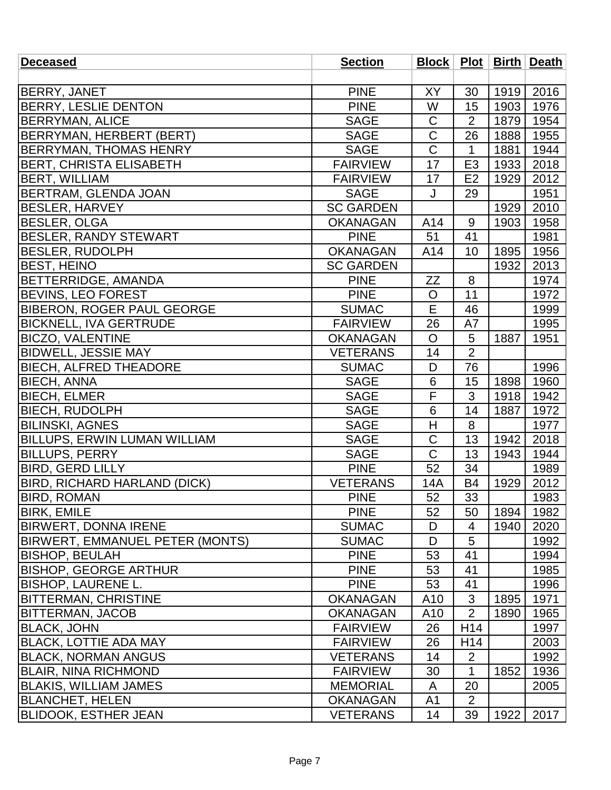| <b>Deceased</b>                        | <b>Section</b>   |                 |                 |      | Block   Plot   Birth   Death |
|----------------------------------------|------------------|-----------------|-----------------|------|------------------------------|
|                                        |                  |                 |                 |      |                              |
| <b>BERRY, JANET</b>                    | <b>PINE</b>      | XY              | 30              | 1919 | 2016                         |
| BERRY, LESLIE DENTON                   | <b>PINE</b>      | W               | 15              | 1903 | 1976                         |
| <b>BERRYMAN, ALICE</b>                 | <b>SAGE</b>      | $\mathsf C$     | $\overline{2}$  | 1879 | 1954                         |
| BERRYMAN, HERBERT (BERT)               | <b>SAGE</b>      | $\mathsf C$     | 26              | 1888 | 1955                         |
| <b>BERRYMAN, THOMAS HENRY</b>          | <b>SAGE</b>      | $\mathsf C$     | 1               | 1881 | 1944                         |
| <b>BERT, CHRISTA ELISABETH</b>         | <b>FAIRVIEW</b>  | 17              | E <sub>3</sub>  | 1933 | 2018                         |
| <b>BERT, WILLIAM</b>                   | <b>FAIRVIEW</b>  | 17              | E <sub>2</sub>  | 1929 | 2012                         |
| BERTRAM, GLENDA JOAN                   | <b>SAGE</b>      | J               | 29              |      | 1951                         |
| <b>BESLER, HARVEY</b>                  | <b>SC GARDEN</b> |                 |                 | 1929 | 2010                         |
| <b>BESLER, OLGA</b>                    | <b>OKANAGAN</b>  | A14             | 9               | 1903 | 1958                         |
| <b>BESLER, RANDY STEWART</b>           | <b>PINE</b>      | 51              | 41              |      | 1981                         |
| <b>BESLER, RUDOLPH</b>                 | <b>OKANAGAN</b>  | A14             | 10              | 1895 | 1956                         |
| <b>BEST, HEINO</b>                     | <b>SC GARDEN</b> |                 |                 | 1932 | 2013                         |
| <b>BETTERRIDGE, AMANDA</b>             | <b>PINE</b>      | ZΖ              | 8               |      | 1974                         |
| <b>BEVINS, LEO FOREST</b>              | <b>PINE</b>      | $\mathsf{O}$    | 11              |      | 1972                         |
| <b>BIBERON, ROGER PAUL GEORGE</b>      | <b>SUMAC</b>     | E               | 46              |      | 1999                         |
| <b>BICKNELL, IVA GERTRUDE</b>          | <b>FAIRVIEW</b>  | 26              | A7              |      | 1995                         |
| <b>BICZO, VALENTINE</b>                | <b>OKANAGAN</b>  | $\overline{O}$  | 5               | 1887 | 1951                         |
| <b>BIDWELL, JESSIE MAY</b>             | <b>VETERANS</b>  | 14              | $\overline{2}$  |      |                              |
| <b>BIECH, ALFRED THEADORE</b>          | <b>SUMAC</b>     | D               | 76              |      | 1996                         |
| <b>BIECH, ANNA</b>                     | <b>SAGE</b>      | 6               | 15              | 1898 | 1960                         |
| <b>BIECH, ELMER</b>                    | <b>SAGE</b>      | F               | 3               | 1918 | 1942                         |
| <b>BIECH, RUDOLPH</b>                  | <b>SAGE</b>      | $6\phantom{1}6$ | 14              | 1887 | 1972                         |
| <b>BILINSKI, AGNES</b>                 | <b>SAGE</b>      | H               | 8               |      | 1977                         |
| <b>BILLUPS, ERWIN LUMAN WILLIAM</b>    | <b>SAGE</b>      | $\overline{C}$  | 13              | 1942 | 2018                         |
| <b>BILLUPS, PERRY</b>                  | <b>SAGE</b>      | $\mathsf C$     | 13              | 1943 | 1944                         |
| <b>BIRD, GERD LILLY</b>                | <b>PINE</b>      | 52              | 34              |      | 1989                         |
| <b>BIRD, RICHARD HARLAND (DICK)</b>    | <b>VETERANS</b>  | 14A             | <b>B4</b>       | 1929 | 2012                         |
| <b>BIRD, ROMAN</b>                     | <b>PINE</b>      | 52              | 33              |      | 1983                         |
| <b>BIRK, EMILE</b>                     | <b>PINE</b>      | 52              | 50              | 1894 | 1982                         |
| <b>BIRWERT, DONNA IRENE</b>            | <b>SUMAC</b>     | D               | 4               | 1940 | 2020                         |
| <b>BIRWERT, EMMANUEL PETER (MONTS)</b> | <b>SUMAC</b>     | D               | 5               |      | 1992                         |
| <b>BISHOP, BEULAH</b>                  | <b>PINE</b>      | 53              | 41              |      | 1994                         |
| <b>BISHOP, GEORGE ARTHUR</b>           | <b>PINE</b>      | 53              | 41              |      | 1985                         |
| <b>BISHOP, LAURENE L.</b>              | <b>PINE</b>      | 53              | 41              |      | 1996                         |
| <b>BITTERMAN, CHRISTINE</b>            | <b>OKANAGAN</b>  | A <sub>10</sub> | 3               | 1895 | 1971                         |
| <b>BITTERMAN, JACOB</b>                | <b>OKANAGAN</b>  | A10             | $\overline{2}$  | 1890 | 1965                         |
| <b>BLACK, JOHN</b>                     | <b>FAIRVIEW</b>  | 26              | H14             |      | 1997                         |
| <b>BLACK, LOTTIE ADA MAY</b>           | <b>FAIRVIEW</b>  | 26              | H <sub>14</sub> |      | 2003                         |
| <b>BLACK, NORMAN ANGUS</b>             | <b>VETERANS</b>  | 14              | $\overline{2}$  |      | 1992                         |
| <b>BLAIR, NINA RICHMOND</b>            | <b>FAIRVIEW</b>  | 30              | 1               | 1852 | 1936                         |
| <b>BLAKIS, WILLIAM JAMES</b>           | <b>MEMORIAL</b>  | A               | 20              |      | 2005                         |
| <b>BLANCHET, HELEN</b>                 | <b>OKANAGAN</b>  | A1              | $\overline{2}$  |      |                              |
| <b>BLIDOOK, ESTHER JEAN</b>            | <b>VETERANS</b>  | 14              | 39              | 1922 | 2017                         |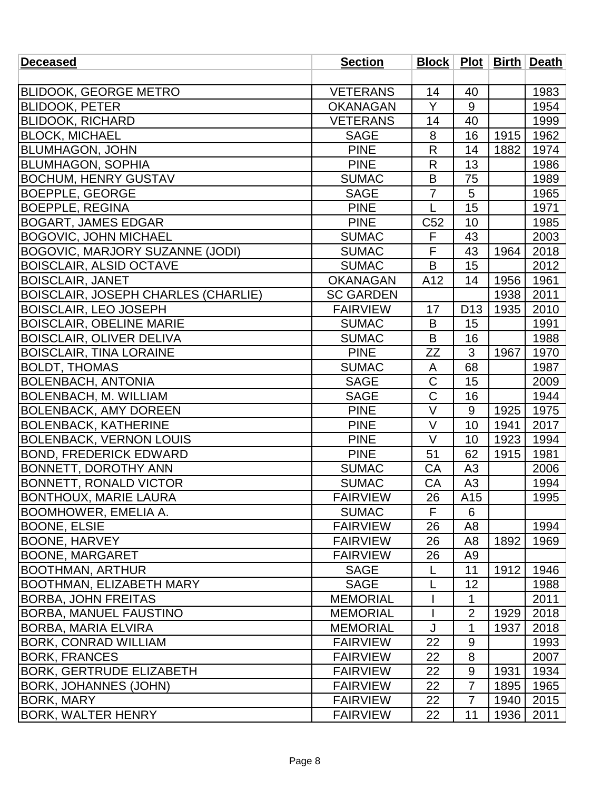| <b>Deceased</b>                            | <b>Section</b>   |                 |                 |      | Block   Plot   Birth   Death |
|--------------------------------------------|------------------|-----------------|-----------------|------|------------------------------|
|                                            |                  |                 |                 |      |                              |
| <b>BLIDOOK, GEORGE METRO</b>               | <b>VETERANS</b>  | 14              | 40              |      | 1983                         |
| <b>BLIDOOK, PETER</b>                      | <b>OKANAGAN</b>  | Y               | 9               |      | 1954                         |
| <b>BLIDOOK, RICHARD</b>                    | <b>VETERANS</b>  | 14              | 40              |      | 1999                         |
| <b>BLOCK, MICHAEL</b>                      | <b>SAGE</b>      | 8               | 16              | 1915 | 1962                         |
| <b>BLUMHAGON, JOHN</b>                     | <b>PINE</b>      | R               | 14              | 1882 | 1974                         |
| <b>BLUMHAGON, SOPHIA</b>                   | <b>PINE</b>      | $\mathsf{R}$    | 13              |      | 1986                         |
| <b>BOCHUM, HENRY GUSTAV</b>                | <b>SUMAC</b>     | B               | 75              |      | 1989                         |
| <b>BOEPPLE, GEORGE</b>                     | <b>SAGE</b>      | $\overline{7}$  | 5               |      | 1965                         |
| <b>BOEPPLE, REGINA</b>                     | <b>PINE</b>      | L               | 15              |      | 1971                         |
| <b>BOGART, JAMES EDGAR</b>                 | <b>PINE</b>      | C <sub>52</sub> | 10              |      | 1985                         |
| <b>BOGOVIC, JOHN MICHAEL</b>               | <b>SUMAC</b>     | F               | 43              |      | 2003                         |
| <b>BOGOVIC, MARJORY SUZANNE (JODI)</b>     | <b>SUMAC</b>     | F               | 43              | 1964 | 2018                         |
| <b>BOISCLAIR, ALSID OCTAVE</b>             | <b>SUMAC</b>     | B               | 15              |      | 2012                         |
| <b>BOISCLAIR, JANET</b>                    | <b>OKANAGAN</b>  | A12             | 14              | 1956 | 1961                         |
| <b>BOISCLAIR, JOSEPH CHARLES (CHARLIE)</b> | <b>SC GARDEN</b> |                 |                 | 1938 | 2011                         |
| <b>BOISCLAIR, LEO JOSEPH</b>               | <b>FAIRVIEW</b>  | 17              | D <sub>13</sub> | 1935 | 2010                         |
| <b>BOISCLAIR, OBELINE MARIE</b>            | <b>SUMAC</b>     | B               | 15              |      | 1991                         |
| <b>BOISCLAIR, OLIVER DELIVA</b>            | <b>SUMAC</b>     | B               | 16              |      | 1988                         |
| <b>BOISCLAIR, TINA LORAINE</b>             | <b>PINE</b>      | ZΖ              | 3               | 1967 | 1970                         |
| <b>BOLDT, THOMAS</b>                       | <b>SUMAC</b>     | A               | 68              |      | 1987                         |
| <b>BOLENBACH, ANTONIA</b>                  | <b>SAGE</b>      | $\mathsf C$     | 15              |      | 2009                         |
| <b>BOLENBACH, M. WILLIAM</b>               | <b>SAGE</b>      | $\mathsf C$     | 16              |      | 1944                         |
| <b>BOLENBACK, AMY DOREEN</b>               | <b>PINE</b>      | $\vee$          | 9               | 1925 | 1975                         |
| <b>BOLENBACK, KATHERINE</b>                | <b>PINE</b>      | V               | 10              | 1941 | 2017                         |
| <b>BOLENBACK, VERNON LOUIS</b>             | <b>PINE</b>      | $\vee$          | 10              | 1923 | 1994                         |
| <b>BOND, FREDERICK EDWARD</b>              | <b>PINE</b>      | 51              | 62              | 1915 | 1981                         |
| <b>BONNETT, DOROTHY ANN</b>                | <b>SUMAC</b>     | CA              | A <sub>3</sub>  |      | 2006                         |
| <b>BONNETT, RONALD VICTOR</b>              | <b>SUMAC</b>     | CA              | A <sub>3</sub>  |      | 1994                         |
| <b>BONTHOUX, MARIE LAURA</b>               | <b>FAIRVIEW</b>  | 26              | A15             |      | 1995                         |
| <b>BOOMHOWER, EMELIA A.</b>                | <b>SUMAC</b>     | F               | 6               |      |                              |
| <b>BOONE, ELSIE</b>                        | <b>FAIRVIEW</b>  | 26              | A8              |      | 1994                         |
| <b>BOONE, HARVEY</b>                       | <b>FAIRVIEW</b>  | 26              | A <sub>8</sub>  | 1892 | 1969                         |
| BOONE, MARGARET                            | <b>FAIRVIEW</b>  | 26              | A9              |      |                              |
| BOOTHMAN, ARTHUR                           | <b>SAGE</b>      | L               | 11              | 1912 | 1946                         |
| <b>BOOTHMAN, ELIZABETH MARY</b>            | <b>SAGE</b>      | L               | 12              |      | 1988                         |
| <b>BORBA, JOHN FREITAS</b>                 | <b>MEMORIAL</b>  |                 | 1               |      | 2011                         |
| <b>BORBA, MANUEL FAUSTINO</b>              | <b>MEMORIAL</b>  |                 | $\overline{2}$  | 1929 | 2018                         |
| BORBA, MARIA ELVIRA                        | <b>MEMORIAL</b>  | J               | 1               | 1937 | 2018                         |
| <b>BORK, CONRAD WILLIAM</b>                | <b>FAIRVIEW</b>  | 22              | 9               |      | 1993                         |
| <b>BORK, FRANCES</b>                       | <b>FAIRVIEW</b>  | 22              | 8               |      | 2007                         |
| <b>BORK, GERTRUDE ELIZABETH</b>            | <b>FAIRVIEW</b>  | 22              | $9\,$           | 1931 | 1934                         |
| <b>BORK, JOHANNES (JOHN)</b>               | <b>FAIRVIEW</b>  | 22              | $\overline{7}$  | 1895 | 1965                         |
| BORK, MARY                                 | <b>FAIRVIEW</b>  | 22              | 7               | 1940 | 2015                         |
| <b>BORK, WALTER HENRY</b>                  | <b>FAIRVIEW</b>  | 22              | 11              | 1936 | 2011                         |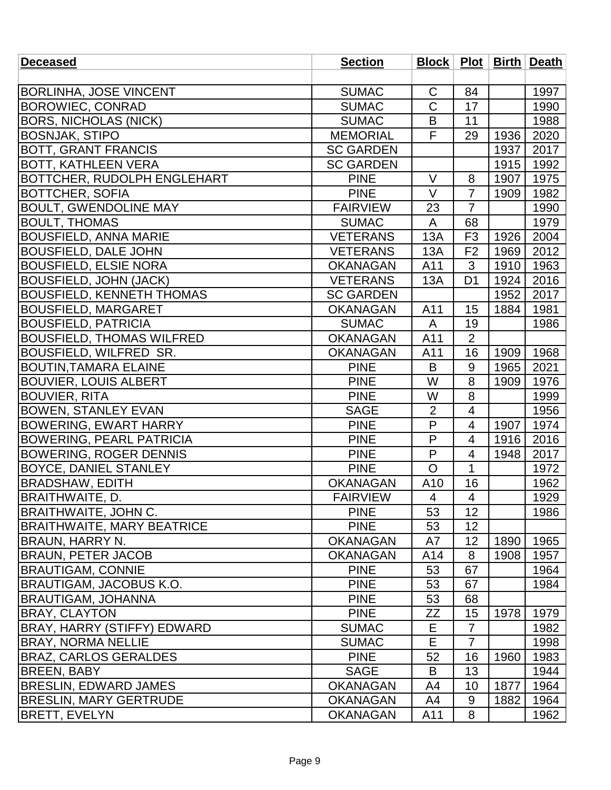| <b>Deceased</b>                    | <b>Section</b>   | Block   Plot   Birth   Death |                          |      |      |
|------------------------------------|------------------|------------------------------|--------------------------|------|------|
|                                    |                  |                              |                          |      |      |
| <b>BORLINHA, JOSE VINCENT</b>      | <b>SUMAC</b>     | $\mathsf C$                  | 84                       |      | 1997 |
| <b>BOROWIEC, CONRAD</b>            | <b>SUMAC</b>     | $\overline{\text{C}}$        | 17                       |      | 1990 |
| <b>BORS, NICHOLAS (NICK)</b>       | <b>SUMAC</b>     | B                            | 11                       |      | 1988 |
| <b>BOSNJAK, STIPO</b>              | <b>MEMORIAL</b>  | F                            | 29                       | 1936 | 2020 |
| <b>BOTT, GRANT FRANCIS</b>         | <b>SC GARDEN</b> |                              |                          | 1937 | 2017 |
| <b>BOTT, KATHLEEN VERA</b>         | <b>SC GARDEN</b> |                              |                          | 1915 | 1992 |
| <b>BOTTCHER, RUDOLPH ENGLEHART</b> | <b>PINE</b>      | $\vee$                       | 8                        | 1907 | 1975 |
| <b>BOTTCHER, SOFIA</b>             | <b>PINE</b>      | $\vee$                       | $\overline{7}$           | 1909 | 1982 |
| <b>BOULT, GWENDOLINE MAY</b>       | <b>FAIRVIEW</b>  | 23                           | $\overline{7}$           |      | 1990 |
| <b>BOULT, THOMAS</b>               | <b>SUMAC</b>     | A                            | 68                       |      | 1979 |
| <b>BOUSFIELD, ANNA MARIE</b>       | <b>VETERANS</b>  | 13A                          | F <sub>3</sub>           | 1926 | 2004 |
| <b>BOUSFIELD, DALE JOHN</b>        | <b>VETERANS</b>  | 13A                          | F <sub>2</sub>           | 1969 | 2012 |
| <b>BOUSFIELD, ELSIE NORA</b>       | <b>OKANAGAN</b>  | A11                          | 3                        | 1910 | 1963 |
| <b>BOUSFIELD, JOHN (JACK)</b>      | <b>VETERANS</b>  | 13A                          | D <sub>1</sub>           | 1924 | 2016 |
| <b>BOUSFIELD, KENNETH THOMAS</b>   | <b>SC GARDEN</b> |                              |                          | 1952 | 2017 |
| <b>BOUSFIELD, MARGARET</b>         | <b>OKANAGAN</b>  | A11                          | 15                       | 1884 | 1981 |
| <b>BOUSFIELD, PATRICIA</b>         | <b>SUMAC</b>     | A                            | 19                       |      | 1986 |
| <b>BOUSFIELD, THOMAS WILFRED</b>   | <b>OKANAGAN</b>  | A11                          | $\overline{2}$           |      |      |
| <b>BOUSFIELD, WILFRED SR.</b>      | <b>OKANAGAN</b>  | A11                          | 16                       | 1909 | 1968 |
| <b>BOUTIN, TAMARA ELAINE</b>       | <b>PINE</b>      | B                            | 9                        | 1965 | 2021 |
| <b>BOUVIER, LOUIS ALBERT</b>       | <b>PINE</b>      | W                            | 8                        | 1909 | 1976 |
| <b>BOUVIER, RITA</b>               | <b>PINE</b>      | W                            | 8                        |      | 1999 |
| <b>BOWEN, STANLEY EVAN</b>         | <b>SAGE</b>      | $\overline{2}$               | $\overline{4}$           |      | 1956 |
| <b>BOWERING, EWART HARRY</b>       | <b>PINE</b>      | P                            | 4                        | 1907 | 1974 |
| <b>BOWERING, PEARL PATRICIA</b>    | <b>PINE</b>      | P                            | $\overline{4}$           | 1916 | 2016 |
| <b>BOWERING, ROGER DENNIS</b>      | <b>PINE</b>      | P                            | 4                        | 1948 | 2017 |
| <b>BOYCE, DANIEL STANLEY</b>       | <b>PINE</b>      | O                            | 1                        |      | 1972 |
| <b>BRADSHAW, EDITH</b>             | <b>OKANAGAN</b>  | A10                          | 16                       |      | 1962 |
| BRAITHWAITE, D.                    | <b>FAIRVIEW</b>  | 4                            | $\overline{\mathcal{A}}$ |      | 1929 |
| BRAITHWAITE, JOHN C.               | <b>PINE</b>      | 53                           | 12                       |      | 1986 |
| <b>BRAITHWAITE, MARY BEATRICE</b>  | <b>PINE</b>      | 53                           | 12                       |      |      |
| BRAUN, HARRY N.                    | <b>OKANAGAN</b>  | A7                           | 12                       | 1890 | 1965 |
| <b>BRAUN, PETER JACOB</b>          | <b>OKANAGAN</b>  | A14                          | 8                        | 1908 | 1957 |
| <b>BRAUTIGAM, CONNIE</b>           | <b>PINE</b>      | 53                           | 67                       |      | 1964 |
| BRAUTIGAM, JACOBUS K.O.            | <b>PINE</b>      | 53                           | 67                       |      | 1984 |
| BRAUTIGAM, JOHANNA                 | <b>PINE</b>      | 53                           | 68                       |      |      |
| <b>BRAY, CLAYTON</b>               | <b>PINE</b>      | ZΖ                           | 15                       | 1978 | 1979 |
| BRAY, HARRY (STIFFY) EDWARD        | <b>SUMAC</b>     | Е                            | $\overline{7}$           |      | 1982 |
| <b>BRAY, NORMA NELLIE</b>          | <b>SUMAC</b>     | E                            | $\overline{7}$           |      | 1998 |
| <b>BRAZ, CARLOS GERALDES</b>       | <b>PINE</b>      | 52                           | 16                       | 1960 | 1983 |
| <b>BREEN, BABY</b>                 | <b>SAGE</b>      | B                            | 13                       |      | 1944 |
| <b>BRESLIN, EDWARD JAMES</b>       | <b>OKANAGAN</b>  | A4                           | 10                       | 1877 | 1964 |
| <b>BRESLIN, MARY GERTRUDE</b>      | <b>OKANAGAN</b>  | A4                           | 9                        | 1882 | 1964 |
| <b>BRETT, EVELYN</b>               | <b>OKANAGAN</b>  | A11                          | 8                        |      | 1962 |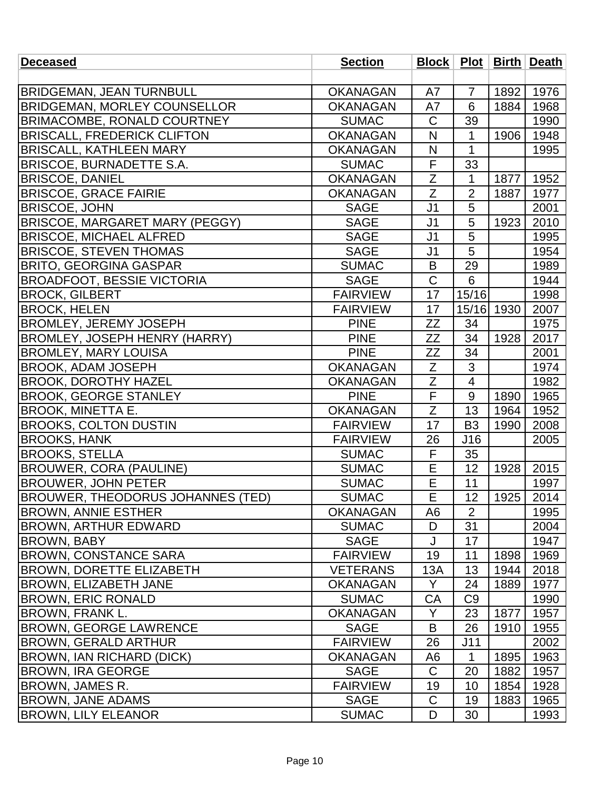| <b>Deceased</b>                       | <b>Section</b>  |                |                         |      | Block   Plot   Birth   Death |
|---------------------------------------|-----------------|----------------|-------------------------|------|------------------------------|
|                                       |                 |                |                         |      |                              |
| <b>BRIDGEMAN, JEAN TURNBULL</b>       | <b>OKANAGAN</b> | A7             | $\overline{7}$          | 1892 | 1976                         |
| <b>BRIDGEMAN, MORLEY COUNSELLOR</b>   | <b>OKANAGAN</b> | A7             | 6                       | 1884 | 1968                         |
| <b>BRIMACOMBE, RONALD COURTNEY</b>    | <b>SUMAC</b>    | $\mathsf C$    | 39                      |      | 1990                         |
| <b>BRISCALL, FREDERICK CLIFTON</b>    | <b>OKANAGAN</b> | N              | 1                       | 1906 | 1948                         |
| <b>BRISCALL, KATHLEEN MARY</b>        | <b>OKANAGAN</b> | N              | 1                       |      | 1995                         |
| <b>BRISCOE, BURNADETTE S.A.</b>       | <b>SUMAC</b>    | F              | 33                      |      |                              |
| <b>BRISCOE, DANIEL</b>                | <b>OKANAGAN</b> | Z              | 1                       | 1877 | 1952                         |
| <b>BRISCOE, GRACE FAIRIE</b>          | <b>OKANAGAN</b> | $\overline{Z}$ | $\overline{2}$          | 1887 | 1977                         |
| <b>BRISCOE, JOHN</b>                  | <b>SAGE</b>     | J <sub>1</sub> | 5                       |      | 2001                         |
| <b>BRISCOE, MARGARET MARY (PEGGY)</b> | <b>SAGE</b>     | J <sub>1</sub> | 5                       | 1923 | 2010                         |
| <b>BRISCOE, MICHAEL ALFRED</b>        | <b>SAGE</b>     | J <sub>1</sub> | 5                       |      | 1995                         |
| <b>BRISCOE, STEVEN THOMAS</b>         | <b>SAGE</b>     | J <sub>1</sub> | 5                       |      | 1954                         |
| <b>BRITO, GEORGINA GASPAR</b>         | <b>SUMAC</b>    | B              | 29                      |      | 1989                         |
| <b>BROADFOOT, BESSIE VICTORIA</b>     | <b>SAGE</b>     | $\mathsf C$    | 6                       |      | 1944                         |
| <b>BROCK, GILBERT</b>                 | <b>FAIRVIEW</b> | 17             | 15/16                   |      | 1998                         |
| <b>BROCK, HELEN</b>                   | <b>FAIRVIEW</b> | 17             | 15/16 1930              |      | 2007                         |
| <b>BROMLEY, JEREMY JOSEPH</b>         | <b>PINE</b>     | ZΖ             | 34                      |      | 1975                         |
| <b>BROMLEY, JOSEPH HENRY (HARRY)</b>  | <b>PINE</b>     | ZZ             | 34                      | 1928 | 2017                         |
| <b>BROMLEY, MARY LOUISA</b>           | <b>PINE</b>     | ZΖ             | 34                      |      | 2001                         |
| <b>BROOK, ADAM JOSEPH</b>             | <b>OKANAGAN</b> | Z              | 3                       |      | 1974                         |
| <b>BROOK, DOROTHY HAZEL</b>           | <b>OKANAGAN</b> | $\overline{Z}$ | $\overline{\mathbf{4}}$ |      | 1982                         |
| <b>BROOK, GEORGE STANLEY</b>          | <b>PINE</b>     | F              | 9                       | 1890 | 1965                         |
| <b>BROOK, MINETTA E.</b>              | <b>OKANAGAN</b> | Z              | 13                      | 1964 | 1952                         |
| <b>BROOKS, COLTON DUSTIN</b>          | <b>FAIRVIEW</b> | 17             | B <sub>3</sub>          | 1990 | 2008                         |
| <b>BROOKS, HANK</b>                   | <b>FAIRVIEW</b> | 26             | J16                     |      | 2005                         |
| <b>BROOKS, STELLA</b>                 | <b>SUMAC</b>    | F              | 35                      |      |                              |
| <b>BROUWER, CORA (PAULINE)</b>        | <b>SUMAC</b>    | E              | 12                      | 1928 | 2015                         |
| <b>BROUWER, JOHN PETER</b>            | <b>SUMAC</b>    | E              | 11                      |      | 1997                         |
| BROUWER, THEODORUS JOHANNES (TED)     | <b>SUMAC</b>    | $\overline{E}$ | 12                      | 1925 | 2014                         |
| BROWN, ANNIE ESTHER                   | <b>OKANAGAN</b> | A6             | $\overline{2}$          |      | 1995                         |
| <b>BROWN, ARTHUR EDWARD</b>           | <b>SUMAC</b>    | D              | 31                      |      | 2004                         |
| <b>BROWN, BABY</b>                    | <b>SAGE</b>     | J              | 17                      |      | 1947                         |
| <b>BROWN, CONSTANCE SARA</b>          | <b>FAIRVIEW</b> | 19             | 11                      | 1898 | 1969                         |
| <b>BROWN, DORETTE ELIZABETH</b>       | <b>VETERANS</b> | 13A            | 13                      | 1944 | 2018                         |
| <b>BROWN, ELIZABETH JANE</b>          | <b>OKANAGAN</b> | Y              | 24                      | 1889 | 1977                         |
| <b>BROWN, ERIC RONALD</b>             | <b>SUMAC</b>    | CA             | C <sub>9</sub>          |      | 1990                         |
| <b>BROWN, FRANK L.</b>                | <b>OKANAGAN</b> | Y              | 23                      | 1877 | 1957                         |
| <b>BROWN, GEORGE LAWRENCE</b>         | <b>SAGE</b>     | B              | 26                      | 1910 | 1955                         |
| BROWN, GERALD ARTHUR                  | <b>FAIRVIEW</b> | 26             | J11                     |      | 2002                         |
| <b>BROWN, IAN RICHARD (DICK)</b>      | <b>OKANAGAN</b> | A6             | 1                       | 1895 | 1963                         |
| <b>BROWN, IRA GEORGE</b>              | <b>SAGE</b>     | $\mathsf{C}$   | 20                      | 1882 | 1957                         |
| BROWN, JAMES R.                       | <b>FAIRVIEW</b> | 19             | 10                      | 1854 | 1928                         |
| <b>BROWN, JANE ADAMS</b>              | <b>SAGE</b>     | C              | 19                      | 1883 | 1965                         |
| <b>BROWN, LILY ELEANOR</b>            | <b>SUMAC</b>    | D              | 30                      |      | 1993                         |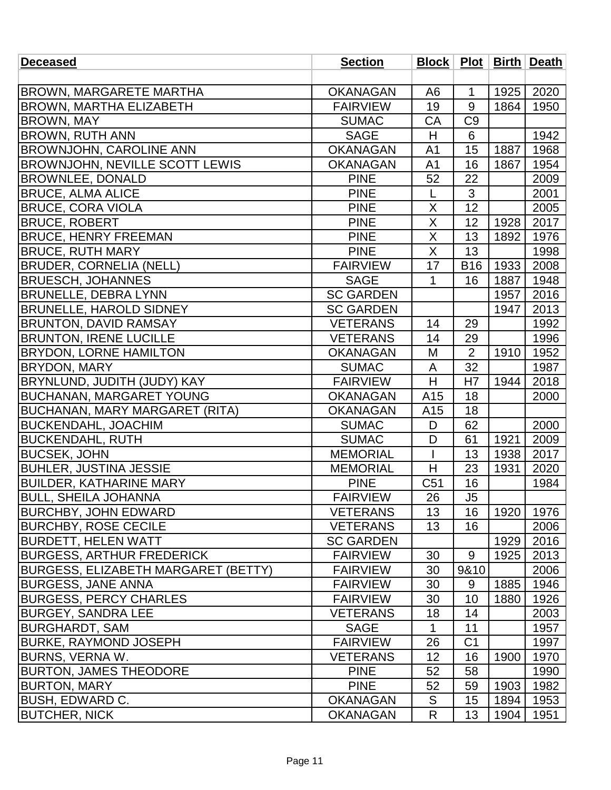| <b>Deceased</b>                       | <b>Section</b>   |                 |                |      | Block   Plot   Birth   Death |
|---------------------------------------|------------------|-----------------|----------------|------|------------------------------|
|                                       |                  |                 |                |      |                              |
| <b>BROWN, MARGARETE MARTHA</b>        | <b>OKANAGAN</b>  | A <sub>6</sub>  | 1              | 1925 | 2020                         |
| <b>BROWN, MARTHA ELIZABETH</b>        | <b>FAIRVIEW</b>  | 19              | 9              | 1864 | 1950                         |
| <b>BROWN, MAY</b>                     | <b>SUMAC</b>     | <b>CA</b>       | C <sub>9</sub> |      |                              |
| <b>BROWN, RUTH ANN</b>                | <b>SAGE</b>      | H               | 6              |      | 1942                         |
| <b>BROWNJOHN, CAROLINE ANN</b>        | <b>OKANAGAN</b>  | A <sub>1</sub>  | 15             | 1887 | 1968                         |
| <b>BROWNJOHN, NEVILLE SCOTT LEWIS</b> | <b>OKANAGAN</b>  | A <sub>1</sub>  | 16             | 1867 | 1954                         |
| <b>BROWNLEE, DONALD</b>               | <b>PINE</b>      | 52              | 22             |      | 2009                         |
| <b>BRUCE, ALMA ALICE</b>              | <b>PINE</b>      | L               | 3              |      | 2001                         |
| <b>BRUCE, CORA VIOLA</b>              | <b>PINE</b>      | X               | 12             |      | 2005                         |
| <b>BRUCE, ROBERT</b>                  | <b>PINE</b>      | X               | 12             | 1928 | 2017                         |
| <b>BRUCE, HENRY FREEMAN</b>           | <b>PINE</b>      | X               | 13             | 1892 | 1976                         |
| <b>BRUCE, RUTH MARY</b>               | <b>PINE</b>      | X               | 13             |      | 1998                         |
| <b>BRUDER, CORNELIA (NELL)</b>        | <b>FAIRVIEW</b>  | 17              | <b>B16</b>     | 1933 | 2008                         |
| <b>BRUESCH, JOHANNES</b>              | <b>SAGE</b>      | 1               | 16             | 1887 | 1948                         |
| <b>BRUNELLE, DEBRA LYNN</b>           | <b>SC GARDEN</b> |                 |                | 1957 | 2016                         |
| <b>BRUNELLE, HAROLD SIDNEY</b>        | <b>SC GARDEN</b> |                 |                | 1947 | 2013                         |
| <b>BRUNTON, DAVID RAMSAY</b>          | <b>VETERANS</b>  | 14              | 29             |      | 1992                         |
| <b>BRUNTON, IRENE LUCILLE</b>         | <b>VETERANS</b>  | 14              | 29             |      | 1996                         |
| <b>BRYDON, LORNE HAMILTON</b>         | <b>OKANAGAN</b>  | M               | $\overline{2}$ | 1910 | 1952                         |
| <b>BRYDON, MARY</b>                   | <b>SUMAC</b>     | A               | 32             |      | 1987                         |
| BRYNLUND, JUDITH (JUDY) KAY           | <b>FAIRVIEW</b>  | H               | H7             | 1944 | 2018                         |
| <b>BUCHANAN, MARGARET YOUNG</b>       | <b>OKANAGAN</b>  | A15             | 18             |      | 2000                         |
| <b>BUCHANAN, MARY MARGARET (RITA)</b> | <b>OKANAGAN</b>  | A15             | 18             |      |                              |
| <b>BUCKENDAHL, JOACHIM</b>            | <b>SUMAC</b>     | D               | 62             |      | 2000                         |
| <b>BUCKENDAHL, RUTH</b>               | <b>SUMAC</b>     | D               | 61             | 1921 | 2009                         |
| <b>BUCSEK, JOHN</b>                   | <b>MEMORIAL</b>  |                 | 13             | 1938 | 2017                         |
| <b>BUHLER, JUSTINA JESSIE</b>         | <b>MEMORIAL</b>  | H               | 23             | 1931 | 2020                         |
| <b>BUILDER, KATHARINE MARY</b>        | <b>PINE</b>      | C <sub>51</sub> | 16             |      | 1984                         |
| <b>BULL, SHEILA JOHANNA</b>           | <b>FAIRVIEW</b>  | 26              | J5             |      |                              |
| <b>BURCHBY, JOHN EDWARD</b>           | <b>VETERANS</b>  | 13              | 16             | 1920 | 1976                         |
| <b>BURCHBY, ROSE CECILE</b>           | <b>VETERANS</b>  | 13              | 16             |      | 2006                         |
| <b>BURDETT, HELEN WATT</b>            | <b>SC GARDEN</b> |                 |                | 1929 | 2016                         |
| <b>BURGESS, ARTHUR FREDERICK</b>      | <b>FAIRVIEW</b>  | 30              | 9              | 1925 | 2013                         |
| BURGESS, ELIZABETH MARGARET (BETTY)   | <b>FAIRVIEW</b>  | 30              | 9&10           |      | 2006                         |
| <b>BURGESS, JANE ANNA</b>             | <b>FAIRVIEW</b>  | 30              | 9              | 1885 | 1946                         |
| <b>BURGESS, PERCY CHARLES</b>         | <b>FAIRVIEW</b>  | 30              | 10             | 1880 | 1926                         |
| <b>BURGEY, SANDRA LEE</b>             | <b>VETERANS</b>  | 18              | 14             |      | 2003                         |
| <b>BURGHARDT, SAM</b>                 | <b>SAGE</b>      | 1               | 11             |      | 1957                         |
| <b>BURKE, RAYMOND JOSEPH</b>          | <b>FAIRVIEW</b>  | 26              | C <sub>1</sub> |      | 1997                         |
| <b>BURNS, VERNA W.</b>                | <b>VETERANS</b>  | 12              | 16             | 1900 | 1970                         |
| <b>BURTON, JAMES THEODORE</b>         | <b>PINE</b>      | 52              | 58             |      | 1990                         |
| BURTON, MARY                          | <b>PINE</b>      | 52              | 59             | 1903 | 1982                         |
| BUSH, EDWARD C.                       | <b>OKANAGAN</b>  | S               | 15             | 1894 | 1953                         |
| <b>BUTCHER, NICK</b>                  | <b>OKANAGAN</b>  | R               | 13             | 1904 | 1951                         |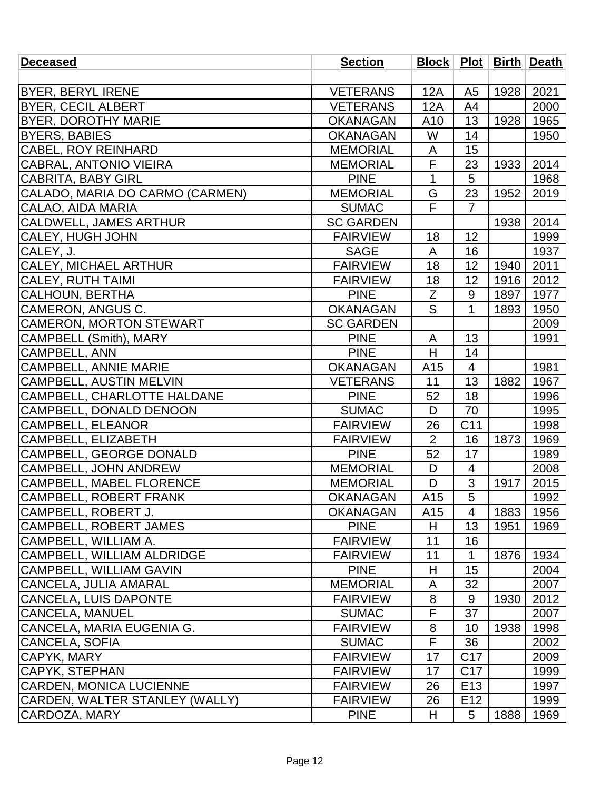| <b>Deceased</b>                  | <b>Section</b>   |                 |                 |      | Block   Plot   Birth   Death |
|----------------------------------|------------------|-----------------|-----------------|------|------------------------------|
|                                  |                  |                 |                 |      |                              |
| <b>BYER, BERYL IRENE</b>         | <b>VETERANS</b>  | 12A             | A <sub>5</sub>  | 1928 | 2021                         |
| <b>BYER, CECIL ALBERT</b>        | <b>VETERANS</b>  | 12A             | A <sub>4</sub>  |      | 2000                         |
| <b>BYER, DOROTHY MARIE</b>       | <b>OKANAGAN</b>  | A10             | 13              | 1928 | 1965                         |
| <b>BYERS, BABIES</b>             | <b>OKANAGAN</b>  | W               | 14              |      | 1950                         |
| <b>CABEL, ROY REINHARD</b>       | <b>MEMORIAL</b>  | A               | 15              |      |                              |
| <b>CABRAL, ANTONIO VIEIRA</b>    | <b>MEMORIAL</b>  | F               | 23              | 1933 | 2014                         |
| CABRITA, BABY GIRL               | <b>PINE</b>      | 1               | 5               |      | 1968                         |
| CALADO, MARIA DO CARMO (CARMEN)  | <b>MEMORIAL</b>  | G               | 23              | 1952 | 2019                         |
| CALAO, AIDA MARIA                | <b>SUMAC</b>     | $\overline{F}$  | $\overline{7}$  |      |                              |
| <b>CALDWELL, JAMES ARTHUR</b>    | <b>SC GARDEN</b> |                 |                 | 1938 | 2014                         |
| <b>CALEY, HUGH JOHN</b>          | <b>FAIRVIEW</b>  | 18              | 12              |      | 1999                         |
| CALEY, J.                        | <b>SAGE</b>      | A               | 16              |      | 1937                         |
| CALEY, MICHAEL ARTHUR            | <b>FAIRVIEW</b>  | 18              | 12              | 1940 | 2011                         |
| <b>CALEY, RUTH TAIMI</b>         | <b>FAIRVIEW</b>  | 18              | 12              | 1916 | 2012                         |
| <b>CALHOUN, BERTHA</b>           | <b>PINE</b>      | Z               | 9               | 1897 | 1977                         |
| CAMERON, ANGUS C.                | <b>OKANAGAN</b>  | S               | $\mathbf 1$     | 1893 | 1950                         |
| <b>CAMERON, MORTON STEWART</b>   | <b>SC GARDEN</b> |                 |                 |      | 2009                         |
| CAMPBELL (Smith), MARY           | <b>PINE</b>      | A               | 13              |      | 1991                         |
| <b>CAMPBELL, ANN</b>             | <b>PINE</b>      | H               | 14              |      |                              |
| <b>CAMPBELL, ANNIE MARIE</b>     | <b>OKANAGAN</b>  | A15             | 4               |      | 1981                         |
| CAMPBELL, AUSTIN MELVIN          | <b>VETERANS</b>  | 11              | 13              | 1882 | 1967                         |
| CAMPBELL, CHARLOTTE HALDANE      | <b>PINE</b>      | 52              | 18              |      | 1996                         |
| CAMPBELL, DONALD DENOON          | <b>SUMAC</b>     | D               | 70              |      | 1995                         |
| <b>CAMPBELL, ELEANOR</b>         | <b>FAIRVIEW</b>  | 26              | C <sub>11</sub> |      | 1998                         |
| CAMPBELL, ELIZABETH              | <b>FAIRVIEW</b>  | $\overline{2}$  | 16              | 1873 | 1969                         |
| CAMPBELL, GEORGE DONALD          | <b>PINE</b>      | 52              | 17              |      | 1989                         |
| <b>CAMPBELL, JOHN ANDREW</b>     | <b>MEMORIAL</b>  | D               | $\overline{4}$  |      | 2008                         |
| <b>CAMPBELL, MABEL FLORENCE</b>  | <b>MEMORIAL</b>  | D               | 3               | 1917 | 2015                         |
| CAMPBELL, ROBERT FRANK           | <b>OKANAGAN</b>  | A15             | к               |      | 1992                         |
| CAMPBELL, ROBERT J.              | <b>OKANAGAN</b>  | A <sub>15</sub> | 4               | 1883 | 1956                         |
| CAMPBELL, ROBERT JAMES           | <b>PINE</b>      | H               | 13              | 1951 | 1969                         |
| CAMPBELL, WILLIAM A.             | <b>FAIRVIEW</b>  | 11              | 16              |      |                              |
| CAMPBELL, WILLIAM ALDRIDGE       | <b>FAIRVIEW</b>  | 11              | 1               | 1876 | 1934                         |
| CAMPBELL, WILLIAM GAVIN          | <b>PINE</b>      | H               | 15              |      | 2004                         |
| <b>CANCELA, JULIA AMARAL</b>     | <b>MEMORIAL</b>  | A               | 32              |      | 2007                         |
| <b>CANCELA, LUIS DAPONTE</b>     | <b>FAIRVIEW</b>  | 8               | 9               | 1930 | 2012                         |
| CANCELA, MANUEL                  | <b>SUMAC</b>     | F               | 37              |      | 2007                         |
| <b>CANCELA, MARIA EUGENIA G.</b> | <b>FAIRVIEW</b>  | 8               | 10              | 1938 | 1998                         |
| <b>CANCELA, SOFIA</b>            | <b>SUMAC</b>     | F               | 36              |      | 2002                         |
| CAPYK, MARY                      | <b>FAIRVIEW</b>  | 17              | C <sub>17</sub> |      | 2009                         |
| CAPYK, STEPHAN                   | <b>FAIRVIEW</b>  | 17              | C <sub>17</sub> |      | 1999                         |
| <b>CARDEN, MONICA LUCIENNE</b>   | <b>FAIRVIEW</b>  | 26              | E <sub>13</sub> |      | 1997                         |
| CARDEN, WALTER STANLEY (WALLY)   | <b>FAIRVIEW</b>  | 26              | E <sub>12</sub> |      | 1999                         |
| CARDOZA, MARY                    | <b>PINE</b>      | H               | 5               | 1888 | 1969                         |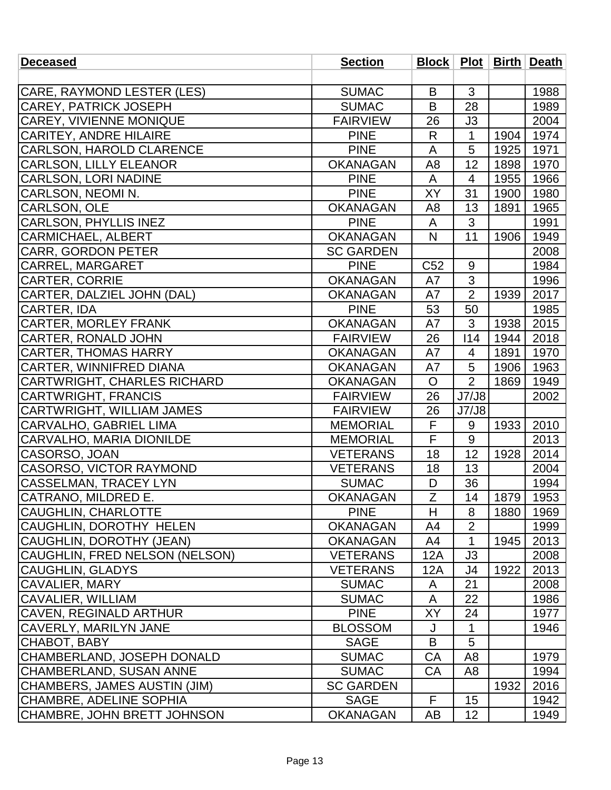| <b>Deceased</b>                    | <b>Section</b>   |                |                 |      | Block   Plot   Birth   Death |
|------------------------------------|------------------|----------------|-----------------|------|------------------------------|
|                                    |                  |                |                 |      |                              |
| <b>CARE, RAYMOND LESTER (LES)</b>  | <b>SUMAC</b>     | B              | 3               |      | 1988                         |
| <b>CAREY, PATRICK JOSEPH</b>       | <b>SUMAC</b>     | B              | 28              |      | 1989                         |
| <b>CAREY, VIVIENNE MONIQUE</b>     | <b>FAIRVIEW</b>  | 26             | J3              |      | 2004                         |
| <b>CARITEY, ANDRE HILAIRE</b>      | <b>PINE</b>      | R              | 1               | 1904 | 1974                         |
| <b>CARLSON, HAROLD CLARENCE</b>    | <b>PINE</b>      | A              | 5               | 1925 | 1971                         |
| <b>CARLSON, LILLY ELEANOR</b>      | <b>OKANAGAN</b>  | A <sub>8</sub> | 12              | 1898 | 1970                         |
| <b>CARLSON, LORI NADINE</b>        | <b>PINE</b>      | A              | 4               | 1955 | 1966                         |
| CARLSON, NEOMIN.                   | <b>PINE</b>      | XY             | 31              | 1900 | 1980                         |
| CARLSON, OLE                       | <b>OKANAGAN</b>  | A8             | 13              | 1891 | 1965                         |
| <b>CARLSON, PHYLLIS INEZ</b>       | <b>PINE</b>      | A              | 3               |      | 1991                         |
| <b>CARMICHAEL, ALBERT</b>          | <b>OKANAGAN</b>  | N              | 11              | 1906 | 1949                         |
| <b>CARR, GORDON PETER</b>          | <b>SC GARDEN</b> |                |                 |      | 2008                         |
| <b>CARREL, MARGARET</b>            | <b>PINE</b>      | C52            | 9               |      | 1984                         |
| <b>CARTER, CORRIE</b>              | <b>OKANAGAN</b>  | A7             | 3               |      | 1996                         |
| CARTER, DALZIEL JOHN (DAL)         | <b>OKANAGAN</b>  | A7             | $\overline{2}$  | 1939 | 2017                         |
| <b>CARTER, IDA</b>                 | <b>PINE</b>      | 53             | 50              |      | 1985                         |
| <b>CARTER, MORLEY FRANK</b>        | <b>OKANAGAN</b>  | A7             | 3               | 1938 | 2015                         |
| <b>CARTER, RONALD JOHN</b>         | <b>FAIRVIEW</b>  | 26             | 114             | 1944 | 2018                         |
| <b>CARTER, THOMAS HARRY</b>        | <b>OKANAGAN</b>  | A7             | 4               | 1891 | 1970                         |
| CARTER, WINNIFRED DIANA            | <b>OKANAGAN</b>  | A7             | 5               | 1906 | 1963                         |
| <b>CARTWRIGHT, CHARLES RICHARD</b> | <b>OKANAGAN</b>  | $\overline{O}$ | $\overline{2}$  | 1869 | 1949                         |
| <b>CARTWRIGHT, FRANCIS</b>         | <b>FAIRVIEW</b>  | 26             | J7/J8           |      | 2002                         |
| CARTWRIGHT, WILLIAM JAMES          | <b>FAIRVIEW</b>  | 26             | J7/J8           |      |                              |
| CARVALHO, GABRIEL LIMA             | <b>MEMORIAL</b>  | F              | 9               | 1933 | 2010                         |
| CARVALHO, MARIA DIONILDE           | <b>MEMORIAL</b>  | F              | 9               |      | 2013                         |
| CASORSO, JOAN                      | <b>VETERANS</b>  | 18             | 12              | 1928 | 2014                         |
| <b>CASORSO, VICTOR RAYMOND</b>     | <b>VETERANS</b>  | 18             | 13              |      | 2004                         |
| <b>CASSELMAN, TRACEY LYN</b>       | <b>SUMAC</b>     | D              | 36              |      | 1994                         |
| CATRANO, MILDRED E                 | <b>OKANAGAN</b>  | $\overline{Z}$ | 14              |      | 1879 1953                    |
| <b>CAUGHLIN, CHARLOTTE</b>         | <b>PINE</b>      | H              | 8               | 1880 | 1969                         |
| CAUGHLIN, DOROTHY HELEN            | <b>OKANAGAN</b>  | A4             | $\overline{2}$  |      | 1999                         |
| CAUGHLIN, DOROTHY (JEAN)           | <b>OKANAGAN</b>  | A4             | 1               | 1945 | 2013                         |
| CAUGHLIN, FRED NELSON (NELSON)     | <b>VETERANS</b>  | 12A            | JЗ              |      | 2008                         |
| <b>CAUGHLIN, GLADYS</b>            | <b>VETERANS</b>  | 12A            | J4              | 1922 | 2013                         |
| <b>CAVALIER, MARY</b>              | <b>SUMAC</b>     | A              | 21              |      | 2008                         |
| <b>CAVALIER, WILLIAM</b>           | <b>SUMAC</b>     | A              | 22              |      | 1986                         |
| <b>CAVEN, REGINALD ARTHUR</b>      | <b>PINE</b>      | XY             | 24              |      | 1977                         |
| CAVERLY, MARILYN JANE              | <b>BLOSSOM</b>   | J              | 1               |      | 1946                         |
| CHABOT, BABY                       | <b>SAGE</b>      | B              | 5               |      |                              |
| CHAMBERLAND, JOSEPH DONALD         | <b>SUMAC</b>     | CA             | A <sub>8</sub>  |      | 1979                         |
| <b>CHAMBERLAND, SUSAN ANNE</b>     | <b>SUMAC</b>     | CA             | A <sub>8</sub>  |      | 1994                         |
| CHAMBERS, JAMES AUSTIN (JIM)       | <b>SC GARDEN</b> |                |                 | 1932 | 2016                         |
| <b>CHAMBRE, ADELINE SOPHIA</b>     | <b>SAGE</b>      | F              | 15              |      | 1942                         |
| CHAMBRE, JOHN BRETT JOHNSON        | <b>OKANAGAN</b>  | AB             | 12 <sub>2</sub> |      | 1949                         |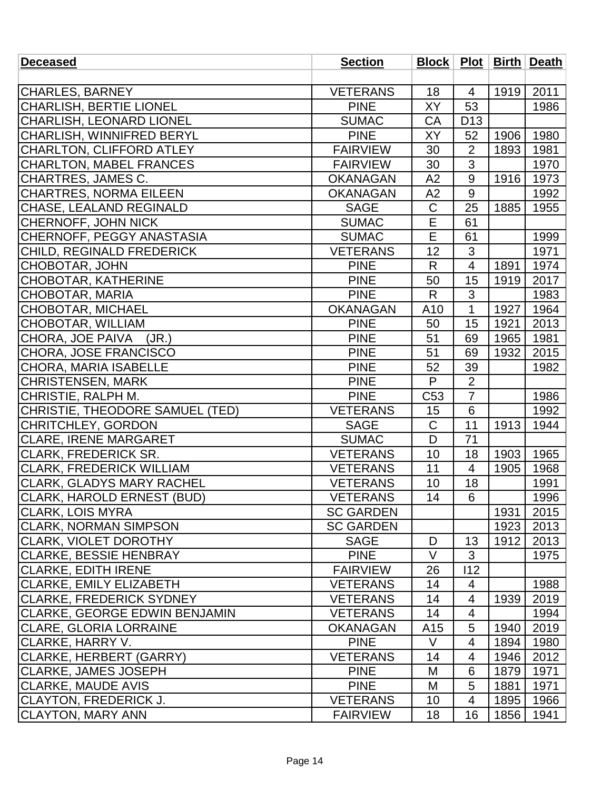| <b>Deceased</b>                      | <b>Section</b>   | Block   Plot   Birth   Death |                 |      |      |
|--------------------------------------|------------------|------------------------------|-----------------|------|------|
|                                      |                  |                              |                 |      |      |
| CHARLES, BARNEY                      | <b>VETERANS</b>  | 18                           | 4               | 1919 | 2011 |
| CHARLISH, BERTIE LIONEL              | <b>PINE</b>      | <b>XY</b>                    | 53              |      | 1986 |
| CHARLISH, LEONARD LIONEL             | <b>SUMAC</b>     | CA                           | D <sub>13</sub> |      |      |
| CHARLISH, WINNIFRED BERYL            | <b>PINE</b>      | XY                           | 52              | 1906 | 1980 |
| CHARLTON, CLIFFORD ATLEY             | <b>FAIRVIEW</b>  | 30                           | $\overline{2}$  | 1893 | 1981 |
| <b>CHARLTON, MABEL FRANCES</b>       | <b>FAIRVIEW</b>  | 30                           | 3               |      | 1970 |
| <b>CHARTRES, JAMES C.</b>            | <b>OKANAGAN</b>  | A2                           | 9               | 1916 | 1973 |
| <b>CHARTRES, NORMA EILEEN</b>        | <b>OKANAGAN</b>  | A2                           | 9               |      | 1992 |
| CHASE, LEALAND REGINALD              | <b>SAGE</b>      | $\mathsf C$                  | 25              | 1885 | 1955 |
| CHERNOFF, JOHN NICK                  | <b>SUMAC</b>     | $\overline{E}$               | 61              |      |      |
| CHERNOFF, PEGGY ANASTASIA            | <b>SUMAC</b>     | E                            | 61              |      | 1999 |
| CHILD, REGINALD FREDERICK            | <b>VETERANS</b>  | 12                           | 3               |      | 1971 |
| <b>CHOBOTAR, JOHN</b>                | <b>PINE</b>      | R                            | $\overline{4}$  | 1891 | 1974 |
| <b>CHOBOTAR, KATHERINE</b>           | <b>PINE</b>      | 50                           | 15              | 1919 | 2017 |
| <b>CHOBOTAR, MARIA</b>               | <b>PINE</b>      | $\mathsf{R}$                 | 3               |      | 1983 |
| CHOBOTAR, MICHAEL                    | <b>OKANAGAN</b>  | A10                          | $\mathbf 1$     | 1927 | 1964 |
| <b>CHOBOTAR, WILLIAM</b>             | <b>PINE</b>      | 50                           | 15              | 1921 | 2013 |
| CHORA, JOE PAIVA<br>(JR.)            | <b>PINE</b>      | 51                           | 69              | 1965 | 1981 |
| CHORA, JOSE FRANCISCO                | <b>PINE</b>      | 51                           | 69              | 1932 | 2015 |
| <b>CHORA, MARIA ISABELLE</b>         | <b>PINE</b>      | 52                           | 39              |      | 1982 |
| <b>CHRISTENSEN, MARK</b>             | <b>PINE</b>      | P                            | $\overline{2}$  |      |      |
| CHRISTIE, RALPH M.                   | <b>PINE</b>      | C <sub>53</sub>              | $\overline{7}$  |      | 1986 |
| CHRISTIE, THEODORE SAMUEL (TED)      | <b>VETERANS</b>  | 15                           | 6               |      | 1992 |
| <b>CHRITCHLEY, GORDON</b>            | <b>SAGE</b>      | $\mathsf C$                  | 11              | 1913 | 1944 |
| <b>CLARE, IRENE MARGARET</b>         | <b>SUMAC</b>     | D                            | 71              |      |      |
| CLARK, FREDERICK SR.                 | <b>VETERANS</b>  | 10                           | 18              | 1903 | 1965 |
| <b>CLARK, FREDERICK WILLIAM</b>      | <b>VETERANS</b>  | 11                           | $\overline{4}$  | 1905 | 1968 |
| <b>CLARK, GLADYS MARY RACHEL</b>     | <b>VETERANS</b>  | 10                           | 18              |      | 1991 |
| CLARK, HAROLD ERNEST (BUD)           | <b>VETERANS</b>  | 14                           | 6               |      | 1996 |
| CLARK, LOIS MYRA                     | <b>SC GARDEN</b> |                              |                 | 1931 | 2015 |
| <b>CLARK, NORMAN SIMPSON</b>         | <b>SC GARDEN</b> |                              |                 | 1923 | 2013 |
| <b>CLARK, VIOLET DOROTHY</b>         | <b>SAGE</b>      | D                            | 13              | 1912 | 2013 |
| <b>CLARKE, BESSIE HENBRAY</b>        | <b>PINE</b>      | V                            | 3               |      | 1975 |
| <b>CLARKE, EDITH IRENE</b>           | <b>FAIRVIEW</b>  | 26                           | 112             |      |      |
| <b>CLARKE, EMILY ELIZABETH</b>       | <b>VETERANS</b>  | 14                           | 4               |      | 1988 |
| CLARKE, FREDERICK SYDNEY             | <b>VETERANS</b>  | 14                           | 4               | 1939 | 2019 |
| <b>CLARKE, GEORGE EDWIN BENJAMIN</b> | <b>VETERANS</b>  | 14                           | 4               |      | 1994 |
| CLARE, GLORIA LORRAINE               | <b>OKANAGAN</b>  | A15                          | 5               | 1940 | 2019 |
| CLARKE, HARRY V.                     | <b>PINE</b>      | V                            | 4               | 1894 | 1980 |
| CLARKE, HERBERT (GARRY)              | <b>VETERANS</b>  | 14                           | 4               | 1946 | 2012 |
| CLARKE, JAMES JOSEPH                 | <b>PINE</b>      | M                            | 6               | 1879 | 1971 |
| <b>CLARKE, MAUDE AVIS</b>            | <b>PINE</b>      | M                            | 5               | 1881 | 1971 |
| <b>CLAYTON, FREDERICK J.</b>         | <b>VETERANS</b>  | 10                           | 4               | 1895 | 1966 |
| <b>CLAYTON, MARY ANN</b>             | <b>FAIRVIEW</b>  | 18                           | 16              | 1856 | 1941 |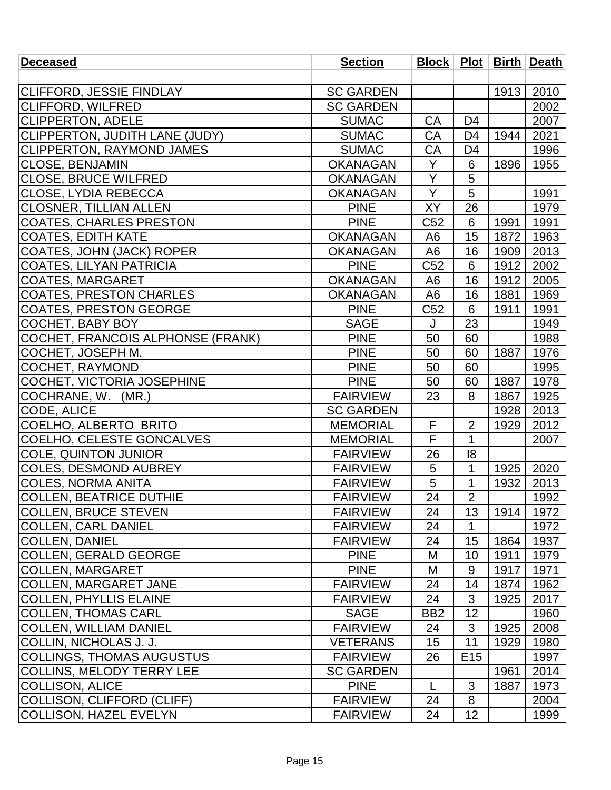| <b>Deceased</b>                          | <b>Section</b>   |                 |                 |      | Block   Plot   Birth   Death |
|------------------------------------------|------------------|-----------------|-----------------|------|------------------------------|
|                                          |                  |                 |                 |      |                              |
| CLIFFORD, JESSIE FINDLAY                 | <b>SC GARDEN</b> |                 |                 | 1913 | 2010                         |
| <b>CLIFFORD, WILFRED</b>                 | <b>SC GARDEN</b> |                 |                 |      | 2002                         |
| <b>CLIPPERTON, ADELE</b>                 | <b>SUMAC</b>     | <b>CA</b>       | D <sub>4</sub>  |      | 2007                         |
| CLIPPERTON, JUDITH LANE (JUDY)           | <b>SUMAC</b>     | CA              | D <sub>4</sub>  | 1944 | 2021                         |
| <b>CLIPPERTON, RAYMOND JAMES</b>         | <b>SUMAC</b>     | CA              | D4              |      | 1996                         |
| <b>CLOSE, BENJAMIN</b>                   | <b>OKANAGAN</b>  | Y               | 6               | 1896 | 1955                         |
| <b>CLOSE, BRUCE WILFRED</b>              | <b>OKANAGAN</b>  | Y               | 5               |      |                              |
| CLOSE, LYDIA REBECCA                     | <b>OKANAGAN</b>  | Y               | 5               |      | 1991                         |
| <b>CLOSNER, TILLIAN ALLEN</b>            | <b>PINE</b>      | <b>XY</b>       | 26              |      | 1979                         |
| <b>COATES, CHARLES PRESTON</b>           | <b>PINE</b>      | C <sub>52</sub> | 6               | 1991 | 1991                         |
| <b>COATES, EDITH KATE</b>                | <b>OKANAGAN</b>  | A <sub>6</sub>  | 15              | 1872 | 1963                         |
| <b>COATES, JOHN (JACK) ROPER</b>         | <b>OKANAGAN</b>  | A <sub>6</sub>  | 16              | 1909 | 2013                         |
| <b>COATES, LILYAN PATRICIA</b>           | <b>PINE</b>      | C52             | 6               | 1912 | 2002                         |
| <b>COATES, MARGARET</b>                  | <b>OKANAGAN</b>  | A6              | 16              | 1912 | 2005                         |
| <b>COATES, PRESTON CHARLES</b>           | <b>OKANAGAN</b>  | A <sub>6</sub>  | 16              | 1881 | 1969                         |
| <b>COATES, PRESTON GEORGE</b>            | <b>PINE</b>      | C52             | 6               | 1911 | 1991                         |
| COCHET, BABY BOY                         | <b>SAGE</b>      | J               | 23              |      | 1949                         |
| <b>COCHET, FRANCOIS ALPHONSE (FRANK)</b> | <b>PINE</b>      | 50              | 60              |      | 1988                         |
| COCHET, JOSEPH M.                        | <b>PINE</b>      | 50              | 60              | 1887 | 1976                         |
| COCHET, RAYMOND                          | <b>PINE</b>      | 50              | 60              |      | 1995                         |
| COCHET, VICTORIA JOSEPHINE               | <b>PINE</b>      | 50              | 60              | 1887 | 1978                         |
| COCHRANE, W. (MR.)                       | <b>FAIRVIEW</b>  | 23              | 8               | 1867 | 1925                         |
| CODE, ALICE                              | <b>SC GARDEN</b> |                 |                 | 1928 | 2013                         |
| COELHO, ALBERTO BRITO                    | <b>MEMORIAL</b>  | F               | $\overline{2}$  | 1929 | 2012                         |
| COELHO, CELESTE GONCALVES                | <b>MEMORIAL</b>  | F               | $\mathbf{1}$    |      | 2007                         |
| <b>COLE, QUINTON JUNIOR</b>              | <b>FAIRVIEW</b>  | 26              | 8               |      |                              |
| <b>COLES, DESMOND AUBREY</b>             | <b>FAIRVIEW</b>  | 5               | $\mathbf{1}$    | 1925 | 2020                         |
| <b>COLES, NORMA ANITA</b>                | <b>FAIRVIEW</b>  | 5               | 1               | 1932 | 2013                         |
| <b>COLLEN, BEATRICE DUTHIE</b>           | <b>FAIRVIEW</b>  | 24              | $\overline{2}$  |      | 1992                         |
| <b>COLLEN, BRUCE STEVEN</b>              | <b>FAIRVIEW</b>  | 24              | 13              | 1914 | 1972                         |
| <b>COLLEN, CARL DANIEL</b>               | <b>FAIRVIEW</b>  | 24              | 1               |      | 1972                         |
| <b>COLLEN, DANIEL</b>                    | <b>FAIRVIEW</b>  | 24              | 15              | 1864 | 1937                         |
| <b>COLLEN, GERALD GEORGE</b>             | <b>PINE</b>      | M               | 10              | 1911 | 1979                         |
| <b>COLLEN, MARGARET</b>                  | <b>PINE</b>      | M               | 9               | 1917 | 1971                         |
| <b>COLLEN, MARGARET JANE</b>             | <b>FAIRVIEW</b>  | 24              | 14              | 1874 | 1962                         |
| <b>COLLEN, PHYLLIS ELAINE</b>            | <b>FAIRVIEW</b>  | 24              | 3               | 1925 | 2017                         |
| <b>COLLEN, THOMAS CARL</b>               | <b>SAGE</b>      | BB <sub>2</sub> | 12              |      | 1960                         |
| <b>COLLEN, WILLIAM DANIEL</b>            | <b>FAIRVIEW</b>  | 24              | 3               | 1925 | 2008                         |
| COLLIN, NICHOLAS J. J.                   | <b>VETERANS</b>  | 15              | 11              | 1929 | 1980                         |
| <b>COLLINGS, THOMAS AUGUSTUS</b>         | <b>FAIRVIEW</b>  | 26              | E <sub>15</sub> |      | 1997                         |
| <b>COLLINS, MELODY TERRY LEE</b>         | <b>SC GARDEN</b> |                 |                 | 1961 | 2014                         |
| <b>COLLISON, ALICE</b>                   | <b>PINE</b>      | L               | 3               | 1887 | 1973                         |
| <b>COLLISON, CLIFFORD (CLIFF)</b>        | <b>FAIRVIEW</b>  | 24              | 8               |      | 2004                         |
| COLLISON, HAZEL EVELYN                   | <b>FAIRVIEW</b>  | 24              | 12              |      | 1999                         |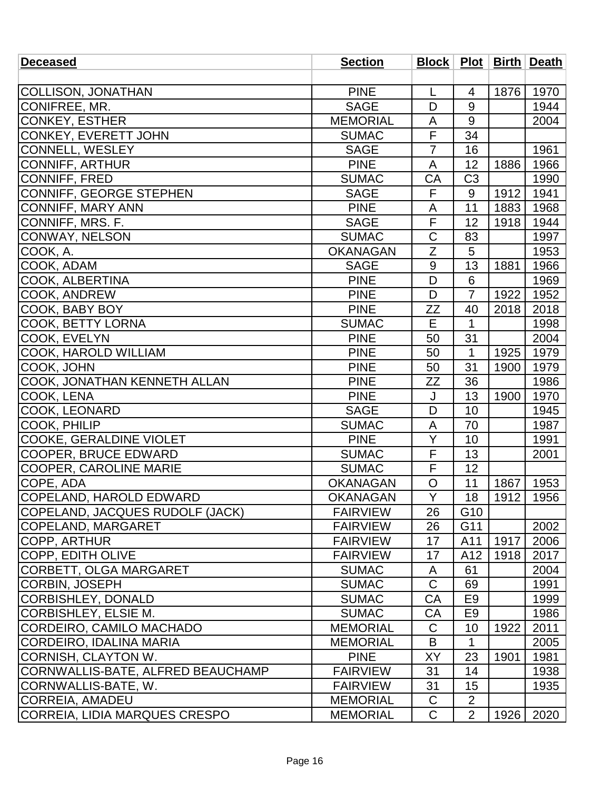| <b>Deceased</b>                   | <b>Section</b>  |                |                 |      | Block   Plot   Birth   Death |
|-----------------------------------|-----------------|----------------|-----------------|------|------------------------------|
|                                   |                 |                |                 |      |                              |
| COLLISON, JONATHAN                | <b>PINE</b>     | L              | 4               | 1876 | 1970                         |
| CONIFREE, MR.                     | <b>SAGE</b>     | D              | 9               |      | 1944                         |
| CONKEY, ESTHER                    | <b>MEMORIAL</b> | A              | 9               |      | 2004                         |
| <b>CONKEY, EVERETT JOHN</b>       | <b>SUMAC</b>    | F              | 34              |      |                              |
| <b>CONNELL, WESLEY</b>            | <b>SAGE</b>     | 7              | 16              |      | 1961                         |
| <b>CONNIFF, ARTHUR</b>            | <b>PINE</b>     | A              | 12              | 1886 | 1966                         |
| CONNIFF, FRED                     | <b>SUMAC</b>    | CA             | C <sub>3</sub>  |      | 1990                         |
| CONNIFF, GEORGE STEPHEN           | <b>SAGE</b>     | F              | 9               | 1912 | 1941                         |
| <b>CONNIFF, MARY ANN</b>          | <b>PINE</b>     | A              | 11              | 1883 | 1968                         |
| CONNIFF, MRS. F.                  | <b>SAGE</b>     | F              | 12              | 1918 | 1944                         |
| <b>CONWAY, NELSON</b>             | <b>SUMAC</b>    | C              | 83              |      | 1997                         |
| COOK, A.                          | <b>OKANAGAN</b> | Z              | 5               |      | 1953                         |
| COOK, ADAM                        | <b>SAGE</b>     | 9              | 13              | 1881 | 1966                         |
| COOK, ALBERTINA                   | <b>PINE</b>     | D              | 6               |      | 1969                         |
| COOK, ANDREW                      | <b>PINE</b>     | D              | $\overline{7}$  | 1922 | 1952                         |
| COOK, BABY BOY                    | <b>PINE</b>     | <b>ZZ</b>      | 40              | 2018 | 2018                         |
| <b>COOK, BETTY LORNA</b>          | <b>SUMAC</b>    | Е              | 1               |      | 1998                         |
| COOK, EVELYN                      | <b>PINE</b>     | 50             | 31              |      | 2004                         |
| COOK, HAROLD WILLIAM              | <b>PINE</b>     | 50             | 1               | 1925 | 1979                         |
| COOK, JOHN                        | <b>PINE</b>     | 50             | 31              | 1900 | 1979                         |
| COOK, JONATHAN KENNETH ALLAN      | <b>PINE</b>     | ZΖ             | 36              |      | 1986                         |
| COOK, LENA                        | <b>PINE</b>     | J              | 13              | 1900 | 1970                         |
| COOK, LEONARD                     | <b>SAGE</b>     | D              | 10              |      | 1945                         |
| COOK, PHILIP                      | <b>SUMAC</b>    | A              | 70              |      | 1987                         |
| <b>COOKE, GERALDINE VIOLET</b>    | <b>PINE</b>     | Y              | 10              |      | 1991                         |
| <b>COOPER, BRUCE EDWARD</b>       | <b>SUMAC</b>    | F              | 13              |      | 2001                         |
| <b>COOPER, CAROLINE MARIE</b>     | <b>SUMAC</b>    | F              | 12              |      |                              |
| COPE, ADA                         | <b>OKANAGAN</b> | O              | 11              | 1867 | 1953                         |
| COPELAND, HAROLD EDWARD           | <b>OKANAGAN</b> | $\overline{Y}$ | 18              | 1912 | 1956                         |
| COPELAND, JACQUES RUDOLF (JACK)   | <b>FAIRVIEW</b> | 26             | G <sub>10</sub> |      |                              |
| COPELAND, MARGARET                | <b>FAIRVIEW</b> | 26             | G11             |      | 2002                         |
| COPP, ARTHUR                      | <b>FAIRVIEW</b> | 17             | A11             | 1917 | 2006                         |
| <b>COPP, EDITH OLIVE</b>          | <b>FAIRVIEW</b> | 17             | A12             | 1918 | 2017                         |
| CORBETT, OLGA MARGARET            | <b>SUMAC</b>    | A              | 61              |      | 2004                         |
| CORBIN, JOSEPH                    | <b>SUMAC</b>    | $\mathsf C$    | 69              |      | 1991                         |
| CORBISHLEY, DONALD                | <b>SUMAC</b>    | CA             | E <sub>9</sub>  |      | 1999                         |
| CORBISHLEY, ELSIE M.              | <b>SUMAC</b>    | CA             | E <sub>9</sub>  |      | 1986                         |
| CORDEIRO, CAMILO MACHADO          | <b>MEMORIAL</b> | $\mathsf C$    | 10              | 1922 | 2011                         |
| CORDEIRO, IDALINA MARIA           | <b>MEMORIAL</b> | B              | $\mathbf{1}$    |      | 2005                         |
| CORNISH, CLAYTON W.               | <b>PINE</b>     | XY             | 23              | 1901 | 1981                         |
| CORNWALLIS-BATE, ALFRED BEAUCHAMP | <b>FAIRVIEW</b> | 31             | 14              |      | 1938                         |
| CORNWALLIS-BATE, W.               | <b>FAIRVIEW</b> | 31             | 15              |      | 1935                         |
| CORREIA, AMADEU                   | <b>MEMORIAL</b> | C              | $\overline{2}$  |      |                              |
| CORREIA, LIDIA MARQUES CRESPO     | <b>MEMORIAL</b> | $\mathsf{C}$   | $\overline{2}$  | 1926 | 2020                         |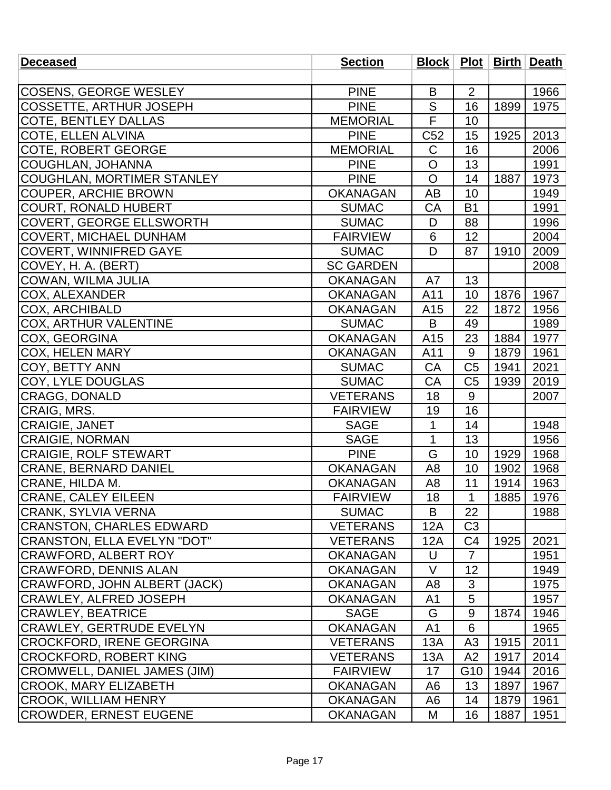| <b>Deceased</b>                     | <b>Section</b>   |                 |                |      | Block   Plot   Birth   Death |
|-------------------------------------|------------------|-----------------|----------------|------|------------------------------|
|                                     |                  |                 |                |      |                              |
| <b>COSENS, GEORGE WESLEY</b>        | <b>PINE</b>      | B               | 2              |      | 1966                         |
| <b>COSSETTE, ARTHUR JOSEPH</b>      | <b>PINE</b>      | S               | 16             | 1899 | 1975                         |
| <b>COTE, BENTLEY DALLAS</b>         | <b>MEMORIAL</b>  | $\overline{F}$  | 10             |      |                              |
| COTE, ELLEN ALVINA                  | <b>PINE</b>      | C <sub>52</sub> | 15             | 1925 | 2013                         |
| <b>COTE, ROBERT GEORGE</b>          | <b>MEMORIAL</b>  | $\mathsf C$     | 16             |      | 2006                         |
| COUGHLAN, JOHANNA                   | <b>PINE</b>      | $\overline{O}$  | 13             |      | 1991                         |
| COUGHLAN, MORTIMER STANLEY          | <b>PINE</b>      | $\mathsf{O}$    | 14             | 1887 | 1973                         |
| <b>COUPER, ARCHIE BROWN</b>         | <b>OKANAGAN</b>  | AB              | 10             |      | 1949                         |
| <b>COURT, RONALD HUBERT</b>         | <b>SUMAC</b>     | CA              | <b>B1</b>      |      | 1991                         |
| <b>COVERT, GEORGE ELLSWORTH</b>     | <b>SUMAC</b>     | D               | 88             |      | 1996                         |
| <b>COVERT, MICHAEL DUNHAM</b>       | <b>FAIRVIEW</b>  | 6               | 12             |      | 2004                         |
| <b>COVERT, WINNIFRED GAYE</b>       | <b>SUMAC</b>     | D               | 87             | 1910 | 2009                         |
| COVEY, H. A. (BERT)                 | <b>SC GARDEN</b> |                 |                |      | 2008                         |
| COWAN, WILMA JULIA                  | <b>OKANAGAN</b>  | A7              | 13             |      |                              |
| COX, ALEXANDER                      | <b>OKANAGAN</b>  | A11             | 10             | 1876 | 1967                         |
| <b>COX, ARCHIBALD</b>               | <b>OKANAGAN</b>  | A15             | 22             | 1872 | 1956                         |
| COX, ARTHUR VALENTINE               | <b>SUMAC</b>     | B               | 49             |      | 1989                         |
| <b>COX, GEORGINA</b>                | <b>OKANAGAN</b>  | A15             | 23             | 1884 | 1977                         |
| <b>COX, HELEN MARY</b>              | <b>OKANAGAN</b>  | A11             | 9              | 1879 | 1961                         |
| COY, BETTY ANN                      | <b>SUMAC</b>     | CA              | C <sub>5</sub> | 1941 | 2021                         |
| COY, LYLE DOUGLAS                   | <b>SUMAC</b>     | CA              | C <sub>5</sub> | 1939 | 2019                         |
| <b>CRAGG, DONALD</b>                | <b>VETERANS</b>  | 18              | 9              |      | 2007                         |
| CRAIG, MRS.                         | <b>FAIRVIEW</b>  | 19              | 16             |      |                              |
| <b>CRAIGIE, JANET</b>               | <b>SAGE</b>      | 1               | 14             |      | 1948                         |
| <b>CRAIGIE, NORMAN</b>              | <b>SAGE</b>      | $\mathbf{1}$    | 13             |      | 1956                         |
| <b>CRAIGIE, ROLF STEWART</b>        | <b>PINE</b>      | G               | 10             | 1929 | 1968                         |
| <b>CRANE, BERNARD DANIEL</b>        | <b>OKANAGAN</b>  | A <sub>8</sub>  | 10             | 1902 | 1968                         |
| CRANE, HILDA M.                     | <b>OKANAGAN</b>  | A <sub>8</sub>  | 11             | 1914 | 1963                         |
| <b>CRANE, CALEY EILEEN</b>          | <b>FAIRVIEW</b>  | 18              | $\mathbf 1$    | 1885 | 1976                         |
| <b>CRANK, SYLVIA VERNA</b>          | <b>SUMAC</b>     | B               | 22             |      | 1988                         |
| CRANSTON, CHARLES EDWARD            | <b>VETERANS</b>  | 12A             | C <sub>3</sub> |      |                              |
| <b>CRANSTON, ELLA EVELYN "DOT"</b>  | <b>VETERANS</b>  | 12A             | C <sub>4</sub> | 1925 | 2021                         |
| CRAWFORD, ALBERT ROY                | <b>OKANAGAN</b>  | U               | $\overline{7}$ |      | 1951                         |
| <b>CRAWFORD, DENNIS ALAN</b>        | <b>OKANAGAN</b>  | V               | 12             |      | 1949                         |
| CRAWFORD, JOHN ALBERT (JACK)        | <b>OKANAGAN</b>  | A8              | $\mathfrak{S}$ |      | 1975                         |
| <b>CRAWLEY, ALFRED JOSEPH</b>       | <b>OKANAGAN</b>  | A <sub>1</sub>  | 5              |      | 1957                         |
| <b>CRAWLEY, BEATRICE</b>            | <b>SAGE</b>      | G               | 9              | 1874 | 1946                         |
| <b>CRAWLEY, GERTRUDE EVELYN</b>     | <b>OKANAGAN</b>  | A <sub>1</sub>  | 6              |      | 1965                         |
| CROCKFORD, IRENE GEORGINA           | <b>VETERANS</b>  | 13A             | A3             | 1915 | 2011                         |
| <b>CROCKFORD, ROBERT KING</b>       | <b>VETERANS</b>  | 13A             | A2             | 1917 | 2014                         |
| <b>CROMWELL, DANIEL JAMES (JIM)</b> | <b>FAIRVIEW</b>  | 17              | G10            | 1944 | 2016                         |
| <b>CROOK, MARY ELIZABETH</b>        | <b>OKANAGAN</b>  | A6              | 13             | 1897 | 1967                         |
| CROOK, WILLIAM HENRY                | <b>OKANAGAN</b>  | A <sub>6</sub>  | 14             | 1879 | 1961                         |
| <b>CROWDER, ERNEST EUGENE</b>       | <b>OKANAGAN</b>  | M               | 16             | 1887 | 1951                         |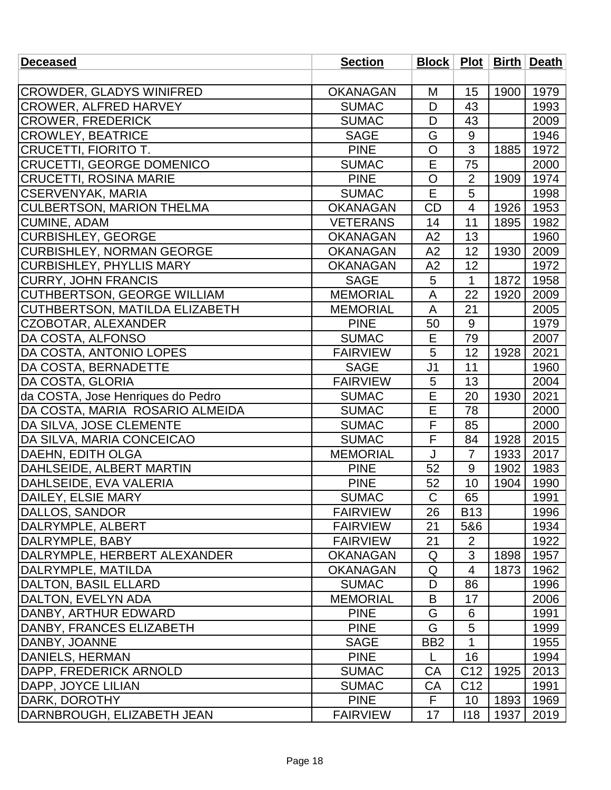| <b>Deceased</b>                    | <b>Section</b>  |                 |                 |      | Block   Plot   Birth   Death |
|------------------------------------|-----------------|-----------------|-----------------|------|------------------------------|
|                                    |                 |                 |                 |      |                              |
| <b>CROWDER, GLADYS WINIFRED</b>    | <b>OKANAGAN</b> | M               | 15              | 1900 | 1979                         |
| <b>CROWER, ALFRED HARVEY</b>       | <b>SUMAC</b>    | D               | 43              |      | 1993                         |
| <b>CROWER, FREDERICK</b>           | <b>SUMAC</b>    | D               | 43              |      | 2009                         |
| <b>CROWLEY, BEATRICE</b>           | <b>SAGE</b>     | G               | $9\,$           |      | 1946                         |
| <b>CRUCETTI, FIORITO T.</b>        | <b>PINE</b>     | $\overline{O}$  | 3               | 1885 | 1972                         |
| <b>CRUCETTI, GEORGE DOMENICO</b>   | <b>SUMAC</b>    | E               | 75              |      | 2000                         |
| <b>CRUCETTI, ROSINA MARIE</b>      | <b>PINE</b>     | $\circ$         | $\overline{2}$  | 1909 | 1974                         |
| <b>CSERVENYAK, MARIA</b>           | <b>SUMAC</b>    | E               | 5               |      | 1998                         |
| <b>CULBERTSON, MARION THELMA</b>   | <b>OKANAGAN</b> | <b>CD</b>       | 4               | 1926 | 1953                         |
| <b>CUMINE, ADAM</b>                | <b>VETERANS</b> | 14              | 11              | 1895 | 1982                         |
| <b>CURBISHLEY, GEORGE</b>          | <b>OKANAGAN</b> | A2              | 13              |      | 1960                         |
| <b>CURBISHLEY, NORMAN GEORGE</b>   | <b>OKANAGAN</b> | A2              | 12              | 1930 | 2009                         |
| <b>CURBISHLEY, PHYLLIS MARY</b>    | <b>OKANAGAN</b> | A2              | 12              |      | 1972                         |
| <b>CURRY, JOHN FRANCIS</b>         | <b>SAGE</b>     | 5               | $\mathbf{1}$    | 1872 | 1958                         |
| <b>CUTHBERTSON, GEORGE WILLIAM</b> | <b>MEMORIAL</b> | A               | 22              | 1920 | 2009                         |
| CUTHBERTSON, MATILDA ELIZABETH     | <b>MEMORIAL</b> | A               | 21              |      | 2005                         |
| CZOBOTAR, ALEXANDER                | <b>PINE</b>     | 50              | 9               |      | 1979                         |
| DA COSTA, ALFONSO                  | <b>SUMAC</b>    | E               | 79              |      | 2007                         |
| DA COSTA, ANTONIO LOPES            | <b>FAIRVIEW</b> | 5               | 12              | 1928 | 2021                         |
| DA COSTA, BERNADETTE               | <b>SAGE</b>     | J <sub>1</sub>  | 11              |      | 1960                         |
| DA COSTA, GLORIA                   | <b>FAIRVIEW</b> | 5               | 13              |      | 2004                         |
| da COSTA, Jose Henriques do Pedro  | <b>SUMAC</b>    | E               | 20              | 1930 | 2021                         |
| DA COSTA, MARIA ROSARIO ALMEIDA    | <b>SUMAC</b>    | E               | 78              |      | 2000                         |
| DA SILVA, JOSE CLEMENTE            | <b>SUMAC</b>    | $\mathsf F$     | 85              |      | 2000                         |
| DA SILVA, MARIA CONCEICAO          | <b>SUMAC</b>    | F               | 84              | 1928 | 2015                         |
| <b>DAEHN, EDITH OLGA</b>           | <b>MEMORIAL</b> | J               | $\overline{7}$  | 1933 | 2017                         |
| DAHLSEIDE, ALBERT MARTIN           | <b>PINE</b>     | 52              | 9               | 1902 | 1983                         |
| DAHLSEIDE, EVA VALERIA             | <b>PINE</b>     | 52              | 10              | 1904 | 1990                         |
| DAILEY, ELSIE MARY                 | <b>SUMAC</b>    | $\mathsf C$     | 65              |      | 1991                         |
| DALLOS, SANDOR                     | <b>FAIRVIEW</b> | 26              | <b>B13</b>      |      | 1996                         |
| DALRYMPLE, ALBERT                  | <b>FAIRVIEW</b> | 21              | 5&6             |      | 1934                         |
| DALRYMPLE, BABY                    | <b>FAIRVIEW</b> | 21              | $\overline{2}$  |      | 1922                         |
| DALRYMPLE, HERBERT ALEXANDER       | <b>OKANAGAN</b> | Q               | 3               | 1898 | 1957                         |
| DALRYMPLE, MATILDA                 | <b>OKANAGAN</b> | Q               | $\overline{4}$  | 1873 | 1962                         |
| <b>DALTON, BASIL ELLARD</b>        | <b>SUMAC</b>    | D               | 86              |      | 1996                         |
| DALTON, EVELYN ADA                 | <b>MEMORIAL</b> | B               | 17              |      | 2006                         |
| DANBY, ARTHUR EDWARD               | <b>PINE</b>     | G               | 6               |      | 1991                         |
| <b> DANBY, FRANCES ELIZABETH</b>   | <b>PINE</b>     | G               | 5               |      | 1999                         |
| DANBY, JOANNE                      | <b>SAGE</b>     | BB <sub>2</sub> | 1               |      | 1955                         |
| DANIELS, HERMAN                    | <b>PINE</b>     | L               | 16              |      | 1994                         |
| DAPP, FREDERICK ARNOLD             | <b>SUMAC</b>    | CA              | C <sub>12</sub> | 1925 | 2013                         |
| DAPP, JOYCE LILIAN                 | <b>SUMAC</b>    | CA              | C <sub>12</sub> |      | 1991                         |
| DARK, DOROTHY                      | <b>PINE</b>     | F.              | 10              | 1893 | 1969                         |
| DARNBROUGH, ELIZABETH JEAN         | <b>FAIRVIEW</b> | 17              | 118             | 1937 | 2019                         |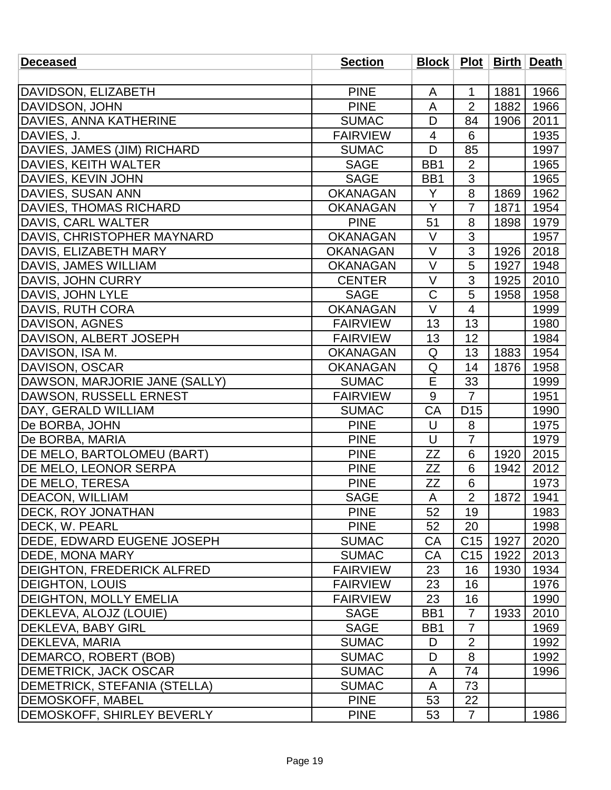| <b>Deceased</b>                     | <b>Section</b>  |                         |                 |      | Block   Plot   Birth   Death |
|-------------------------------------|-----------------|-------------------------|-----------------|------|------------------------------|
|                                     |                 |                         |                 |      |                              |
| DAVIDSON, ELIZABETH                 | <b>PINE</b>     | A                       | 1               | 1881 | 1966                         |
| DAVIDSON, JOHN                      | <b>PINE</b>     | A                       | $\overline{2}$  | 1882 | 1966                         |
| <b>DAVIES, ANNA KATHERINE</b>       | <b>SUMAC</b>    | D                       | 84              | 1906 | 2011                         |
| DAVIES, J.                          | <b>FAIRVIEW</b> | 4                       | 6               |      | 1935                         |
| DAVIES, JAMES (JIM) RICHARD         | <b>SUMAC</b>    | D                       | 85              |      | 1997                         |
| DAVIES, KEITH WALTER                | <b>SAGE</b>     | BB1                     | $\overline{2}$  |      | 1965                         |
| DAVIES, KEVIN JOHN                  | <b>SAGE</b>     | BB1                     | 3               |      | 1965                         |
| DAVIES, SUSAN ANN                   | <b>OKANAGAN</b> | Y                       | 8               | 1869 | 1962                         |
| <b>DAVIES, THOMAS RICHARD</b>       | <b>OKANAGAN</b> | Y                       | 7               | 1871 | 1954                         |
| DAVIS, CARL WALTER                  | <b>PINE</b>     | 51                      | 8               | 1898 | 1979                         |
| DAVIS, CHRISTOPHER MAYNARD          | <b>OKANAGAN</b> | $\vee$                  | 3               |      | 1957                         |
| DAVIS, ELIZABETH MARY               | <b>OKANAGAN</b> | V                       | 3               | 1926 | 2018                         |
| DAVIS, JAMES WILLIAM                | <b>OKANAGAN</b> | $\vee$                  | 5               | 1927 | 1948                         |
| DAVIS, JOHN CURRY                   | <b>CENTER</b>   | $\vee$                  | 3               | 1925 | 2010                         |
| DAVIS, JOHN LYLE                    | <b>SAGE</b>     | C                       | 5               | 1958 | 1958                         |
| DAVIS, RUTH CORA                    | <b>OKANAGAN</b> | $\vee$                  | $\overline{4}$  |      | 1999                         |
| DAVISON, AGNES                      | <b>FAIRVIEW</b> | 13                      | 13              |      | 1980                         |
| DAVISON, ALBERT JOSEPH              | <b>FAIRVIEW</b> | 13                      | 12              |      | 1984                         |
| DAVISON, ISA M.                     | <b>OKANAGAN</b> | Q                       | 13              | 1883 | 1954                         |
| DAVISON, OSCAR                      | <b>OKANAGAN</b> | Q                       | 14              | 1876 | 1958                         |
| DAWSON, MARJORIE JANE (SALLY)       | <b>SUMAC</b>    | $\overline{\mathsf{E}}$ | 33              |      | 1999                         |
| DAWSON, RUSSELL ERNEST              | <b>FAIRVIEW</b> | 9                       | $\overline{7}$  |      | 1951                         |
| DAY, GERALD WILLIAM                 | <b>SUMAC</b>    | CA                      | D <sub>15</sub> |      | 1990                         |
| De BORBA, JOHN                      | <b>PINE</b>     | U                       | 8               |      | 1975                         |
| De BORBA, MARIA                     | <b>PINE</b>     | U                       | $\overline{7}$  |      | 1979                         |
| <b>IDE MELO, BARTOLOMEU (BART)</b>  | <b>PINE</b>     | ΖZ                      | 6               | 1920 | 2015                         |
| <b>DE MELO, LEONOR SERPA</b>        | <b>PINE</b>     | <b>ZZ</b>               | 6               | 1942 | 2012                         |
| <b>DE MELO, TERESA</b>              | <b>PINE</b>     | ZΖ                      | 6               |      | 1973                         |
| <b>DEACON, WILLIAM</b>              | <b>SAGE</b>     | $\mathsf{A}$            | $\overline{2}$  | 1872 | 1941                         |
| <b>IDECK, ROY JONATHAN</b>          | <b>PINE</b>     | 52                      | 19              |      | 1983                         |
| DECK, W. PEARL                      | <b>PINE</b>     | 52                      | 20              |      | 1998                         |
| DEDE, EDWARD EUGENE JOSEPH          | <b>SUMAC</b>    | CA                      | C <sub>15</sub> | 1927 | 2020                         |
| DEDE, MONA MARY                     | <b>SUMAC</b>    | CA                      | C <sub>15</sub> | 1922 | 2013                         |
| <b>DEIGHTON, FREDERICK ALFRED</b>   | <b>FAIRVIEW</b> | 23                      | 16              | 1930 | 1934                         |
| <b>DEIGHTON, LOUIS</b>              | <b>FAIRVIEW</b> | 23                      | 16              |      | 1976                         |
| <b>DEIGHTON, MOLLY EMELIA</b>       | <b>FAIRVIEW</b> | 23                      | 16              |      | 1990                         |
| <b>IDEKLEVA, ALOJZ (LOUIE)</b>      | <b>SAGE</b>     | BB1                     | $\overline{7}$  | 1933 | 2010                         |
| <b>DEKLEVA, BABY GIRL</b>           | <b>SAGE</b>     | BB1                     | $\overline{7}$  |      | 1969                         |
| DEKLEVA, MARIA                      | <b>SUMAC</b>    | D                       | $\overline{2}$  |      | 1992                         |
| DEMARCO, ROBERT (BOB)               | <b>SUMAC</b>    | D                       | 8               |      | 1992                         |
| DEMETRICK, JACK OSCAR               | <b>SUMAC</b>    | A                       | 74              |      | 1996                         |
| <b>DEMETRICK, STEFANIA (STELLA)</b> | <b>SUMAC</b>    | A                       | 73              |      |                              |
| <b>DEMOSKOFF, MABEL</b>             | <b>PINE</b>     | 53                      | 22              |      |                              |
| DEMOSKOFF, SHIRLEY BEVERLY          | <b>PINE</b>     | 53                      | $\overline{7}$  |      | 1986                         |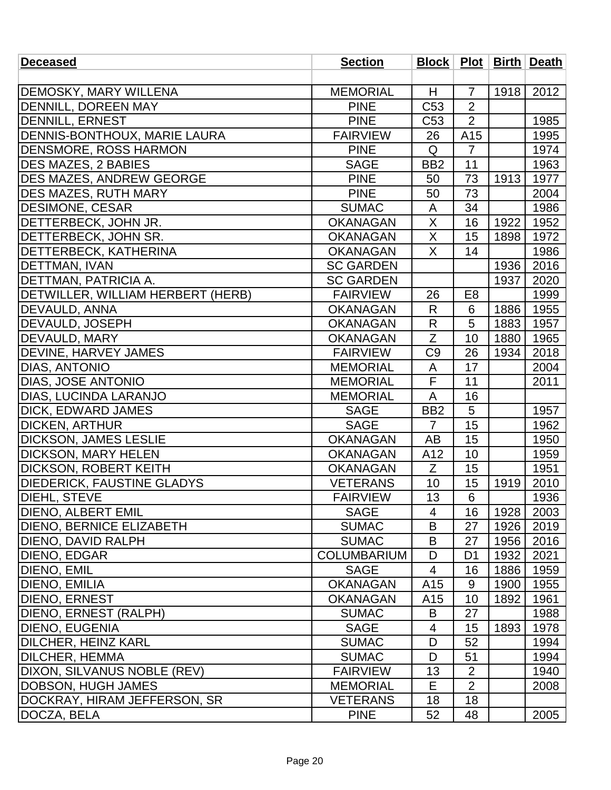| <b>Deceased</b>                   | <b>Section</b>     |                         |                |      | Block   Plot   Birth   Death |
|-----------------------------------|--------------------|-------------------------|----------------|------|------------------------------|
|                                   |                    |                         |                |      |                              |
| <b>DEMOSKY, MARY WILLENA</b>      | <b>MEMORIAL</b>    | H                       | $\overline{7}$ | 1918 | 2012                         |
| <b>DENNILL, DOREEN MAY</b>        | <b>PINE</b>        | C <sub>53</sub>         | $\overline{2}$ |      |                              |
| DENNILL, ERNEST                   | <b>PINE</b>        | C <sub>53</sub>         | $\overline{2}$ |      | 1985                         |
| DENNIS-BONTHOUX, MARIE LAURA      | <b>FAIRVIEW</b>    | 26                      | A15            |      | 1995                         |
| <b>DENSMORE, ROSS HARMON</b>      | <b>PINE</b>        | Q                       | $\overline{7}$ |      | 1974                         |
| <b>DES MAZES, 2 BABIES</b>        | <b>SAGE</b>        | BB <sub>2</sub>         | 11             |      | 1963                         |
| <b>DES MAZES, ANDREW GEORGE</b>   | <b>PINE</b>        | 50                      | 73             | 1913 | 1977                         |
| <b>DES MAZES, RUTH MARY</b>       | <b>PINE</b>        | 50                      | 73             |      | 2004                         |
| <b>DESIMONE, CESAR</b>            | <b>SUMAC</b>       | A                       | 34             |      | 1986                         |
| DETTERBECK, JOHN JR.              | <b>OKANAGAN</b>    | X                       | 16             | 1922 | 1952                         |
| DETTERBECK, JOHN SR.              | <b>OKANAGAN</b>    | $\overline{\mathsf{x}}$ | 15             | 1898 | 1972                         |
| <b>DETTERBECK, KATHERINA</b>      | <b>OKANAGAN</b>    | X                       | 14             |      | 1986                         |
| <b>DETTMAN, IVAN</b>              | <b>SC GARDEN</b>   |                         |                | 1936 | 2016                         |
| DETTMAN, PATRICIA A.              | <b>SC GARDEN</b>   |                         |                | 1937 | 2020                         |
| DETWILLER, WILLIAM HERBERT (HERB) | <b>FAIRVIEW</b>    | 26                      | E <sub>8</sub> |      | 1999                         |
| <b>DEVAULD, ANNA</b>              | <b>OKANAGAN</b>    | R                       | 6              | 1886 | 1955                         |
| <b>DEVAULD, JOSEPH</b>            | <b>OKANAGAN</b>    | R                       | 5              | 1883 | 1957                         |
| <b>DEVAULD, MARY</b>              | <b>OKANAGAN</b>    | Z                       | 10             | 1880 | 1965                         |
| <b>DEVINE, HARVEY JAMES</b>       | <b>FAIRVIEW</b>    | C <sub>9</sub>          | 26             | 1934 | 2018                         |
| DIAS, ANTONIO                     | <b>MEMORIAL</b>    | A                       | 17             |      | 2004                         |
| <b>DIAS, JOSE ANTONIO</b>         | <b>MEMORIAL</b>    | $\overline{\mathsf{F}}$ | 11             |      | 2011                         |
| DIAS, LUCINDA LARANJO             | <b>MEMORIAL</b>    | A                       | 16             |      |                              |
| DICK, EDWARD JAMES                | <b>SAGE</b>        | BB <sub>2</sub>         | 5              |      | 1957                         |
| <b>DICKEN, ARTHUR</b>             | <b>SAGE</b>        | $\overline{7}$          | 15             |      | 1962                         |
| <b>DICKSON, JAMES LESLIE</b>      | <b>OKANAGAN</b>    | AB                      | 15             |      | 1950                         |
| <b>DICKSON, MARY HELEN</b>        | <b>OKANAGAN</b>    | A12                     | 10             |      | 1959                         |
| <b>DICKSON, ROBERT KEITH</b>      | <b>OKANAGAN</b>    | Z                       | 15             |      | 1951                         |
| <b>DIEDERICK, FAUSTINE GLADYS</b> | <b>VETERANS</b>    | 10                      | 15             | 1919 | 2010                         |
| DIEHL, STEVE                      | <b>FAIRVIEW</b>    | 13                      | 6              |      | 1936                         |
| <b>DIENO, ALBERT EMIL</b>         | <b>SAGE</b>        | $\overline{4}$          | 16             | 1928 | 2003                         |
| <b>DIENO, BERNICE ELIZABETH</b>   | <b>SUMAC</b>       | B                       | 27             | 1926 | 2019                         |
| DIENO, DAVID RALPH                | <b>SUMAC</b>       | B                       | 27             | 1956 | 2016                         |
| <b>DIENO, EDGAR</b>               | <b>COLUMBARIUM</b> | D                       | D1             | 1932 | 2021                         |
| <b>DIENO, EMIL</b>                | <b>SAGE</b>        | $\overline{4}$          | 16             | 1886 | 1959                         |
| DIENO, EMILIA                     | <b>OKANAGAN</b>    | A15                     | 9              | 1900 | 1955                         |
| <b>DIENO, ERNEST</b>              | <b>OKANAGAN</b>    | A15                     | 10             | 1892 | 1961                         |
| DIENO, ERNEST (RALPH)             | <b>SUMAC</b>       | B                       | 27             |      | 1988                         |
| <b>DIENO, EUGENIA</b>             | <b>SAGE</b>        | 4                       | 15             | 1893 | 1978                         |
| DILCHER, HEINZ KARL               | <b>SUMAC</b>       | D                       | 52             |      | 1994                         |
| DILCHER, HEMMA                    | <b>SUMAC</b>       | D                       | 51             |      | 1994                         |
| DIXON, SILVANUS NOBLE (REV)       | <b>FAIRVIEW</b>    | 13                      | $\overline{2}$ |      | 1940                         |
| DOBSON, HUGH JAMES                | <b>MEMORIAL</b>    | E                       | $\overline{2}$ |      | 2008                         |
| DOCKRAY, HIRAM JEFFERSON, SR      | <b>VETERANS</b>    | 18                      | 18             |      |                              |
| DOCZA, BELA                       | <b>PINE</b>        | 52                      | 48             |      | 2005                         |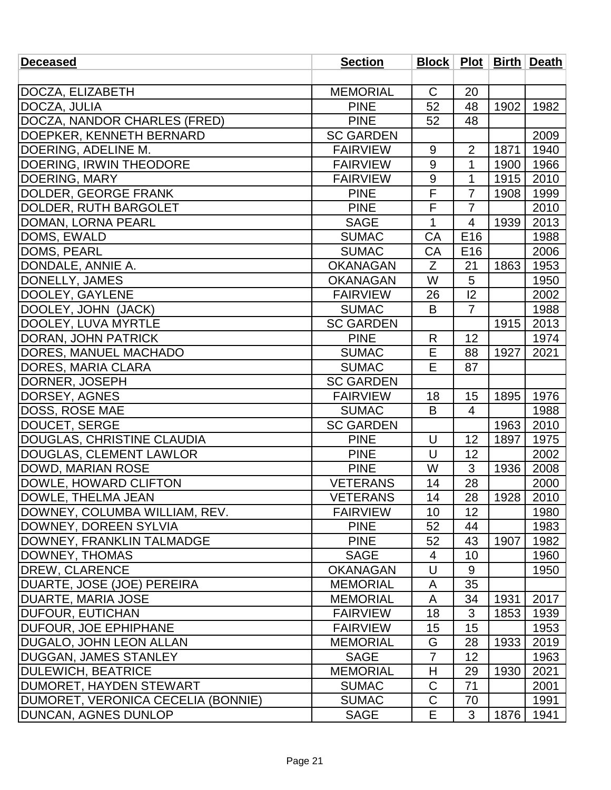| <b>Deceased</b>                            | <b>Section</b>   |                |                 |      | Block   Plot   Birth   Death |
|--------------------------------------------|------------------|----------------|-----------------|------|------------------------------|
|                                            |                  |                |                 |      |                              |
| DOCZA, ELIZABETH                           | <b>MEMORIAL</b>  | $\mathsf{C}$   | 20              |      |                              |
| DOCZA, JULIA                               | <b>PINE</b>      | 52             | 48              | 1902 | 1982                         |
| DOCZA, NANDOR CHARLES (FRED)               | <b>PINE</b>      | 52             | 48              |      |                              |
| DOEPKER, KENNETH BERNARD                   | <b>SC GARDEN</b> |                |                 |      | 2009                         |
| DOERING, ADELINE M.                        | <b>FAIRVIEW</b>  | 9              | $\overline{2}$  | 1871 | 1940                         |
| DOERING, IRWIN THEODORE                    | <b>FAIRVIEW</b>  | 9              | $\mathbf{1}$    | 1900 | 1966                         |
| DOERING, MARY                              | <b>FAIRVIEW</b>  | $9\,$          | 1               | 1915 | 2010                         |
| DOLDER, GEORGE FRANK                       | <b>PINE</b>      | F              | $\overline{7}$  | 1908 | 1999                         |
| DOLDER, RUTH BARGOLET                      | <b>PINE</b>      | F              | $\overline{7}$  |      | 2010                         |
| DOMAN, LORNA PEARL                         | <b>SAGE</b>      | 1              | 4               | 1939 | 2013                         |
| DOMS, EWALD                                | <b>SUMAC</b>     | CA             | E16             |      | 1988                         |
| DOMS, PEARL                                | <b>SUMAC</b>     | CA             | E <sub>16</sub> |      | 2006                         |
| DONDALE, ANNIE A.                          | <b>OKANAGAN</b>  | Z              | 21              | 1863 | 1953                         |
| DONELLY, JAMES                             | <b>OKANAGAN</b>  | W              | 5               |      | 1950                         |
| DOOLEY, GAYLENE                            | <b>FAIRVIEW</b>  | 26             | 12              |      | 2002                         |
| DOOLEY, JOHN (JACK)                        | <b>SUMAC</b>     | B              | $\overline{7}$  |      | 1988                         |
| DOOLEY, LUVA MYRTLE                        | <b>SC GARDEN</b> |                |                 | 1915 | 2013                         |
| <b>DORAN, JOHN PATRICK</b>                 | <b>PINE</b>      | R              | 12              |      | 1974                         |
| <b>DORES, MANUEL MACHADO</b>               | <b>SUMAC</b>     | E              | 88              | 1927 | 2021                         |
| <b>DORES, MARIA CLARA</b>                  | <b>SUMAC</b>     | E              | 87              |      |                              |
| DORNER, JOSEPH                             | <b>SC GARDEN</b> |                |                 |      |                              |
| DORSEY, AGNES                              | <b>FAIRVIEW</b>  | 18             | 15              | 1895 | 1976                         |
| <b>DOSS, ROSE MAE</b>                      | <b>SUMAC</b>     | B              | 4               |      | 1988                         |
| DOUCET, SERGE                              | <b>SC GARDEN</b> |                |                 | 1963 | 2010                         |
| DOUGLAS, CHRISTINE CLAUDIA                 | <b>PINE</b>      | U              | 12              | 1897 | 1975                         |
| DOUGLAS, CLEMENT LAWLOR                    | <b>PINE</b>      | U              | 12              |      | 2002                         |
| DOWD, MARIAN ROSE                          | <b>PINE</b>      | W              | 3               | 1936 | 2008                         |
| DOWLE, HOWARD CLIFTON                      | <b>VETERANS</b>  | 14             | 28              |      | 2000                         |
| DOWLE, THELMA JEAN                         | <b>VETERANS</b>  | 14             | 28              | 1928 | 2010                         |
| <b>IDOWNEY, COLUMBA WILLIAM, REV.</b>      | <b>FAIRVIEW</b>  | 10             | 12              |      | 1980                         |
| <b>DOWNEY, DOREEN SYLVIA</b>               | <b>PINE</b>      | 52             | 44              |      | 1983                         |
| DOWNEY, FRANKLIN TALMADGE                  | <b>PINE</b>      | 52             | 43              | 1907 | 1982                         |
| DOWNEY, THOMAS                             | <b>SAGE</b>      | 4              | 10              |      | 1960                         |
| <b>IDREW, CLARENCE</b>                     | <b>OKANAGAN</b>  | U              | 9               |      | 1950                         |
| DUARTE, JOSE (JOE) PEREIRA                 | <b>MEMORIAL</b>  | A              | 35              |      |                              |
| <b>DUARTE, MARIA JOSE</b>                  | <b>MEMORIAL</b>  | A              | 34              | 1931 | 2017                         |
| <b>DUFOUR, EUTICHAN</b>                    | <b>FAIRVIEW</b>  | 18             | 3               | 1853 | 1939                         |
| <b>DUFOUR, JOE EPHIPHANE</b>               | <b>FAIRVIEW</b>  | 15             | 15              |      | 1953                         |
| <b>DUGALO, JOHN LEON ALLAN</b>             | <b>MEMORIAL</b>  | G              | 28              | 1933 | 2019                         |
| <b>DUGGAN, JAMES STANLEY</b>               | <b>SAGE</b>      | $\overline{7}$ | 12              |      | 1963                         |
| <b>DULEWICH, BEATRICE</b>                  | <b>MEMORIAL</b>  | H              | 29              | 1930 | 2021                         |
| DUMORET, HAYDEN STEWART                    | <b>SUMAC</b>     | C              | 71              |      | 2001                         |
| <b>JDUMORET, VERONICA CECELIA (BONNIE)</b> | <b>SUMAC</b>     | C              | 70              |      | 1991                         |
| <b>DUNCAN, AGNES DUNLOP</b>                | <b>SAGE</b>      | E              | 3               | 1876 | 1941                         |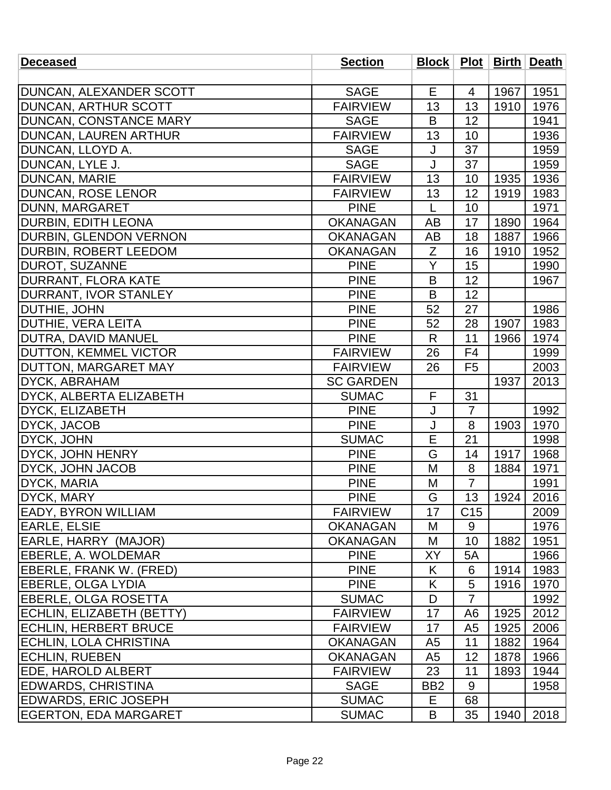| <b>Deceased</b>               | <b>Section</b>   |                 |                 |      | Block   Plot   Birth   Death |
|-------------------------------|------------------|-----------------|-----------------|------|------------------------------|
|                               |                  |                 |                 |      |                              |
| DUNCAN, ALEXANDER SCOTT       | <b>SAGE</b>      | E               | $\overline{4}$  | 1967 | 1951                         |
| <b>DUNCAN, ARTHUR SCOTT</b>   | <b>FAIRVIEW</b>  | 13              | 13              | 1910 | 1976                         |
| <b>DUNCAN, CONSTANCE MARY</b> | <b>SAGE</b>      | B               | 12              |      | 1941                         |
| DUNCAN, LAUREN ARTHUR         | <b>FAIRVIEW</b>  | 13              | 10              |      | 1936                         |
| DUNCAN, LLOYD A.              | <b>SAGE</b>      | J               | 37              |      | 1959                         |
| DUNCAN, LYLE J.               | <b>SAGE</b>      | J               | 37              |      | 1959                         |
| <b>DUNCAN, MARIE</b>          | <b>FAIRVIEW</b>  | 13              | 10              | 1935 | 1936                         |
| <b>DUNCAN, ROSE LENOR</b>     | <b>FAIRVIEW</b>  | 13              | 12              | 1919 | 1983                         |
| DUNN, MARGARET                | <b>PINE</b>      | L               | 10              |      | 1971                         |
| <b>DURBIN, EDITH LEONA</b>    | <b>OKANAGAN</b>  | AB              | 17              | 1890 | 1964                         |
| <b>DURBIN, GLENDON VERNON</b> | <b>OKANAGAN</b>  | AB              | 18              | 1887 | 1966                         |
| <b>DURBIN, ROBERT LEEDOM</b>  | <b>OKANAGAN</b>  | Z               | 16              | 1910 | 1952                         |
| <b>DUROT, SUZANNE</b>         | <b>PINE</b>      | Y               | 15              |      | 1990                         |
| DURRANT, FLORA KATE           | <b>PINE</b>      | B               | 12              |      | 1967                         |
| <b>DURRANT, IVOR STANLEY</b>  | <b>PINE</b>      | B               | 12              |      |                              |
| <b>DUTHIE, JOHN</b>           | <b>PINE</b>      | 52              | 27              |      | 1986                         |
| <b>DUTHIE, VERA LEITA</b>     | <b>PINE</b>      | 52              | 28              | 1907 | 1983                         |
| <b>DUTRA, DAVID MANUEL</b>    | <b>PINE</b>      | $\mathsf{R}$    | 11              | 1966 | 1974                         |
| <b>DUTTON, KEMMEL VICTOR</b>  | <b>FAIRVIEW</b>  | 26              | F <sub>4</sub>  |      | 1999                         |
| <b>DUTTON, MARGARET MAY</b>   | <b>FAIRVIEW</b>  | 26              | F <sub>5</sub>  |      | 2003                         |
| DYCK, ABRAHAM                 | <b>SC GARDEN</b> |                 |                 | 1937 | 2013                         |
| DYCK, ALBERTA ELIZABETH       | <b>SUMAC</b>     | F               | 31              |      |                              |
| DYCK, ELIZABETH               | <b>PINE</b>      | J               | $\overline{7}$  |      | 1992                         |
| <b>DYCK, JACOB</b>            | <b>PINE</b>      | J               | 8               | 1903 | 1970                         |
| DYCK, JOHN                    | <b>SUMAC</b>     | E               | 21              |      | 1998                         |
| DYCK, JOHN HENRY              | <b>PINE</b>      | G               | 14              | 1917 | 1968                         |
| <b>DYCK, JOHN JACOB</b>       | <b>PINE</b>      | M               | 8               | 1884 | 1971                         |
| <b>DYCK, MARIA</b>            | <b>PINE</b>      | M               | $\overline{7}$  |      | 1991                         |
| DYCK, MARY                    | <b>PINE</b>      | G               | 13              | 1924 | 2016                         |
| <b>EADY, BYRON WILLIAM</b>    | <b>FAIRVIEW</b>  | 17              | C <sub>15</sub> |      | 2009                         |
| <b>EARLE, ELSIE</b>           | <b>OKANAGAN</b>  | M               | 9               |      | 1976                         |
| EARLE, HARRY (MAJOR)          | <b>OKANAGAN</b>  | M               | 10              | 1882 | 1951                         |
| <b>EBERLE, A. WOLDEMAR</b>    | <b>PINE</b>      | ΧY              | 5A              |      | 1966                         |
| EBERLE, FRANK W. (FRED)       | <b>PINE</b>      | K               | 6               | 1914 | 1983                         |
| <b>IEBERLE, OLGA LYDIA</b>    | <b>PINE</b>      | K               | 5               | 1916 | 1970                         |
| <b>EBERLE, OLGA ROSETTA</b>   | <b>SUMAC</b>     | D               | $\overline{7}$  |      | 1992                         |
| ECHLIN, ELIZABETH (BETTY)     | <b>FAIRVIEW</b>  | 17              | A <sub>6</sub>  | 1925 | 2012                         |
| <b>ECHLIN, HERBERT BRUCE</b>  | <b>FAIRVIEW</b>  | 17              | A <sub>5</sub>  | 1925 | 2006                         |
| <b>ECHLIN, LOLA CHRISTINA</b> | <b>OKANAGAN</b>  | A <sub>5</sub>  | 11              | 1882 | 1964                         |
| <b>ECHLIN, RUEBEN</b>         | <b>OKANAGAN</b>  | A <sub>5</sub>  | 12              | 1878 | 1966                         |
| <b>EDE, HAROLD ALBERT</b>     | <b>FAIRVIEW</b>  | 23              | 11              | 1893 | 1944                         |
| <b>EDWARDS, CHRISTINA</b>     | <b>SAGE</b>      | BB <sub>2</sub> | 9               |      | 1958                         |
| <b>EDWARDS, ERIC JOSEPH</b>   | <b>SUMAC</b>     | Е               | 68              |      |                              |
| <b>EGERTON, EDA MARGARET</b>  | <b>SUMAC</b>     | B               | 35              | 1940 | 2018                         |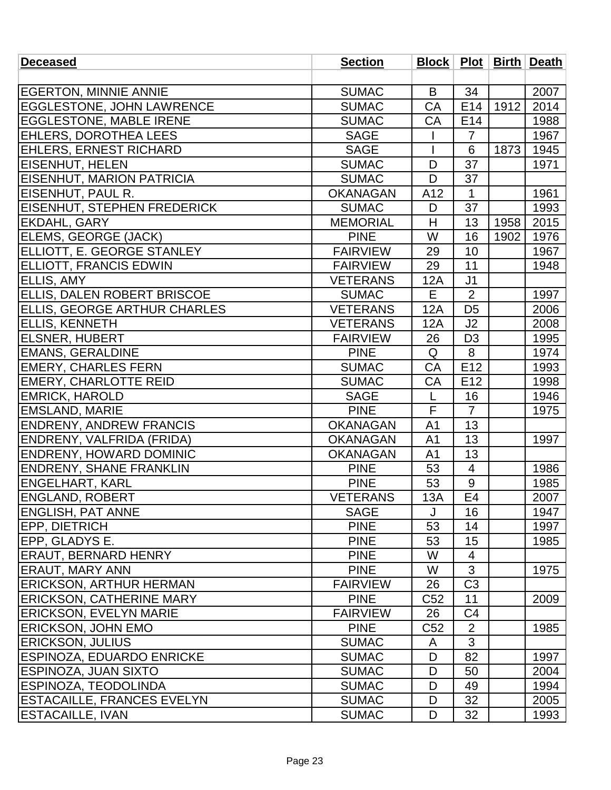| <b>Deceased</b>                    | <b>Section</b>  |                 |                          |      | Block   Plot   Birth   Death |
|------------------------------------|-----------------|-----------------|--------------------------|------|------------------------------|
|                                    |                 |                 |                          |      |                              |
| <b>EGERTON, MINNIE ANNIE</b>       | <b>SUMAC</b>    | B               | 34                       |      | 2007                         |
| <b>EGGLESTONE, JOHN LAWRENCE</b>   | <b>SUMAC</b>    | CA              | E14                      | 1912 | 2014                         |
| <b>EGGLESTONE, MABLE IRENE</b>     | <b>SUMAC</b>    | <b>CA</b>       | E14                      |      | 1988                         |
| <b>EHLERS, DOROTHEA LEES</b>       | <b>SAGE</b>     |                 | $\overline{7}$           |      | 1967                         |
| <b>EHLERS, ERNEST RICHARD</b>      | <b>SAGE</b>     |                 | $6\phantom{1}6$          | 1873 | 1945                         |
| <b>EISENHUT, HELEN</b>             | <b>SUMAC</b>    | D               | 37                       |      | 1971                         |
| EISENHUT, MARION PATRICIA          | <b>SUMAC</b>    | D               | 37                       |      |                              |
| EISENHUT, PAUL R.                  | <b>OKANAGAN</b> | A12             | $\mathbf{1}$             |      | 1961                         |
| <b>EISENHUT, STEPHEN FREDERICK</b> | <b>SUMAC</b>    | D               | 37                       |      | 1993                         |
| <b>EKDAHL, GARY</b>                | <b>MEMORIAL</b> | H               | 13                       | 1958 | 2015                         |
| ELEMS, GEORGE (JACK)               | <b>PINE</b>     | W               | 16                       | 1902 | 1976                         |
| ELLIOTT, E. GEORGE STANLEY         | <b>FAIRVIEW</b> | 29              | 10                       |      | 1967                         |
| <b>ELLIOTT, FRANCIS EDWIN</b>      | <b>FAIRVIEW</b> | 29              | 11                       |      | 1948                         |
| <b>ELLIS, AMY</b>                  | <b>VETERANS</b> | 12A             | J <sub>1</sub>           |      |                              |
| ELLIS, DALEN ROBERT BRISCOE        | <b>SUMAC</b>    | Е               | $\overline{2}$           |      | 1997                         |
| ELLIS, GEORGE ARTHUR CHARLES       | <b>VETERANS</b> | 12A             | D <sub>5</sub>           |      | 2006                         |
| <b>ELLIS, KENNETH</b>              | <b>VETERANS</b> | 12A             | J <sub>2</sub>           |      | 2008                         |
| <b>ELSNER, HUBERT</b>              | <b>FAIRVIEW</b> | 26              | D <sub>3</sub>           |      | 1995                         |
| <b>EMANS, GERALDINE</b>            | <b>PINE</b>     | Q               | 8                        |      | 1974                         |
| <b>EMERY, CHARLES FERN</b>         | <b>SUMAC</b>    | CA              | E12                      |      | 1993                         |
| <b>EMERY, CHARLOTTE REID</b>       | <b>SUMAC</b>    | CA              | E <sub>12</sub>          |      | 1998                         |
| <b>EMRICK, HAROLD</b>              | <b>SAGE</b>     | L               | 16                       |      | 1946                         |
| <b>EMSLAND, MARIE</b>              | <b>PINE</b>     | F               | $\overline{7}$           |      | 1975                         |
| <b>ENDRENY, ANDREW FRANCIS</b>     | <b>OKANAGAN</b> | A <sub>1</sub>  | 13                       |      |                              |
| ENDRENY, VALFRIDA (FRIDA)          | <b>OKANAGAN</b> | A <sub>1</sub>  | 13                       |      | 1997                         |
| <b>ENDRENY, HOWARD DOMINIC</b>     | <b>OKANAGAN</b> | A1              | 13                       |      |                              |
| <b>ENDRENY, SHANE FRANKLIN</b>     | <b>PINE</b>     | 53              | $\overline{\mathcal{A}}$ |      | 1986                         |
| <b>ENGELHART, KARL</b>             | <b>PINE</b>     | 53              | $\overline{9}$           |      | 1985                         |
| <b>ENGLAND, ROBERT</b>             | <b>VETERANS</b> | 13A             | E4                       |      | 2007                         |
| <b>ENGLISH, PAT ANNE</b>           | <b>SAGE</b>     | J               | 16                       |      | 1947                         |
| <b>EPP, DIETRICH</b>               | <b>PINE</b>     | 53              | 14                       |      | 1997                         |
| <b>IEPP, GLADYS E.</b>             | <b>PINE</b>     | 53              | 15                       |      | 1985                         |
| <b>ERAUT, BERNARD HENRY</b>        | <b>PINE</b>     | W               | $\overline{4}$           |      |                              |
| <b>ERAUT, MARY ANN</b>             | <b>PINE</b>     | W               | 3                        |      | 1975                         |
| <b>ERICKSON, ARTHUR HERMAN</b>     | <b>FAIRVIEW</b> | 26              | C <sub>3</sub>           |      |                              |
| <b>ERICKSON, CATHERINE MARY</b>    | <b>PINE</b>     | C <sub>52</sub> | 11                       |      | 2009                         |
| <b>ERICKSON, EVELYN MARIE</b>      | <b>FAIRVIEW</b> | 26              | C <sub>4</sub>           |      |                              |
| <b>ERICKSON, JOHN EMO</b>          | <b>PINE</b>     | C <sub>52</sub> | 2                        |      | 1985                         |
| <b>ERICKSON, JULIUS</b>            | <b>SUMAC</b>    | A               | 3                        |      |                              |
| <b>ESPINOZA, EDUARDO ENRICKE</b>   | <b>SUMAC</b>    | D               | 82                       |      | 1997                         |
| <b>ESPINOZA, JUAN SIXTO</b>        | <b>SUMAC</b>    | D               | 50                       |      | 2004                         |
| <b>IESPINOZA, TEODOLINDA</b>       | <b>SUMAC</b>    | D               | 49                       |      | 1994                         |
| <b>ESTACAILLE, FRANCES EVELYN</b>  | <b>SUMAC</b>    | D               | 32                       |      | 2005                         |
| <b>ESTACAILLE, IVAN</b>            | <b>SUMAC</b>    | D               | 32                       |      | 1993                         |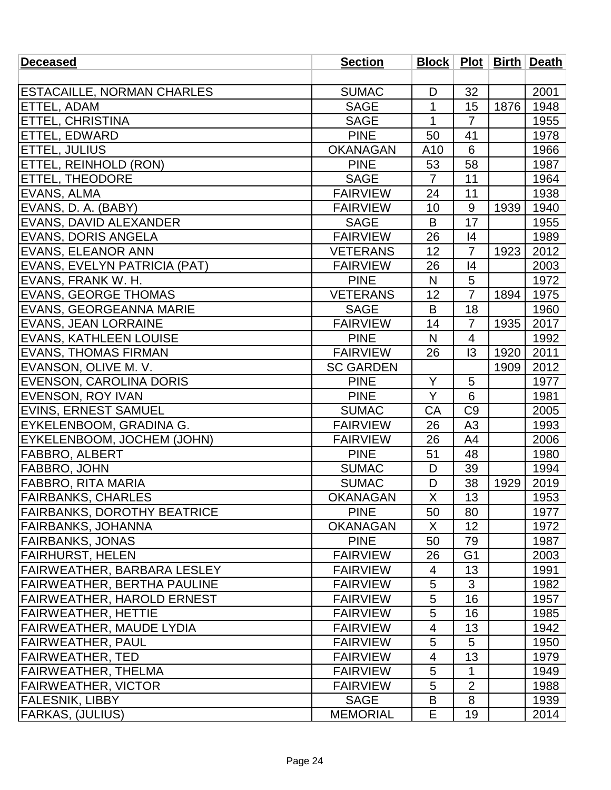| <b>Deceased</b>                    | <b>Section</b>   |                |                |      | <b>Block   Plot   Birth   Death  </b> |
|------------------------------------|------------------|----------------|----------------|------|---------------------------------------|
|                                    |                  |                |                |      |                                       |
| <b>ESTACAILLE, NORMAN CHARLES</b>  | <b>SUMAC</b>     | D              | 32             |      | 2001                                  |
| ETTEL, ADAM                        | <b>SAGE</b>      | $\mathbf{1}$   | 15             | 1876 | 1948                                  |
| <b>ETTEL, CHRISTINA</b>            | <b>SAGE</b>      | $\mathbf{1}$   | $\overline{7}$ |      | 1955                                  |
| ETTEL, EDWARD                      | <b>PINE</b>      | 50             | 41             |      | 1978                                  |
| ETTEL, JULIUS                      | <b>OKANAGAN</b>  | A10            | 6              |      | 1966                                  |
| ETTEL, REINHOLD (RON)              | <b>PINE</b>      | 53             | 58             |      | 1987                                  |
| <b>ETTEL, THEODORE</b>             | <b>SAGE</b>      | $\overline{7}$ | 11             |      | 1964                                  |
| EVANS, ALMA                        | <b>FAIRVIEW</b>  | 24             | 11             |      | 1938                                  |
| EVANS, D. A. (BABY)                | <b>FAIRVIEW</b>  | 10             | 9              | 1939 | 1940                                  |
| EVANS, DAVID ALEXANDER             | <b>SAGE</b>      | B              | 17             |      | 1955                                  |
| <b>EVANS, DORIS ANGELA</b>         | <b>FAIRVIEW</b>  | 26             | 4              |      | 1989                                  |
| <b>EVANS, ELEANOR ANN</b>          | <b>VETERANS</b>  | 12             | $\overline{7}$ | 1923 | 2012                                  |
| EVANS, EVELYN PATRICIA (PAT)       | <b>FAIRVIEW</b>  | 26             | 4              |      | 2003                                  |
| EVANS, FRANK W. H.                 | <b>PINE</b>      | $\mathsf{N}$   | $\overline{5}$ |      | 1972                                  |
| <b>EVANS, GEORGE THOMAS</b>        | <b>VETERANS</b>  | 12             | $\overline{7}$ | 1894 | 1975                                  |
| <b>EVANS, GEORGEANNA MARIE</b>     | <b>SAGE</b>      | B              | 18             |      | 1960                                  |
| <b>EVANS, JEAN LORRAINE</b>        | <b>FAIRVIEW</b>  | 14             | $\overline{7}$ | 1935 | 2017                                  |
| <b>EVANS, KATHLEEN LOUISE</b>      | <b>PINE</b>      | N              | $\overline{4}$ |      | 1992                                  |
| <b>EVANS, THOMAS FIRMAN</b>        | <b>FAIRVIEW</b>  | 26             | 13             | 1920 | 2011                                  |
| EVANSON, OLIVE M. V.               | <b>SC GARDEN</b> |                |                | 1909 | 2012                                  |
| <b>EVENSON, CAROLINA DORIS</b>     | <b>PINE</b>      | Y              | 5              |      | 1977                                  |
| <b>EVENSON, ROY IVAN</b>           | <b>PINE</b>      | Y              | 6              |      | 1981                                  |
| <b>EVINS, ERNEST SAMUEL</b>        | <b>SUMAC</b>     | CA             | C <sub>9</sub> |      | 2005                                  |
| EYKELENBOOM, GRADINA G.            | <b>FAIRVIEW</b>  | 26             | A <sub>3</sub> |      | 1993                                  |
| EYKELENBOOM, JOCHEM (JOHN)         | <b>FAIRVIEW</b>  | 26             | A4             |      | 2006                                  |
| <b>FABBRO, ALBERT</b>              | <b>PINE</b>      | 51             | 48             |      | 1980                                  |
| <b>FABBRO, JOHN</b>                | <b>SUMAC</b>     | D              | 39             |      | 1994                                  |
| <b>FABBRO, RITA MARIA</b>          | <b>SUMAC</b>     | D              | 38             | 1929 | 2019                                  |
| <b>FAIRBANKS, CHARLES</b>          | OKANAGAN         | $\mathsf X$    | 13             |      | 1953                                  |
| <b>FAIRBANKS, DOROTHY BEATRICE</b> | <b>PINE</b>      | 50             | 80             |      | 1977                                  |
| FAIRBANKS, JOHANNA                 | <b>OKANAGAN</b>  | X              | 12             |      | 1972                                  |
| <b>FAIRBANKS, JONAS</b>            | <b>PINE</b>      | 50             | 79             |      | 1987                                  |
| <b>FAIRHURST, HELEN</b>            | <b>FAIRVIEW</b>  | 26             | G <sub>1</sub> |      | 2003                                  |
| FAIRWEATHER, BARBARA LESLEY        | <b>FAIRVIEW</b>  | 4              | 13             |      | 1991                                  |
| <b>FAIRWEATHER, BERTHA PAULINE</b> | <b>FAIRVIEW</b>  | 5              | 3              |      | 1982                                  |
| <b>FAIRWEATHER, HAROLD ERNEST</b>  | <b>FAIRVIEW</b>  | 5              | 16             |      | 1957                                  |
| FAIRWEATHER, HETTIE                | <b>FAIRVIEW</b>  | 5              | 16             |      | 1985                                  |
| FAIRWEATHER, MAUDE LYDIA           | <b>FAIRVIEW</b>  | 4              | 13             |      | 1942                                  |
| <b>FAIRWEATHER, PAUL</b>           | <b>FAIRVIEW</b>  | 5              | 5              |      | 1950                                  |
| FAIRWEATHER, TED                   | <b>FAIRVIEW</b>  | 4              | 13             |      | 1979                                  |
| FAIRWEATHER, THELMA                | <b>FAIRVIEW</b>  | 5              | 1              |      | 1949                                  |
| <b>FAIRWEATHER, VICTOR</b>         | <b>FAIRVIEW</b>  | 5              | $\overline{2}$ |      | 1988                                  |
| FALESNIK, LIBBY                    | <b>SAGE</b>      | B              | 8              |      | 1939                                  |
| <b>FARKAS, (JULIUS)</b>            | <b>MEMORIAL</b>  | E.             | 19             |      | 2014                                  |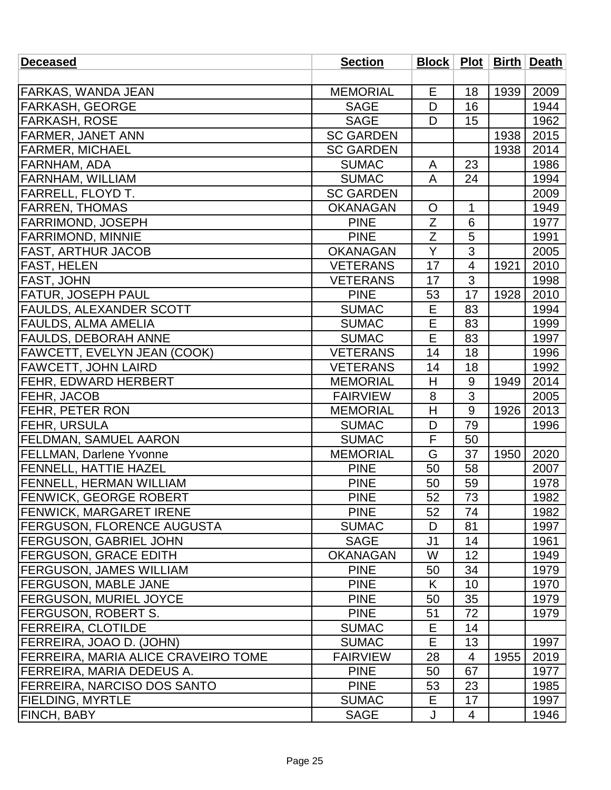| <b>Deceased</b>                            | <b>Section</b>   | <b>Block   Plot  </b> |                |      | <b>Birth Death</b> |
|--------------------------------------------|------------------|-----------------------|----------------|------|--------------------|
|                                            |                  |                       |                |      |                    |
| FARKAS, WANDA JEAN                         | <b>MEMORIAL</b>  | Е                     | 18             | 1939 | 2009               |
| FARKASH, GEORGE                            | <b>SAGE</b>      | D                     | 16             |      | 1944               |
| <b>FARKASH, ROSE</b>                       | <b>SAGE</b>      | D                     | 15             |      | 1962               |
| <b>FARMER, JANET ANN</b>                   | <b>SC GARDEN</b> |                       |                | 1938 | 2015               |
| <b>FARMER, MICHAEL</b>                     | <b>SC GARDEN</b> |                       |                | 1938 | 2014               |
| FARNHAM, ADA                               | <b>SUMAC</b>     | A                     | 23             |      | 1986               |
| <b>FARNHAM, WILLIAM</b>                    | <b>SUMAC</b>     | $\overline{A}$        | 24             |      | 1994               |
| FARRELL, FLOYD T.                          | <b>SC GARDEN</b> |                       |                |      | 2009               |
| <b>FARREN, THOMAS</b>                      | <b>OKANAGAN</b>  | $\mathsf{O}$          | $\mathbf{1}$   |      | 1949               |
| <b>FARRIMOND, JOSEPH</b>                   | <b>PINE</b>      | Z                     | 6              |      | 1977               |
| <b>FARRIMOND, MINNIE</b>                   | <b>PINE</b>      | Z                     | 5              |      | 1991               |
| <b>FAST, ARTHUR JACOB</b>                  | <b>OKANAGAN</b>  | Y                     | 3              |      | 2005               |
| <b>FAST, HELEN</b>                         | <b>VETERANS</b>  | 17                    | $\overline{4}$ | 1921 | 2010               |
| <b>FAST, JOHN</b>                          | <b>VETERANS</b>  | 17                    | 3              |      | 1998               |
| <b>FATUR, JOSEPH PAUL</b>                  | <b>PINE</b>      | 53                    | 17             | 1928 | 2010               |
| <b>FAULDS, ALEXANDER SCOTT</b>             | <b>SUMAC</b>     | E                     | 83             |      | 1994               |
| <b>FAULDS, ALMA AMELIA</b>                 | <b>SUMAC</b>     | E                     | 83             |      | 1999               |
| <b>FAULDS, DEBORAH ANNE</b>                | <b>SUMAC</b>     | E                     | 83             |      | 1997               |
| <b>FAWCETT, EVELYN JEAN (COOK)</b>         | <b>VETERANS</b>  | 14                    | 18             |      | 1996               |
| <b>FAWCETT, JOHN LAIRD</b>                 | <b>VETERANS</b>  | 14                    | 18             |      | 1992               |
| <b> FEHR, EDWARD HERBERT</b>               | <b>MEMORIAL</b>  | H                     | 9              | 1949 | 2014               |
| FEHR, JACOB                                | <b>FAIRVIEW</b>  | 8                     | 3              |      | 2005               |
| FEHR, PETER RON                            | <b>MEMORIAL</b>  | H                     | 9              | 1926 | 2013               |
| <b>FEHR, URSULA</b>                        | <b>SUMAC</b>     | D                     | 79             |      | 1996               |
| <b>FELDMAN, SAMUEL AARON</b>               | <b>SUMAC</b>     | F                     | 50             |      |                    |
| <b>FELLMAN, Darlene Yvonne</b>             | <b>MEMORIAL</b>  | G                     | 37             | 1950 | 2020               |
| <b>FENNELL, HATTIE HAZEL</b>               | <b>PINE</b>      | 50                    | 58             |      | 2007               |
| <b>FENNELL, HERMAN WILLIAM</b>             | <b>PINE</b>      | 50                    | 59             |      | 1978               |
| <b>FENWICK, GEORGE ROBERT</b>              | <b>PINE</b>      | 52                    | 73             |      | 1982               |
| <b>FENWICK, MARGARET IRENE</b>             | <b>PINE</b>      | 52                    | 74             |      | 1982               |
| <b> FERGUSON, FLORENCE AUGUSTA</b>         | <b>SUMAC</b>     | D                     | 81             |      | 1997               |
| <b>FERGUSON, GABRIEL JOHN</b>              | <b>SAGE</b>      | J <sub>1</sub>        | 14             |      | 1961               |
| <b>FERGUSON, GRACE EDITH</b>               | <b>OKANAGAN</b>  | W                     | 12             |      | 1949               |
| <b>FERGUSON, JAMES WILLIAM</b>             | <b>PINE</b>      | 50                    | 34             |      | 1979               |
| <b>FERGUSON, MABLE JANE</b>                | <b>PINE</b>      | K                     | 10             |      | 1970               |
| <b>FERGUSON, MURIEL JOYCE</b>              | <b>PINE</b>      | 50                    | 35             |      | 1979               |
| FERGUSON, ROBERT S.                        | <b>PINE</b>      | 51                    | 72             |      | 1979               |
| <b>FERREIRA, CLOTILDE</b>                  | <b>SUMAC</b>     | Е                     | 14             |      |                    |
| <b>FERREIRA, JOAO D. (JOHN)</b>            | <b>SUMAC</b>     | E                     | 13             |      | 1997               |
| <b>FERREIRA, MARIA ALICE CRAVEIRO TOME</b> | <b>FAIRVIEW</b>  | 28                    | $\overline{4}$ | 1955 | 2019               |
| FERREIRA, MARIA DEDEUS A.                  | <b>PINE</b>      | 50                    | 67             |      | 1977               |
| FERREIRA, NARCISO DOS SANTO                | <b>PINE</b>      | 53                    | 23             |      | 1985               |
| <b>FIELDING, MYRTLE</b>                    | <b>SUMAC</b>     | Е                     | 17             |      | 1997               |
| <b>FINCH, BABY</b>                         | <b>SAGE</b>      | J                     | 4              |      | 1946               |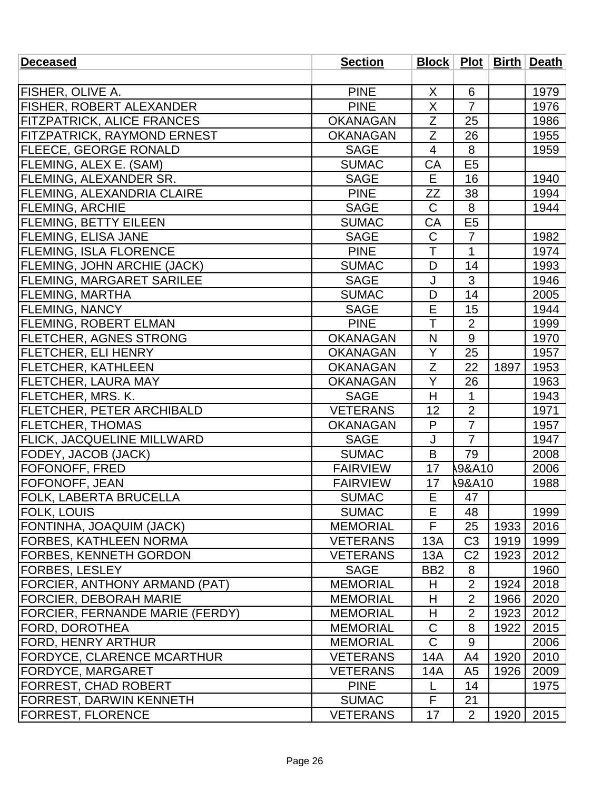| <b>Deceased</b>                        | <b>Section</b>  |                 |                  |      | Block   Plot   Birth   Death |
|----------------------------------------|-----------------|-----------------|------------------|------|------------------------------|
|                                        |                 |                 |                  |      |                              |
| <b>FISHER, OLIVE A.</b>                | <b>PINE</b>     | X               | 6                |      | 1979                         |
| <b>FISHER, ROBERT ALEXANDER</b>        | <b>PINE</b>     | X               | $\overline{7}$   |      | 1976                         |
| <b>FITZPATRICK, ALICE FRANCES</b>      | <b>OKANAGAN</b> | Z               | 25               |      | 1986                         |
| <b>FITZPATRICK, RAYMOND ERNEST</b>     | <b>OKANAGAN</b> | Z               | 26               |      | 1955                         |
| <b>FLEECE, GEORGE RONALD</b>           | <b>SAGE</b>     | 4               | 8                |      | 1959                         |
| FLEMING, ALEX E. (SAM)                 | <b>SUMAC</b>    | CA              | E <sub>5</sub>   |      |                              |
| <b>FLEMING, ALEXANDER SR.</b>          | <b>SAGE</b>     | Е               | 16               |      | 1940                         |
| <b>FLEMING, ALEXANDRIA CLAIRE</b>      | <b>PINE</b>     | ZZ              | 38               |      | 1994                         |
| <b>FLEMING, ARCHIE</b>                 | <b>SAGE</b>     | $\mathsf{C}$    | 8                |      | 1944                         |
| <b>FLEMING, BETTY EILEEN</b>           | <b>SUMAC</b>    | CA              | E <sub>5</sub>   |      |                              |
| <b>FLEMING, ELISA JANE</b>             | <b>SAGE</b>     | $\mathsf C$     | $\overline{7}$   |      | 1982                         |
| <b>FLEMING, ISLA FLORENCE</b>          | <b>PINE</b>     | T               | 1                |      | 1974                         |
| <b>FLEMING, JOHN ARCHIE (JACK)</b>     | <b>SUMAC</b>    | D               | 14               |      | 1993                         |
| <b>FLEMING, MARGARET SARILEE</b>       | <b>SAGE</b>     | J               | 3                |      | 1946                         |
| <b>FLEMING, MARTHA</b>                 | <b>SUMAC</b>    | D               | 14               |      | 2005                         |
| <b>FLEMING, NANCY</b>                  | <b>SAGE</b>     | E               | 15               |      | 1944                         |
| <b>FLEMING, ROBERT ELMAN</b>           | <b>PINE</b>     | T               | $\overline{2}$   |      | 1999                         |
| <b>FLETCHER, AGNES STRONG</b>          | <b>OKANAGAN</b> | N               | 9                |      | 1970                         |
| <b>FLETCHER, ELI HENRY</b>             | <b>OKANAGAN</b> | Υ               | 25               |      | 1957                         |
| <b>FLETCHER, KATHLEEN</b>              | <b>OKANAGAN</b> | $\overline{Z}$  | 22               | 1897 | 1953                         |
| <b>FLETCHER, LAURA MAY</b>             | <b>OKANAGAN</b> | Y               | 26               |      | 1963                         |
| <b>FLETCHER, MRS. K.</b>               | <b>SAGE</b>     | H               | 1                |      | 1943                         |
| <b>FLETCHER, PETER ARCHIBALD</b>       | <b>VETERANS</b> | 12              | $\overline{2}$   |      | 1971                         |
| <b>FLETCHER, THOMAS</b>                | <b>OKANAGAN</b> | P               | $\overline{7}$   |      | 1957                         |
| <b>FLICK, JACQUELINE MILLWARD</b>      | <b>SAGE</b>     | J               | $\overline{7}$   |      | 1947                         |
| <b>FODEY, JACOB (JACK)</b>             | <b>SUMAC</b>    | B               | 79               |      | 2008                         |
| FOFONOFF, FRED                         | <b>FAIRVIEW</b> | 17              | <b>9&amp;A10</b> |      | 2006                         |
| <b>FOFONOFF, JEAN</b>                  | <b>FAIRVIEW</b> | 17              | <b>9&amp;A10</b> |      | 1988                         |
| <b>FOLK, LABERTA BRUCELLA</b>          | <b>SUMAC</b>    | E               | 47               |      |                              |
| FOLK, LOUIS_                           | <b>SUMAC</b>    | E               | 48               |      | 1999                         |
| FONTINHA, JOAQUIM (JACK)               | <b>MEMORIAL</b> | F               | 25               | 1933 | 2016                         |
| FORBES, KATHLEEN NORMA                 | <b>VETERANS</b> | 13A             | C <sub>3</sub>   | 1919 | 1999                         |
| FORBES, KENNETH GORDON                 | <b>VETERANS</b> | 13A             | C <sub>2</sub>   | 1923 | 2012                         |
| <b>FORBES, LESLEY</b>                  | <b>SAGE</b>     | BB <sub>2</sub> | 8                |      | 1960                         |
| FORCIER, ANTHONY ARMAND (PAT)          | <b>MEMORIAL</b> | H               | $\overline{2}$   | 1924 | 2018                         |
| <b>FORCIER, DEBORAH MARIE</b>          | <b>MEMORIAL</b> | H               | $\overline{2}$   | 1966 | 2020                         |
| <b>FORCIER, FERNANDE MARIE (FERDY)</b> | <b>MEMORIAL</b> | Н               | $\overline{2}$   | 1923 | 2012                         |
| FORD, DOROTHEA                         | <b>MEMORIAL</b> | C               | 8                | 1922 | 2015                         |
| <b>FORD, HENRY ARTHUR</b>              | <b>MEMORIAL</b> | $\mathsf{C}$    | 9                |      | 2006                         |
| <b>FORDYCE, CLARENCE MCARTHUR</b>      | <b>VETERANS</b> | 14A             | A4               | 1920 | 2010                         |
| <b>FORDYCE, MARGARET</b>               | <b>VETERANS</b> | 14A             | A5               | 1926 | 2009                         |
| FORREST, CHAD ROBERT                   | <b>PINE</b>     | L               | 14               |      | 1975                         |
| FORREST, DARWIN KENNETH                | <b>SUMAC</b>    | F               | 21               |      |                              |
| <b>FORREST, FLORENCE</b>               | <b>VETERANS</b> | 17              | $\overline{2}$   | 1920 | 2015                         |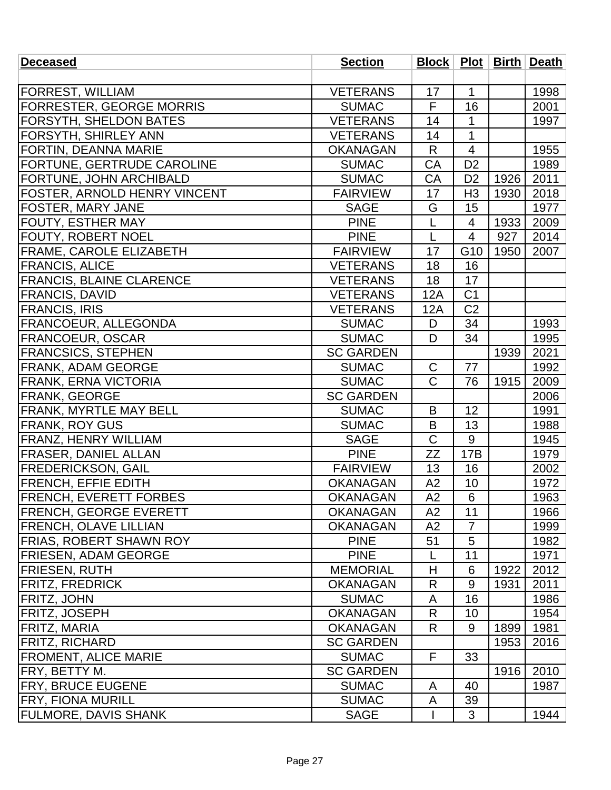| <b>Deceased</b>                   | <b>Section</b>   |                |                 |      | Block   Plot   Birth   Death |
|-----------------------------------|------------------|----------------|-----------------|------|------------------------------|
|                                   |                  |                |                 |      |                              |
| <b>FORREST, WILLIAM</b>           | <b>VETERANS</b>  | 17             | $\mathbf{1}$    |      | 1998                         |
| <b>FORRESTER, GEORGE MORRIS</b>   | <b>SUMAC</b>     | F              | 16              |      | 2001                         |
| <b>FORSYTH, SHELDON BATES</b>     | <b>VETERANS</b>  | 14             | $\mathbf{1}$    |      | 1997                         |
| <b>FORSYTH, SHIRLEY ANN</b>       | <b>VETERANS</b>  | 14             | $\overline{1}$  |      |                              |
| FORTIN, DEANNA MARIE              | <b>OKANAGAN</b>  | R              | 4               |      | 1955                         |
| <b>FORTUNE, GERTRUDE CAROLINE</b> | <b>SUMAC</b>     | CA             | D <sub>2</sub>  |      | 1989                         |
| <b>FORTUNE, JOHN ARCHIBALD</b>    | <b>SUMAC</b>     | CA             | D <sub>2</sub>  | 1926 | 2011                         |
| FOSTER, ARNOLD HENRY VINCENT      | <b>FAIRVIEW</b>  | 17             | H <sub>3</sub>  | 1930 | 2018                         |
| <b>FOSTER, MARY JANE</b>          | <b>SAGE</b>      | G              | 15              |      | 1977                         |
| <b>FOUTY, ESTHER MAY</b>          | <b>PINE</b>      | L              | 4               | 1933 | 2009                         |
| <b>FOUTY, ROBERT NOEL</b>         | <b>PINE</b>      | L              | $\overline{4}$  | 927  | 2014                         |
| <b>FRAME, CAROLE ELIZABETH</b>    | <b>FAIRVIEW</b>  | 17             | G10             | 1950 | 2007                         |
| <b>FRANCIS, ALICE</b>             | <b>VETERANS</b>  | 18             | 16              |      |                              |
| <b>FRANCIS, BLAINE CLARENCE</b>   | <b>VETERANS</b>  | 18             | 17              |      |                              |
| <b>FRANCIS, DAVID</b>             | <b>VETERANS</b>  | 12A            | C <sub>1</sub>  |      |                              |
| <b>FRANCIS, IRIS</b>              | <b>VETERANS</b>  | 12A            | C <sub>2</sub>  |      |                              |
| FRANCOEUR, ALLEGONDA              | <b>SUMAC</b>     | D              | 34              |      | 1993                         |
| <b>FRANCOEUR, OSCAR</b>           | <b>SUMAC</b>     | D              | 34              |      | 1995                         |
| <b>FRANCSICS, STEPHEN</b>         | <b>SC GARDEN</b> |                |                 | 1939 | 2021                         |
| <b>FRANK, ADAM GEORGE</b>         | <b>SUMAC</b>     | $\mathsf{C}$   | 77              |      | 1992                         |
| FRANK, ERNA VICTORIA              | <b>SUMAC</b>     | $\overline{C}$ | 76              | 1915 | 2009                         |
| <b>FRANK, GEORGE</b>              | <b>SC GARDEN</b> |                |                 |      | 2006                         |
| <b>FRANK, MYRTLE MAY BELL</b>     | <b>SUMAC</b>     | B              | 12              |      | 1991                         |
| <b>FRANK, ROY GUS</b>             | <b>SUMAC</b>     | B              | 13              |      | 1988                         |
| <b>FRANZ, HENRY WILLIAM</b>       | <b>SAGE</b>      | $\mathsf C$    | 9               |      | 1945                         |
| <b>FRASER, DANIEL ALLAN</b>       | <b>PINE</b>      | ZΖ             | 17B             |      | 1979                         |
| <b>FREDERICKSON, GAIL</b>         | <b>FAIRVIEW</b>  | 13             | 16              |      | 2002                         |
| <b>FRENCH, EFFIE EDITH</b>        | <b>OKANAGAN</b>  | A2             | 10              |      | 1972                         |
| <b>FRENCH, EVERETT FORBES</b>     | <b>OKANAGAN</b>  | A2             | 6               |      | 1963                         |
| <b>FRENCH, GEORGE EVERETT</b>     | <b>OKANAGAN</b>  | A2             | 11              |      | 1966                         |
| <b>FRENCH, OLAVE LILLIAN</b>      | <b>OKANAGAN</b>  | A2             | 7               |      | 1999                         |
| <b>FRIAS, ROBERT SHAWN ROY</b>    | <b>PINE</b>      | 51             | 5               |      | 1982                         |
| <b>FRIESEN, ADAM GEORGE</b>       | <b>PINE</b>      | L              | 11              |      | 1971                         |
| <b>FRIESEN, RUTH</b>              | <b>MEMORIAL</b>  | H              | $6\phantom{1}6$ | 1922 | 2012                         |
| <b>FRITZ, FREDRICK</b>            | <b>OKANAGAN</b>  | R              | 9               | 1931 | 2011                         |
| <b>FRITZ, JOHN</b>                | <b>SUMAC</b>     | A              | 16              |      | 1986                         |
| <b>FRITZ, JOSEPH</b>              | <b>OKANAGAN</b>  | R              | 10              |      | 1954                         |
| <b>FRITZ, MARIA</b>               | <b>OKANAGAN</b>  | R              | 9               | 1899 | 1981                         |
| <b>FRITZ, RICHARD</b>             | <b>SC GARDEN</b> |                |                 | 1953 | 2016                         |
| <b>FROMENT, ALICE MARIE</b>       | <b>SUMAC</b>     | F              | 33              |      |                              |
| <b>FRY, BETTY M.</b>              | <b>SC GARDEN</b> |                |                 | 1916 | 2010                         |
| <b>FRY, BRUCE EUGENE</b>          | <b>SUMAC</b>     | A              | 40              |      | 1987                         |
| <b>FRY, FIONA MURILL</b>          | <b>SUMAC</b>     | A              | 39              |      |                              |
| <b>FULMORE, DAVIS SHANK</b>       | <b>SAGE</b>      |                | 3               |      | 1944                         |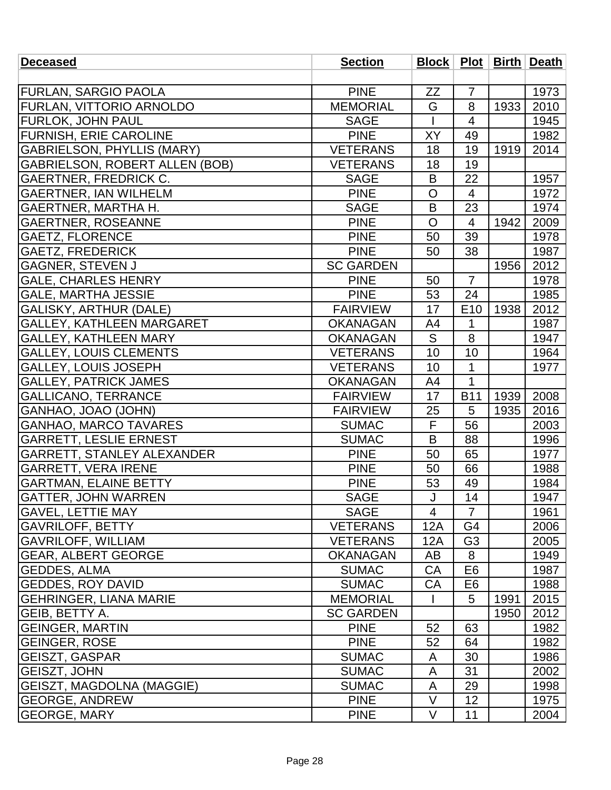| <b>Deceased</b>                       | <b>Section</b>   | Block   Plot   Birth   Death |                          |      |      |
|---------------------------------------|------------------|------------------------------|--------------------------|------|------|
|                                       |                  |                              |                          |      |      |
| <b>FURLAN, SARGIO PAOLA</b>           | <b>PINE</b>      | ZZ                           | $\overline{7}$           |      | 1973 |
| <b>FURLAN, VITTORIO ARNOLDO</b>       | <b>MEMORIAL</b>  | G                            | 8                        | 1933 | 2010 |
| <b>FURLOK, JOHN PAUL</b>              | <b>SAGE</b>      |                              | $\overline{\mathcal{A}}$ |      | 1945 |
| <b>FURNISH, ERIE CAROLINE</b>         | <b>PINE</b>      | XY                           | 49                       |      | 1982 |
| <b>GABRIELSON, PHYLLIS (MARY)</b>     | <b>VETERANS</b>  | 18                           | 19                       | 1919 | 2014 |
| <b>GABRIELSON, ROBERT ALLEN (BOB)</b> | <b>VETERANS</b>  | 18                           | 19                       |      |      |
| <b>GAERTNER, FREDRICK C.</b>          | <b>SAGE</b>      | B                            | 22                       |      | 1957 |
| <b>GAERTNER, IAN WILHELM</b>          | <b>PINE</b>      | $\mathsf{O}$                 | $\overline{\mathcal{A}}$ |      | 1972 |
| GAERTNER, MARTHA H.                   | <b>SAGE</b>      | B                            | 23                       |      | 1974 |
| <b>GAERTNER, ROSEANNE</b>             | <b>PINE</b>      | $\overline{O}$               | 4                        | 1942 | 2009 |
| <b>GAETZ, FLORENCE</b>                | <b>PINE</b>      | 50                           | 39                       |      | 1978 |
| <b>GAETZ, FREDERICK</b>               | <b>PINE</b>      | 50                           | 38                       |      | 1987 |
| <b>GAGNER, STEVEN J</b>               | <b>SC GARDEN</b> |                              |                          | 1956 | 2012 |
| <b>GALE, CHARLES HENRY</b>            | <b>PINE</b>      | 50                           | $\overline{7}$           |      | 1978 |
| <b>GALE, MARTHA JESSIE</b>            | <b>PINE</b>      | 53                           | 24                       |      | 1985 |
| <b>GALISKY, ARTHUR (DALE)</b>         | <b>FAIRVIEW</b>  | 17                           | E10                      | 1938 | 2012 |
| <b>GALLEY, KATHLEEN MARGARET</b>      | <b>OKANAGAN</b>  | A4                           | 1                        |      | 1987 |
| <b>GALLEY, KATHLEEN MARY</b>          | <b>OKANAGAN</b>  | S                            | 8                        |      | 1947 |
| <b>GALLEY, LOUIS CLEMENTS</b>         | <b>VETERANS</b>  | 10                           | 10                       |      | 1964 |
| GALLEY, LOUIS JOSEPH                  | <b>VETERANS</b>  | 10                           | 1                        |      | 1977 |
| <b>GALLEY, PATRICK JAMES</b>          | <b>OKANAGAN</b>  | A4                           | 1                        |      |      |
| <b>GALLICANO, TERRANCE</b>            | <b>FAIRVIEW</b>  | 17                           | <b>B11</b>               | 1939 | 2008 |
| GANHAO, JOAO (JOHN)                   | <b>FAIRVIEW</b>  | 25                           | 5                        | 1935 | 2016 |
| <b>GANHAO, MARCO TAVARES</b>          | <b>SUMAC</b>     | F                            | 56                       |      | 2003 |
| <b>GARRETT, LESLIE ERNEST</b>         | <b>SUMAC</b>     | B                            | 88                       |      | 1996 |
| <b>GARRETT, STANLEY ALEXANDER</b>     | <b>PINE</b>      | 50                           | 65                       |      | 1977 |
| <b>GARRETT, VERA IRENE</b>            | <b>PINE</b>      | 50                           | 66                       |      | 1988 |
| <b>GARTMAN, ELAINE BETTY</b>          | <b>PINE</b>      | 53                           | 49                       |      | 1984 |
| <b>GATTER, JOHN WARREN</b>            | <b>SAGE</b>      |                              | 14                       |      | 1947 |
| <b>GAVEL, LETTIE MAY</b>              | <b>SAGE</b>      | $\overline{4}$               | $\overline{7}$           |      | 1961 |
| <b>GAVRILOFF, BETTY</b>               | <b>VETERANS</b>  | 12A                          | G4                       |      | 2006 |
| <b>GAVRILOFF, WILLIAM</b>             | <b>VETERANS</b>  | 12A                          | G <sub>3</sub>           |      | 2005 |
| <b>GEAR, ALBERT GEORGE</b>            | <b>OKANAGAN</b>  | AB                           | 8                        |      | 1949 |
| <b>GEDDES, ALMA</b>                   | <b>SUMAC</b>     | CA                           | E <sub>6</sub>           |      | 1987 |
| <b>GEDDES, ROY DAVID</b>              | <b>SUMAC</b>     | CA                           | E <sub>6</sub>           |      | 1988 |
| <b>GEHRINGER, LIANA MARIE</b>         | <b>MEMORIAL</b>  |                              | 5                        | 1991 | 2015 |
| GEIB, BETTY A.                        | <b>SC GARDEN</b> |                              |                          | 1950 | 2012 |
| <b>GEINGER, MARTIN</b>                | <b>PINE</b>      | 52                           | 63                       |      | 1982 |
| <b>GEINGER, ROSE</b>                  | <b>PINE</b>      | 52                           | 64                       |      | 1982 |
| <b>GEISZT, GASPAR</b>                 | <b>SUMAC</b>     | A                            | 30                       |      | 1986 |
| <b>GEISZT, JOHN</b>                   | <b>SUMAC</b>     | A                            | 31                       |      | 2002 |
| <b>GEISZT, MAGDOLNA (MAGGIE)</b>      | <b>SUMAC</b>     | A                            | 29                       |      | 1998 |
| <b>GEORGE, ANDREW</b>                 | <b>PINE</b>      | V                            | 12                       |      | 1975 |
| <b>GEORGE, MARY</b>                   | <b>PINE</b>      | $\vee$                       | 11                       |      | 2004 |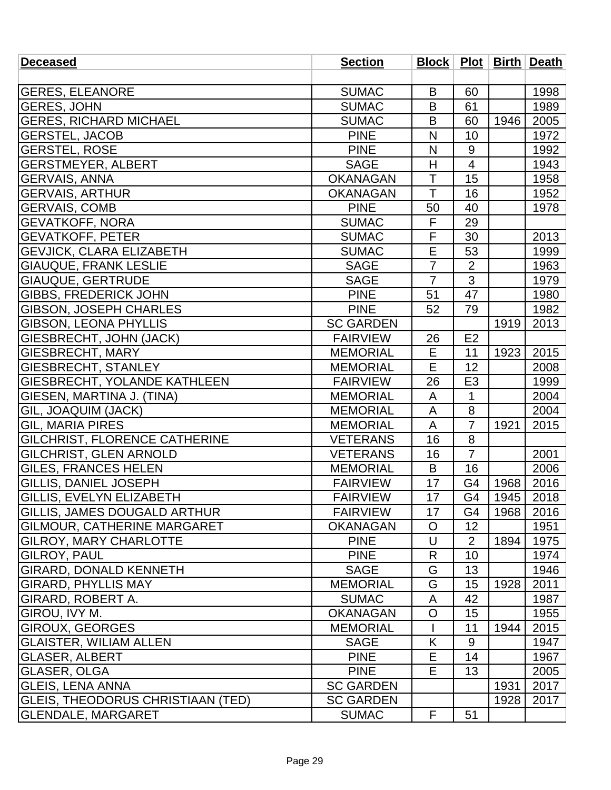| <b>Deceased</b>                          | <b>Section</b>   |                |                |      | Block   Plot   Birth   Death |
|------------------------------------------|------------------|----------------|----------------|------|------------------------------|
|                                          |                  |                |                |      |                              |
| <b>GERES, ELEANORE</b>                   | <b>SUMAC</b>     | B              | 60             |      | 1998                         |
| <b>GERES, JOHN</b>                       | <b>SUMAC</b>     | B              | 61             |      | 1989                         |
| <b>GERES, RICHARD MICHAEL</b>            | <b>SUMAC</b>     | B              | 60             | 1946 | 2005                         |
| <b>GERSTEL, JACOB</b>                    | <b>PINE</b>      | N              | 10             |      | 1972                         |
| <b>GERSTEL, ROSE</b>                     | <b>PINE</b>      | N              | $9\,$          |      | 1992                         |
| <b>GERSTMEYER, ALBERT</b>                | <b>SAGE</b>      | H              | $\overline{4}$ |      | 1943                         |
| <b>GERVAIS, ANNA</b>                     | <b>OKANAGAN</b>  | T              | 15             |      | 1958                         |
| <b>GERVAIS, ARTHUR</b>                   | <b>OKANAGAN</b>  | T              | 16             |      | 1952                         |
| <b>GERVAIS, COMB</b>                     | <b>PINE</b>      | 50             | 40             |      | 1978                         |
| <b>GEVATKOFF, NORA</b>                   | <b>SUMAC</b>     | F              | 29             |      |                              |
| <b>GEVATKOFF, PETER</b>                  | <b>SUMAC</b>     | F              | 30             |      | 2013                         |
| <b>GEVJICK, CLARA ELIZABETH</b>          | <b>SUMAC</b>     | E              | 53             |      | 1999                         |
| GIAUQUE, FRANK LESLIE                    | <b>SAGE</b>      | $\overline{7}$ | $\overline{2}$ |      | 1963                         |
| <b>GIAUQUE, GERTRUDE</b>                 | <b>SAGE</b>      | $\overline{7}$ | 3              |      | 1979                         |
| <b>GIBBS, FREDERICK JOHN</b>             | <b>PINE</b>      | 51             | 47             |      | 1980                         |
| GIBSON, JOSEPH CHARLES                   | <b>PINE</b>      | 52             | 79             |      | 1982                         |
| <b>GIBSON, LEONA PHYLLIS</b>             | <b>SC GARDEN</b> |                |                | 1919 | 2013                         |
| GIESBRECHT, JOHN (JACK)                  | <b>FAIRVIEW</b>  | 26             | E2             |      |                              |
| <b>GIESBRECHT, MARY</b>                  | <b>MEMORIAL</b>  | E              | 11             | 1923 | 2015                         |
| GIESBRECHT, STANLEY                      | <b>MEMORIAL</b>  | E              | 12             |      | 2008                         |
| GIESBRECHT, YOLANDE KATHLEEN             | <b>FAIRVIEW</b>  | 26             | E <sub>3</sub> |      | 1999                         |
| GIESEN, MARTINA J. (TINA)                | <b>MEMORIAL</b>  | A              | 1              |      | 2004                         |
| GIL, JOAQUIM (JACK)                      | <b>MEMORIAL</b>  | A              | 8              |      | 2004                         |
| <b>GIL, MARIA PIRES</b>                  | <b>MEMORIAL</b>  | A              | $\overline{7}$ | 1921 | 2015                         |
| GILCHRIST, FLORENCE CATHERINE            | <b>VETERANS</b>  | 16             | 8              |      |                              |
| GILCHRIST, GLEN ARNOLD                   | <b>VETERANS</b>  | 16             | $\overline{7}$ |      | 2001                         |
| <b>GILES, FRANCES HELEN</b>              | <b>MEMORIAL</b>  | B              | 16             |      | 2006                         |
| <b>GILLIS, DANIEL JOSEPH</b>             | <b>FAIRVIEW</b>  | 17             | G <sub>4</sub> | 1968 | 2016                         |
| <b>GILLIS, EVELYN ELIZABETH</b>          | <b>FAIRVIEW</b>  | 17             | G4             | 1945 | 2018                         |
| <b>GILLIS, JAMES DOUGALD ARTHUR</b>      | <b>FAIRVIEW</b>  | 17             | G4             | 1968 | 2016                         |
| <b>GILMOUR, CATHERINE MARGARET</b>       | <b>OKANAGAN</b>  | O              | 12             |      | 1951                         |
| <b>GILROY, MARY CHARLOTTE</b>            | <b>PINE</b>      | $\cup$         | $\overline{2}$ | 1894 | 1975                         |
| GILROY, PAUL                             | <b>PINE</b>      | R              | 10             |      | 1974                         |
| <b>GIRARD, DONALD KENNETH</b>            | <b>SAGE</b>      | G              | 13             |      | 1946                         |
| <b>GIRARD, PHYLLIS MAY</b>               | <b>MEMORIAL</b>  | G              | 15             | 1928 | 2011                         |
| GIRARD, ROBERT A.                        | <b>SUMAC</b>     | A              | 42             |      | 1987                         |
| GIROU, IVY M.                            | <b>OKANAGAN</b>  | $\circ$        | 15             |      | 1955                         |
| <b>GIROUX, GEORGES</b>                   | <b>MEMORIAL</b>  |                | 11             | 1944 | 2015                         |
| <b>GLAISTER, WILIAM ALLEN</b>            | <b>SAGE</b>      | K              | 9              |      | 1947                         |
| <b>GLASER, ALBERT</b>                    | <b>PINE</b>      | E              | 14             |      | 1967                         |
| GLASER, OLGA                             | <b>PINE</b>      | E              | 13             |      | 2005                         |
| <b>GLEIS, LENA ANNA</b>                  | <b>SC GARDEN</b> |                |                | 1931 | 2017                         |
| <b>GLEIS, THEODORUS CHRISTIAAN (TED)</b> | <b>SC GARDEN</b> |                |                | 1928 | 2017                         |
| <b>GLENDALE, MARGARET</b>                | <b>SUMAC</b>     | F              | 51             |      |                              |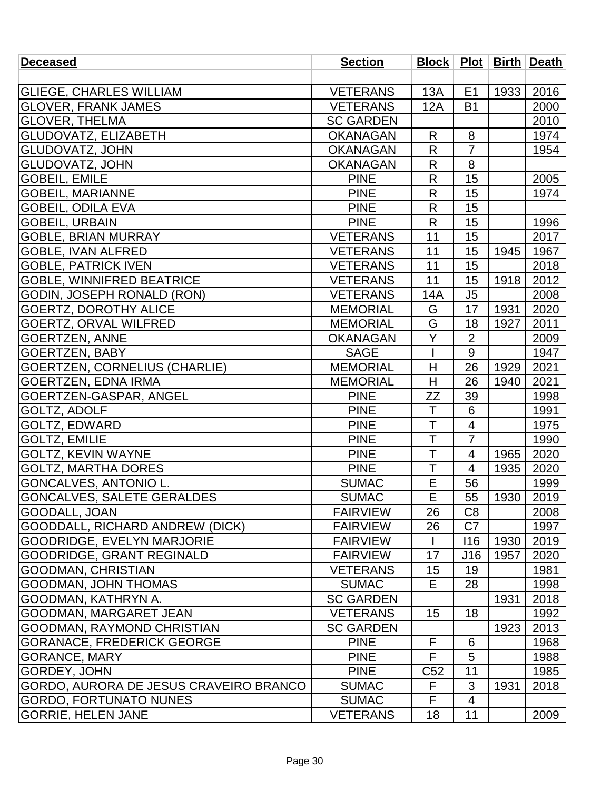| <b>Deceased</b>                        | <b>Section</b>   |                         |                |      | Block   Plot   Birth   Death |
|----------------------------------------|------------------|-------------------------|----------------|------|------------------------------|
|                                        |                  |                         |                |      |                              |
| <b>GLIEGE, CHARLES WILLIAM</b>         | <b>VETERANS</b>  | 13A                     | E1             | 1933 | 2016                         |
| <b>GLOVER, FRANK JAMES</b>             | <b>VETERANS</b>  | 12A                     | <b>B1</b>      |      | 2000                         |
| <b>GLOVER, THELMA</b>                  | <b>SC GARDEN</b> |                         |                |      | 2010                         |
| <b>GLUDOVATZ, ELIZABETH</b>            | <b>OKANAGAN</b>  | R                       | 8              |      | 1974                         |
| <b>GLUDOVATZ, JOHN</b>                 | <b>OKANAGAN</b>  | R                       | $\overline{7}$ |      | 1954                         |
| <b>GLUDOVATZ, JOHN</b>                 | <b>OKANAGAN</b>  | $\mathsf{R}$            | 8              |      |                              |
| <b>GOBEIL, EMILE</b>                   | <b>PINE</b>      | R                       | 15             |      | 2005                         |
| <b>GOBEIL, MARIANNE</b>                | <b>PINE</b>      | $\mathsf{R}$            | 15             |      | 1974                         |
| <b>GOBEIL, ODILA EVA</b>               | <b>PINE</b>      | R                       | 15             |      |                              |
| <b>GOBEIL, URBAIN</b>                  | <b>PINE</b>      | $\mathsf{R}$            | 15             |      | 1996                         |
| <b>GOBLE, BRIAN MURRAY</b>             | <b>VETERANS</b>  | 11                      | 15             |      | 2017                         |
| <b>GOBLE, IVAN ALFRED</b>              | <b>VETERANS</b>  | 11                      | 15             | 1945 | 1967                         |
| <b>GOBLE, PATRICK IVEN</b>             | <b>VETERANS</b>  | 11                      | 15             |      | 2018                         |
| <b>GOBLE, WINNIFRED BEATRICE</b>       | <b>VETERANS</b>  | 11                      | 15             | 1918 | 2012                         |
| GODIN, JOSEPH RONALD (RON)             | <b>VETERANS</b>  | 14A                     | J <sub>5</sub> |      | 2008                         |
| <b>GOERTZ, DOROTHY ALICE</b>           | <b>MEMORIAL</b>  | G                       | 17             | 1931 | 2020                         |
| <b>GOERTZ, ORVAL WILFRED</b>           | <b>MEMORIAL</b>  | G                       | 18             | 1927 | 2011                         |
| <b>GOERTZEN, ANNE</b>                  | <b>OKANAGAN</b>  | Y                       | $\overline{2}$ |      | 2009                         |
| <b>GOERTZEN, BABY</b>                  | <b>SAGE</b>      |                         | 9              |      | 1947                         |
| <b>GOERTZEN, CORNELIUS (CHARLIE)</b>   | <b>MEMORIAL</b>  | H                       | 26             | 1929 | 2021                         |
| <b>GOERTZEN, EDNA IRMA</b>             | <b>MEMORIAL</b>  | Η                       | 26             | 1940 | 2021                         |
| GOERTZEN-GASPAR, ANGEL                 | <b>PINE</b>      | ZΖ                      | 39             |      | 1998                         |
| <b>GOLTZ, ADOLF</b>                    | <b>PINE</b>      | T                       | 6              |      | 1991                         |
| <b>GOLTZ, EDWARD</b>                   | <b>PINE</b>      | $\mathsf T$             | 4              |      | 1975                         |
| <b>GOLTZ, EMILIE</b>                   | <b>PINE</b>      | T                       | $\overline{7}$ |      | 1990                         |
| <b>GOLTZ, KEVIN WAYNE</b>              | <b>PINE</b>      | T                       | 4              | 1965 | 2020                         |
| <b>GOLTZ, MARTHA DORES</b>             | <b>PINE</b>      | T                       | $\overline{4}$ | 1935 | 2020                         |
| GONCALVES, ANTONIO L.                  | <b>SUMAC</b>     | E                       | 56             |      | 1999                         |
| <b>GONCALVES, SALETE GERALDES</b>      | <b>SUMAC</b>     | $\overline{\mathsf{E}}$ | 55             | 1930 | 2019                         |
| GOODALL, JOAN                          | <b>FAIRVIEW</b>  | 26                      | C <sub>8</sub> |      | 2008                         |
| GOODDALL, RICHARD ANDREW (DICK)        | <b>FAIRVIEW</b>  | 26                      | C7             |      | 1997                         |
| GOODRIDGE, EVELYN MARJORIE             | <b>FAIRVIEW</b>  |                         | 116            | 1930 | 2019                         |
| <b>GOODRIDGE, GRANT REGINALD</b>       | <b>FAIRVIEW</b>  | 17                      | J16            | 1957 | 2020                         |
| <b>GOODMAN, CHRISTIAN</b>              | <b>VETERANS</b>  | 15                      | 19             |      | 1981                         |
| <b>GOODMAN, JOHN THOMAS</b>            | <b>SUMAC</b>     | Е                       | 28             |      | 1998                         |
| GOODMAN, KATHRYN A.                    | <b>SC GARDEN</b> |                         |                | 1931 | 2018                         |
| <b>GOODMAN, MARGARET JEAN</b>          | <b>VETERANS</b>  | 15                      | 18             |      | 1992                         |
| <b>GOODMAN, RAYMOND CHRISTIAN</b>      | <b>SC GARDEN</b> |                         |                | 1923 | 2013                         |
| <b>GORANACE, FREDERICK GEORGE</b>      | <b>PINE</b>      | F                       | 6              |      | 1968                         |
| <b>GORANCE, MARY</b>                   | <b>PINE</b>      | F                       | 5              |      | 1988                         |
| GORDEY, JOHN                           | <b>PINE</b>      | C <sub>52</sub>         | 11             |      | 1985                         |
| GORDO, AURORA DE JESUS CRAVEIRO BRANCO | <b>SUMAC</b>     | F                       | 3              | 1931 | 2018                         |
| <b>GORDO, FORTUNATO NUNES</b>          | <b>SUMAC</b>     | F                       | 4              |      |                              |
| <b>GORRIE, HELEN JANE</b>              | <b>VETERANS</b>  | 18                      | 11             |      | 2009                         |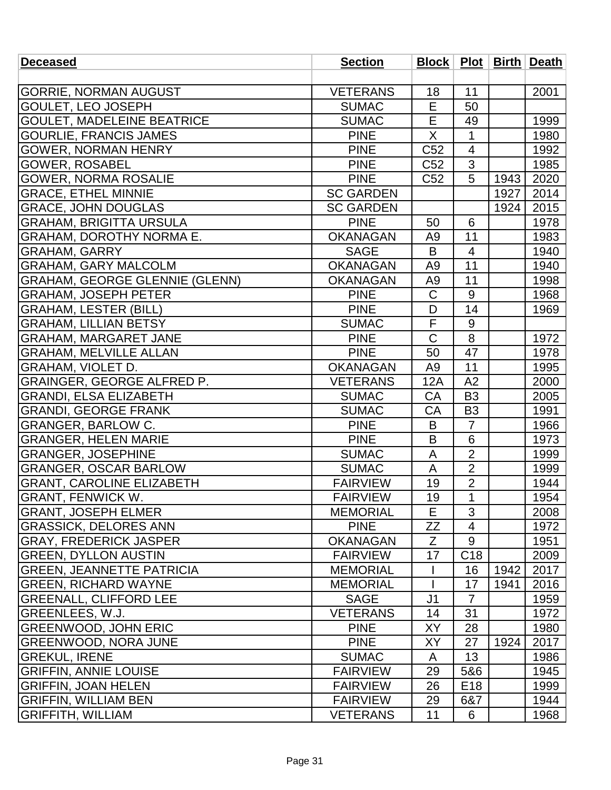| <b>Deceased</b>                       | <b>Section</b>   |                 |                         |      | Block   Plot   Birth   Death |
|---------------------------------------|------------------|-----------------|-------------------------|------|------------------------------|
|                                       |                  |                 |                         |      |                              |
| <b>GORRIE, NORMAN AUGUST</b>          | <b>VETERANS</b>  | 18              | 11                      |      | 2001                         |
| <b>GOULET, LEO JOSEPH</b>             | <b>SUMAC</b>     | E               | 50                      |      |                              |
| <b>GOULET, MADELEINE BEATRICE</b>     | <b>SUMAC</b>     | E               | 49                      |      | 1999                         |
| <b>GOURLIE, FRANCIS JAMES</b>         | <b>PINE</b>      | X               | 1                       |      | 1980                         |
| GOWER, NORMAN HENRY                   | <b>PINE</b>      | C <sub>52</sub> | $\overline{\mathbf{4}}$ |      | 1992                         |
| <b>GOWER, ROSABEL</b>                 | <b>PINE</b>      | C <sub>52</sub> | 3                       |      | 1985                         |
| <b>GOWER, NORMA ROSALIE</b>           | <b>PINE</b>      | C <sub>52</sub> | 5                       | 1943 | 2020                         |
| <b>GRACE, ETHEL MINNIE</b>            | <b>SC GARDEN</b> |                 |                         | 1927 | 2014                         |
| <b>GRACE, JOHN DOUGLAS</b>            | <b>SC GARDEN</b> |                 |                         | 1924 | 2015                         |
| <b>GRAHAM, BRIGITTA URSULA</b>        | <b>PINE</b>      | 50              | 6                       |      | 1978                         |
| <b>GRAHAM, DOROTHY NORMA E.</b>       | <b>OKANAGAN</b>  | A <sub>9</sub>  | 11                      |      | 1983                         |
| <b>GRAHAM, GARRY</b>                  | <b>SAGE</b>      | B               | $\overline{4}$          |      | 1940                         |
| <b>GRAHAM, GARY MALCOLM</b>           | <b>OKANAGAN</b>  | A <sub>9</sub>  | 11                      |      | 1940                         |
| <b>GRAHAM, GEORGE GLENNIE (GLENN)</b> | <b>OKANAGAN</b>  | A9              | $\overline{11}$         |      | 1998                         |
| <b>GRAHAM, JOSEPH PETER</b>           | <b>PINE</b>      | $\mathsf C$     | 9                       |      | 1968                         |
| <b>GRAHAM, LESTER (BILL)</b>          | <b>PINE</b>      | D               | 14                      |      | 1969                         |
| <b>GRAHAM, LILLIAN BETSY</b>          | <b>SUMAC</b>     | $\mathsf F$     | 9                       |      |                              |
| <b>GRAHAM, MARGARET JANE</b>          | <b>PINE</b>      | $\mathsf C$     | 8                       |      | 1972                         |
| <b>GRAHAM, MELVILLE ALLAN</b>         | <b>PINE</b>      | 50              | 47                      |      | 1978                         |
| <b>GRAHAM, VIOLET D.</b>              | <b>OKANAGAN</b>  | A <sub>9</sub>  | 11                      |      | 1995                         |
| <b>GRAINGER, GEORGE ALFRED P.</b>     | <b>VETERANS</b>  | 12A             | A2                      |      | 2000                         |
| <b>GRANDI, ELSA ELIZABETH</b>         | <b>SUMAC</b>     | CA              | B <sub>3</sub>          |      | 2005                         |
| <b>GRANDI, GEORGE FRANK</b>           | <b>SUMAC</b>     | CA              | B <sub>3</sub>          |      | 1991                         |
| <b>GRANGER, BARLOW C.</b>             | <b>PINE</b>      | B               | $\overline{7}$          |      | 1966                         |
| <b>GRANGER, HELEN MARIE</b>           | <b>PINE</b>      | B               | 6                       |      | 1973                         |
| <b>GRANGER, JOSEPHINE</b>             | <b>SUMAC</b>     | A               | $\overline{2}$          |      | 1999                         |
| <b>GRANGER, OSCAR BARLOW</b>          | <b>SUMAC</b>     | A               | $\overline{2}$          |      | 1999                         |
| <b>GRANT, CAROLINE ELIZABETH</b>      | <b>FAIRVIEW</b>  | 19              | $\overline{2}$          |      | 1944                         |
| GRANT, FENWICK W.                     | <b>FAIRVIEW</b>  | 19              | 1                       |      | 1954                         |
| <b>GRANT, JOSEPH ELMER</b>            | <b>MEMORIAL</b>  | E               | 3                       |      | 2008                         |
| <b>GRASSICK, DELORES ANN</b>          | <b>PINE</b>      | ZΖ              | 4                       |      | 1972                         |
| <b>GRAY, FREDERICK JASPER</b>         | <b>OKANAGAN</b>  | Z               | 9                       |      | 1951                         |
| <b>GREEN, DYLLON AUSTIN</b>           | <b>FAIRVIEW</b>  | 17              | C <sub>18</sub>         |      | 2009                         |
| <b>GREEN, JEANNETTE PATRICIA</b>      | <b>MEMORIAL</b>  |                 | 16                      | 1942 | 2017                         |
| <b>GREEN, RICHARD WAYNE</b>           | <b>MEMORIAL</b>  |                 | 17                      | 1941 | 2016                         |
| <b>GREENALL, CLIFFORD LEE</b>         | <b>SAGE</b>      | J <sub>1</sub>  | $\overline{7}$          |      | 1959                         |
| GREENLEES, W.J.                       | <b>VETERANS</b>  | 14              | 31                      |      | 1972                         |
| <b>GREENWOOD, JOHN ERIC</b>           | <b>PINE</b>      | XY              | 28                      |      | 1980                         |
| <b>GREENWOOD, NORA JUNE</b>           | <b>PINE</b>      | XY              | 27                      | 1924 | 2017                         |
| <b>GREKUL, IRENE</b>                  | <b>SUMAC</b>     | A               | 13                      |      | 1986                         |
| <b>GRIFFIN, ANNIE LOUISE</b>          | <b>FAIRVIEW</b>  | 29              | 5&6                     |      | 1945                         |
| <b>GRIFFIN, JOAN HELEN</b>            | <b>FAIRVIEW</b>  | 26              | E <sub>18</sub>         |      | 1999                         |
| <b>GRIFFIN, WILLIAM BEN</b>           | <b>FAIRVIEW</b>  | 29              | 6&7                     |      | 1944                         |
| <b>GRIFFITH, WILLIAM</b>              | <b>VETERANS</b>  | 11              | 6                       |      | 1968                         |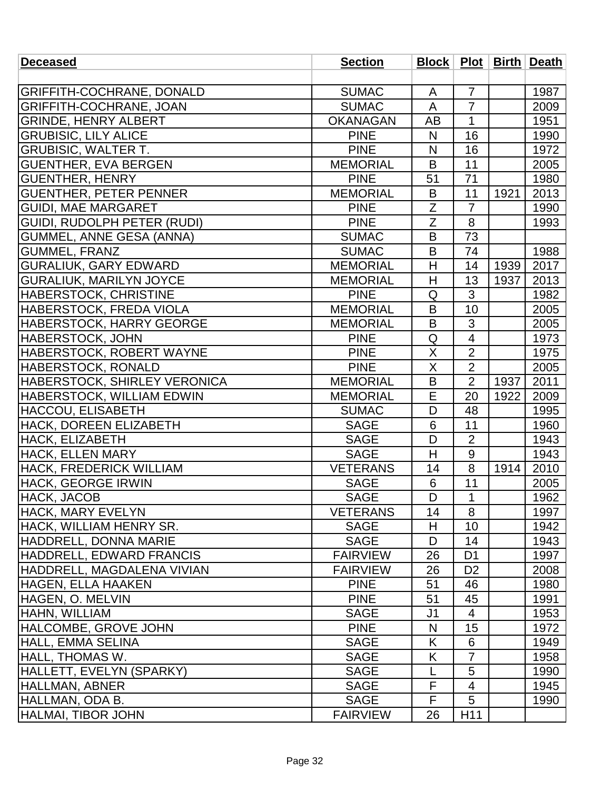| <b>Deceased</b>                  | <b>Section</b>  | <b>Block   Plot  </b> |                |      | <b>Birth Death</b> |
|----------------------------------|-----------------|-----------------------|----------------|------|--------------------|
|                                  |                 |                       |                |      |                    |
| GRIFFITH-COCHRANE, DONALD        | <b>SUMAC</b>    | A                     | $\overline{7}$ |      | 1987               |
| <b>GRIFFITH-COCHRANE, JOAN</b>   | <b>SUMAC</b>    | A                     | $\overline{7}$ |      | 2009               |
| <b>GRINDE, HENRY ALBERT</b>      | <b>OKANAGAN</b> | AB                    | $\mathbf{1}$   |      | 1951               |
| <b>GRUBISIC, LILY ALICE</b>      | <b>PINE</b>     | N                     | 16             |      | 1990               |
| <b>GRUBISIC, WALTER T.</b>       | <b>PINE</b>     | N                     | 16             |      | 1972               |
| <b>GUENTHER, EVA BERGEN</b>      | <b>MEMORIAL</b> | B                     | 11             |      | 2005               |
| <b>GUENTHER, HENRY</b>           | <b>PINE</b>     | 51                    | 71             |      | 1980               |
| <b>GUENTHER, PETER PENNER</b>    | <b>MEMORIAL</b> | B                     | 11             | 1921 | 2013               |
| <b>GUIDI, MAE MARGARET</b>       | <b>PINE</b>     | Ζ                     | $\overline{7}$ |      | 1990               |
| GUIDI, RUDOLPH PETER (RUDI)      | <b>PINE</b>     | $\overline{Z}$        | 8              |      | 1993               |
| <b>GUMMEL, ANNE GESA (ANNA)</b>  | <b>SUMAC</b>    | B                     | 73             |      |                    |
| <b>GUMMEL, FRANZ</b>             | <b>SUMAC</b>    | B                     | 74             |      | 1988               |
| <b>GURALIUK, GARY EDWARD</b>     | <b>MEMORIAL</b> | H                     | 14             | 1939 | 2017               |
| <b>GURALIUK, MARILYN JOYCE</b>   | <b>MEMORIAL</b> | H                     | 13             | 1937 | 2013               |
| HABERSTOCK, CHRISTINE            | <b>PINE</b>     | Q                     | 3              |      | 1982               |
| HABERSTOCK, FREDA VIOLA          | <b>MEMORIAL</b> | B                     | 10             |      | 2005               |
| HABERSTOCK, HARRY GEORGE         | <b>MEMORIAL</b> | B                     | 3              |      | 2005               |
| <b>HABERSTOCK, JOHN</b>          | <b>PINE</b>     | Q                     | $\overline{4}$ |      | 1973               |
| HABERSTOCK, ROBERT WAYNE         | <b>PINE</b>     | X                     | $\overline{2}$ |      | 1975               |
| HABERSTOCK, RONALD               | <b>PINE</b>     | $\sf X$               | $\overline{2}$ |      | 2005               |
| HABERSTOCK, SHIRLEY VERONICA     | <b>MEMORIAL</b> | B                     | $\overline{2}$ | 1937 | 2011               |
| <b>HABERSTOCK, WILLIAM EDWIN</b> | <b>MEMORIAL</b> | E                     | 20             | 1922 | 2009               |
| <b>HACCOU, ELISABETH</b>         | <b>SUMAC</b>    | D                     | 48             |      | 1995               |
| HACK, DOREEN ELIZABETH           | <b>SAGE</b>     | 6                     | 11             |      | 1960               |
| HACK, ELIZABETH                  | <b>SAGE</b>     | D                     | $\overline{2}$ |      | 1943               |
| <b>HACK, ELLEN MARY</b>          | <b>SAGE</b>     | H                     | $\overline{9}$ |      | 1943               |
| HACK, FREDERICK WILLIAM          | <b>VETERANS</b> | 14                    | 8              | 1914 | 2010               |
| <b>HACK, GEORGE IRWIN</b>        | <b>SAGE</b>     | 6                     | 11             |      | 2005               |
| HACK, JACOB                      | <b>SAGE</b>     | $\overline{D}$        | $\mathbf{1}$   |      | 1962               |
| <b>HACK, MARY EVELYN</b>         | <b>VETERANS</b> | 14                    | 8              |      | 1997               |
| HACK, WILLIAM HENRY SR.          | <b>SAGE</b>     | H                     | 10             |      | 1942               |
| HADDRELL, DONNA MARIE            | <b>SAGE</b>     | D                     | 14             |      | 1943               |
| HADDRELL, EDWARD FRANCIS         | <b>FAIRVIEW</b> | 26                    | D <sub>1</sub> |      | 1997               |
| HADDRELL, MAGDALENA VIVIAN       | <b>FAIRVIEW</b> | 26                    | D <sub>2</sub> |      | 2008               |
| HAGEN, ELLA HAAKEN               | <b>PINE</b>     | 51                    | 46             |      | 1980               |
| HAGEN, O. MELVIN                 | <b>PINE</b>     | 51                    | 45             |      | 1991               |
| HAHN, WILLIAM                    | <b>SAGE</b>     | J <sub>1</sub>        | $\overline{4}$ |      | 1953               |
| <b>HALCOMBE, GROVE JOHN</b>      | <b>PINE</b>     | N                     | 15             |      | 1972               |
| <b>HALL, EMMA SELINA</b>         | <b>SAGE</b>     | K                     | 6              |      | 1949               |
| <b>HALL, THOMAS W.</b>           | <b>SAGE</b>     | K                     | $\overline{7}$ |      | 1958               |
| HALLETT, EVELYN (SPARKY)         | <b>SAGE</b>     | L                     | 5              |      | 1990               |
| HALLMAN, ABNER                   | <b>SAGE</b>     | F                     | 4              |      | 1945               |
| HALLMAN, ODA B.                  | <b>SAGE</b>     | F                     | 5              |      | 1990               |
| <b>HALMAI, TIBOR JOHN</b>        | <b>FAIRVIEW</b> | 26                    | H11            |      |                    |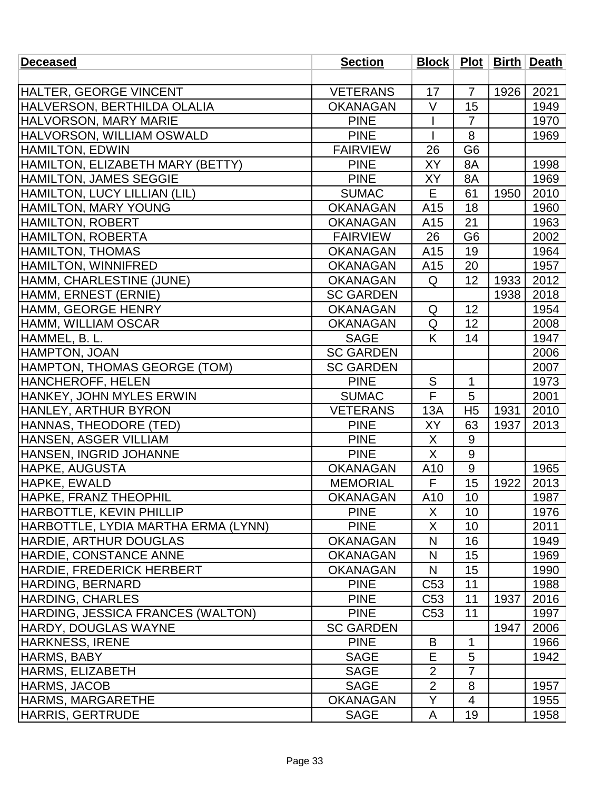| HALTER, GEORGE VINCENT<br><b>VETERANS</b><br>17<br>$\overline{7}$<br>1926<br>2021<br>$\vee$<br>15<br>HALVERSON, BERTHILDA OLALIA<br><b>OKANAGAN</b><br>1949<br><b>HALVORSON, MARY MARIE</b><br><b>PINE</b><br>1970<br>$\overline{7}$<br>8<br>HALVORSON, WILLIAM OSWALD<br><b>PINE</b><br>1969<br><b>HAMILTON, EDWIN</b><br>G <sub>6</sub><br><b>FAIRVIEW</b><br>26<br>HAMILTON, ELIZABETH MARY (BETTY)<br>XY<br><b>PINE</b><br>8A<br>1998<br><b>HAMILTON, JAMES SEGGIE</b><br><b>PINE</b><br>1969<br>XY<br>8A<br>HAMILTON, LUCY LILLIAN (LIL)<br><b>SUMAC</b><br>Е<br>61<br>1950<br>2010<br><b>HAMILTON, MARY YOUNG</b><br>18<br><b>OKANAGAN</b><br>A15<br>1960<br>HAMILTON, ROBERT<br>21<br>1963<br><b>OKANAGAN</b><br>A <sub>15</sub><br>HAMILTON, ROBERTA<br>G <sub>6</sub><br><b>FAIRVIEW</b><br>26<br>2002<br><b>HAMILTON, THOMAS</b><br><b>OKANAGAN</b><br>A15<br>19<br>1964<br>HAMILTON, WINNIFRED<br>20<br>1957<br><b>OKANAGAN</b><br>A15 |
|---------------------------------------------------------------------------------------------------------------------------------------------------------------------------------------------------------------------------------------------------------------------------------------------------------------------------------------------------------------------------------------------------------------------------------------------------------------------------------------------------------------------------------------------------------------------------------------------------------------------------------------------------------------------------------------------------------------------------------------------------------------------------------------------------------------------------------------------------------------------------------------------------------------------------------------------------|
|                                                                                                                                                                                                                                                                                                                                                                                                                                                                                                                                                                                                                                                                                                                                                                                                                                                                                                                                                   |
|                                                                                                                                                                                                                                                                                                                                                                                                                                                                                                                                                                                                                                                                                                                                                                                                                                                                                                                                                   |
|                                                                                                                                                                                                                                                                                                                                                                                                                                                                                                                                                                                                                                                                                                                                                                                                                                                                                                                                                   |
|                                                                                                                                                                                                                                                                                                                                                                                                                                                                                                                                                                                                                                                                                                                                                                                                                                                                                                                                                   |
|                                                                                                                                                                                                                                                                                                                                                                                                                                                                                                                                                                                                                                                                                                                                                                                                                                                                                                                                                   |
|                                                                                                                                                                                                                                                                                                                                                                                                                                                                                                                                                                                                                                                                                                                                                                                                                                                                                                                                                   |
|                                                                                                                                                                                                                                                                                                                                                                                                                                                                                                                                                                                                                                                                                                                                                                                                                                                                                                                                                   |
|                                                                                                                                                                                                                                                                                                                                                                                                                                                                                                                                                                                                                                                                                                                                                                                                                                                                                                                                                   |
|                                                                                                                                                                                                                                                                                                                                                                                                                                                                                                                                                                                                                                                                                                                                                                                                                                                                                                                                                   |
|                                                                                                                                                                                                                                                                                                                                                                                                                                                                                                                                                                                                                                                                                                                                                                                                                                                                                                                                                   |
|                                                                                                                                                                                                                                                                                                                                                                                                                                                                                                                                                                                                                                                                                                                                                                                                                                                                                                                                                   |
|                                                                                                                                                                                                                                                                                                                                                                                                                                                                                                                                                                                                                                                                                                                                                                                                                                                                                                                                                   |
|                                                                                                                                                                                                                                                                                                                                                                                                                                                                                                                                                                                                                                                                                                                                                                                                                                                                                                                                                   |
|                                                                                                                                                                                                                                                                                                                                                                                                                                                                                                                                                                                                                                                                                                                                                                                                                                                                                                                                                   |
| 12<br>HAMM, CHARLESTINE (JUNE)<br>2012<br><b>OKANAGAN</b><br>Q<br>1933                                                                                                                                                                                                                                                                                                                                                                                                                                                                                                                                                                                                                                                                                                                                                                                                                                                                            |
| HAMM, ERNEST (ERNIE)<br>2018<br><b>SC GARDEN</b><br>1938                                                                                                                                                                                                                                                                                                                                                                                                                                                                                                                                                                                                                                                                                                                                                                                                                                                                                          |
| HAMM, GEORGE HENRY<br>12<br>1954<br><b>OKANAGAN</b><br>Q                                                                                                                                                                                                                                                                                                                                                                                                                                                                                                                                                                                                                                                                                                                                                                                                                                                                                          |
| Q<br>HAMM, WILLIAM OSCAR<br>12<br>2008<br><b>OKANAGAN</b>                                                                                                                                                                                                                                                                                                                                                                                                                                                                                                                                                                                                                                                                                                                                                                                                                                                                                         |
| HAMMEL, B. L.<br>K<br><b>SAGE</b><br>14<br>1947                                                                                                                                                                                                                                                                                                                                                                                                                                                                                                                                                                                                                                                                                                                                                                                                                                                                                                   |
| HAMPTON, JOAN<br><b>SC GARDEN</b><br>2006                                                                                                                                                                                                                                                                                                                                                                                                                                                                                                                                                                                                                                                                                                                                                                                                                                                                                                         |
| HAMPTON, THOMAS GEORGE (TOM)<br><b>SC GARDEN</b><br>2007                                                                                                                                                                                                                                                                                                                                                                                                                                                                                                                                                                                                                                                                                                                                                                                                                                                                                          |
| <b>HANCHEROFF, HELEN</b><br><b>PINE</b><br>S<br>1<br>1973                                                                                                                                                                                                                                                                                                                                                                                                                                                                                                                                                                                                                                                                                                                                                                                                                                                                                         |
| F<br>HANKEY, JOHN MYLES ERWIN<br>5<br>2001<br><b>SUMAC</b>                                                                                                                                                                                                                                                                                                                                                                                                                                                                                                                                                                                                                                                                                                                                                                                                                                                                                        |
| <b>HANLEY, ARTHUR BYRON</b><br>H <sub>5</sub><br><b>VETERANS</b><br>13A<br>1931<br>2010                                                                                                                                                                                                                                                                                                                                                                                                                                                                                                                                                                                                                                                                                                                                                                                                                                                           |
| HANNAS, THEODORE (TED)<br>XY<br>2013<br><b>PINE</b><br>63<br>1937                                                                                                                                                                                                                                                                                                                                                                                                                                                                                                                                                                                                                                                                                                                                                                                                                                                                                 |
| HANSEN, ASGER VILLIAM<br><b>PINE</b><br>X<br>9                                                                                                                                                                                                                                                                                                                                                                                                                                                                                                                                                                                                                                                                                                                                                                                                                                                                                                    |
| X<br>$9\,$<br>HANSEN, INGRID JOHANNE<br><b>PINE</b>                                                                                                                                                                                                                                                                                                                                                                                                                                                                                                                                                                                                                                                                                                                                                                                                                                                                                               |
| 9<br><b>HAPKE, AUGUSTA</b><br><b>OKANAGAN</b><br>A10<br>1965                                                                                                                                                                                                                                                                                                                                                                                                                                                                                                                                                                                                                                                                                                                                                                                                                                                                                      |
| F<br>15<br>HAPKE, EWALD<br>1922<br>2013<br><b>MEMORIAL</b>                                                                                                                                                                                                                                                                                                                                                                                                                                                                                                                                                                                                                                                                                                                                                                                                                                                                                        |
| 10<br>1987<br>HAPKE, FRANZ THEOPHIL<br>OKANAGAN<br>A10                                                                                                                                                                                                                                                                                                                                                                                                                                                                                                                                                                                                                                                                                                                                                                                                                                                                                            |
| <b>HARBOTTLE, KEVIN PHILLIP</b><br>X<br>10<br><b>PINE</b><br>1976                                                                                                                                                                                                                                                                                                                                                                                                                                                                                                                                                                                                                                                                                                                                                                                                                                                                                 |
| HARBOTTLE, LYDIA MARTHA ERMA (LYNN)<br><b>PINE</b><br>10<br>2011<br>X                                                                                                                                                                                                                                                                                                                                                                                                                                                                                                                                                                                                                                                                                                                                                                                                                                                                             |
| <b>HARDIE, ARTHUR DOUGLAS</b><br><b>OKANAGAN</b><br>N<br>16<br>1949                                                                                                                                                                                                                                                                                                                                                                                                                                                                                                                                                                                                                                                                                                                                                                                                                                                                               |
| <b>HARDIE, CONSTANCE ANNE</b><br><b>OKANAGAN</b><br>N<br>15<br>1969                                                                                                                                                                                                                                                                                                                                                                                                                                                                                                                                                                                                                                                                                                                                                                                                                                                                               |
| <b>HARDIE, FREDERICK HERBERT</b><br><b>OKANAGAN</b><br>N<br>15<br>1990                                                                                                                                                                                                                                                                                                                                                                                                                                                                                                                                                                                                                                                                                                                                                                                                                                                                            |
| 11<br><b>HARDING, BERNARD</b><br><b>PINE</b><br>C <sub>53</sub><br>1988                                                                                                                                                                                                                                                                                                                                                                                                                                                                                                                                                                                                                                                                                                                                                                                                                                                                           |
| <b>HARDING, CHARLES</b><br><b>PINE</b><br>11<br>2016<br>C <sub>53</sub><br>1937                                                                                                                                                                                                                                                                                                                                                                                                                                                                                                                                                                                                                                                                                                                                                                                                                                                                   |
| HARDING, JESSICA FRANCES (WALTON)<br>C <sub>53</sub><br>11<br><b>PINE</b><br>1997                                                                                                                                                                                                                                                                                                                                                                                                                                                                                                                                                                                                                                                                                                                                                                                                                                                                 |
| <b>HARDY, DOUGLAS WAYNE</b><br><b>SC GARDEN</b><br>1947<br>2006                                                                                                                                                                                                                                                                                                                                                                                                                                                                                                                                                                                                                                                                                                                                                                                                                                                                                   |
| <b>PINE</b><br><b>HARKNESS, IRENE</b><br>B<br>1<br>1966                                                                                                                                                                                                                                                                                                                                                                                                                                                                                                                                                                                                                                                                                                                                                                                                                                                                                           |
| E<br>5<br><b>HARMS, BABY</b><br><b>SAGE</b><br>1942                                                                                                                                                                                                                                                                                                                                                                                                                                                                                                                                                                                                                                                                                                                                                                                                                                                                                               |
| $\overline{2}$<br>$\overline{7}$<br><b>HARMS, ELIZABETH</b><br><b>SAGE</b>                                                                                                                                                                                                                                                                                                                                                                                                                                                                                                                                                                                                                                                                                                                                                                                                                                                                        |
| $\overline{2}$<br><b>HARMS, JACOB</b><br>8<br><b>SAGE</b><br>1957                                                                                                                                                                                                                                                                                                                                                                                                                                                                                                                                                                                                                                                                                                                                                                                                                                                                                 |
| <b>OKANAGAN</b><br><b>HARMS, MARGARETHE</b><br>Y<br>4<br>1955                                                                                                                                                                                                                                                                                                                                                                                                                                                                                                                                                                                                                                                                                                                                                                                                                                                                                     |
| <b>SAGE</b><br>19<br><b>HARRIS, GERTRUDE</b><br>1958<br>A                                                                                                                                                                                                                                                                                                                                                                                                                                                                                                                                                                                                                                                                                                                                                                                                                                                                                         |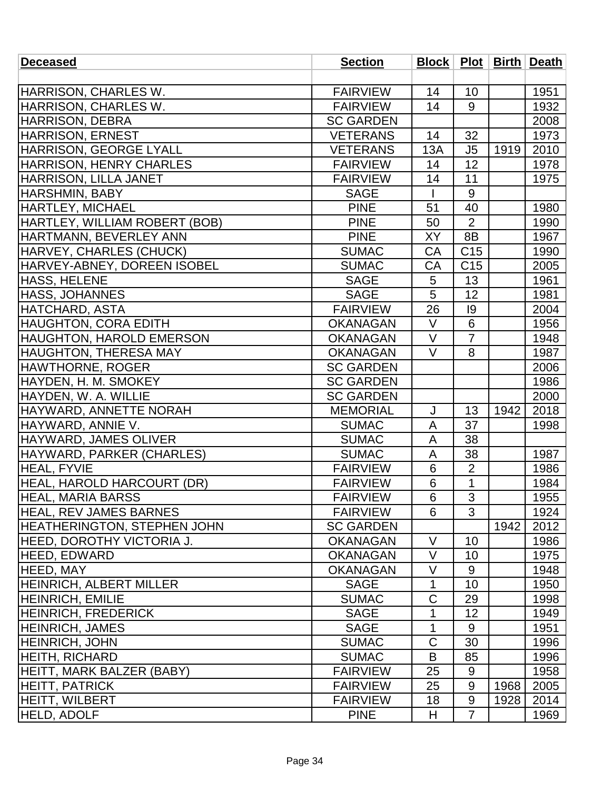| <b>Deceased</b>                    | <b>Section</b>   |                 |                 |      | Block   Plot   Birth   Death |
|------------------------------------|------------------|-----------------|-----------------|------|------------------------------|
|                                    |                  |                 |                 |      |                              |
| HARRISON, CHARLES W.               | <b>FAIRVIEW</b>  | 14              | 10              |      | 1951                         |
| HARRISON, CHARLES W.               | <b>FAIRVIEW</b>  | 14              | 9               |      | 1932                         |
| <b>HARRISON, DEBRA</b>             | <b>SC GARDEN</b> |                 |                 |      | 2008                         |
| HARRISON, ERNEST                   | <b>VETERANS</b>  | 14              | 32              |      | 1973                         |
| <b>HARRISON, GEORGE LYALL</b>      | <b>VETERANS</b>  | 13A             | J <sub>5</sub>  | 1919 | 2010                         |
| <b>HARRISON, HENRY CHARLES</b>     | <b>FAIRVIEW</b>  | 14              | 12              |      | 1978                         |
| HARRISON, LILLA JANET              | <b>FAIRVIEW</b>  | 14              | 11              |      | 1975                         |
| <b>HARSHMIN, BABY</b>              | <b>SAGE</b>      |                 | 9               |      |                              |
| <b>HARTLEY, MICHAEL</b>            | <b>PINE</b>      | 51              | 40              |      | 1980                         |
| HARTLEY, WILLIAM ROBERT (BOB)      | <b>PINE</b>      | 50              | $\overline{2}$  |      | 1990                         |
| HARTMANN, BEVERLEY ANN             | <b>PINE</b>      | XY              | 8B              |      | 1967                         |
| HARVEY, CHARLES (CHUCK)            | <b>SUMAC</b>     | CA              | C <sub>15</sub> |      | 1990                         |
| HARVEY-ABNEY, DOREEN ISOBEL        | <b>SUMAC</b>     | CA              | C <sub>15</sub> |      | 2005                         |
| <b>HASS, HELENE</b>                | <b>SAGE</b>      | 5               | 13              |      | 1961                         |
| <b>HASS, JOHANNES</b>              | <b>SAGE</b>      | 5               | 12              |      | 1981                         |
| <b>HATCHARD, ASTA</b>              | <b>FAIRVIEW</b>  | 26              | 9               |      | 2004                         |
| <b>HAUGHTON, CORA EDITH</b>        | <b>OKANAGAN</b>  | V               | 6               |      | 1956                         |
| <b>HAUGHTON, HAROLD EMERSON</b>    | <b>OKANAGAN</b>  | $\vee$          | $\overline{7}$  |      | 1948                         |
| <b>HAUGHTON, THERESA MAY</b>       | <b>OKANAGAN</b>  | $\vee$          | 8               |      | 1987                         |
| HAWTHORNE, ROGER                   | <b>SC GARDEN</b> |                 |                 |      | 2006                         |
| HAYDEN, H. M. SMOKEY               | <b>SC GARDEN</b> |                 |                 |      | 1986                         |
| HAYDEN, W. A. WILLIE               | <b>SC GARDEN</b> |                 |                 |      | 2000                         |
| <b>HAYWARD, ANNETTE NORAH</b>      | <b>MEMORIAL</b>  | J               | 13              | 1942 | 2018                         |
| HAYWARD, ANNIE V.                  | <b>SUMAC</b>     | A               | 37              |      | 1998                         |
| HAYWARD, JAMES OLIVER              | <b>SUMAC</b>     | A               | 38              |      |                              |
| HAYWARD, PARKER (CHARLES)          | <b>SUMAC</b>     | A               | 38              |      | 1987                         |
| <b>HEAL, FYVIE</b>                 | <b>FAIRVIEW</b>  | 6               | $\overline{2}$  |      | 1986                         |
| <b>HEAL, HAROLD HARCOURT (DR)</b>  | <b>FAIRVIEW</b>  | 6               | $\mathbf{1}$    |      | 1984                         |
| <b>HEAL, MARIA BARSS</b>           | <b>FAIRVIEW</b>  | $6\phantom{1}6$ | 3               |      | 1955                         |
| <b>HEAL, REV JAMES BARNES</b>      | <b>FAIRVIEW</b>  | 6               | 3               |      | 1924                         |
| <b>HEATHERINGTON, STEPHEN JOHN</b> | <b>SC GARDEN</b> |                 |                 | 1942 | 2012                         |
| HEED, DOROTHY VICTORIA J.          | <b>OKANAGAN</b>  | $\vee$          | 10              |      | 1986                         |
| <b>HEED, EDWARD</b>                | <b>OKANAGAN</b>  | $\vee$          | 10              |      | 1975                         |
| <b>HEED, MAY</b>                   | <b>OKANAGAN</b>  | $\vee$          | 9               |      | 1948                         |
| <b>HEINRICH, ALBERT MILLER</b>     | <b>SAGE</b>      | 1               | 10              |      | 1950                         |
| <b>HEINRICH, EMILIE</b>            | <b>SUMAC</b>     | $\mathsf C$     | 29              |      | 1998                         |
| <b>HEINRICH, FREDERICK</b>         | <b>SAGE</b>      | 1               | 12              |      | 1949                         |
| <b>HEINRICH, JAMES</b>             | <b>SAGE</b>      | 1               | 9               |      | 1951                         |
| <b>HEINRICH, JOHN</b>              | <b>SUMAC</b>     | $\mathsf C$     | 30              |      | 1996                         |
| <b>HEITH, RICHARD</b>              | <b>SUMAC</b>     | B               | 85              |      | 1996                         |
| HEITT, MARK BALZER (BABY)          | <b>FAIRVIEW</b>  | 25              | 9               |      | 1958                         |
| <b>HEITT, PATRICK</b>              | <b>FAIRVIEW</b>  | 25              | 9               | 1968 | 2005                         |
| <b>HEITT, WILBERT</b>              | <b>FAIRVIEW</b>  | 18              | 9               | 1928 | 2014                         |
| <b>HELD, ADOLF</b>                 | <b>PINE</b>      | H               | $\overline{7}$  |      | 1969                         |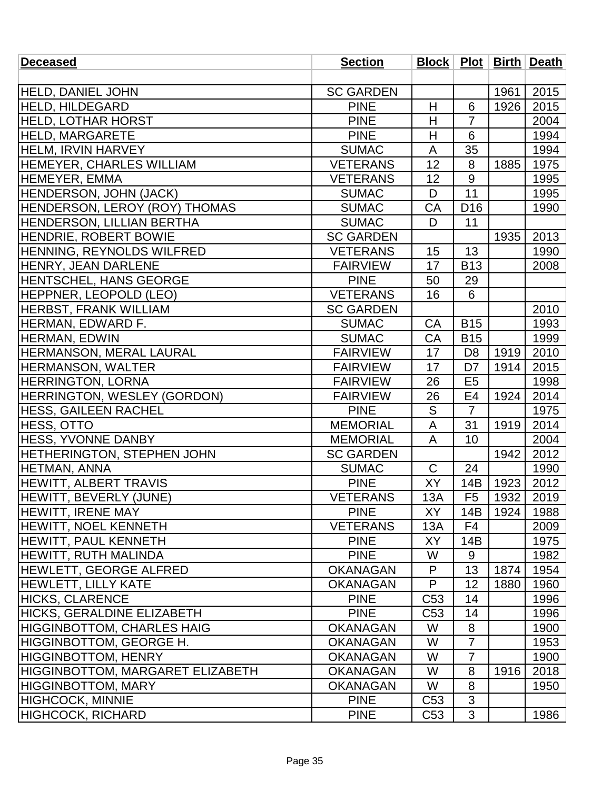| <b>Deceased</b>                         | <b>Section</b>   |                 |                 |      | Block   Plot   Birth   Death |
|-----------------------------------------|------------------|-----------------|-----------------|------|------------------------------|
|                                         |                  |                 |                 |      |                              |
| <b>HELD, DANIEL JOHN</b>                | <b>SC GARDEN</b> |                 |                 | 1961 | 2015                         |
| <b>HELD, HILDEGARD</b>                  | <b>PINE</b>      | H               | 6               | 1926 | 2015                         |
| <b>HELD, LOTHAR HORST</b>               | <b>PINE</b>      | H               | $\overline{7}$  |      | 2004                         |
| <b>HELD, MARGARETE</b>                  | <b>PINE</b>      | H               | 6               |      | 1994                         |
| <b>HELM, IRVIN HARVEY</b>               | <b>SUMAC</b>     | A               | 35              |      | 1994                         |
| <b>HEMEYER, CHARLES WILLIAM</b>         | <b>VETERANS</b>  | 12              | 8               | 1885 | 1975                         |
| HEMEYER, EMMA                           | <b>VETERANS</b>  | 12              | 9               |      | 1995                         |
| HENDERSON, JOHN (JACK)                  | <b>SUMAC</b>     | D               | 11              |      | 1995                         |
| HENDERSON, LEROY (ROY) THOMAS           | <b>SUMAC</b>     | <b>CA</b>       | D <sub>16</sub> |      | 1990                         |
| <b>HENDERSON, LILLIAN BERTHA</b>        | <b>SUMAC</b>     | D               | 11              |      |                              |
| <b>HENDRIE, ROBERT BOWIE</b>            | <b>SC GARDEN</b> |                 |                 | 1935 | 2013                         |
| HENNING, REYNOLDS WILFRED               | <b>VETERANS</b>  | 15              | 13              |      | 1990                         |
| <b>HENRY, JEAN DARLENE</b>              | <b>FAIRVIEW</b>  | 17              | <b>B13</b>      |      | 2008                         |
| HENTSCHEL, HANS GEORGE                  | <b>PINE</b>      | 50              | 29              |      |                              |
| HEPPNER, LEOPOLD (LEO)                  | <b>VETERANS</b>  | 16              | 6               |      |                              |
| <b>HERBST, FRANK WILLIAM</b>            | <b>SC GARDEN</b> |                 |                 |      | 2010                         |
| HERMAN, EDWARD F.                       | <b>SUMAC</b>     | CA              | <b>B15</b>      |      | 1993                         |
| <b>HERMAN, EDWIN</b>                    | <b>SUMAC</b>     | CA              | <b>B15</b>      |      | 1999                         |
| <b>HERMANSON, MERAL LAURAL</b>          | <b>FAIRVIEW</b>  | 17              | D <sub>8</sub>  | 1919 | 2010                         |
| <b>HERMANSON, WALTER</b>                | <b>FAIRVIEW</b>  | 17              | D <sub>7</sub>  | 1914 | 2015                         |
| <b>HERRINGTON, LORNA</b>                | <b>FAIRVIEW</b>  | 26              | E <sub>5</sub>  |      | 1998                         |
| <b>HERRINGTON, WESLEY (GORDON)</b>      | <b>FAIRVIEW</b>  | 26              | E4              | 1924 | 2014                         |
| <b>HESS, GAILEEN RACHEL</b>             | <b>PINE</b>      | S               | $\overline{7}$  |      | 1975                         |
| <b>HESS, OTTO</b>                       | <b>MEMORIAL</b>  | A               | 31              | 1919 | 2014                         |
| HESS, YVONNE DANBY                      | <b>MEMORIAL</b>  | $\overline{A}$  | 10              |      | 2004                         |
| <b>HETHERINGTON, STEPHEN JOHN</b>       | <b>SC GARDEN</b> |                 |                 | 1942 | 2012                         |
| HETMAN, ANNA                            | <b>SUMAC</b>     | $\mathsf C$     | 24              |      | 1990                         |
| <b>HEWITT, ALBERT TRAVIS</b>            | <b>PINE</b>      | XY              | 14B             | 1923 | 2012                         |
| HEWITT, BEVERLY (JUNE)                  | <b>VETERANS</b>  | 13A             | F <sub>5</sub>  |      | 1932 2019                    |
| HEWITT, IRENE MAY                       | <b>PINE</b>      | XY              | 14B             | 1924 | 1988                         |
| <b>HEWITT, NOEL KENNETH</b>             | <b>VETERANS</b>  | 13A             | F4              |      | 2009                         |
| <b>HEWITT, PAUL KENNETH</b>             | <b>PINE</b>      | XY              | 14B             |      | 1975                         |
| HEWITT, RUTH MALINDA                    | <b>PINE</b>      | W               | 9               |      | 1982                         |
| <b>HEWLETT, GEORGE ALFRED</b>           | <b>OKANAGAN</b>  | P               | 13              | 1874 | 1954                         |
| <b>HEWLETT, LILLY KATE</b>              | <b>OKANAGAN</b>  | P               | 12              | 1880 | 1960                         |
| <b>HICKS, CLARENCE</b>                  | <b>PINE</b>      | C <sub>53</sub> | 14              |      | 1996                         |
| HICKS, GERALDINE ELIZABETH              | <b>PINE</b>      | C <sub>53</sub> | 14              |      | 1996                         |
| HIGGINBOTTOM, CHARLES HAIG              | <b>OKANAGAN</b>  | W               | 8               |      | 1900                         |
| HIGGINBOTTOM, GEORGE H.                 | <b>OKANAGAN</b>  | W               | $\overline{7}$  |      | 1953                         |
| <b>HIGGINBOTTOM, HENRY</b>              | <b>OKANAGAN</b>  | W               | 7               |      | 1900                         |
| <b>HIGGINBOTTOM, MARGARET ELIZABETH</b> | <b>OKANAGAN</b>  | W               | 8               | 1916 | 2018                         |
| <b>HIGGINBOTTOM, MARY</b>               | <b>OKANAGAN</b>  | W               | 8               |      | 1950                         |
| <b>HIGHCOCK, MINNIE</b>                 | <b>PINE</b>      | C <sub>53</sub> | 3               |      |                              |
| <b>HIGHCOCK, RICHARD</b>                | <b>PINE</b>      | C <sub>53</sub> | 3               |      | 1986                         |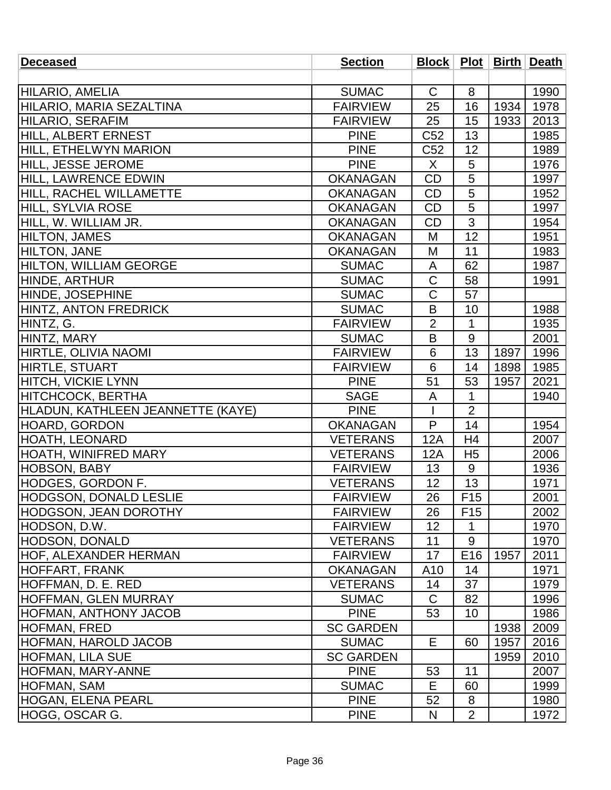| <b>Deceased</b>                   | <b>Section</b>   |                 |                 |      | Block   Plot   Birth   Death |
|-----------------------------------|------------------|-----------------|-----------------|------|------------------------------|
|                                   |                  |                 |                 |      |                              |
| <b>HILARIO, AMELIA</b>            | <b>SUMAC</b>     | C               | 8               |      | 1990                         |
| HILARIO, MARIA SEZALTINA          | <b>FAIRVIEW</b>  | 25              | 16              | 1934 | 1978                         |
| <b>HILARIO, SERAFIM</b>           | <b>FAIRVIEW</b>  | 25              | 15              | 1933 | 2013                         |
| HILL, ALBERT ERNEST               | <b>PINE</b>      | C <sub>52</sub> | 13              |      | 1985                         |
| HILL, ETHELWYN MARION             | <b>PINE</b>      | C <sub>52</sub> | 12              |      | 1989                         |
| <b>HILL, JESSE JEROME</b>         | <b>PINE</b>      | X               | 5               |      | 1976                         |
| <b>HILL, LAWRENCE EDWIN</b>       | <b>OKANAGAN</b>  | <b>CD</b>       | $\overline{5}$  |      | 1997                         |
| <b>HILL, RACHEL WILLAMETTE</b>    | <b>OKANAGAN</b>  | <b>CD</b>       | 5               |      | 1952                         |
| HILL, SYLVIA ROSE                 | <b>OKANAGAN</b>  | CD              | 5               |      | 1997                         |
| HILL, W. WILLIAM JR.              | <b>OKANAGAN</b>  | <b>CD</b>       | $\overline{3}$  |      | 1954                         |
| <b>HILTON, JAMES</b>              | <b>OKANAGAN</b>  | M               | 12              |      | 1951                         |
| <b>HILTON, JANE</b>               | <b>OKANAGAN</b>  | M               | 11              |      | 1983                         |
| <b>HILTON, WILLIAM GEORGE</b>     | <b>SUMAC</b>     | A               | 62              |      | 1987                         |
| HINDE, ARTHUR                     | <b>SUMAC</b>     | $\mathsf C$     | 58              |      | 1991                         |
| HINDE, JOSEPHINE                  | <b>SUMAC</b>     | C               | 57              |      |                              |
| HINTZ, ANTON FREDRICK             | <b>SUMAC</b>     | B               | 10              |      | 1988                         |
| HINTZ, G.                         | <b>FAIRVIEW</b>  | $\overline{2}$  | 1               |      | 1935                         |
| HINTZ, MARY                       | <b>SUMAC</b>     | B               | 9               |      | 2001                         |
| <b>HIRTLE, OLIVIA NAOMI</b>       | <b>FAIRVIEW</b>  | 6               | 13              | 1897 | 1996                         |
| <b>HIRTLE, STUART</b>             | <b>FAIRVIEW</b>  | 6               | 14              | 1898 | 1985                         |
| <b>HITCH, VICKIE LYNN</b>         | <b>PINE</b>      | 51              | 53              | 1957 | 2021                         |
| <b>HITCHCOCK, BERTHA</b>          | <b>SAGE</b>      | A               | 1               |      | 1940                         |
| HLADUN, KATHLEEN JEANNETTE (KAYE) | <b>PINE</b>      |                 | $\overline{2}$  |      |                              |
| <b>HOARD, GORDON</b>              | <b>OKANAGAN</b>  | P               | 14              |      | 1954                         |
| <b>HOATH, LEONARD</b>             | <b>VETERANS</b>  | 12A             | H <sub>4</sub>  |      | 2007                         |
| <b>HOATH, WINIFRED MARY</b>       | <b>VETERANS</b>  | 12A             | H <sub>5</sub>  |      | 2006                         |
| <b>HOBSON, BABY</b>               | <b>FAIRVIEW</b>  | 13              | 9               |      | 1936                         |
| HODGES, GORDON F.                 | <b>VETERANS</b>  | 12              | 13              |      | 1971                         |
| <b>HODGSON, DONALD LESLIE</b>     | <b>FAIRVIEW</b>  | 26              | F <sub>15</sub> |      | 2001                         |
| <b>HODGSON, JEAN DOROTHY</b>      | <b>FAIRVIEW</b>  | 26              | F <sub>15</sub> |      | 2002                         |
| <b>HODSON, D.W.</b>               | <b>FAIRVIEW</b>  | 12              | 1               |      | 1970                         |
| <b>HODSON, DONALD</b>             | <b>VETERANS</b>  | 11              | 9               |      | 1970                         |
| <b>HOF, ALEXANDER HERMAN</b>      | <b>FAIRVIEW</b>  | 17              | E <sub>16</sub> | 1957 | 2011                         |
| <b>HOFFART, FRANK</b>             | <b>OKANAGAN</b>  | A10             | 14              |      | 1971                         |
| HOFFMAN, D. E. RED                | <b>VETERANS</b>  | 14              | 37              |      | 1979                         |
| <b>HOFFMAN, GLEN MURRAY</b>       | <b>SUMAC</b>     | C               | 82              |      | 1996                         |
| <b>HOFMAN, ANTHONY JACOB</b>      | <b>PINE</b>      | 53              | 10              |      | 1986                         |
| <b>HOFMAN, FRED</b>               | <b>SC GARDEN</b> |                 |                 | 1938 | 2009                         |
| <b>HOFMAN, HAROLD JACOB</b>       | <b>SUMAC</b>     | E.              | 60              | 1957 | 2016                         |
| <b>HOFMAN, LILA SUE</b>           | <b>SC GARDEN</b> |                 |                 | 1959 | 2010                         |
| <b>HOFMAN, MARY-ANNE</b>          | <b>PINE</b>      | 53              | 11              |      | 2007                         |
| HOFMAN, SAM                       | <b>SUMAC</b>     | E               | 60              |      | 1999                         |
| <b>HOGAN, ELENA PEARL</b>         | <b>PINE</b>      | 52              | 8               |      | 1980                         |
| HOGG, OSCAR G.                    | <b>PINE</b>      | N               | $\overline{2}$  |      | 1972                         |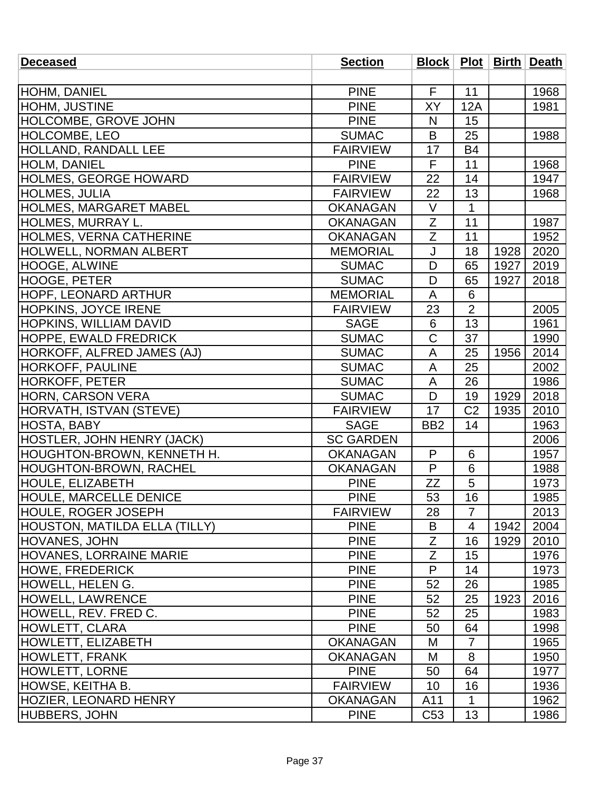| <b>Deceased</b>                      | <b>Section</b>   |                 |                |      | Block   Plot   Birth   Death |
|--------------------------------------|------------------|-----------------|----------------|------|------------------------------|
|                                      |                  |                 |                |      |                              |
| <b>HOHM, DANIEL</b>                  | <b>PINE</b>      | F.              | 11             |      | 1968                         |
| <b>HOHM, JUSTINE</b>                 | <b>PINE</b>      | XY              | 12A            |      | 1981                         |
| <b>HOLCOMBE, GROVE JOHN</b>          | <b>PINE</b>      | N               | 15             |      |                              |
| <b>HOLCOMBE, LEO</b>                 | <b>SUMAC</b>     | B               | 25             |      | 1988                         |
| <b>HOLLAND, RANDALL LEE</b>          | <b>FAIRVIEW</b>  | 17              | <b>B4</b>      |      |                              |
| <b>HOLM, DANIEL</b>                  | <b>PINE</b>      | F               | 11             |      | 1968                         |
| <b>HOLMES, GEORGE HOWARD</b>         | <b>FAIRVIEW</b>  | 22              | 14             |      | 1947                         |
| <b>HOLMES, JULIA</b>                 | <b>FAIRVIEW</b>  | 22              | 13             |      | 1968                         |
| <b>HOLMES, MARGARET MABEL</b>        | <b>OKANAGAN</b>  | V               | 1              |      |                              |
| HOLMES, MURRAY L.                    | <b>OKANAGAN</b>  | Z               | 11             |      | 1987                         |
| <b>HOLMES, VERNA CATHERINE</b>       | <b>OKANAGAN</b>  | $\overline{Z}$  | 11             |      | 1952                         |
| <b>HOLWELL, NORMAN ALBERT</b>        | <b>MEMORIAL</b>  | J               | 18             | 1928 | 2020                         |
| HOOGE, ALWINE                        | <b>SUMAC</b>     | D               | 65             | 1927 | 2019                         |
| <b>HOOGE, PETER</b>                  | <b>SUMAC</b>     | D               | 65             | 1927 | 2018                         |
| <b>HOPF, LEONARD ARTHUR</b>          | <b>MEMORIAL</b>  | A               | 6              |      |                              |
| <b>HOPKINS, JOYCE IRENE</b>          | <b>FAIRVIEW</b>  | 23              | $\overline{2}$ |      | 2005                         |
| <b>HOPKINS, WILLIAM DAVID</b>        | <b>SAGE</b>      | 6               | 13             |      | 1961                         |
| <b>HOPPE, EWALD FREDRICK</b>         | <b>SUMAC</b>     | $\overline{C}$  | 37             |      | 1990                         |
| <b>HORKOFF, ALFRED JAMES (AJ)</b>    | <b>SUMAC</b>     | A               | 25             | 1956 | 2014                         |
| <b>HORKOFF, PAULINE</b>              | <b>SUMAC</b>     | A               | 25             |      | 2002                         |
| <b>HORKOFF, PETER</b>                | <b>SUMAC</b>     | A               | 26             |      | 1986                         |
| HORN, CARSON VERA                    | <b>SUMAC</b>     | D               | 19             | 1929 | 2018                         |
| HORVATH, ISTVAN (STEVE)              | <b>FAIRVIEW</b>  | 17              | C <sub>2</sub> | 1935 | 2010                         |
| <b>HOSTA, BABY</b>                   | <b>SAGE</b>      | BB <sub>2</sub> | 14             |      | 1963                         |
| HOSTLER, JOHN HENRY (JACK)           | <b>SC GARDEN</b> |                 |                |      | 2006                         |
| HOUGHTON-BROWN, KENNETH H.           | <b>OKANAGAN</b>  | P               | 6              |      | 1957                         |
| <b>HOUGHTON-BROWN, RACHEL</b>        | <b>OKANAGAN</b>  | P               | 6              |      | 1988                         |
| <b>HOULE, ELIZABETH</b>              | <b>PINE</b>      | <b>ZZ</b>       | 5              |      | 1973                         |
| <b>HOULE, MARCELLE DENICE</b>        | <b>PINE</b>      | 53              | 16             |      | 1985                         |
| <b>HOULE, ROGER JOSEPH</b>           | <b>FAIRVIEW</b>  | 28              | $\overline{7}$ |      | 2013                         |
| <b>HOUSTON, MATILDA ELLA (TILLY)</b> | <b>PINE</b>      | B               | 4              | 1942 | 2004                         |
| <b>HOVANES, JOHN</b>                 | <b>PINE</b>      | Z               | 16             | 1929 | 2010                         |
| <b>HOVANES, LORRAINE MARIE</b>       | <b>PINE</b>      | Z               | 15             |      | 1976                         |
| <b>HOWE, FREDERICK</b>               | <b>PINE</b>      | P               | 14             |      | 1973                         |
| HOWELL, HELEN G.                     | <b>PINE</b>      | 52              | 26             |      | 1985                         |
| <b>HOWELL, LAWRENCE</b>              | <b>PINE</b>      | 52              | 25             | 1923 | 2016                         |
| HOWELL, REV. FRED C.                 | <b>PINE</b>      | 52              | 25             |      | 1983                         |
| <b>HOWLETT, CLARA</b>                | <b>PINE</b>      | 50              | 64             |      | 1998                         |
| <b>HOWLETT, ELIZABETH</b>            | <b>OKANAGAN</b>  | M               | $\overline{7}$ |      | 1965                         |
| <b>HOWLETT, FRANK</b>                | <b>OKANAGAN</b>  | M               | 8              |      | 1950                         |
| <b>HOWLETT, LORNE</b>                | <b>PINE</b>      | 50              | 64             |      | 1977                         |
| <b>HOWSE, KEITHA B.</b>              | <b>FAIRVIEW</b>  | 10              | 16             |      | 1936                         |
| <b>HOZIER, LEONARD HENRY</b>         | <b>OKANAGAN</b>  | A11             | 1              |      | 1962                         |
| <b>HUBBERS, JOHN</b>                 | <b>PINE</b>      | C <sub>53</sub> | 13             |      | 1986                         |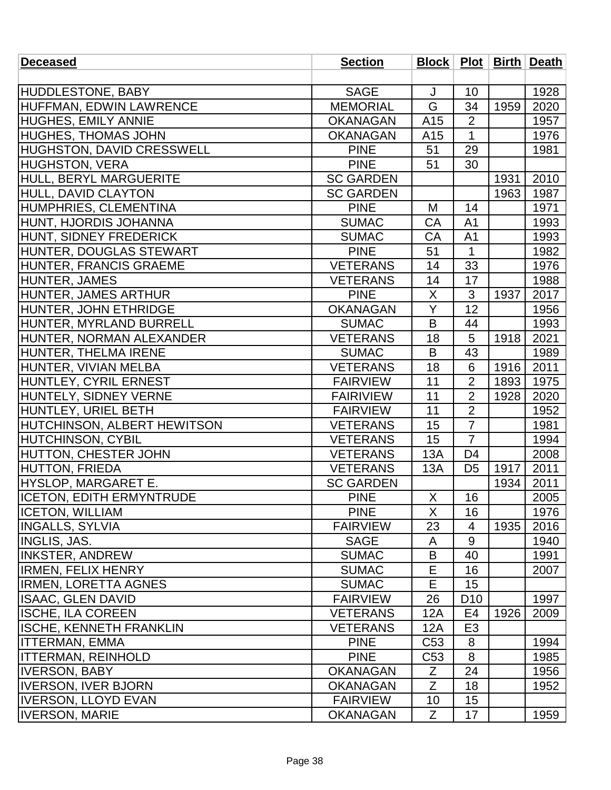| <b>Deceased</b>                 | <b>Section</b>   |                 |                 |      | Block   Plot   Birth   Death |
|---------------------------------|------------------|-----------------|-----------------|------|------------------------------|
|                                 |                  |                 |                 |      |                              |
| <b>HUDDLESTONE, BABY</b>        | <b>SAGE</b>      | J               | 10              |      | 1928                         |
| HUFFMAN, EDWIN LAWRENCE         | <b>MEMORIAL</b>  | G               | 34              | 1959 | 2020                         |
| <b>HUGHES, EMILY ANNIE</b>      | <b>OKANAGAN</b>  | A15             | $\overline{2}$  |      | 1957                         |
| <b>HUGHES, THOMAS JOHN</b>      | <b>OKANAGAN</b>  | A15             | $\mathbf{1}$    |      | 1976                         |
| HUGHSTON, DAVID CRESSWELL       | <b>PINE</b>      | 51              | 29              |      | 1981                         |
| <b>HUGHSTON, VERA</b>           | <b>PINE</b>      | 51              | 30              |      |                              |
| HULL, BERYL MARGUERITE          | <b>SC GARDEN</b> |                 |                 | 1931 | 2010                         |
| HULL, DAVID CLAYTON             | <b>SC GARDEN</b> |                 |                 | 1963 | 1987                         |
| HUMPHRIES, CLEMENTINA           | <b>PINE</b>      | M               | 14              |      | 1971                         |
| HUNT, HJORDIS JOHANNA           | <b>SUMAC</b>     | CA              | A <sub>1</sub>  |      | 1993                         |
| HUNT, SIDNEY FREDERICK          | <b>SUMAC</b>     | CA              | A <sub>1</sub>  |      | 1993                         |
| HUNTER, DOUGLAS STEWART         | <b>PINE</b>      | 51              | 1               |      | 1982                         |
| HUNTER, FRANCIS GRAEME          | <b>VETERANS</b>  | 14              | 33              |      | 1976                         |
| HUNTER, JAMES                   | <b>VETERANS</b>  | 14              | 17              |      | 1988                         |
| HUNTER, JAMES ARTHUR            | <b>PINE</b>      | X               | 3               | 1937 | 2017                         |
| HUNTER, JOHN ETHRIDGE           | <b>OKANAGAN</b>  | Y               | 12              |      | 1956                         |
| HUNTER, MYRLAND BURRELL         | <b>SUMAC</b>     | B               | 44              |      | 1993                         |
| HUNTER, NORMAN ALEXANDER        | <b>VETERANS</b>  | 18              | 5               | 1918 | 2021                         |
| HUNTER, THELMA IRENE            | <b>SUMAC</b>     | B               | 43              |      | 1989                         |
| HUNTER, VIVIAN MELBA            | <b>VETERANS</b>  | 18              | 6               | 1916 | 2011                         |
| HUNTLEY, CYRIL ERNEST           | <b>FAIRVIEW</b>  | 11              | $\overline{2}$  | 1893 | 1975                         |
| HUNTELY, SIDNEY VERNE           | <b>FAIRIVIEW</b> | 11              | $\overline{2}$  | 1928 | 2020                         |
| HUNTLEY, URIEL BETH             | <b>FAIRVIEW</b>  | 11              | $\overline{2}$  |      | 1952                         |
| HUTCHINSON, ALBERT HEWITSON     | <b>VETERANS</b>  | 15              | $\overline{7}$  |      | 1981                         |
| HUTCHINSON, CYBIL               | <b>VETERANS</b>  | 15              | $\overline{7}$  |      | 1994                         |
| HUTTON, CHESTER JOHN            | <b>VETERANS</b>  | 13A             | D4              |      | 2008                         |
| <b>HUTTON, FRIEDA</b>           | <b>VETERANS</b>  | 13A             | D <sub>5</sub>  | 1917 | 2011                         |
| HYSLOP, MARGARET E.             | <b>SC GARDEN</b> |                 |                 | 1934 | 2011                         |
| <b>ICETON, EDITH ERMYNTRUDE</b> | <b>PINE</b>      | X               | 16              |      | 2005                         |
| <b>ICETON, WILLIAM</b>          | <b>PINE</b>      | X               | 16              |      | 1976                         |
| <b>INGALLS, SYLVIA</b>          | <b>FAIRVIEW</b>  | 23              | 4               | 1935 | 2016                         |
| <b>INGLIS, JAS.</b>             | <b>SAGE</b>      | A               | 9               |      | 1940                         |
| <b>INKSTER, ANDREW</b>          | <b>SUMAC</b>     | B               | 40              |      | 1991                         |
| IRMEN, FELIX HENRY              | <b>SUMAC</b>     | Е               | 16              |      | 2007                         |
| <b>IRMEN, LORETTA AGNES</b>     | <b>SUMAC</b>     | Е               | 15              |      |                              |
| <b>ISAAC, GLEN DAVID</b>        | <b>FAIRVIEW</b>  | 26              | D <sub>10</sub> |      | 1997                         |
| <b>ISCHE, ILA COREEN</b>        | <b>VETERANS</b>  | 12A             | E4              | 1926 | 2009                         |
| ISCHE, KENNETH FRANKLIN         | <b>VETERANS</b>  | 12A             | E <sub>3</sub>  |      |                              |
| <b>ITTERMAN, EMMA</b>           | <b>PINE</b>      | C <sub>53</sub> | 8               |      | 1994                         |
| ITTERMAN, REINHOLD              | <b>PINE</b>      | C <sub>53</sub> | 8               |      | 1985                         |
| <b>IVERSON, BABY</b>            | <b>OKANAGAN</b>  | Z               | 24              |      | 1956                         |
| <b>IVERSON, IVER BJORN</b>      | <b>OKANAGAN</b>  | Z               | 18              |      | 1952                         |
| <b>IIVERSON, LLOYD EVAN</b>     | <b>FAIRVIEW</b>  | 10              | 15              |      |                              |
| <b>IVERSON, MARIE</b>           | <b>OKANAGAN</b>  | Z               | 17              |      | 1959                         |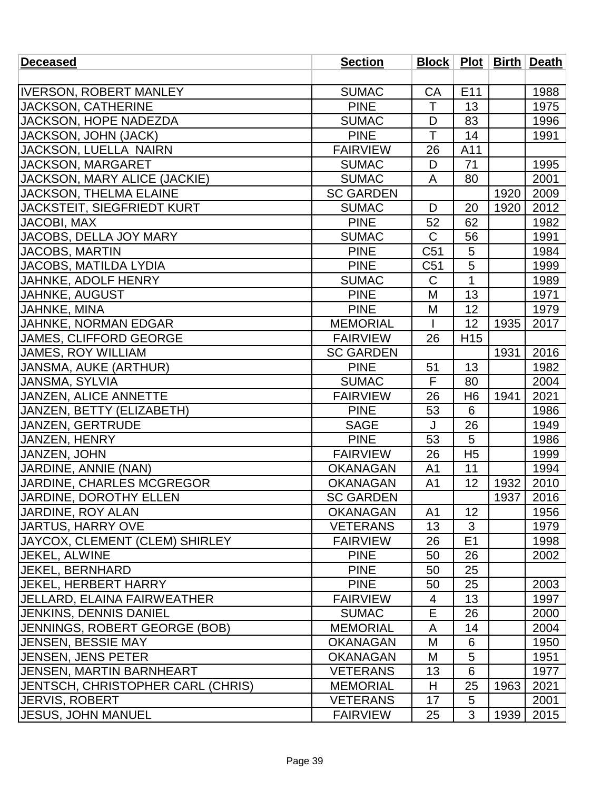| <b>Deceased</b>                       | <b>Section</b>   |                |                 |      | Block   Plot   Birth   Death |
|---------------------------------------|------------------|----------------|-----------------|------|------------------------------|
|                                       |                  |                |                 |      |                              |
| <b>IVERSON, ROBERT MANLEY</b>         | <b>SUMAC</b>     | <b>CA</b>      | E <sub>11</sub> |      | 1988                         |
| <b>JACKSON, CATHERINE</b>             | <b>PINE</b>      | T              | 13              |      | 1975                         |
| JACKSON, HOPE NADEZDA                 | <b>SUMAC</b>     | D              | 83              |      | 1996                         |
| JACKSON, JOHN (JACK)                  | <b>PINE</b>      | T              | 14              |      | 1991                         |
| JACKSON, LUELLA NAIRN                 | <b>FAIRVIEW</b>  | 26             | A11             |      |                              |
| JACKSON, MARGARET                     | <b>SUMAC</b>     | D              | 71              |      | 1995                         |
| JACKSON, MARY ALICE (JACKIE)          | <b>SUMAC</b>     | A              | 80              |      | 2001                         |
| JACKSON, THELMA ELAINE                | <b>SC GARDEN</b> |                |                 | 1920 | 2009                         |
| <b>JACKSTEIT, SIEGFRIEDT KURT</b>     | <b>SUMAC</b>     | D              | 20              | 1920 | 2012                         |
| JACOBI, MAX                           | <b>PINE</b>      | 52             | 62              |      | 1982                         |
| JACOBS, DELLA JOY MARY                | <b>SUMAC</b>     | $\mathsf C$    | 56              |      | 1991                         |
| <b>JACOBS, MARTIN</b>                 | <b>PINE</b>      | C51            | 5               |      | 1984                         |
| <b>JACOBS, MATILDA LYDIA</b>          | <b>PINE</b>      | C51            | 5               |      | 1999                         |
| JAHNKE, ADOLF HENRY                   | <b>SUMAC</b>     | $\mathsf C$    | $\overline{1}$  |      | 1989                         |
| JAHNKE, AUGUST                        | <b>PINE</b>      | M              | 13              |      | 1971                         |
| JAHNKE, MINA                          | <b>PINE</b>      | M              | 12              |      | 1979                         |
| <b>JAHNKE, NORMAN EDGAR</b>           | <b>MEMORIAL</b>  |                | 12              | 1935 | 2017                         |
| <b>JAMES, CLIFFORD GEORGE</b>         | <b>FAIRVIEW</b>  | 26             | H <sub>15</sub> |      |                              |
| <b>JAMES, ROY WILLIAM</b>             | <b>SC GARDEN</b> |                |                 | 1931 | 2016                         |
| JANSMA, AUKE (ARTHUR)                 | <b>PINE</b>      | 51             | 13              |      | 1982                         |
| JANSMA, SYLVIA                        | <b>SUMAC</b>     | F              | 80              |      | 2004                         |
| <b>JANZEN, ALICE ANNETTE</b>          | <b>FAIRVIEW</b>  | 26             | H <sub>6</sub>  | 1941 | 2021                         |
| JANZEN, BETTY (ELIZABETH)             | <b>PINE</b>      | 53             | 6               |      | 1986                         |
| JANZEN, GERTRUDE                      | <b>SAGE</b>      | J              | 26              |      | 1949                         |
| JANZEN, HENRY                         | <b>PINE</b>      | 53             | 5               |      | 1986                         |
| JANZEN, JOHN                          | <b>FAIRVIEW</b>  | 26             | H <sub>5</sub>  |      | 1999                         |
| JARDINE, ANNIE (NAN)                  | <b>OKANAGAN</b>  | A <sub>1</sub> | 11              |      | 1994                         |
| JARDINE, CHARLES MCGREGOR             | <b>OKANAGAN</b>  | A <sub>1</sub> | 12              | 1932 | 2010                         |
| <b>JARDINE, DOROTHY ELLEN</b>         | <b>SC GARDEN</b> |                |                 | 1937 | 2016                         |
| JARDINE, ROY ALAN                     | <b>OKANAGAN</b>  | A <sub>1</sub> | 12              |      | 1956                         |
| <b>JJARTUS, HARRY OVE</b>             | <b>VETERANS</b>  | 13             | 3               |      | 1979                         |
| <b>JAYCOX, CLEMENT (CLEM) SHIRLEY</b> | <b>FAIRVIEW</b>  | 26             | E1              |      | 1998                         |
| <b>IJEKEL. ALWINE</b>                 | <b>PINE</b>      | 50             | 26              |      | 2002                         |
| <b>JEKEL, BERNHARD</b>                | <b>PINE</b>      | 50             | 25              |      |                              |
| JEKEL, HERBERT HARRY                  | <b>PINE</b>      | 50             | 25              |      | 2003                         |
| JELLARD, ELAINA FAIRWEATHER           | <b>FAIRVIEW</b>  | 4              | 13              |      | 1997                         |
| <b>JENKINS, DENNIS DANIEL</b>         | <b>SUMAC</b>     | E              | 26              |      | 2000                         |
| <b>JENNINGS, ROBERT GEORGE (BOB)</b>  | <b>MEMORIAL</b>  | A              | 14              |      | 2004                         |
| <b>JENSEN, BESSIE MAY</b>             | <b>OKANAGAN</b>  | M              | 6               |      | 1950                         |
| <b>JENSEN, JENS PETER</b>             | <b>OKANAGAN</b>  | M              | 5               |      | 1951                         |
| <b>JENSEN, MARTIN BARNHEART</b>       | <b>VETERANS</b>  | 13             | 6               |      | 1977                         |
| JENTSCH, CHRISTOPHER CARL (CHRIS)     | <b>MEMORIAL</b>  | H              | 25              | 1963 | 2021                         |
| <b>JERVIS, ROBERT</b>                 | <b>VETERANS</b>  | 17             | 5               |      | 2001                         |
| <b>JESUS, JOHN MANUEL</b>             | <b>FAIRVIEW</b>  | 25             | 3               | 1939 | 2015                         |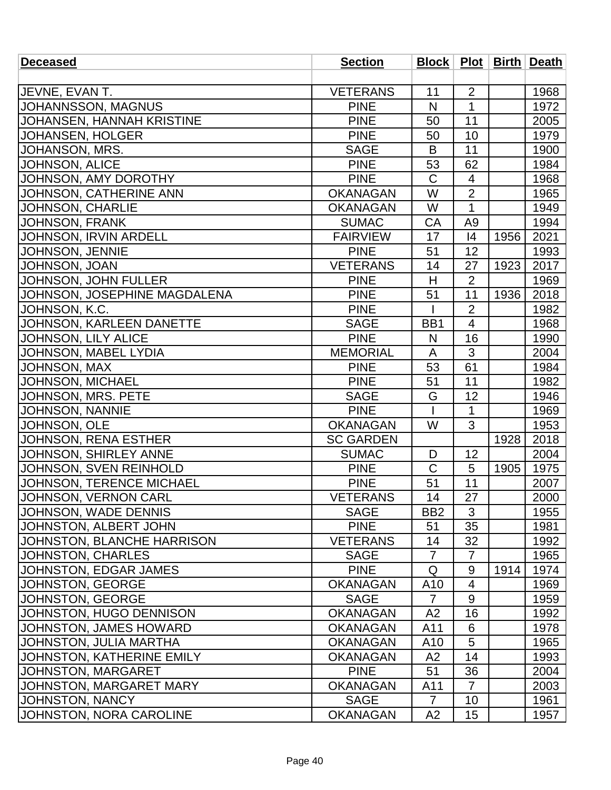| <b>Deceased</b>                   | <b>Section</b>   |                 |                |      | Block   Plot   Birth   Death |
|-----------------------------------|------------------|-----------------|----------------|------|------------------------------|
|                                   |                  |                 |                |      |                              |
| JEVNE, EVAN T.                    | <b>VETERANS</b>  | 11              | $\overline{2}$ |      | 1968                         |
| JOHANNSSON, MAGNUS                | <b>PINE</b>      | N               | 1              |      | 1972                         |
| JOHANSEN, HANNAH KRISTINE         | <b>PINE</b>      | 50              | 11             |      | 2005                         |
| <b>JOHANSEN, HOLGER</b>           | <b>PINE</b>      | 50              | 10             |      | 1979                         |
| JOHANSON, MRS.                    | <b>SAGE</b>      | B               | 11             |      | 1900                         |
| <b>JOHNSON, ALICE</b>             | <b>PINE</b>      | 53              | 62             |      | 1984                         |
| JOHNSON, AMY DOROTHY              | <b>PINE</b>      | $\mathsf C$     | 4              |      | 1968                         |
| JOHNSON, CATHERINE ANN            | <b>OKANAGAN</b>  | W               | $\overline{2}$ |      | 1965                         |
| <b>JOHNSON, CHARLIE</b>           | <b>OKANAGAN</b>  | W               | 1              |      | 1949                         |
| JOHNSON, FRANK                    | <b>SUMAC</b>     | CA              | A <sub>9</sub> |      | 1994                         |
| JOHNSON, IRVIN ARDELL             | <b>FAIRVIEW</b>  | 17              | 4              | 1956 | 2021                         |
| JOHNSON, JENNIE                   | <b>PINE</b>      | 51              | 12             |      | 1993                         |
| <b>JOHNSON, JOAN</b>              | <b>VETERANS</b>  | 14              | 27             | 1923 | 2017                         |
| JOHNSON, JOHN FULLER              | <b>PINE</b>      | $\overline{H}$  | $\overline{2}$ |      | 1969                         |
| JOHNSON, JOSEPHINE MAGDALENA      | <b>PINE</b>      | 51              | 11             | 1936 | 2018                         |
| JOHNSON, K.C.                     | <b>PINE</b>      |                 | $\overline{2}$ |      | 1982                         |
| <b>JOHNSON, KARLEEN DANETTE</b>   | <b>SAGE</b>      | BB1             | 4              |      | 1968                         |
| JOHNSON, LILY ALICE               | <b>PINE</b>      | N               | 16             |      | 1990                         |
| JOHNSON, MABEL LYDIA              | <b>MEMORIAL</b>  | A               | 3              |      | 2004                         |
| JOHNSON, MAX                      | <b>PINE</b>      | 53              | 61             |      | 1984                         |
| <b>JOHNSON, MICHAEL</b>           | <b>PINE</b>      | 51              | 11             |      | 1982                         |
| JOHNSON, MRS. PETE                | <b>SAGE</b>      | G               | 12             |      | 1946                         |
| <b>JOHNSON, NANNIE</b>            | <b>PINE</b>      |                 | 1              |      | 1969                         |
| JOHNSON, OLE                      | <b>OKANAGAN</b>  | W               | 3              |      | 1953                         |
| JOHNSON, RENA ESTHER              | <b>SC GARDEN</b> |                 |                | 1928 | 2018                         |
| JOHNSON, SHIRLEY ANNE             | <b>SUMAC</b>     | D               | 12             |      | 2004                         |
| JOHNSON, SVEN REINHOLD            | <b>PINE</b>      | $\mathsf C$     | 5              | 1905 | 1975                         |
| <b>JOHNSON, TERENCE MICHAEL</b>   | <b>PINE</b>      | 51              | 11             |      | 2007                         |
| JOHNSON, VERNON CARL              | <b>VETERANS</b>  | 14              | 27             |      | 2000                         |
| <b>JOHNSON, WADE DENNIS</b>       | <b>SAGE</b>      | B <sub>B2</sub> | 3              |      | 1955                         |
| JOHNSTON, ALBERT JOHN             | <b>PINE</b>      | 51              | 35             |      | 1981                         |
| <b>JOHNSTON, BLANCHE HARRISON</b> | <b>VETERANS</b>  | 14              | 32             |      | 1992                         |
| <b>JOHNSTON, CHARLES</b>          | <b>SAGE</b>      | $\overline{7}$  | $\overline{7}$ |      | 1965                         |
| JOHNSTON, EDGAR JAMES             | <b>PINE</b>      | Q               | 9              | 1914 | 1974                         |
| JOHNSTON, GEORGE                  | <b>OKANAGAN</b>  | A <sub>10</sub> | 4              |      | 1969                         |
| JOHNSTON, GEORGE                  | <b>SAGE</b>      | $\overline{7}$  | 9              |      | 1959                         |
| JOHNSTON, HUGO DENNISON           | <b>OKANAGAN</b>  | A2              | 16             |      | 1992                         |
| <b>JOHNSTON, JAMES HOWARD</b>     | <b>OKANAGAN</b>  | A11             | 6              |      | 1978                         |
| JOHNSTON, JULIA MARTHA            | <b>OKANAGAN</b>  | A10             | 5              |      | 1965                         |
| JOHNSTON, KATHERINE EMILY         | <b>OKANAGAN</b>  | A <sub>2</sub>  | 14             |      | 1993                         |
| JOHNSTON, MARGARET                | <b>PINE</b>      | 51              | 36             |      | 2004                         |
| <b>JOHNSTON, MARGARET MARY</b>    | <b>OKANAGAN</b>  | A11             | $\overline{7}$ |      | 2003                         |
| JOHNSTON, NANCY                   | <b>SAGE</b>      | 7               | 10             |      | 1961                         |
| JOHNSTON, NORA CAROLINE           | <b>OKANAGAN</b>  | A2              | 15             |      | 1957                         |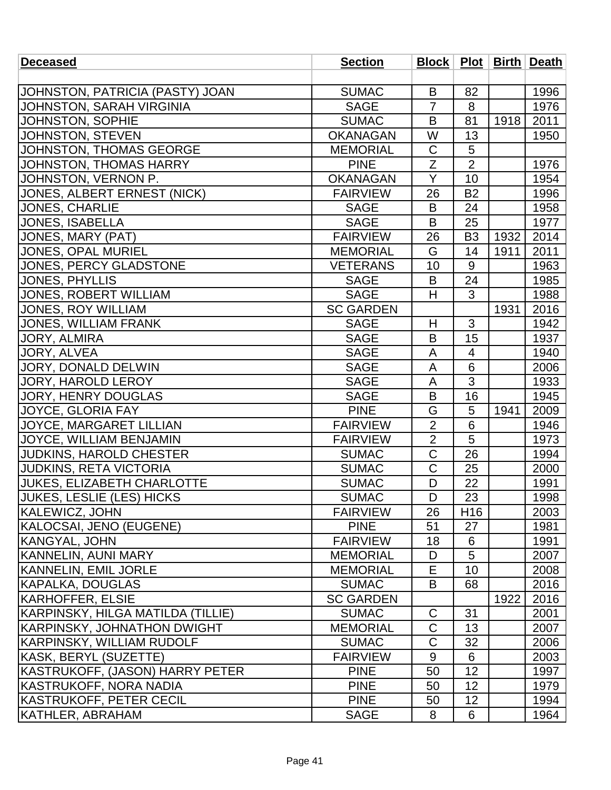| <b>Deceased</b>                   | <b>Section</b>   |                |                 |      | Block   Plot   Birth   Death |
|-----------------------------------|------------------|----------------|-----------------|------|------------------------------|
|                                   |                  |                |                 |      |                              |
| JOHNSTON, PATRICIA (PASTY) JOAN   | <b>SUMAC</b>     | B              | 82              |      | 1996                         |
| JOHNSTON, SARAH VIRGINIA          | <b>SAGE</b>      | $\overline{7}$ | 8               |      | 1976                         |
| JOHNSTON, SOPHIE                  | <b>SUMAC</b>     | B              | 81              | 1918 | 2011                         |
| JOHNSTON, STEVEN                  | <b>OKANAGAN</b>  | W              | 13              |      | 1950                         |
| JOHNSTON, THOMAS GEORGE           | <b>MEMORIAL</b>  | $\mathsf C$    | 5               |      |                              |
| JOHNSTON, THOMAS HARRY            | <b>PINE</b>      | Z              | $\overline{2}$  |      | 1976                         |
| JOHNSTON, VERNON P.               | <b>OKANAGAN</b>  | Y              | 10              |      | 1954                         |
| JONES, ALBERT ERNEST (NICK)       | <b>FAIRVIEW</b>  | 26             | <b>B2</b>       |      | 1996                         |
| <b>JONES, CHARLIE</b>             | <b>SAGE</b>      | B              | 24              |      | 1958                         |
| JONES, ISABELLA                   | <b>SAGE</b>      | B              | 25              |      | 1977                         |
| JONES, MARY (PAT)                 | <b>FAIRVIEW</b>  | 26             | B <sub>3</sub>  | 1932 | 2014                         |
| JONES, OPAL MURIEL                | <b>MEMORIAL</b>  | G              | 14              | 1911 | 2011                         |
| JONES, PERCY GLADSTONE            | <b>VETERANS</b>  | 10             | 9               |      | 1963                         |
| <b>JONES, PHYLLIS</b>             | <b>SAGE</b>      | B              | 24              |      | 1985                         |
| JONES, ROBERT WILLIAM             | <b>SAGE</b>      | H              | 3               |      | 1988                         |
| <b>JONES, ROY WILLIAM</b>         | <b>SC GARDEN</b> |                |                 | 1931 | 2016                         |
| <b>JONES, WILLIAM FRANK</b>       | <b>SAGE</b>      | H              | 3               |      | 1942                         |
| JORY, ALMIRA                      | <b>SAGE</b>      | B              | 15              |      | 1937                         |
| JORY, ALVEA                       | <b>SAGE</b>      | A              | 4               |      | 1940                         |
| JORY, DONALD DELWIN               | <b>SAGE</b>      | A              | 6               |      | 2006                         |
| JORY, HAROLD LEROY                | <b>SAGE</b>      | A              | $\overline{3}$  |      | 1933                         |
| JORY, HENRY DOUGLAS               | <b>SAGE</b>      | B              | 16              |      | 1945                         |
| JOYCE, GLORIA FAY                 | <b>PINE</b>      | G              | 5               | 1941 | 2009                         |
| <b>JOYCE, MARGARET LILLIAN</b>    | <b>FAIRVIEW</b>  | $\overline{2}$ | 6               |      | 1946                         |
| JOYCE, WILLIAM BENJAMIN           | <b>FAIRVIEW</b>  | $\overline{2}$ | 5               |      | 1973                         |
| <b>JUDKINS, HAROLD CHESTER</b>    | <b>SUMAC</b>     | $\mathsf C$    | 26              |      | 1994                         |
| <b>JUDKINS, RETA VICTORIA</b>     | <b>SUMAC</b>     | $\overline{C}$ | 25              |      | 2000                         |
| <b>JUKES, ELIZABETH CHARLOTTE</b> | <b>SUMAC</b>     | D              | 22              |      | 1991                         |
| <b>JUKES, LESLIE (LES) HICKS</b>  | <b>SUMAC</b>     | D              | 23              |      | 1998                         |
| KALEWICZ, JOHN                    | <b>FAIRVIEW</b>  | 26             | H <sub>16</sub> |      | 2003                         |
| KALOCSAI, JENO (EUGENE)           | <b>PINE</b>      | 51             | 27              |      | 1981                         |
| KANGYAL, JOHN                     | <b>FAIRVIEW</b>  | 18             | 6               |      | 1991                         |
| KANNELIN, AUNI MARY               | <b>MEMORIAL</b>  | D              | 5               |      | 2007                         |
| KANNELIN, EMIL JORLE              | <b>MEMORIAL</b>  | E              | 10              |      | 2008                         |
| KAPALKA, DOUGLAS                  | <b>SUMAC</b>     | B              | 68              |      | 2016                         |
| KARHOFFER, ELSIE                  | <b>SC GARDEN</b> |                |                 | 1922 | 2016                         |
| KARPINSKY, HILGA MATILDA (TILLIE) | <b>SUMAC</b>     | C              | 31              |      | 2001                         |
| KARPINSKY, JOHNATHON DWIGHT       | <b>MEMORIAL</b>  | $\mathsf C$    | 13              |      | 2007                         |
| KARPINSKY, WILLIAM RUDOLF         | <b>SUMAC</b>     | C              | 32              |      | 2006                         |
| KASK, BERYL (SUZETTE)             | <b>FAIRVIEW</b>  | 9              | 6               |      | 2003                         |
| KASTRUKOFF, (JASON) HARRY PETER   | <b>PINE</b>      | 50             | 12              |      | 1997                         |
| KASTRUKOFF, NORA NADIA            | <b>PINE</b>      | 50             | 12              |      | 1979                         |
| KASTRUKOFF, PETER CECIL           | <b>PINE</b>      | 50             | 12              |      | 1994                         |
| KATHLER, ABRAHAM                  | <b>SAGE</b>      | 8              | 6               |      | 1964                         |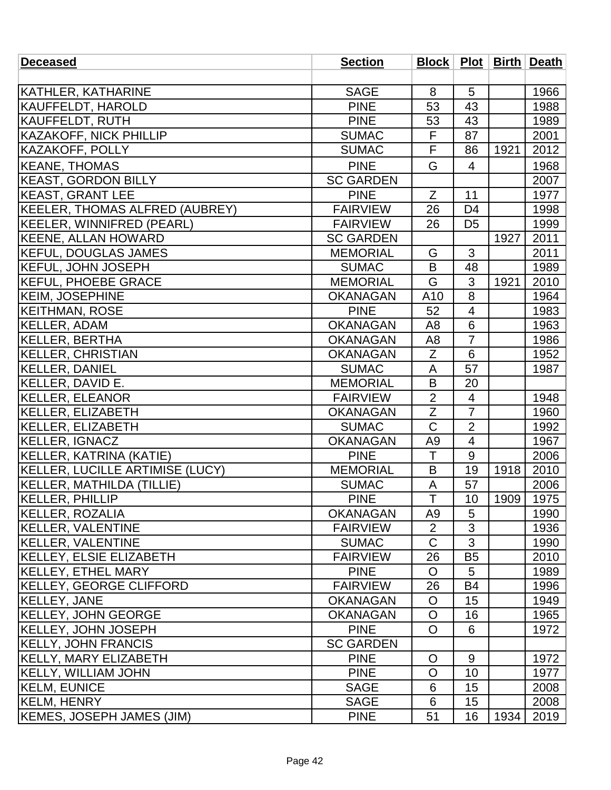| <b>Deceased</b>                  | <b>Section</b>   |                |                |      | Block   Plot   Birth   Death |
|----------------------------------|------------------|----------------|----------------|------|------------------------------|
|                                  |                  |                |                |      |                              |
| <b>KATHLER, KATHARINE</b>        | <b>SAGE</b>      | 8              | 5              |      | 1966                         |
| KAUFFELDT, HAROLD                | <b>PINE</b>      | 53             | 43             |      | 1988                         |
| KAUFFELDT, RUTH                  | <b>PINE</b>      | 53             | 43             |      | 1989                         |
| <b>KAZAKOFF, NICK PHILLIP</b>    | <b>SUMAC</b>     | F              | 87             |      | 2001                         |
| KAZAKOFF, POLLY                  | <b>SUMAC</b>     | F              | 86             | 1921 | 2012                         |
| <b>KEANE, THOMAS</b>             | <b>PINE</b>      | G              | 4              |      | 1968                         |
| <b>KEAST, GORDON BILLY</b>       | <b>SC GARDEN</b> |                |                |      | 2007                         |
| <b>KEAST, GRANT LEE</b>          | <b>PINE</b>      | Z              | 11             |      | 1977                         |
| KEELER, THOMAS ALFRED (AUBREY)   | <b>FAIRVIEW</b>  | 26             | D <sub>4</sub> |      | 1998                         |
| KEELER, WINNIFRED (PEARL)        | <b>FAIRVIEW</b>  | 26             | D <sub>5</sub> |      | 1999                         |
| <b>KEENE, ALLAN HOWARD</b>       | <b>SC GARDEN</b> |                |                | 1927 | 2011                         |
| <b>KEFUL, DOUGLAS JAMES</b>      | <b>MEMORIAL</b>  | G              | 3              |      | 2011                         |
| <b>KEFUL, JOHN JOSEPH</b>        | <b>SUMAC</b>     | B              | 48             |      | 1989                         |
| <b>KEFUL, PHOEBE GRACE</b>       | <b>MEMORIAL</b>  | G              | 3              | 1921 | 2010                         |
| <b>KEIM, JOSEPHINE</b>           | <b>OKANAGAN</b>  | A10            | 8              |      | 1964                         |
| <b>KEITHMAN, ROSE</b>            | <b>PINE</b>      | 52             | $\overline{4}$ |      | 1983                         |
| <b>KELLER, ADAM</b>              | <b>OKANAGAN</b>  | A <sub>8</sub> | 6              |      | 1963                         |
| KELLER, BERTHA                   | <b>OKANAGAN</b>  | A <sub>8</sub> | $\overline{7}$ |      | 1986                         |
| <b>KELLER, CHRISTIAN</b>         | <b>OKANAGAN</b>  | Z              | 6              |      | 1952                         |
| <b>KELLER, DANIEL</b>            | <b>SUMAC</b>     | A              | 57             |      | 1987                         |
| KELLER, DAVID E.                 | <b>MEMORIAL</b>  | B              | 20             |      |                              |
| <b>KELLER, ELEANOR</b>           | <b>FAIRVIEW</b>  | $\overline{2}$ | $\overline{4}$ |      | 1948                         |
| KELLER, ELIZABETH                | <b>OKANAGAN</b>  | Ζ              | $\overline{7}$ |      | 1960                         |
| KELLER, ELIZABETH                | <b>SUMAC</b>     | $\mathsf C$    | $\overline{2}$ |      | 1992                         |
| KELLER, IGNACZ                   | <b>OKANAGAN</b>  | A <sub>9</sub> | 4              |      | 1967                         |
| KELLER, KATRINA (KATIE)          | <b>PINE</b>      | T              | 9              |      | 2006                         |
| KELLER, LUCILLE ARTIMISE (LUCY)  | <b>MEMORIAL</b>  | B              | 19             | 1918 | 2010                         |
| KELLER, MATHILDA (TILLIE)        | <b>SUMAC</b>     | A              | 57             |      | 2006                         |
| KELLER, PHILLIP                  | <b>PINE</b>      | $\top$         | 10             | 1909 | 1975                         |
| KELLER, ROZALIA                  | <b>OKANAGAN</b>  | A <sub>9</sub> | 5              |      | 1990                         |
| KELLER, VALENTINE                | <b>FAIRVIEW</b>  | 2              | 3              |      | 1936                         |
| KELLER, VALENTINE                | <b>SUMAC</b>     | $\overline{C}$ | 3              |      | 1990                         |
| KELLEY, ELSIE ELIZABETH          | <b>FAIRVIEW</b>  | 26             | B5             |      | 2010                         |
| <b>KELLEY, ETHEL MARY</b>        | <b>PINE</b>      | $\overline{O}$ | 5              |      | 1989                         |
| KELLEY, GEORGE CLIFFORD          | <b>FAIRVIEW</b>  | 26             | <b>B4</b>      |      | 1996                         |
| <b>KELLEY, JANE</b>              | <b>OKANAGAN</b>  | $\circ$        | 15             |      | 1949                         |
| <b>KELLEY, JOHN GEORGE</b>       | <b>OKANAGAN</b>  | O              | 16             |      | 1965                         |
| <b>KELLEY, JOHN JOSEPH</b>       | <b>PINE</b>      | $\overline{O}$ | 6              |      | 1972                         |
| <b>KELLY, JOHN FRANCIS</b>       | <b>SC GARDEN</b> |                |                |      |                              |
| <b>KELLY, MARY ELIZABETH</b>     | <b>PINE</b>      | O              | 9              |      | 1972                         |
| <b>KELLY, WILLIAM JOHN</b>       | <b>PINE</b>      | $\circ$        | 10             |      | 1977                         |
| <b>KELM, EUNICE</b>              | <b>SAGE</b>      | 6              | 15             |      | 2008                         |
| <b>KELM, HENRY</b>               | <b>SAGE</b>      | 6              | 15             |      | 2008                         |
| <b>KEMES, JOSEPH JAMES (JIM)</b> | <b>PINE</b>      | 51             | 16             | 1934 | 2019                         |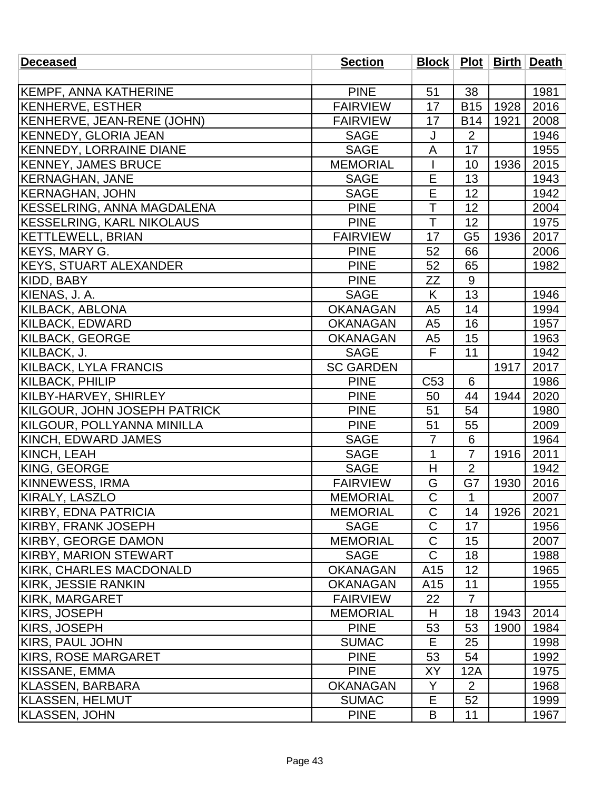| <b>PINE</b><br>51<br>38<br>1981<br>KEMPF, ANNA KATHERINE<br>17<br>2016<br><b>KENHERVE, ESTHER</b><br><b>FAIRVIEW</b><br><b>B15</b><br>1928<br>KENHERVE, JEAN-RENE (JOHN)<br>17<br><b>FAIRVIEW</b><br><b>B14</b><br>1921<br>2008<br><b>KENNEDY, GLORIA JEAN</b><br>$\overline{2}$<br>1946<br>J<br><b>SAGE</b><br><b>KENNEDY, LORRAINE DIANE</b><br>17<br>1955<br><b>SAGE</b><br>A<br><b>KENNEY, JAMES BRUCE</b><br><b>MEMORIAL</b><br>10<br>1936<br>2015<br>E<br>13<br>KERNAGHAN, JANE<br>1943<br><b>SAGE</b><br><b>KERNAGHAN, JOHN</b><br>E<br>12<br>1942<br><b>SAGE</b><br>T<br>KESSELRING, ANNA MAGDALENA<br>12<br>2004<br><b>PINE</b><br>T<br><b>KESSELRING, KARL NIKOLAUS</b><br>1975<br><b>PINE</b><br>12<br><b>KETTLEWELL, BRIAN</b><br><b>FAIRVIEW</b><br>17<br>G <sub>5</sub><br>2017<br>1936<br><b>KEYS, MARY G.</b><br><b>PINE</b><br>52<br>66<br>2006<br><b>KEYS, STUART ALEXANDER</b><br><b>PINE</b><br>52<br>1982<br>65<br>9<br><b>PINE</b><br>KIDD, BABY<br>ZΖ<br>KIENAS, J. A.<br>K<br>13<br><b>SAGE</b><br>1946<br><b>KILBACK, ABLONA</b><br>14<br><b>OKANAGAN</b><br>A <sub>5</sub><br>1994<br><b>KILBACK, EDWARD</b><br><b>OKANAGAN</b><br>16<br>1957<br>A <sub>5</sub><br><b>KILBACK, GEORGE</b><br>15<br>1963<br><b>OKANAGAN</b><br>A <sub>5</sub><br>F<br>11<br>KILBACK, J.<br><b>SAGE</b><br>1942 |
|-------------------------------------------------------------------------------------------------------------------------------------------------------------------------------------------------------------------------------------------------------------------------------------------------------------------------------------------------------------------------------------------------------------------------------------------------------------------------------------------------------------------------------------------------------------------------------------------------------------------------------------------------------------------------------------------------------------------------------------------------------------------------------------------------------------------------------------------------------------------------------------------------------------------------------------------------------------------------------------------------------------------------------------------------------------------------------------------------------------------------------------------------------------------------------------------------------------------------------------------------------------------------------------------------------------------------|
|                                                                                                                                                                                                                                                                                                                                                                                                                                                                                                                                                                                                                                                                                                                                                                                                                                                                                                                                                                                                                                                                                                                                                                                                                                                                                                                         |
|                                                                                                                                                                                                                                                                                                                                                                                                                                                                                                                                                                                                                                                                                                                                                                                                                                                                                                                                                                                                                                                                                                                                                                                                                                                                                                                         |
|                                                                                                                                                                                                                                                                                                                                                                                                                                                                                                                                                                                                                                                                                                                                                                                                                                                                                                                                                                                                                                                                                                                                                                                                                                                                                                                         |
|                                                                                                                                                                                                                                                                                                                                                                                                                                                                                                                                                                                                                                                                                                                                                                                                                                                                                                                                                                                                                                                                                                                                                                                                                                                                                                                         |
|                                                                                                                                                                                                                                                                                                                                                                                                                                                                                                                                                                                                                                                                                                                                                                                                                                                                                                                                                                                                                                                                                                                                                                                                                                                                                                                         |
|                                                                                                                                                                                                                                                                                                                                                                                                                                                                                                                                                                                                                                                                                                                                                                                                                                                                                                                                                                                                                                                                                                                                                                                                                                                                                                                         |
|                                                                                                                                                                                                                                                                                                                                                                                                                                                                                                                                                                                                                                                                                                                                                                                                                                                                                                                                                                                                                                                                                                                                                                                                                                                                                                                         |
|                                                                                                                                                                                                                                                                                                                                                                                                                                                                                                                                                                                                                                                                                                                                                                                                                                                                                                                                                                                                                                                                                                                                                                                                                                                                                                                         |
|                                                                                                                                                                                                                                                                                                                                                                                                                                                                                                                                                                                                                                                                                                                                                                                                                                                                                                                                                                                                                                                                                                                                                                                                                                                                                                                         |
|                                                                                                                                                                                                                                                                                                                                                                                                                                                                                                                                                                                                                                                                                                                                                                                                                                                                                                                                                                                                                                                                                                                                                                                                                                                                                                                         |
|                                                                                                                                                                                                                                                                                                                                                                                                                                                                                                                                                                                                                                                                                                                                                                                                                                                                                                                                                                                                                                                                                                                                                                                                                                                                                                                         |
|                                                                                                                                                                                                                                                                                                                                                                                                                                                                                                                                                                                                                                                                                                                                                                                                                                                                                                                                                                                                                                                                                                                                                                                                                                                                                                                         |
|                                                                                                                                                                                                                                                                                                                                                                                                                                                                                                                                                                                                                                                                                                                                                                                                                                                                                                                                                                                                                                                                                                                                                                                                                                                                                                                         |
|                                                                                                                                                                                                                                                                                                                                                                                                                                                                                                                                                                                                                                                                                                                                                                                                                                                                                                                                                                                                                                                                                                                                                                                                                                                                                                                         |
|                                                                                                                                                                                                                                                                                                                                                                                                                                                                                                                                                                                                                                                                                                                                                                                                                                                                                                                                                                                                                                                                                                                                                                                                                                                                                                                         |
|                                                                                                                                                                                                                                                                                                                                                                                                                                                                                                                                                                                                                                                                                                                                                                                                                                                                                                                                                                                                                                                                                                                                                                                                                                                                                                                         |
|                                                                                                                                                                                                                                                                                                                                                                                                                                                                                                                                                                                                                                                                                                                                                                                                                                                                                                                                                                                                                                                                                                                                                                                                                                                                                                                         |
|                                                                                                                                                                                                                                                                                                                                                                                                                                                                                                                                                                                                                                                                                                                                                                                                                                                                                                                                                                                                                                                                                                                                                                                                                                                                                                                         |
|                                                                                                                                                                                                                                                                                                                                                                                                                                                                                                                                                                                                                                                                                                                                                                                                                                                                                                                                                                                                                                                                                                                                                                                                                                                                                                                         |
|                                                                                                                                                                                                                                                                                                                                                                                                                                                                                                                                                                                                                                                                                                                                                                                                                                                                                                                                                                                                                                                                                                                                                                                                                                                                                                                         |
| KILBACK, LYLA FRANCIS<br><b>SC GARDEN</b><br>2017<br>1917                                                                                                                                                                                                                                                                                                                                                                                                                                                                                                                                                                                                                                                                                                                                                                                                                                                                                                                                                                                                                                                                                                                                                                                                                                                               |
| <b>PINE</b><br>6<br>1986<br><b>KILBACK, PHILIP</b><br>C <sub>53</sub>                                                                                                                                                                                                                                                                                                                                                                                                                                                                                                                                                                                                                                                                                                                                                                                                                                                                                                                                                                                                                                                                                                                                                                                                                                                   |
| KILBY-HARVEY, SHIRLEY<br>2020<br><b>PINE</b><br>50<br>44<br>1944                                                                                                                                                                                                                                                                                                                                                                                                                                                                                                                                                                                                                                                                                                                                                                                                                                                                                                                                                                                                                                                                                                                                                                                                                                                        |
| KILGOUR, JOHN JOSEPH PATRICK<br><b>PINE</b><br>51<br>54<br>1980                                                                                                                                                                                                                                                                                                                                                                                                                                                                                                                                                                                                                                                                                                                                                                                                                                                                                                                                                                                                                                                                                                                                                                                                                                                         |
| KILGOUR, POLLYANNA MINILLA<br>51<br><b>PINE</b><br>55<br>2009                                                                                                                                                                                                                                                                                                                                                                                                                                                                                                                                                                                                                                                                                                                                                                                                                                                                                                                                                                                                                                                                                                                                                                                                                                                           |
| KINCH, EDWARD JAMES<br><b>SAGE</b><br>$\overline{7}$<br>6<br>1964                                                                                                                                                                                                                                                                                                                                                                                                                                                                                                                                                                                                                                                                                                                                                                                                                                                                                                                                                                                                                                                                                                                                                                                                                                                       |
| 1<br>$\overline{7}$<br>KINCH, LEAH<br>1916<br>2011<br><b>SAGE</b>                                                                                                                                                                                                                                                                                                                                                                                                                                                                                                                                                                                                                                                                                                                                                                                                                                                                                                                                                                                                                                                                                                                                                                                                                                                       |
| KING, GEORGE<br>$\overline{2}$<br><b>SAGE</b><br>H<br>1942                                                                                                                                                                                                                                                                                                                                                                                                                                                                                                                                                                                                                                                                                                                                                                                                                                                                                                                                                                                                                                                                                                                                                                                                                                                              |
| G7<br><b>KINNEWESS, IRMA</b><br><b>FAIRVIEW</b><br>G<br>1930<br>2016                                                                                                                                                                                                                                                                                                                                                                                                                                                                                                                                                                                                                                                                                                                                                                                                                                                                                                                                                                                                                                                                                                                                                                                                                                                    |
| $\overline{\text{C}}$<br>$\mathbf{1}$<br>KIRALY, LASZLO<br><b>MEMORIAL</b><br>2007                                                                                                                                                                                                                                                                                                                                                                                                                                                                                                                                                                                                                                                                                                                                                                                                                                                                                                                                                                                                                                                                                                                                                                                                                                      |
| $\mathsf{C}$<br>14<br> KIRBY, EDNA PATRICIA<br><b>MEMORIAL</b><br>1926<br>2021                                                                                                                                                                                                                                                                                                                                                                                                                                                                                                                                                                                                                                                                                                                                                                                                                                                                                                                                                                                                                                                                                                                                                                                                                                          |
| C<br> KIRBY, FRANK JOSEPH<br><b>SAGE</b><br>17<br>1956                                                                                                                                                                                                                                                                                                                                                                                                                                                                                                                                                                                                                                                                                                                                                                                                                                                                                                                                                                                                                                                                                                                                                                                                                                                                  |
| $\mathsf{C}$<br>KIRBY, GEORGE DAMON<br><b>MEMORIAL</b><br>15<br>2007                                                                                                                                                                                                                                                                                                                                                                                                                                                                                                                                                                                                                                                                                                                                                                                                                                                                                                                                                                                                                                                                                                                                                                                                                                                    |
| $\mathsf{C}$<br>18<br>KIRBY, MARION STEWART<br><b>SAGE</b><br>1988                                                                                                                                                                                                                                                                                                                                                                                                                                                                                                                                                                                                                                                                                                                                                                                                                                                                                                                                                                                                                                                                                                                                                                                                                                                      |
| KIRK, CHARLES MACDONALD<br><b>OKANAGAN</b><br>A15<br>12<br>1965                                                                                                                                                                                                                                                                                                                                                                                                                                                                                                                                                                                                                                                                                                                                                                                                                                                                                                                                                                                                                                                                                                                                                                                                                                                         |
| 11<br>KIRK, JESSIE RANKIN<br><b>OKANAGAN</b><br>A15<br>1955                                                                                                                                                                                                                                                                                                                                                                                                                                                                                                                                                                                                                                                                                                                                                                                                                                                                                                                                                                                                                                                                                                                                                                                                                                                             |
| KIRK, MARGARET<br><b>FAIRVIEW</b><br>22<br>$\overline{7}$                                                                                                                                                                                                                                                                                                                                                                                                                                                                                                                                                                                                                                                                                                                                                                                                                                                                                                                                                                                                                                                                                                                                                                                                                                                               |
| H<br>18<br>2014<br> KIRS, JOSEPH<br><b>MEMORIAL</b><br>1943                                                                                                                                                                                                                                                                                                                                                                                                                                                                                                                                                                                                                                                                                                                                                                                                                                                                                                                                                                                                                                                                                                                                                                                                                                                             |
| <b>PINE</b><br>KIRS, JOSEPH<br>53<br>53<br>1900<br>1984                                                                                                                                                                                                                                                                                                                                                                                                                                                                                                                                                                                                                                                                                                                                                                                                                                                                                                                                                                                                                                                                                                                                                                                                                                                                 |
| E<br>KIRS, PAUL JOHN<br><b>SUMAC</b><br>25<br>1998                                                                                                                                                                                                                                                                                                                                                                                                                                                                                                                                                                                                                                                                                                                                                                                                                                                                                                                                                                                                                                                                                                                                                                                                                                                                      |
| KIRS, ROSE MARGARET<br><b>PINE</b><br>53<br>54<br>1992                                                                                                                                                                                                                                                                                                                                                                                                                                                                                                                                                                                                                                                                                                                                                                                                                                                                                                                                                                                                                                                                                                                                                                                                                                                                  |
| KISSANE, EMMA<br><b>PINE</b><br>XY<br>12A<br>1975                                                                                                                                                                                                                                                                                                                                                                                                                                                                                                                                                                                                                                                                                                                                                                                                                                                                                                                                                                                                                                                                                                                                                                                                                                                                       |
| KLASSEN, BARBARA<br><b>OKANAGAN</b><br>Y<br>$\overline{2}$<br>1968                                                                                                                                                                                                                                                                                                                                                                                                                                                                                                                                                                                                                                                                                                                                                                                                                                                                                                                                                                                                                                                                                                                                                                                                                                                      |
| KLASSEN, HELMUT<br><b>SUMAC</b><br>Е<br>52<br>1999                                                                                                                                                                                                                                                                                                                                                                                                                                                                                                                                                                                                                                                                                                                                                                                                                                                                                                                                                                                                                                                                                                                                                                                                                                                                      |
| <b>KLASSEN, JOHN</b><br>11<br><b>PINE</b><br>B<br>1967                                                                                                                                                                                                                                                                                                                                                                                                                                                                                                                                                                                                                                                                                                                                                                                                                                                                                                                                                                                                                                                                                                                                                                                                                                                                  |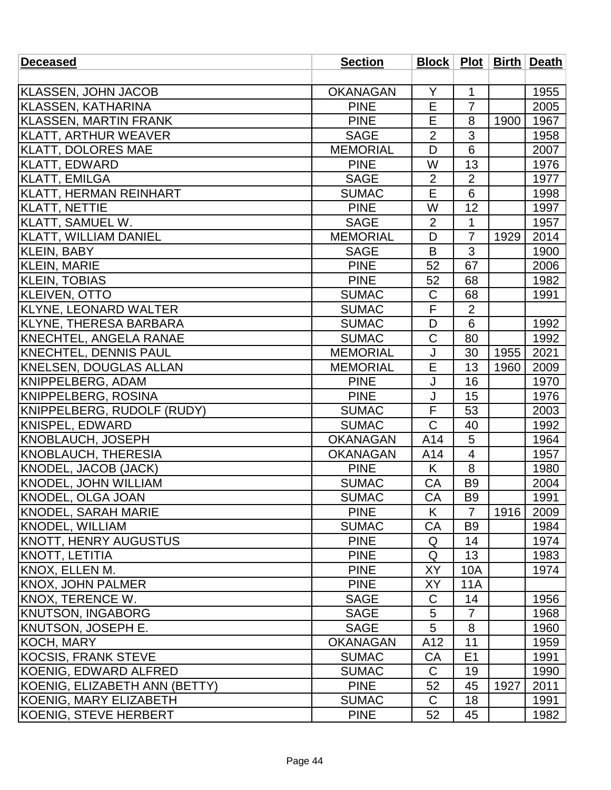| <b>Deceased</b>               | <b>Section</b>  |                |                 |      | Block   Plot   Birth   Death |
|-------------------------------|-----------------|----------------|-----------------|------|------------------------------|
|                               |                 |                |                 |      |                              |
| <b>KLASSEN, JOHN JACOB</b>    | <b>OKANAGAN</b> | Y              | $\mathbf 1$     |      | 1955                         |
| KLASSEN, KATHARINA            | <b>PINE</b>     | E              | $\overline{7}$  |      | 2005                         |
| <b>KLASSEN, MARTIN FRANK</b>  | <b>PINE</b>     | E              | 8               | 1900 | 1967                         |
| KLATT, ARTHUR WEAVER          | <b>SAGE</b>     | $\overline{2}$ | 3               |      | 1958                         |
| <b>KLATT, DOLORES MAE</b>     | <b>MEMORIAL</b> | D              | 6               |      | 2007                         |
| <b>KLATT, EDWARD</b>          | <b>PINE</b>     | W              | 13              |      | 1976                         |
| <b>KLATT, EMILGA</b>          | <b>SAGE</b>     | 2              | $\overline{2}$  |      | 1977                         |
| KLATT, HERMAN REINHART        | <b>SUMAC</b>    | E              | 6               |      | 1998                         |
| <b>KLATT, NETTIE</b>          | <b>PINE</b>     | W              | 12              |      | 1997                         |
| KLATT, SAMUEL W.              | <b>SAGE</b>     | $\overline{2}$ | $\mathbf{1}$    |      | 1957                         |
| KLATT, WILLIAM DANIEL         | <b>MEMORIAL</b> | D              | $\overline{7}$  | 1929 | 2014                         |
| KLEIN, BABY                   | <b>SAGE</b>     | B              | 3               |      | 1900                         |
| <b>KLEIN, MARIE</b>           | <b>PINE</b>     | 52             | 67              |      | 2006                         |
| <b>KLEIN, TOBIAS</b>          | <b>PINE</b>     | 52             | 68              |      | 1982                         |
| <b>KLEIVEN, OTTO</b>          | <b>SUMAC</b>    | $\mathsf C$    | 68              |      | 1991                         |
| KLYNE, LEONARD WALTER         | <b>SUMAC</b>    | F              | $\overline{2}$  |      |                              |
| KLYNE, THERESA BARBARA        | <b>SUMAC</b>    | D              | $6\phantom{1}6$ |      | 1992                         |
| <b>KNECHTEL, ANGELA RANAE</b> | <b>SUMAC</b>    | $\mathsf C$    | 80              |      | 1992                         |
| <b>KNECHTEL, DENNIS PAUL</b>  | <b>MEMORIAL</b> | J              | 30              | 1955 | 2021                         |
| <b>KNELSEN, DOUGLAS ALLAN</b> | <b>MEMORIAL</b> | E              | 13              | 1960 | 2009                         |
| KNIPPELBERG, ADAM             | <b>PINE</b>     | J              | 16              |      | 1970                         |
| KNIPPELBERG, ROSINA           | <b>PINE</b>     | J              | 15              |      | 1976                         |
| KNIPPELBERG, RUDOLF (RUDY)    | <b>SUMAC</b>    | F              | 53              |      | 2003                         |
| KNISPEL, EDWARD               | <b>SUMAC</b>    | $\mathsf C$    | 40              |      | 1992                         |
| <b>KNOBLAUCH, JOSEPH</b>      | <b>OKANAGAN</b> | A14            | 5               |      | 1964                         |
| KNOBLAUCH, THERESIA           | <b>OKANAGAN</b> | A14            | 4               |      | 1957                         |
| KNODEL, JACOB (JACK)          | <b>PINE</b>     | K              | 8               |      | 1980                         |
| <b>KNODEL, JOHN WILLIAM</b>   | <b>SUMAC</b>    | <b>CA</b>      | B <sub>9</sub>  |      | 2004                         |
| KNODEL, OLGA JOAN             | <b>SUMAC</b>    | CA             | <b>B</b> 9      |      | 1991                         |
| <b>KNODEL, SARAH MARIE</b>    | <b>PINE</b>     | K              | $\overline{7}$  | 1916 | 2009                         |
| <b>KNODEL, WILLIAM</b>        | <b>SUMAC</b>    | СA             | B <sub>9</sub>  |      | 1984                         |
| KNOTT, HENRY AUGUSTUS         | <b>PINE</b>     | Q              | 14              |      | 1974                         |
| KNOTT, LETITIA                | <b>PINE</b>     | Q              | 13              |      | 1983                         |
| KNOX, ELLEN M.                | <b>PINE</b>     | XY             | 10A             |      | 1974                         |
| KNOX, JOHN PALMER             | <b>PINE</b>     | XY             | 11A             |      |                              |
| KNOX, TERENCE W.              | <b>SAGE</b>     | C              | 14              |      | 1956                         |
| <b>KNUTSON, INGABORG</b>      | <b>SAGE</b>     | 5              | $\overline{7}$  |      | 1968                         |
| KNUTSON, JOSEPH E.            | <b>SAGE</b>     | 5              | 8               |      | 1960                         |
| KOCH, MARY                    | <b>OKANAGAN</b> | A12            | 11              |      | 1959                         |
| <b>KOCSIS, FRANK STEVE</b>    | <b>SUMAC</b>    | CA             | E <sub>1</sub>  |      | 1991                         |
| KOENIG, EDWARD ALFRED         | <b>SUMAC</b>    | C              | 19              |      | 1990                         |
| KOENIG, ELIZABETH ANN (BETTY) | <b>PINE</b>     | 52             | 45              | 1927 | 2011                         |
| <b>KOENIG, MARY ELIZABETH</b> | <b>SUMAC</b>    | C              | 18              |      | 1991                         |
| <b>KOENIG, STEVE HERBERT</b>  | <b>PINE</b>     | 52             | 45              |      | 1982                         |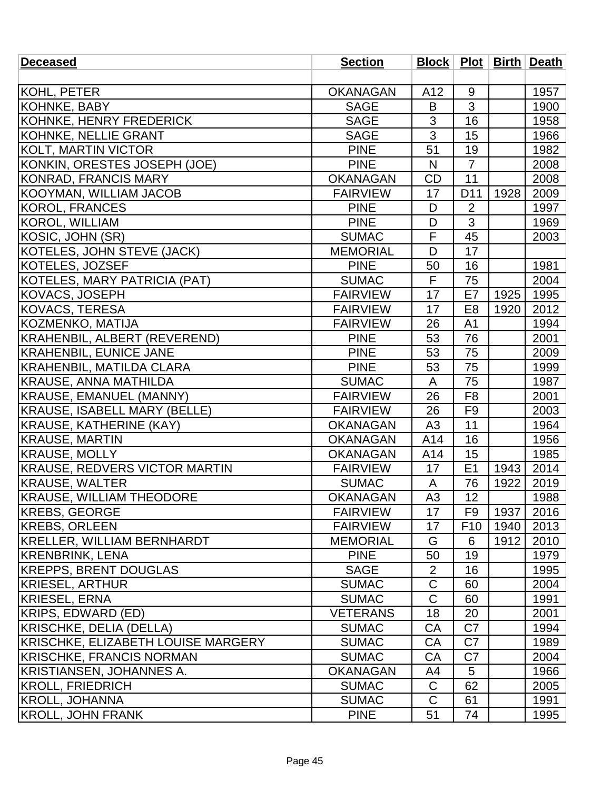| <b>Deceased</b>                      | <b>Section</b>  |                         |                 |      | Block   Plot   Birth   Death |
|--------------------------------------|-----------------|-------------------------|-----------------|------|------------------------------|
|                                      |                 |                         |                 |      |                              |
| KOHL, PETER                          | <b>OKANAGAN</b> | A12                     | 9               |      | 1957                         |
| KOHNKE, BABY                         | <b>SAGE</b>     | B                       | 3               |      | 1900                         |
| KOHNKE, HENRY FREDERICK              | <b>SAGE</b>     | 3                       | 16              |      | 1958                         |
| KOHNKE, NELLIE GRANT                 | <b>SAGE</b>     | 3                       | 15              |      | 1966                         |
| KOLT, MARTIN VICTOR                  | <b>PINE</b>     | 51                      | 19              |      | 1982                         |
| KONKIN, ORESTES JOSEPH (JOE)         | <b>PINE</b>     | $\mathsf{N}$            | $\overline{7}$  |      | 2008                         |
| KONRAD, FRANCIS MARY                 | <b>OKANAGAN</b> | <b>CD</b>               | 11              |      | 2008                         |
| KOOYMAN, WILLIAM JACOB               | <b>FAIRVIEW</b> | 17                      | D11             | 1928 | 2009                         |
| KOROL, FRANCES                       | <b>PINE</b>     | D                       | $\overline{2}$  |      | 1997                         |
| KOROL, WILLIAM                       | <b>PINE</b>     | D                       | 3               |      | 1969                         |
| KOSIC, JOHN (SR)                     | <b>SUMAC</b>    | F                       | 45              |      | 2003                         |
| KOTELES, JOHN STEVE (JACK)           | <b>MEMORIAL</b> | D                       | 17              |      |                              |
| KOTELES, JOZSEF                      | <b>PINE</b>     | 50                      | 16              |      | 1981                         |
| KOTELES, MARY PATRICIA (PAT)         | <b>SUMAC</b>    | $\overline{\mathsf{F}}$ | $\overline{75}$ |      | 2004                         |
| KOVACS, JOSEPH                       | <b>FAIRVIEW</b> | 17                      | E7              | 1925 | 1995                         |
| <b>KOVACS, TERESA</b>                | <b>FAIRVIEW</b> | 17                      | E <sub>8</sub>  | 1920 | 2012                         |
| KOZMENKO, MATIJA                     | <b>FAIRVIEW</b> | 26                      | A <sub>1</sub>  |      | 1994                         |
| KRAHENBIL, ALBERT (REVEREND)         | <b>PINE</b>     | 53                      | 76              |      | 2001                         |
| <b>KRAHENBIL, EUNICE JANE</b>        | <b>PINE</b>     | 53                      | 75              |      | 2009                         |
| KRAHENBIL, MATILDA CLARA             | <b>PINE</b>     | 53                      | 75              |      | 1999                         |
| <b>KRAUSE, ANNA MATHILDA</b>         | <b>SUMAC</b>    | A                       | 75              |      | 1987                         |
| KRAUSE, EMANUEL (MANNY)              | <b>FAIRVIEW</b> | 26                      | F <sub>8</sub>  |      | 2001                         |
| KRAUSE, ISABELL MARY (BELLE)         | <b>FAIRVIEW</b> | 26                      | F <sub>9</sub>  |      | 2003                         |
| <b>KRAUSE, KATHERINE (KAY)</b>       | <b>OKANAGAN</b> | A3                      | 11              |      | 1964                         |
| <b>KRAUSE, MARTIN</b>                | <b>OKANAGAN</b> | A14                     | 16              |      | 1956                         |
| <b>KRAUSE, MOLLY</b>                 | <b>OKANAGAN</b> | A14                     | 15              |      | 1985                         |
| <b>KRAUSE, REDVERS VICTOR MARTIN</b> | <b>FAIRVIEW</b> | 17                      | E1              | 1943 | 2014                         |
| <b>KRAUSE, WALTER</b>                | <b>SUMAC</b>    | A                       | 76              | 1922 | 2019                         |
| <b>KRAUSE, WILLIAM THEODORE</b>      | <b>OKANAGAN</b> | A <sub>3</sub>          | 12              |      | 1988                         |
| <b>KREBS, GEORGE</b>                 | <b>FAIRVIEW</b> | 17                      | F9              | 1937 | 2016                         |
| <b>KREBS, ORLEEN</b>                 | <b>FAIRVIEW</b> | 17                      | F <sub>10</sub> | 1940 | 2013                         |
| <b>KRELLER, WILLIAM BERNHARDT</b>    | <b>MEMORIAL</b> | G                       | 6               | 1912 | 2010                         |
| <b>KRENBRINK, LENA</b>               | <b>PINE</b>     | 50                      | 19              |      | 1979                         |
| <b>KREPPS, BRENT DOUGLAS</b>         | <b>SAGE</b>     | 2                       | 16              |      | 1995                         |
| <b>KRIESEL, ARTHUR</b>               | <b>SUMAC</b>    | C                       | 60              |      | 2004                         |
| <b>KRIESEL, ERNA</b>                 | <b>SUMAC</b>    | C                       | 60              |      | 1991                         |
| KRIPS, EDWARD (ED)                   | <b>VETERANS</b> | 18                      | 20              |      | 2001                         |
| KRISCHKE, DELIA (DELLA)              | <b>SUMAC</b>    | CA                      | C7              |      | 1994                         |
| KRISCHKE, ELIZABETH LOUISE MARGERY   | <b>SUMAC</b>    | CA                      | C <sub>7</sub>  |      | 1989                         |
| <b>KRISCHKE, FRANCIS NORMAN</b>      | <b>SUMAC</b>    | CA                      | C7              |      | 2004                         |
| <b>KRISTIANSEN, JOHANNES A.</b>      | <b>OKANAGAN</b> | A4                      | 5               |      | 1966                         |
| <b>KROLL, FRIEDRICH</b>              | <b>SUMAC</b>    | $\mathsf C$             | 62              |      | 2005                         |
| KROLL, JOHANNA                       | <b>SUMAC</b>    | C                       | 61              |      | 1991                         |
| <b>KROLL, JOHN FRANK</b>             | <b>PINE</b>     | 51                      | 74              |      | 1995                         |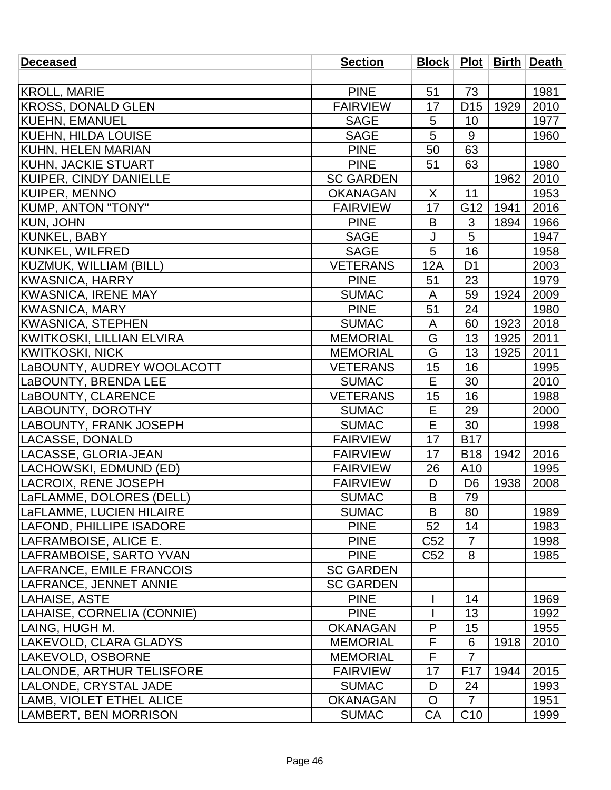| <b>Deceased</b>               | <b>Section</b>   |                 |                 |      | Block   Plot   Birth   Death |
|-------------------------------|------------------|-----------------|-----------------|------|------------------------------|
|                               |                  |                 |                 |      |                              |
| <b>KROLL, MARIE</b>           | <b>PINE</b>      | 51              | 73              |      | 1981                         |
| KROSS, DONALD GLEN            | <b>FAIRVIEW</b>  | 17              | D <sub>15</sub> | 1929 | 2010                         |
| KUEHN, EMANUEL                | <b>SAGE</b>      | 5               | 10              |      | 1977                         |
| <b>KUEHN, HILDA LOUISE</b>    | <b>SAGE</b>      | 5               | 9               |      | 1960                         |
| KUHN, HELEN MARIAN            | <b>PINE</b>      | 50              | 63              |      |                              |
| <b>KUHN, JACKIE STUART</b>    | <b>PINE</b>      | 51              | 63              |      | 1980                         |
| <b>KUIPER, CINDY DANIELLE</b> | <b>SC GARDEN</b> |                 |                 | 1962 | 2010                         |
| <b>KUIPER, MENNO</b>          | <b>OKANAGAN</b>  | X               | 11              |      | 1953                         |
| <b>KUMP, ANTON "TONY"</b>     | <b>FAIRVIEW</b>  | 17              | G12             | 1941 | 2016                         |
| <b>KUN, JOHN</b>              | <b>PINE</b>      | B               | 3               | 1894 | 1966                         |
| <b>KUNKEL, BABY</b>           | <b>SAGE</b>      | J               | 5               |      | 1947                         |
| KUNKEL, WILFRED               | <b>SAGE</b>      | 5               | 16              |      | 1958                         |
| <b>KUZMUK, WILLIAM (BILL)</b> | <b>VETERANS</b>  | <b>12A</b>      | D <sub>1</sub>  |      | 2003                         |
| <b>KWASNICA, HARRY</b>        | <b>PINE</b>      | 51              | 23              |      | 1979                         |
| <b>KWASNICA, IRENE MAY</b>    | <b>SUMAC</b>     | A               | 59              | 1924 | 2009                         |
| <b>KWASNICA, MARY</b>         | <b>PINE</b>      | 51              | 24              |      | 1980                         |
| <b>KWASNICA, STEPHEN</b>      | <b>SUMAC</b>     | A               | 60              | 1923 | 2018                         |
| KWITKOSKI, LILLIAN ELVIRA     | <b>MEMORIAL</b>  | G               | 13              | 1925 | 2011                         |
| KWITKOSKI, NICK               | <b>MEMORIAL</b>  | G               | 13              | 1925 | 2011                         |
| LaBOUNTY, AUDREY WOOLACOTT    | <b>VETERANS</b>  | 15              | 16              |      | 1995                         |
| LaBOUNTY, BRENDA LEE          | <b>SUMAC</b>     | E               | 30              |      | 2010                         |
| LaBOUNTY, CLARENCE            | <b>VETERANS</b>  | 15              | 16              |      | 1988                         |
| LABOUNTY, DOROTHY             | <b>SUMAC</b>     | E               | 29              |      | 2000                         |
| LABOUNTY, FRANK JOSEPH        | <b>SUMAC</b>     | E               | 30              |      | 1998                         |
| <b>LACASSE, DONALD</b>        | <b>FAIRVIEW</b>  | 17              | <b>B17</b>      |      |                              |
| LACASSE, GLORIA-JEAN          | <b>FAIRVIEW</b>  | 17              | <b>B18</b>      | 1942 | 2016                         |
| LACHOWSKI, EDMUND (ED)        | <b>FAIRVIEW</b>  | 26              | A10             |      | 1995                         |
| <b>LACROIX, RENE JOSEPH</b>   | <b>FAIRVIEW</b>  | D               | D <sub>6</sub>  | 1938 | 2008                         |
| LaFLAMME, DOLORES (DELL)      | <b>SUMAC</b>     | $\mathsf B$     | 79              |      |                              |
| LaFLAMME, LUCIEN HILAIRE      | <b>SUMAC</b>     | B               | 80              |      | 1989                         |
| LAFOND, PHILLIPE ISADORE      | <b>PINE</b>      | 52              | 14              |      | 1983                         |
| LAFRAMBOISE, ALICE E.         | <b>PINE</b>      | C <sub>52</sub> | $\overline{7}$  |      | 1998                         |
| LAFRAMBOISE, SARTO YVAN       | <b>PINE</b>      | C <sub>52</sub> | 8               |      | 1985                         |
| LAFRANCE, EMILE FRANCOIS      | <b>SC GARDEN</b> |                 |                 |      |                              |
| LAFRANCE, JENNET ANNIE        | <b>SC GARDEN</b> |                 |                 |      |                              |
| LAHAISE, ASTE                 | <b>PINE</b>      |                 | 14              |      | 1969                         |
| LAHAISE, CORNELIA (CONNIE)    | <b>PINE</b>      |                 | 13              |      | 1992                         |
| LAING, HUGH M.                | <b>OKANAGAN</b>  | P               | 15              |      | 1955                         |
| LAKEVOLD, CLARA GLADYS        | <b>MEMORIAL</b>  | F               | 6               | 1918 | 2010                         |
| LAKEVOLD, OSBORNE             | <b>MEMORIAL</b>  | F               | $\overline{7}$  |      |                              |
| LALONDE, ARTHUR TELISFORE     | <b>FAIRVIEW</b>  | 17              | F <sub>17</sub> | 1944 | 2015                         |
| LALONDE, CRYSTAL JADE         | <b>SUMAC</b>     | D               | 24              |      | 1993                         |
| LAMB, VIOLET ETHEL ALICE      | <b>OKANAGAN</b>  | O               | $\overline{7}$  |      | 1951                         |
| LAMBERT, BEN MORRISON         | <b>SUMAC</b>     | CA              | C <sub>10</sub> |      | 1999                         |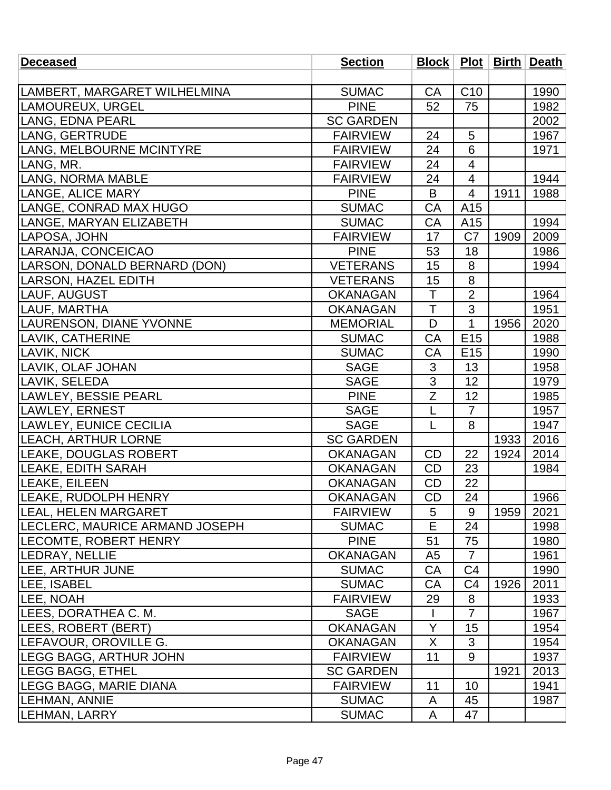| <b>Deceased</b>                       | <b>Section</b>   |                |                 |      | Block   Plot   Birth   Death |
|---------------------------------------|------------------|----------------|-----------------|------|------------------------------|
|                                       |                  |                |                 |      |                              |
| LAMBERT, MARGARET WILHELMINA          | <b>SUMAC</b>     | <b>CA</b>      | C <sub>10</sub> |      | 1990                         |
| LAMOUREUX, URGEL                      | <b>PINE</b>      | 52             | 75              |      | 1982                         |
| LANG, EDNA PEARL                      | <b>SC GARDEN</b> |                |                 |      | 2002                         |
| LANG, GERTRUDE                        | <b>FAIRVIEW</b>  | 24             | 5               |      | 1967                         |
| LANG, MELBOURNE MCINTYRE              | <b>FAIRVIEW</b>  | 24             | 6               |      | 1971                         |
| LANG, MR.                             | <b>FAIRVIEW</b>  | 24             | 4               |      |                              |
| <b>LANG, NORMA MABLE</b>              | <b>FAIRVIEW</b>  | 24             | 4               |      | 1944                         |
| LANGE, ALICE MARY                     | <b>PINE</b>      | B              | $\overline{4}$  | 1911 | 1988                         |
| LANGE, CONRAD MAX HUGO                | <b>SUMAC</b>     | CA             | A15             |      |                              |
| LANGE, MARYAN ELIZABETH               | <b>SUMAC</b>     | CA             | A15             |      | 1994                         |
| LAPOSA, JOHN                          | <b>FAIRVIEW</b>  | 17             | C <sub>7</sub>  | 1909 | 2009                         |
| LARANJA, CONCEICAO                    | <b>PINE</b>      | 53             | 18              |      | 1986                         |
| LARSON, DONALD BERNARD (DON)          | <b>VETERANS</b>  | 15             | 8               |      | 1994                         |
| LARSON, HAZEL EDITH                   | <b>VETERANS</b>  | 15             | 8               |      |                              |
| LAUF, AUGUST                          | <b>OKANAGAN</b>  | T              | $\overline{2}$  |      | 1964                         |
| LAUF, MARTHA                          | <b>OKANAGAN</b>  | T              | 3               |      | 1951                         |
| <b>LAURENSON, DIANE YVONNE</b>        | <b>MEMORIAL</b>  | D              | 1               | 1956 | 2020                         |
| LAVIK, CATHERINE                      | <b>SUMAC</b>     | CA             | E <sub>15</sub> |      | 1988                         |
| LAVIK, NICK                           | <b>SUMAC</b>     | CA             | E <sub>15</sub> |      | 1990                         |
| <b>LAVIK, OLAF JOHAN</b>              | <b>SAGE</b>      | 3              | 13              |      | 1958                         |
| LAVIK, SELEDA                         | <b>SAGE</b>      | $\overline{3}$ | 12              |      | 1979                         |
| LAWLEY, BESSIE PEARL                  | <b>PINE</b>      | Ζ              | 12              |      | 1985                         |
| LAWLEY, ERNEST                        | <b>SAGE</b>      | $\mathsf{L}$   | $\overline{7}$  |      | 1957                         |
| LAWLEY, EUNICE CECILIA                | <b>SAGE</b>      | L              | 8               |      | 1947                         |
| <b>LEACH, ARTHUR LORNE</b>            | <b>SC GARDEN</b> |                |                 | 1933 | 2016                         |
| <b>LEAKE, DOUGLAS ROBERT</b>          | <b>OKANAGAN</b>  | <b>CD</b>      | 22              | 1924 | 2014                         |
| LEAKE, EDITH SARAH                    | <b>OKANAGAN</b>  | <b>CD</b>      | 23              |      | 1984                         |
| <b>LEAKE, EILEEN</b>                  | <b>OKANAGAN</b>  | <b>CD</b>      | 22              |      |                              |
| LEAKE, RUDOLPH HENRY                  | <b>OKANAGAN</b>  | CD             | 24              |      | 1966                         |
| <b>ILEAL, HELEN MARGARET</b>          | <b>FAIRVIEW</b>  | 5              | 9               | 1959 | 2021                         |
| <b>LECLERC, MAURICE ARMAND JOSEPH</b> | <b>SUMAC</b>     | Е              | 24              |      | 1998                         |
| <b>LECOMTE, ROBERT HENRY</b>          | <b>PINE</b>      | 51             | 75              |      | 1980                         |
| <b>LEDRAY, NELLIE</b>                 | <b>OKANAGAN</b>  | A <sub>5</sub> | $\overline{7}$  |      | 1961                         |
| <b>LEE, ARTHUR JUNE</b>               | <b>SUMAC</b>     | CA             | C <sub>4</sub>  |      | 1990                         |
| <b>LEE, ISABEL</b>                    | <b>SUMAC</b>     | CA             | C <sub>4</sub>  | 1926 | 2011                         |
| LEE, NOAH                             | <b>FAIRVIEW</b>  | 29             | 8               |      | 1933                         |
| LEES, DORATHEA C. M.                  | <b>SAGE</b>      |                | $\overline{7}$  |      | 1967                         |
| <b>LEES, ROBERT (BERT)</b>            | <b>OKANAGAN</b>  | Y              | 15              |      | 1954                         |
| LEFAVOUR, OROVILLE G.                 | <b>OKANAGAN</b>  | X              | 3               |      | 1954                         |
| <b>LEGG BAGG, ARTHUR JOHN</b>         | <b>FAIRVIEW</b>  | 11             | 9               |      | 1937                         |
| <b>LEGG BAGG, ETHEL</b>               | <b>SC GARDEN</b> |                |                 | 1921 | 2013                         |
| <b>LEGG BAGG, MARIE DIANA</b>         | <b>FAIRVIEW</b>  | 11             | 10              |      | 1941                         |
| <b>LEHMAN, ANNIE</b>                  | <b>SUMAC</b>     | A              | 45              |      | 1987                         |
| LEHMAN, LARRY                         | <b>SUMAC</b>     | A              | 47              |      |                              |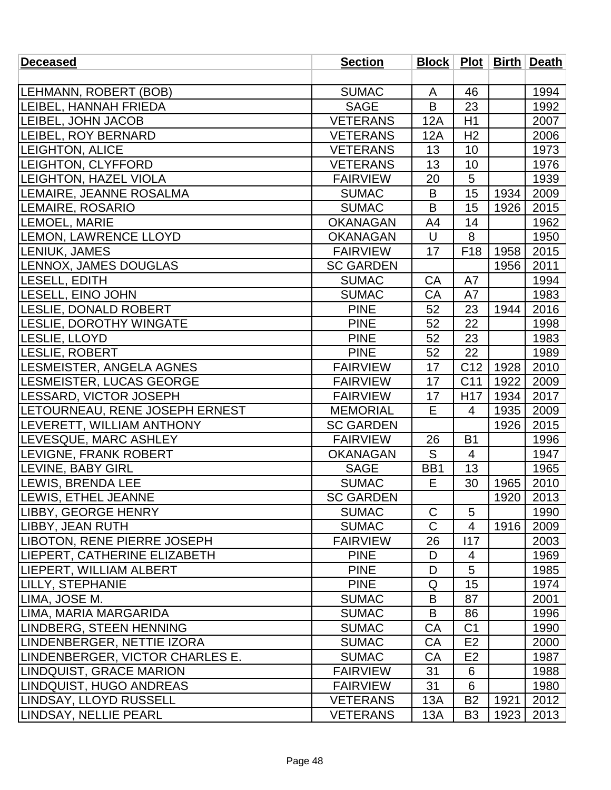| <b>Deceased</b>                  | <b>Section</b>   |             |                 |      | Block   Plot   Birth   Death |
|----------------------------------|------------------|-------------|-----------------|------|------------------------------|
|                                  |                  |             |                 |      |                              |
| LEHMANN, ROBERT (BOB)            | <b>SUMAC</b>     | A           | 46              |      | 1994                         |
| LEIBEL, HANNAH FRIEDA            | <b>SAGE</b>      | B           | 23              |      | 1992                         |
| <b>LEIBEL, JOHN JACOB</b>        | <b>VETERANS</b>  | 12A         | H1              |      | 2007                         |
| <b>LEIBEL, ROY BERNARD</b>       | <b>VETERANS</b>  | 12A         | H <sub>2</sub>  |      | 2006                         |
| <b>LEIGHTON, ALICE</b>           | <b>VETERANS</b>  | 13          | 10              |      | 1973                         |
| LEIGHTON, CLYFFORD               | <b>VETERANS</b>  | 13          | 10              |      | 1976                         |
| <b>LEIGHTON, HAZEL VIOLA</b>     | <b>FAIRVIEW</b>  | 20          | 5               |      | 1939                         |
| LEMAIRE, JEANNE ROSALMA          | <b>SUMAC</b>     | B           | 15              | 1934 | 2009                         |
| LEMAIRE, ROSARIO                 | <b>SUMAC</b>     | B           | 15              | 1926 | 2015                         |
| <b>LEMOEL, MARIE</b>             | <b>OKANAGAN</b>  | A4          | 14              |      | 1962                         |
| <b>LEMON, LAWRENCE LLOYD</b>     | <b>OKANAGAN</b>  | U           | 8               |      | 1950                         |
| <b>LENIUK, JAMES</b>             | <b>FAIRVIEW</b>  | 17          | F <sub>18</sub> | 1958 | 2015                         |
| <b>LENNOX, JAMES DOUGLAS</b>     | <b>SC GARDEN</b> |             |                 | 1956 | 2011                         |
| <b>LESELL, EDITH</b>             | <b>SUMAC</b>     | CA          | A7              |      | 1994                         |
| <b>LESELL, EINO JOHN</b>         | <b>SUMAC</b>     | CA          | A7              |      | 1983                         |
| <b>LESLIE, DONALD ROBERT</b>     | <b>PINE</b>      | 52          | 23              | 1944 | 2016                         |
| <b>LESLIE, DOROTHY WINGATE</b>   | <b>PINE</b>      | 52          | 22              |      | 1998                         |
| LESLIE, LLOYD                    | <b>PINE</b>      | 52          | 23              |      | 1983                         |
| <b>LESLIE, ROBERT</b>            | <b>PINE</b>      | 52          | 22              |      | 1989                         |
| LESMEISTER, ANGELA AGNES         | <b>FAIRVIEW</b>  | 17          | C <sub>12</sub> | 1928 | 2010                         |
| <b>LESMEISTER, LUCAS GEORGE</b>  | <b>FAIRVIEW</b>  | 17          | C <sub>11</sub> | 1922 | 2009                         |
| <b>LESSARD, VICTOR JOSEPH</b>    | <b>FAIRVIEW</b>  | 17          | H <sub>17</sub> | 1934 | 2017                         |
| LETOURNEAU, RENE JOSEPH ERNEST   | <b>MEMORIAL</b>  | E           | 4               | 1935 | 2009                         |
| <b>LEVERETT, WILLIAM ANTHONY</b> | <b>SC GARDEN</b> |             |                 | 1926 | 2015                         |
| <b>LEVESQUE, MARC ASHLEY</b>     | <b>FAIRVIEW</b>  | 26          | <b>B1</b>       |      | 1996                         |
| <b>LEVIGNE, FRANK ROBERT</b>     | <b>OKANAGAN</b>  | S           | 4               |      | 1947                         |
| LEVINE, BABY GIRL                | <b>SAGE</b>      | BB1         | 13              |      | 1965                         |
| <b>LEWIS, BRENDA LEE</b>         | <b>SUMAC</b>     | E           | 30              | 1965 | 2010                         |
| LEWIS, ETHEL JEANNE              | <b>SC GARDEN</b> |             |                 | 1920 | 2013                         |
| LIBBY, GEORGE HENRY              | <b>SUMAC</b>     | $\mathsf C$ | 5               |      | 1990                         |
| LIBBY, JEAN RUTH                 | <b>SUMAC</b>     | C           | 4               | 1916 | 2009                         |
| LIBOTON, RENE PIERRE JOSEPH      | <b>FAIRVIEW</b>  | 26          | 117             |      | 2003                         |
| LIEPERT, CATHERINE ELIZABETH     | <b>PINE</b>      | D           | 4               |      | 1969                         |
| LIEPERT, WILLIAM ALBERT          | <b>PINE</b>      | D           | 5               |      | 1985                         |
| <b>LILLY, STEPHANIE</b>          | <b>PINE</b>      | Q           | 15              |      | 1974                         |
| LIMA, JOSE M.                    | <b>SUMAC</b>     | B           | 87              |      | 2001                         |
| LIMA, MARIA MARGARIDA            | <b>SUMAC</b>     | B           | 86              |      | 1996                         |
| LINDBERG, STEEN HENNING          | <b>SUMAC</b>     | CA          | C <sub>1</sub>  |      | 1990                         |
| LINDENBERGER, NETTIE IZORA       | <b>SUMAC</b>     | CA          | E <sub>2</sub>  |      | 2000                         |
| LINDENBERGER, VICTOR CHARLES E.  | <b>SUMAC</b>     | CA          | E <sub>2</sub>  |      | 1987                         |
| <b>LINDQUIST, GRACE MARION</b>   | <b>FAIRVIEW</b>  | 31          | 6               |      | 1988                         |
| LINDQUIST, HUGO ANDREAS          | <b>FAIRVIEW</b>  | 31          | 6               |      | 1980                         |
| LINDSAY, LLOYD RUSSELL           | <b>VETERANS</b>  | 13A         | B <sub>2</sub>  | 1921 | 2012                         |
| LINDSAY, NELLIE PEARL            | <b>VETERANS</b>  | 13A         | B <sub>3</sub>  | 1923 | 2013                         |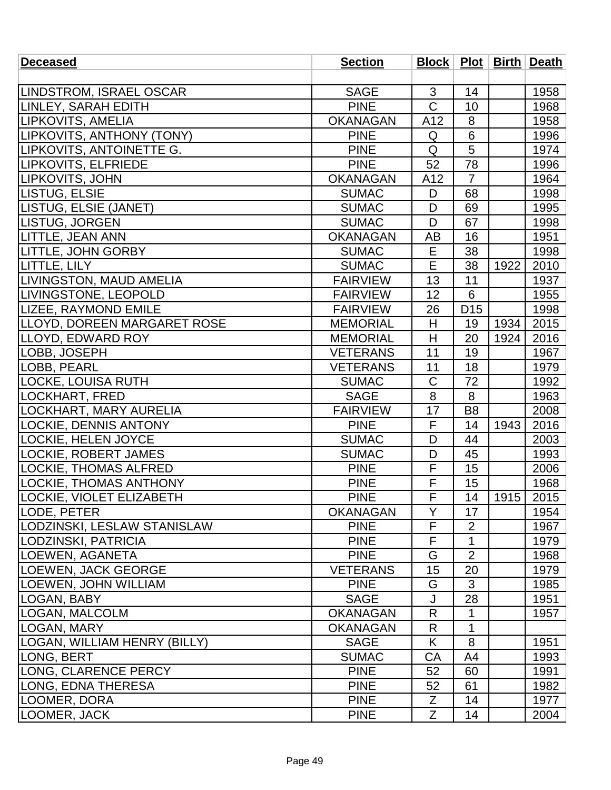| <b>Deceased</b>                | <b>Section</b>  |                       |                 |      | Block   Plot   Birth   Death |
|--------------------------------|-----------------|-----------------------|-----------------|------|------------------------------|
|                                |                 |                       |                 |      |                              |
| <b>LINDSTROM, ISRAEL OSCAR</b> | <b>SAGE</b>     | 3                     | 14              |      | 1958                         |
| LINLEY, SARAH EDITH            | <b>PINE</b>     | $\overline{\text{C}}$ | 10              |      | 1968                         |
| LIPKOVITS, AMELIA              | <b>OKANAGAN</b> | A12                   | 8               |      | 1958                         |
| LIPKOVITS, ANTHONY (TONY)      | <b>PINE</b>     | Q                     | $\,6$           |      | 1996                         |
| LIPKOVITS, ANTOINETTE G.       | <b>PINE</b>     | Q                     | 5               |      | 1974                         |
| <b>LIPKOVITS, ELFRIEDE</b>     | <b>PINE</b>     | 52                    | 78              |      | 1996                         |
| LIPKOVITS, JOHN                | <b>OKANAGAN</b> | A12                   | $\overline{7}$  |      | 1964                         |
| LISTUG, ELSIE                  | <b>SUMAC</b>    | D                     | 68              |      | 1998                         |
| LISTUG, ELSIE (JANET)          | <b>SUMAC</b>    | D                     | 69              |      | 1995                         |
| LISTUG, JORGEN                 | <b>SUMAC</b>    | D                     | 67              |      | 1998                         |
| LITTLE, JEAN ANN               | <b>OKANAGAN</b> | AB                    | 16              |      | 1951                         |
| <b>LITTLE, JOHN GORBY</b>      | <b>SUMAC</b>    | Е                     | 38              |      | 1998                         |
| LITTLE, LILY                   | <b>SUMAC</b>    | E                     | 38              | 1922 | 2010                         |
| LIVINGSTON, MAUD AMELIA        | <b>FAIRVIEW</b> | 13                    | $\overline{11}$ |      | 1937                         |
| LIVINGSTONE, LEOPOLD           | <b>FAIRVIEW</b> | 12                    | 6               |      | 1955                         |
| <b>LIZEE, RAYMOND EMILE</b>    | <b>FAIRVIEW</b> | 26                    | D <sub>15</sub> |      | 1998                         |
| LLOYD, DOREEN MARGARET ROSE    | <b>MEMORIAL</b> | H                     | 19              | 1934 | 2015                         |
| LLOYD, EDWARD ROY              | <b>MEMORIAL</b> | H                     | 20              | 1924 | 2016                         |
| LOBB, JOSEPH                   | <b>VETERANS</b> | 11                    | 19              |      | 1967                         |
| LOBB, PEARL                    | <b>VETERANS</b> | 11                    | 18              |      | 1979                         |
| LOCKE, LOUISA RUTH             | <b>SUMAC</b>    | C                     | 72              |      | 1992                         |
| LOCKHART, FRED                 | <b>SAGE</b>     | 8                     | 8               |      | 1963                         |
| LOCKHART, MARY AURELIA         | <b>FAIRVIEW</b> | 17                    | B <sub>8</sub>  |      | 2008                         |
| <b>LOCKIE, DENNIS ANTONY</b>   | <b>PINE</b>     | F                     | 14              | 1943 | 2016                         |
| LOCKIE, HELEN JOYCE            | <b>SUMAC</b>    | D                     | 44              |      | 2003                         |
| <b>LOCKIE, ROBERT JAMES</b>    | <b>SUMAC</b>    | D                     | 45              |      | 1993                         |
| LOCKIE, THOMAS ALFRED          | <b>PINE</b>     | F                     | 15              |      | 2006                         |
| <b>LOCKIE, THOMAS ANTHONY</b>  | <b>PINE</b>     | F                     | 15              |      | 1968                         |
| LOCKIE, VIOLET ELIZABETH       | <b>PINE</b>     | $\overline{F}$        | 14              | 1915 | 2015                         |
| LODE, PETER                    | <b>OKANAGAN</b> | Y                     | 17              |      | 1954                         |
| LODZINSKI, LESLAW STANISLAW    | <b>PINE</b>     | F                     | $\overline{2}$  |      | 1967                         |
| LODZINSKI, PATRICIA            | <b>PINE</b>     | F                     | 1               |      | 1979                         |
| LOEWEN, AGANETA                | <b>PINE</b>     | G                     | $\overline{2}$  |      | 1968                         |
| <b>LOEWEN, JACK GEORGE</b>     | <b>VETERANS</b> | 15                    | 20              |      | 1979                         |
| <b>LOEWEN, JOHN WILLIAM</b>    | <b>PINE</b>     | G                     | 3               |      | 1985                         |
| LOGAN, BABY                    | <b>SAGE</b>     | J                     | 28              |      | 1951                         |
| <b>LOGAN, MALCOLM</b>          | <b>OKANAGAN</b> | R                     | 1               |      | 1957                         |
| LOGAN, MARY                    | <b>OKANAGAN</b> | R                     | 1               |      |                              |
| LOGAN, WILLIAM HENRY (BILLY)   | <b>SAGE</b>     | K                     | 8               |      | 1951                         |
| LONG, BERT                     | <b>SUMAC</b>    | CA                    | A4              |      | 1993                         |
| LONG, CLARENCE PERCY           | <b>PINE</b>     | 52                    | 60              |      | 1991                         |
| LONG, EDNA THERESA             | <b>PINE</b>     | 52                    | 61              |      | 1982                         |
| LOOMER, DORA                   | <b>PINE</b>     | Ζ                     | 14              |      | 1977                         |
| LOOMER, JACK                   | <b>PINE</b>     | Z                     | 14              |      | 2004                         |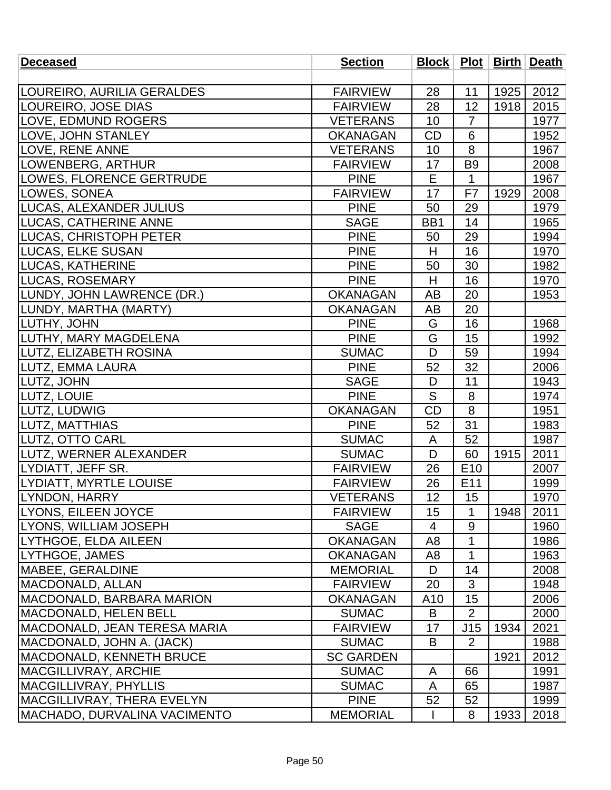| <b>Deceased</b>                     | <b>Section</b>   |                 |                 |      | <b>Block   Plot   Birth   Death</b> |
|-------------------------------------|------------------|-----------------|-----------------|------|-------------------------------------|
|                                     |                  |                 |                 |      |                                     |
| LOUREIRO, AURILIA GERALDES          | <b>FAIRVIEW</b>  | 28              | 11              | 1925 | 2012                                |
| LOUREIRO, JOSE DIAS                 | <b>FAIRVIEW</b>  | 28              | 12              | 1918 | 2015                                |
| LOVE, EDMUND ROGERS                 | <b>VETERANS</b>  | 10              | $\overline{7}$  |      | 1977                                |
| LOVE, JOHN STANLEY                  | <b>OKANAGAN</b>  | <b>CD</b>       | 6               |      | 1952                                |
| LOVE, RENE ANNE                     | <b>VETERANS</b>  | 10              | 8               |      | 1967                                |
| LOWENBERG, ARTHUR                   | <b>FAIRVIEW</b>  | 17              | B <sub>9</sub>  |      | 2008                                |
| LOWES, FLORENCE GERTRUDE            | <b>PINE</b>      | E               | 1               |      | 1967                                |
| LOWES, SONEA                        | <b>FAIRVIEW</b>  | 17              | F7              | 1929 | 2008                                |
| <b>LUCAS, ALEXANDER JULIUS</b>      | <b>PINE</b>      | 50              | 29              |      | 1979                                |
| <b>LUCAS, CATHERINE ANNE</b>        | <b>SAGE</b>      | BB1             | 14              |      | 1965                                |
| <b>LUCAS, CHRISTOPH PETER</b>       | <b>PINE</b>      | 50              | 29              |      | 1994                                |
| <b>LUCAS, ELKE SUSAN</b>            | <b>PINE</b>      | H               | 16              |      | 1970                                |
| <b>LUCAS, KATHERINE</b>             | <b>PINE</b>      | 50              | 30              |      | 1982                                |
| <b>LUCAS, ROSEMARY</b>              | <b>PINE</b>      | H               | 16              |      | 1970                                |
| LUNDY, JOHN LAWRENCE (DR.)          | <b>OKANAGAN</b>  | AB              | 20              |      | 1953                                |
| LUNDY, MARTHA (MARTY)               | <b>OKANAGAN</b>  | AB              | 20              |      |                                     |
| LUTHY, JOHN                         | <b>PINE</b>      | G               | 16              |      | 1968                                |
| LUTHY, MARY MAGDELENA               | <b>PINE</b>      | G               | 15              |      | 1992                                |
| LUTZ, ELIZABETH ROSINA              | <b>SUMAC</b>     | D               | 59              |      | 1994                                |
| LUTZ, EMMA LAURA                    | <b>PINE</b>      | 52              | 32              |      | 2006                                |
| <b>LUTZ, JOHN</b>                   | <b>SAGE</b>      | D               | 11              |      | 1943                                |
| LUTZ, LOUIE                         | <b>PINE</b>      | S               | 8               |      | 1974                                |
| LUTZ, LUDWIG                        | <b>OKANAGAN</b>  | <b>CD</b>       | 8               |      | 1951                                |
| LUTZ, MATTHIAS                      | <b>PINE</b>      | 52              | 31              |      | 1983                                |
| LUTZ, OTTO CARL                     | <b>SUMAC</b>     | A               | 52              |      | 1987                                |
| LUTZ, WERNER ALEXANDER              | <b>SUMAC</b>     | D               | 60              | 1915 | 2011                                |
| LYDIATT, JEFF SR.                   | <b>FAIRVIEW</b>  | 26              | E <sub>10</sub> |      | 2007                                |
| LYDIATT, MYRTLE LOUISE              | <b>FAIRVIEW</b>  | 26              | E11             |      | 1999                                |
| LYNDON, HARRY                       | <b>VETERANS</b>  | 12              | 15              |      | 1970                                |
| <b>LYONS, EILEEN JOYCE</b>          | <b>FAIRVIEW</b>  | 15              | 1               | 1948 | 2011                                |
| <b>LYONS, WILLIAM JOSEPH</b>        | <b>SAGE</b>      | 4               | 9               |      | 1960                                |
| LYTHGOE, ELDA AILEEN                | <b>OKANAGAN</b>  | A <sub>8</sub>  | 1               |      | 1986                                |
| LYTHGOE, JAMES                      | <b>OKANAGAN</b>  | A8              | 1               |      | 1963                                |
| MABEE, GERALDINE                    | <b>MEMORIAL</b>  | D               | 14              |      | 2008                                |
| MACDONALD, ALLAN                    | <b>FAIRVIEW</b>  | 20              | 3               |      | 1948                                |
| <b>MACDONALD, BARBARA MARION</b>    | <b>OKANAGAN</b>  | A <sub>10</sub> | 15              |      | 2006                                |
| MACDONALD, HELEN BELL               | <b>SUMAC</b>     | B               | $\overline{2}$  |      | 2000                                |
| MACDONALD, JEAN TERESA MARIA        | <b>FAIRVIEW</b>  | 17              | J15             | 1934 | 2021                                |
| MACDONALD, JOHN A. (JACK)           | <b>SUMAC</b>     | B               | $\overline{2}$  |      | 1988                                |
| <b>MACDONALD, KENNETH BRUCE</b>     | <b>SC GARDEN</b> |                 |                 | 1921 | 2012                                |
| <b>MACGILLIVRAY, ARCHIE</b>         | <b>SUMAC</b>     | A               | 66              |      | 1991                                |
| <b>MACGILLIVRAY, PHYLLIS</b>        | <b>SUMAC</b>     | A               | 65              |      | 1987                                |
| <b>MACGILLIVRAY, THERA EVELYN</b>   | <b>PINE</b>      | 52              | 52              |      | 1999                                |
| <b>MACHADO, DURVALINA VACIMENTO</b> | <b>MEMORIAL</b>  |                 | 8               | 1933 | 2018                                |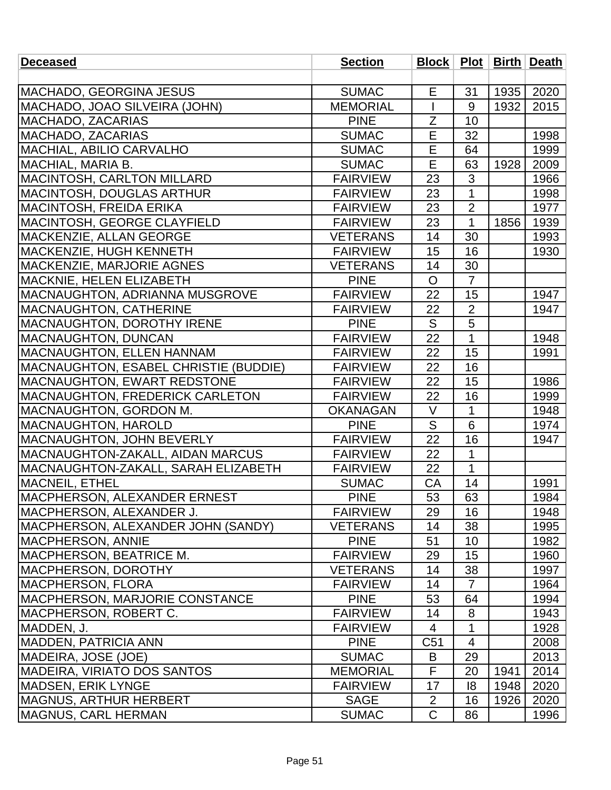| <b>Deceased</b>                        | <b>Section</b>  |              |                |      | Block   Plot   Birth   Death |
|----------------------------------------|-----------------|--------------|----------------|------|------------------------------|
|                                        |                 |              |                |      |                              |
| MACHADO, GEORGINA JESUS                | <b>SUMAC</b>    | E            | 31             | 1935 | 2020                         |
| MACHADO, JOAO SILVEIRA (JOHN)          | <b>MEMORIAL</b> |              | 9              | 1932 | 2015                         |
| MACHADO, ZACARIAS                      | <b>PINE</b>     | Ζ            | 10             |      |                              |
| MACHADO, ZACARIAS                      | <b>SUMAC</b>    | E            | 32             |      | 1998                         |
| <b>MACHIAL, ABILIO CARVALHO</b>        | <b>SUMAC</b>    | E            | 64             |      | 1999                         |
| MACHIAL, MARIA B.                      | <b>SUMAC</b>    | E            | 63             | 1928 | 2009                         |
| <b>MACINTOSH, CARLTON MILLARD</b>      | <b>FAIRVIEW</b> | 23           | 3              |      | 1966                         |
| MACINTOSH, DOUGLAS ARTHUR              | <b>FAIRVIEW</b> | 23           | $\mathbf{1}$   |      | 1998                         |
| MACINTOSH, FREIDA ERIKA                | <b>FAIRVIEW</b> | 23           | $\overline{2}$ |      | 1977                         |
| <b>MACINTOSH, GEORGE CLAYFIELD</b>     | <b>FAIRVIEW</b> | 23           | $\mathbf{1}$   | 1856 | 1939                         |
| <b>MACKENZIE, ALLAN GEORGE</b>         | <b>VETERANS</b> | 14           | 30             |      | 1993                         |
| MACKENZIE, HUGH KENNETH                | <b>FAIRVIEW</b> | 15           | 16             |      | 1930                         |
| <b>IMACKENZIE, MARJORIE AGNES</b>      | <b>VETERANS</b> | 14           | 30             |      |                              |
| MACKNIE, HELEN ELIZABETH               | <b>PINE</b>     | $\mathsf{O}$ | $\overline{7}$ |      |                              |
| <b>MACNAUGHTON, ADRIANNA MUSGROVE</b>  | <b>FAIRVIEW</b> | 22           | 15             |      | 1947                         |
| <b>MACNAUGHTON, CATHERINE</b>          | <b>FAIRVIEW</b> | 22           | $\overline{2}$ |      | 1947                         |
| <b>MACNAUGHTON, DOROTHY IRENE</b>      | <b>PINE</b>     | S            | 5              |      |                              |
| MACNAUGHTON, DUNCAN                    | <b>FAIRVIEW</b> | 22           | $\mathbf{1}$   |      | 1948                         |
| <b>MACNAUGHTON, ELLEN HANNAM</b>       | <b>FAIRVIEW</b> | 22           | 15             |      | 1991                         |
| MACNAUGHTON, ESABEL CHRISTIE (BUDDIE)  | <b>FAIRVIEW</b> | 22           | 16             |      |                              |
| <b>MACNAUGHTON, EWART REDSTONE</b>     | <b>FAIRVIEW</b> | 22           | 15             |      | 1986                         |
| <b>MACNAUGHTON, FREDERICK CARLETON</b> | <b>FAIRVIEW</b> | 22           | 16             |      | 1999                         |
| <b>IMACNAUGHTON, GORDON M.</b>         | <b>OKANAGAN</b> | $\vee$       | 1              |      | 1948                         |
| <b>MACNAUGHTON, HAROLD</b>             | <b>PINE</b>     | S            | 6              |      | 1974                         |
| MACNAUGHTON, JOHN BEVERLY              | <b>FAIRVIEW</b> | 22           | 16             |      | 1947                         |
| MACNAUGHTON-ZAKALL, AIDAN MARCUS       | <b>FAIRVIEW</b> | 22           | 1              |      |                              |
| MACNAUGHTON-ZAKALL, SARAH ELIZABETH    | <b>FAIRVIEW</b> | 22           | $\mathbf{1}$   |      |                              |
| <b>MACNEIL, ETHEL</b>                  | <b>SUMAC</b>    | CA           | 14             |      | 1991                         |
| MACPHERSON, ALEXANDER ERNEST           | <b>PINE</b>     | 53           | 63             |      | 1984                         |
| MACPHERSON, ALEXANDER J.               | <b>FAIRVIEW</b> | 29           | 16             |      | 1948                         |
| MACPHERSON, ALEXANDER JOHN (SANDY)     | <b>VETERANS</b> | 14           | 38             |      | 1995                         |
| <b>MACPHERSON, ANNIE</b>               | <b>PINE</b>     | 51           | 10             |      | 1982                         |
| MACPHERSON, BEATRICE M.                | <b>FAIRVIEW</b> | 29           | 15             |      | 1960                         |
| <b>IMACPHERSON, DOROTHY</b>            | <b>VETERANS</b> | 14           | 38             |      | 1997                         |
| <b>IMACPHERSON, FLORA</b>              | <b>FAIRVIEW</b> | 14           | $\overline{7}$ |      | 1964                         |
| <b>MACPHERSON, MARJORIE CONSTANCE</b>  | <b>PINE</b>     | 53           | 64             |      | 1994                         |
| MACPHERSON, ROBERT C.                  | <b>FAIRVIEW</b> | 14           | 8              |      | 1943                         |
| MADDEN, J.                             | <b>FAIRVIEW</b> | 4            | 1              |      | 1928                         |
| <b>MADDEN, PATRICIA ANN</b>            | <b>PINE</b>     | C51          | 4              |      | 2008                         |
| <b>MADEIRA, JOSE (JOE)</b>             | <b>SUMAC</b>    | B            | 29             |      | 2013                         |
| <b>MADEIRA, VIRIATO DOS SANTOS</b>     | <b>MEMORIAL</b> | F            | 20             | 1941 | 2014                         |
| <b>MADSEN, ERIK LYNGE</b>              | <b>FAIRVIEW</b> | 17           | 8              | 1948 | 2020                         |
| <b>IMAGNUS, ARTHUR HERBERT</b>         | <b>SAGE</b>     | 2            | 16             | 1926 | 2020                         |
| <b>MAGNUS, CARL HERMAN</b>             | <b>SUMAC</b>    | $\mathsf C$  | 86             |      | 1996                         |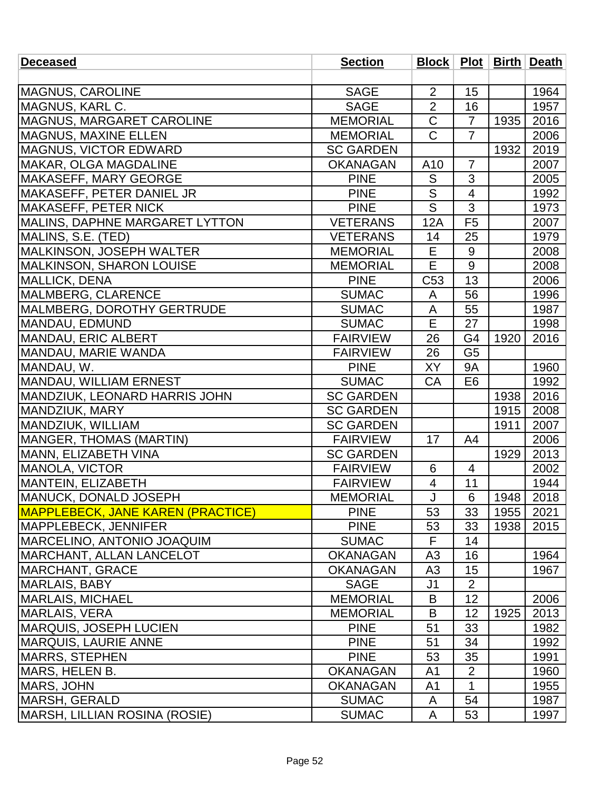| <b>Deceased</b>                          | <b>Section</b>   |                          |                 |      | Block   Plot   Birth   Death |
|------------------------------------------|------------------|--------------------------|-----------------|------|------------------------------|
|                                          |                  |                          |                 |      |                              |
| <b>MAGNUS, CAROLINE</b>                  | <b>SAGE</b>      | $\overline{2}$           | 15              |      | 1964                         |
| MAGNUS, KARL C.                          | <b>SAGE</b>      | $\overline{2}$           | 16              |      | 1957                         |
| MAGNUS, MARGARET CAROLINE                | <b>MEMORIAL</b>  | $\overline{\text{C}}$    | $\overline{7}$  | 1935 | 2016                         |
| <b>IMAGNUS, MAXINE ELLEN</b>             | <b>MEMORIAL</b>  | $\overline{C}$           | $\overline{7}$  |      | 2006                         |
| <b>MAGNUS, VICTOR EDWARD</b>             | <b>SC GARDEN</b> |                          |                 | 1932 | 2019                         |
| <b>MAKAR, OLGA MAGDALINE</b>             | <b>OKANAGAN</b>  | A10                      | $\overline{7}$  |      | 2007                         |
| MAKASEFF, MARY GEORGE                    | <b>PINE</b>      | S                        | 3               |      | 2005                         |
| MAKASEFF, PETER DANIEL JR                | <b>PINE</b>      | S                        | $\overline{4}$  |      | 1992                         |
| <b>MAKASEFF, PETER NICK</b>              | <b>PINE</b>      | S                        | 3               |      | 1973                         |
| MALINS, DAPHNE MARGARET LYTTON           | <b>VETERANS</b>  | 12A                      | F <sub>5</sub>  |      | 2007                         |
| MALINS, S.E. (TED)                       | <b>VETERANS</b>  | 14                       | 25              |      | 1979                         |
| MALKINSON, JOSEPH WALTER                 | <b>MEMORIAL</b>  | E                        | 9               |      | 2008                         |
| <b>MALKINSON, SHARON LOUISE</b>          | <b>MEMORIAL</b>  | E                        | 9               |      | 2008                         |
| <b>MALLICK, DENA</b>                     | <b>PINE</b>      | C <sub>53</sub>          | $\overline{13}$ |      | 2006                         |
| MALMBERG, CLARENCE                       | <b>SUMAC</b>     | A                        | 56              |      | 1996                         |
| MALMBERG, DOROTHY GERTRUDE               | <b>SUMAC</b>     | A                        | 55              |      | 1987                         |
| MANDAU, EDMUND                           | <b>SUMAC</b>     | E                        | 27              |      | 1998                         |
| MANDAU, ERIC ALBERT                      | <b>FAIRVIEW</b>  | 26                       | G <sub>4</sub>  | 1920 | 2016                         |
| MANDAU, MARIE WANDA                      | <b>FAIRVIEW</b>  | 26                       | G <sub>5</sub>  |      |                              |
| MANDAU, W.                               | <b>PINE</b>      | XY                       | <b>9A</b>       |      | 1960                         |
| MANDAU, WILLIAM ERNEST                   | <b>SUMAC</b>     | CA                       | E <sub>6</sub>  |      | 1992                         |
| MANDZIUK, LEONARD HARRIS JOHN            | <b>SC GARDEN</b> |                          |                 | 1938 | 2016                         |
| MANDZIUK, MARY                           | <b>SC GARDEN</b> |                          |                 | 1915 | 2008                         |
| MANDZIUK, WILLIAM                        | <b>SC GARDEN</b> |                          |                 | 1911 | 2007                         |
| MANGER, THOMAS (MARTIN)                  | <b>FAIRVIEW</b>  | 17                       | A4              |      | 2006                         |
| MANN, ELIZABETH VINA                     | <b>SC GARDEN</b> |                          |                 | 1929 | 2013                         |
| MANOLA, VICTOR                           | <b>FAIRVIEW</b>  | 6                        | $\overline{4}$  |      | 2002                         |
| MANTEIN, ELIZABETH                       | <b>FAIRVIEW</b>  | $\overline{\mathcal{A}}$ | 11              |      | 1944                         |
| MANUCK, DONALD JOSEPH                    | <b>MEMORIAL</b>  |                          | $6\,$           | 1948 | 2018                         |
| <b>MAPPLEBECK, JANE KAREN (PRACTICE)</b> | <b>PINE</b>      | 53                       | 33              | 1955 | 2021                         |
| <b>MAPPLEBECK, JENNIFER</b>              | <b>PINE</b>      | 53                       | 33              | 1938 | 2015                         |
| <b>MARCELINO, ANTONIO JOAQUIM</b>        | <b>SUMAC</b>     | F                        | 14              |      |                              |
| <b>IMARCHANT, ALLAN LANCELOT</b>         | <b>OKANAGAN</b>  | A <sub>3</sub>           | 16              |      | 1964                         |
| <b>IMARCHANT, GRACE</b>                  | <b>OKANAGAN</b>  | A <sub>3</sub>           | 15              |      | 1967                         |
| MARLAIS, BABY                            | <b>SAGE</b>      | J <sub>1</sub>           | $\overline{2}$  |      |                              |
| <b>MARLAIS, MICHAEL</b>                  | <b>MEMORIAL</b>  | B                        | 12              |      | 2006                         |
| MARLAIS, VERA                            | <b>MEMORIAL</b>  | B                        | 12              | 1925 | 2013                         |
| <b>IMARQUIS, JOSEPH LUCIEN</b>           | <b>PINE</b>      | 51                       | 33              |      | 1982                         |
| <b>MARQUIS, LAURIE ANNE</b>              | <b>PINE</b>      | 51                       | 34              |      | 1992                         |
| <b>MARRS, STEPHEN</b>                    | <b>PINE</b>      | 53                       | 35              |      | 1991                         |
| MARS, HELEN B.                           | <b>OKANAGAN</b>  | A <sub>1</sub>           | $\overline{2}$  |      | 1960                         |
| MARS, JOHN                               | <b>OKANAGAN</b>  | A <sub>1</sub>           | $\mathbf{1}$    |      | 1955                         |
| <b>MARSH, GERALD</b>                     | <b>SUMAC</b>     | A                        | 54              |      | 1987                         |
| MARSH, LILLIAN ROSINA (ROSIE)            | <b>SUMAC</b>     | A                        | 53              |      | 1997                         |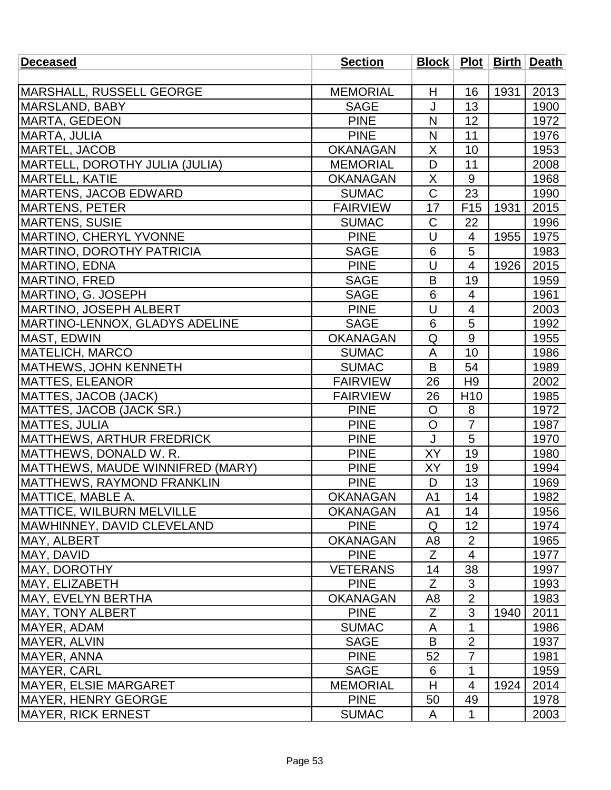| <b>Deceased</b>                   | <b>Section</b>  |                |                          |      | Block   Plot   Birth   Death |
|-----------------------------------|-----------------|----------------|--------------------------|------|------------------------------|
|                                   |                 |                |                          |      |                              |
| MARSHALL, RUSSELL GEORGE          | <b>MEMORIAL</b> | H              | 16                       | 1931 | 2013                         |
| <b>MARSLAND, BABY</b>             | <b>SAGE</b>     | J              | 13                       |      | 1900                         |
| <b>MARTA, GEDEON</b>              | <b>PINE</b>     | N              | 12                       |      | 1972                         |
| <b>MARTA, JULIA</b>               | <b>PINE</b>     | N              | 11                       |      | 1976                         |
| <b>MARTEL, JACOB</b>              | <b>OKANAGAN</b> | X              | 10                       |      | 1953                         |
| MARTELL, DOROTHY JULIA (JULIA)    | <b>MEMORIAL</b> | D              | 11                       |      | 2008                         |
| <b>MARTELL, KATIE</b>             | <b>OKANAGAN</b> | Χ              | 9                        |      | 1968                         |
| <b>MARTENS, JACOB EDWARD</b>      | <b>SUMAC</b>    | $\mathsf C$    | 23                       |      | 1990                         |
| <b>MARTENS, PETER</b>             | <b>FAIRVIEW</b> | 17             | F <sub>15</sub>          | 1931 | 2015                         |
| <b>MARTENS, SUSIE</b>             | <b>SUMAC</b>    | C              | 22                       |      | 1996                         |
| MARTINO, CHERYL YVONNE            | <b>PINE</b>     | U              | 4                        | 1955 | 1975                         |
| <b>MARTINO, DOROTHY PATRICIA</b>  | <b>SAGE</b>     | 6              | 5                        |      | 1983                         |
| MARTINO, EDNA                     | <b>PINE</b>     | U              | $\overline{4}$           | 1926 | 2015                         |
| <b>MARTINO, FRED</b>              | <b>SAGE</b>     | B              | 19                       |      | 1959                         |
| MARTINO, G. JOSEPH                | <b>SAGE</b>     | 6              | $\overline{4}$           |      | 1961                         |
| MARTINO, JOSEPH ALBERT            | <b>PINE</b>     | U              | $\overline{\mathcal{A}}$ |      | 2003                         |
| MARTINO-LENNOX, GLADYS ADELINE    | <b>SAGE</b>     | 6              | 5                        |      | 1992                         |
| <b>MAST, EDWIN</b>                | <b>OKANAGAN</b> | Q              | $\overline{9}$           |      | 1955                         |
| <b>MATELICH, MARCO</b>            | <b>SUMAC</b>    | A              | 10                       |      | 1986                         |
| MATHEWS, JOHN KENNETH             | <b>SUMAC</b>    | B              | 54                       |      | 1989                         |
| <b>MATTES, ELEANOR</b>            | <b>FAIRVIEW</b> | 26             | H <sub>9</sub>           |      | 2002                         |
| MATTES, JACOB (JACK)              | <b>FAIRVIEW</b> | 26             | H <sub>10</sub>          |      | 1985                         |
| MATTES, JACOB (JACK SR.)          | <b>PINE</b>     | $\mathsf{O}$   | 8                        |      | 1972                         |
| <b>MATTES, JULIA</b>              | <b>PINE</b>     | $\circ$        | $\overline{7}$           |      | 1987                         |
| <b>MATTHEWS, ARTHUR FREDRICK</b>  | <b>PINE</b>     | J              | 5                        |      | 1970                         |
| MATTHEWS, DONALD W. R.            | <b>PINE</b>     | XY             | 19                       |      | 1980                         |
| MATTHEWS, MAUDE WINNIFRED (MARY)  | <b>PINE</b>     | XY             | 19                       |      | 1994                         |
| <b>MATTHEWS, RAYMOND FRANKLIN</b> | <b>PINE</b>     | D              | 13                       |      | 1969                         |
| <b>MATTICE, MABLE A.</b>          | <b>OKANAGAN</b> | A <sub>1</sub> | 14                       |      | 1982                         |
| <b>MATTICE, WILBURN MELVILLE</b>  | <b>OKANAGAN</b> | A <sub>1</sub> | 14                       |      | 1956                         |
| MAWHINNEY, DAVID CLEVELAND        | <b>PINE</b>     | Q              | 12                       |      | 1974                         |
| MAY, ALBERT                       | <b>OKANAGAN</b> | A <sub>8</sub> | $\overline{2}$           |      | 1965                         |
| MAY, DAVID                        | <b>PINE</b>     | Ζ              | 4                        |      | 1977                         |
| MAY, DOROTHY                      | <b>VETERANS</b> | 14             | 38                       |      | 1997                         |
| MAY, ELIZABETH                    | <b>PINE</b>     | Z              | 3                        |      | 1993                         |
| MAY, EVELYN BERTHA                | <b>OKANAGAN</b> | A8             | $\overline{2}$           |      | 1983                         |
| <b>MAY, TONY ALBERT</b>           | <b>PINE</b>     | Z              | 3                        | 1940 | 2011                         |
| MAYER, ADAM                       | <b>SUMAC</b>    | A              | 1                        |      | 1986                         |
| MAYER, ALVIN                      | <b>SAGE</b>     | B              | $\overline{2}$           |      | 1937                         |
| MAYER, ANNA                       | <b>PINE</b>     | 52             | $\overline{7}$           |      | 1981                         |
| MAYER, CARL                       | <b>SAGE</b>     | 6              | 1                        |      | 1959                         |
| MAYER, ELSIE MARGARET             | <b>MEMORIAL</b> | H              | 4                        | 1924 | 2014                         |
| <b>MAYER, HENRY GEORGE</b>        | <b>PINE</b>     | 50             | 49                       |      | 1978                         |
| <b>MAYER, RICK ERNEST</b>         | <b>SUMAC</b>    | A              | 1                        |      | 2003                         |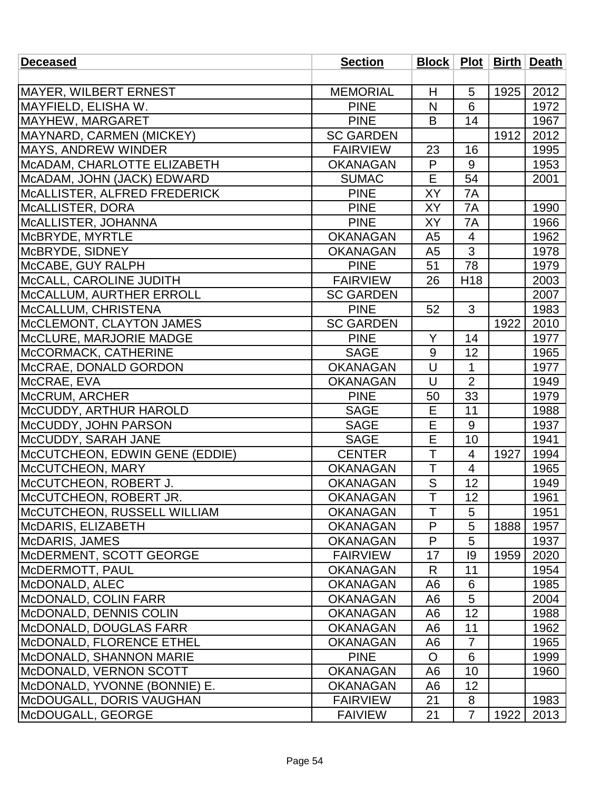| <b>Deceased</b>                    | <b>Section</b>   |                         |                 |      | Block   Plot   Birth   Death |
|------------------------------------|------------------|-------------------------|-----------------|------|------------------------------|
|                                    |                  |                         |                 |      |                              |
| MAYER, WILBERT ERNEST              | <b>MEMORIAL</b>  | H                       | 5               | 1925 | 2012                         |
| MAYFIELD, ELISHA W.                | <b>PINE</b>      | N                       | 6               |      | 1972                         |
| MAYHEW, MARGARET                   | <b>PINE</b>      | B                       | 14              |      | 1967                         |
| <b>MAYNARD, CARMEN (MICKEY)</b>    | <b>SC GARDEN</b> |                         |                 | 1912 | 2012                         |
| <b>IMAYS, ANDREW WINDER</b>        | <b>FAIRVIEW</b>  | 23                      | 16              |      | 1995                         |
| MCADAM, CHARLOTTE ELIZABETH        | <b>OKANAGAN</b>  | P                       | 9               |      | 1953                         |
| MCADAM, JOHN (JACK) EDWARD         | <b>SUMAC</b>     | E                       | 54              |      | 2001                         |
| MCALLISTER, ALFRED FREDERICK       | <b>PINE</b>      | XY                      | 7A              |      |                              |
| McALLISTER, DORA                   | <b>PINE</b>      | XY                      | 7A              |      | 1990                         |
| MCALLISTER, JOHANNA                | <b>PINE</b>      | XY                      | 7A              |      | 1966                         |
| McBRYDE, MYRTLE                    | <b>OKANAGAN</b>  | A <sub>5</sub>          | $\overline{4}$  |      | 1962                         |
| McBRYDE, SIDNEY                    | <b>OKANAGAN</b>  | A <sub>5</sub>          | 3               |      | 1978                         |
| McCABE, GUY RALPH                  | <b>PINE</b>      | 51                      | 78              |      | 1979                         |
| McCALL, CAROLINE JUDITH            | <b>FAIRVIEW</b>  | 26                      | H <sub>18</sub> |      | 2003                         |
| McCALLUM, AURTHER ERROLL           | <b>SC GARDEN</b> |                         |                 |      | 2007                         |
| McCALLUM, CHRISTENA                | <b>PINE</b>      | 52                      | 3               |      | 1983                         |
| McCLEMONT, CLAYTON JAMES           | <b>SC GARDEN</b> |                         |                 | 1922 | 2010                         |
| McCLURE, MARJORIE MADGE            | <b>PINE</b>      | Y                       | 14              |      | 1977                         |
| McCORMACK, CATHERINE               | <b>SAGE</b>      | 9                       | 12              |      | 1965                         |
| McCRAE, DONALD GORDON              | <b>OKANAGAN</b>  | $\cup$                  | $\mathbf{1}$    |      | 1977                         |
| McCRAE, EVA                        | <b>OKANAGAN</b>  | U                       | $\overline{2}$  |      | 1949                         |
| McCRUM, ARCHER                     | <b>PINE</b>      | 50                      | 33              |      | 1979                         |
| McCUDDY, ARTHUR HAROLD             | <b>SAGE</b>      | E                       | 11              |      | 1988                         |
| McCUDDY, JOHN PARSON               | <b>SAGE</b>      | E                       | 9               |      | 1937                         |
| McCUDDY, SARAH JANE                | <b>SAGE</b>      | E                       | 10              |      | 1941                         |
| McCUTCHEON, EDWIN GENE (EDDIE)     | <b>CENTER</b>    | T                       | 4               | 1927 | 1994                         |
| McCUTCHEON, MARY                   | <b>OKANAGAN</b>  | T                       | $\overline{4}$  |      | 1965                         |
| McCUTCHEON, ROBERT J.              | <b>OKANAGAN</b>  | ${\mathsf S}$           | 12              |      | 1949                         |
| McCUTCHEON, ROBERT JR.             | <b>OKANAGAN</b>  | $\overline{\mathsf{T}}$ | 12              |      | 1961                         |
| <b>MCCUTCHEON, RUSSELL WILLIAM</b> | <b>OKANAGAN</b>  | T                       | 5               |      | 1951                         |
| McDARIS, ELIZABETH                 | <b>OKANAGAN</b>  | P                       | 5               | 1888 | 1957                         |
| McDARIS, JAMES                     | <b>OKANAGAN</b>  | P                       | 5               |      | 1937                         |
| McDERMENT, SCOTT GEORGE            | <b>FAIRVIEW</b>  | 17                      | 9               | 1959 | 2020                         |
| McDERMOTT, PAUL                    | <b>OKANAGAN</b>  | R                       | 11              |      | 1954                         |
| McDONALD, ALEC                     | <b>OKANAGAN</b>  | A6                      | 6               |      | 1985                         |
| <b>IMcDONALD, COLIN FARR</b>       | <b>OKANAGAN</b>  | A <sub>6</sub>          | 5               |      | 2004                         |
| McDONALD, DENNIS COLIN             | <b>OKANAGAN</b>  | A <sub>6</sub>          | 12              |      | 1988                         |
| <b>IMcDONALD, DOUGLAS FARR</b>     | <b>OKANAGAN</b>  | A <sub>6</sub>          | 11              |      | 1962                         |
| McDONALD, FLORENCE ETHEL           | <b>OKANAGAN</b>  | A <sub>6</sub>          | $\overline{7}$  |      | 1965                         |
| McDONALD, SHANNON MARIE            | <b>PINE</b>      | O                       | 6               |      | 1999                         |
| McDONALD, VERNON SCOTT             | <b>OKANAGAN</b>  | A <sub>6</sub>          | 10              |      | 1960                         |
| MCDONALD, YVONNE (BONNIE) E.       | <b>OKANAGAN</b>  | A <sub>6</sub>          | 12              |      |                              |
| <b>McDOUGALL, DORIS VAUGHAN</b>    | <b>FAIRVIEW</b>  | 21                      | 8               |      | 1983                         |
| McDOUGALL, GEORGE                  | <b>FAIVIEW</b>   | 21                      | 7               | 1922 | 2013                         |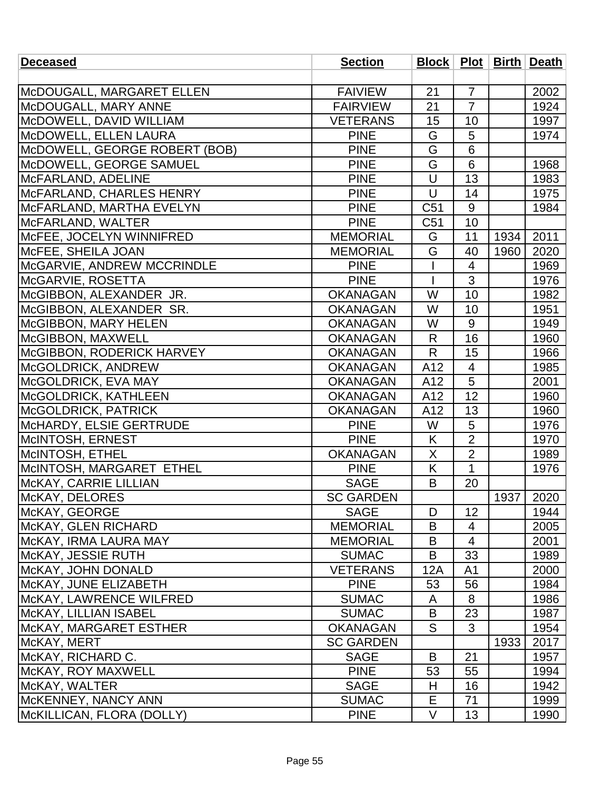| <b>Deceased</b>                   | <b>Section</b>   |        |                |      | <b>Block   Plot   Birth   Death</b> |
|-----------------------------------|------------------|--------|----------------|------|-------------------------------------|
|                                   |                  |        |                |      |                                     |
| McDOUGALL, MARGARET ELLEN         | <b>FAIVIEW</b>   | 21     | $\overline{7}$ |      | 2002                                |
| McDOUGALL, MARY ANNE              | <b>FAIRVIEW</b>  | 21     | $\overline{7}$ |      | 1924                                |
| McDOWELL, DAVID WILLIAM           | <b>VETERANS</b>  | 15     | 10             |      | 1997                                |
| McDOWELL, ELLEN LAURA             | <b>PINE</b>      | G      | 5              |      | 1974                                |
| McDOWELL, GEORGE ROBERT (BOB)     | <b>PINE</b>      | G      | 6              |      |                                     |
| McDOWELL, GEORGE SAMUEL           | <b>PINE</b>      | G      | 6              |      | 1968                                |
| McFARLAND, ADELINE                | <b>PINE</b>      | U      | 13             |      | 1983                                |
| McFARLAND, CHARLES HENRY          | <b>PINE</b>      | $\cup$ | 14             |      | 1975                                |
| McFARLAND, MARTHA EVELYN          | <b>PINE</b>      | C51    | 9              |      | 1984                                |
| MCFARLAND, WALTER                 | <b>PINE</b>      | C51    | 10             |      |                                     |
| MCFEE, JOCELYN WINNIFRED          | <b>MEMORIAL</b>  | G      | 11             | 1934 | 2011                                |
| MCFEE, SHEILA JOAN                | <b>MEMORIAL</b>  | G      | 40             | 1960 | 2020                                |
| <b>McGARVIE, ANDREW MCCRINDLE</b> | <b>PINE</b>      |        | 4              |      | 1969                                |
| McGARVIE, ROSETTA                 | <b>PINE</b>      |        | $\overline{3}$ |      | 1976                                |
| McGIBBON, ALEXANDER JR.           | <b>OKANAGAN</b>  | W      | 10             |      | 1982                                |
| McGIBBON, ALEXANDER SR.           | <b>OKANAGAN</b>  | W      | 10             |      | 1951                                |
| McGIBBON, MARY HELEN              | <b>OKANAGAN</b>  | W      | 9              |      | 1949                                |
| McGIBBON, MAXWELL                 | <b>OKANAGAN</b>  | R      | 16             |      | 1960                                |
| McGIBBON, RODERICK HARVEY         | <b>OKANAGAN</b>  | R      | 15             |      | 1966                                |
| McGOLDRICK, ANDREW                | <b>OKANAGAN</b>  | A12    | $\overline{4}$ |      | 1985                                |
| McGOLDRICK, EVA MAY               | <b>OKANAGAN</b>  | A12    | 5              |      | 2001                                |
| McGOLDRICK, KATHLEEN              | <b>OKANAGAN</b>  | A12    | 12             |      | 1960                                |
| <b>McGOLDRICK, PATRICK</b>        | <b>OKANAGAN</b>  | A12    | 13             |      | 1960                                |
| McHARDY, ELSIE GERTRUDE           | <b>PINE</b>      | W      | 5              |      | 1976                                |
| McINTOSH, ERNEST                  | <b>PINE</b>      | K      | $\overline{2}$ |      | 1970                                |
| McINTOSH, ETHEL                   | <b>OKANAGAN</b>  | X      | $\overline{2}$ |      | 1989                                |
| McINTOSH, MARGARET ETHEL          | <b>PINE</b>      | Κ      | $\mathbf{1}$   |      | 1976                                |
| McKAY, CARRIE LILLIAN             | <b>SAGE</b>      | B      | 20             |      |                                     |
| McKAY, DELORES                    | <b>SC GARDEN</b> |        |                | 1937 | 2020                                |
| McKAY, GEORGE                     | <b>SAGE</b>      | D      | 12             |      | 1944                                |
| <b>IMCKAY, GLEN RICHARD</b>       | <b>MEMORIAL</b>  | B      | 4              |      | 2005                                |
| McKAY, IRMA LAURA MAY             | <b>MEMORIAL</b>  | B      | 4              |      | 2001                                |
| McKAY, JESSIE RUTH                | <b>SUMAC</b>     | B      | 33             |      | 1989                                |
| McKAY, JOHN DONALD                | <b>VETERANS</b>  | 12A    | A <sub>1</sub> |      | 2000                                |
| McKAY, JUNE ELIZABETH             | <b>PINE</b>      | 53     | 56             |      | 1984                                |
| McKAY, LAWRENCE WILFRED           | <b>SUMAC</b>     | A      | 8              |      | 1986                                |
| McKAY, LILLIAN ISABEL             | <b>SUMAC</b>     | B      | 23             |      | 1987                                |
| McKAY, MARGARET ESTHER            | <b>OKANAGAN</b>  | S      | 3              |      | 1954                                |
| McKAY, MERT                       | <b>SC GARDEN</b> |        |                | 1933 | 2017                                |
| McKAY, RICHARD C.                 | <b>SAGE</b>      | B      | 21             |      | 1957                                |
| McKAY, ROY MAXWELL                | <b>PINE</b>      | 53     | 55             |      | 1994                                |
| McKAY, WALTER                     | <b>SAGE</b>      | H      | 16             |      | 1942                                |
| <b>MCKENNEY, NANCY ANN</b>        | <b>SUMAC</b>     | Е      | 71             |      | 1999                                |
| McKILLICAN, FLORA (DOLLY)         | <b>PINE</b>      | $\vee$ | 13             |      | 1990                                |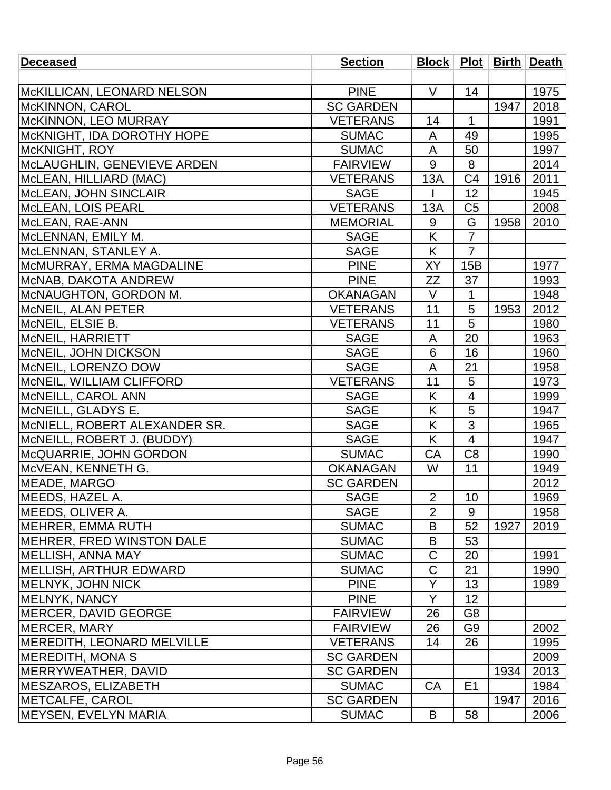| <b>Deceased</b>                    | <b>Section</b>   |                |                |      | Block   Plot   Birth   Death |
|------------------------------------|------------------|----------------|----------------|------|------------------------------|
|                                    |                  |                |                |      |                              |
| McKILLICAN, LEONARD NELSON         | <b>PINE</b>      | $\vee$         | 14             |      | 1975                         |
| McKINNON, CAROL                    | <b>SC GARDEN</b> |                |                | 1947 | 2018                         |
| McKINNON, LEO MURRAY               | <b>VETERANS</b>  | 14             | $\mathbf 1$    |      | 1991                         |
| McKNIGHT, IDA DOROTHY HOPE         | <b>SUMAC</b>     | A              | 49             |      | 1995                         |
| McKNIGHT, ROY                      | <b>SUMAC</b>     | A              | 50             |      | 1997                         |
| McLAUGHLIN, GENEVIEVE ARDEN        | <b>FAIRVIEW</b>  | 9              | 8              |      | 2014                         |
| McLEAN, HILLIARD (MAC)             | <b>VETERANS</b>  | 13A            | C <sub>4</sub> | 1916 | 2011                         |
| McLEAN, JOHN SINCLAIR              | <b>SAGE</b>      |                | 12             |      | 1945                         |
| McLEAN, LOIS PEARL                 | <b>VETERANS</b>  | 13A            | C <sub>5</sub> |      | 2008                         |
| McLEAN, RAE-ANN                    | <b>MEMORIAL</b>  | 9              | G              | 1958 | 2010                         |
| McLENNAN, EMILY M.                 | <b>SAGE</b>      | K              | $\overline{7}$ |      |                              |
| McLENNAN, STANLEY A.               | <b>SAGE</b>      | K              | $\overline{7}$ |      |                              |
| MCMURRAY, ERMA MAGDALINE           | <b>PINE</b>      | XY             | 15B            |      | 1977                         |
| McNAB, DAKOTA ANDREW               | <b>PINE</b>      | ZΖ             | 37             |      | 1993                         |
| McNAUGHTON, GORDON M.              | <b>OKANAGAN</b>  | V              | $\mathbf{1}$   |      | 1948                         |
| MCNEIL, ALAN PETER                 | <b>VETERANS</b>  | 11             | 5              | 1953 | 2012                         |
| MCNEIL, ELSIE B.                   | <b>VETERANS</b>  | 11             | 5              |      | 1980                         |
| McNEIL, HARRIETT                   | <b>SAGE</b>      | A              | 20             |      | 1963                         |
| MCNEIL, JOHN DICKSON               | <b>SAGE</b>      | 6              | 16             |      | 1960                         |
| McNEIL, LORENZO DOW                | <b>SAGE</b>      | A              | 21             |      | 1958                         |
| McNEIL, WILLIAM CLIFFORD           | <b>VETERANS</b>  | 11             | 5              |      | 1973                         |
| MCNEILL, CAROL ANN                 | <b>SAGE</b>      | K              | 4              |      | 1999                         |
| MCNEILL, GLADYS E.                 | <b>SAGE</b>      | K              | 5              |      | 1947                         |
| MCNIELL, ROBERT ALEXANDER SR.      | <b>SAGE</b>      | K              | 3              |      | 1965                         |
| McNEILL, ROBERT J. (BUDDY)         | <b>SAGE</b>      | K              | $\overline{4}$ |      | 1947                         |
| McQUARRIE, JOHN GORDON             | <b>SUMAC</b>     | CA             | C <sub>8</sub> |      | 1990                         |
| McVEAN, KENNETH G.                 | <b>OKANAGAN</b>  | W              | 11             |      | 1949                         |
| MEADE, MARGO                       | <b>SC GARDEN</b> |                |                |      | 2012                         |
| MEEDS, HAZEL A.                    | <b>SAGE</b>      | $\overline{2}$ | 10             |      | 1969                         |
| MEEDS, OLIVER A.                   | <b>SAGE</b>      | $\overline{2}$ | 9              |      | 1958                         |
| <b>IMEHRER, EMMA RUTH</b>          | <b>SUMAC</b>     | B              | 52             | 1927 | 2019                         |
| <b>IMEHRER, FRED WINSTON DALE</b>  | <b>SUMAC</b>     | B              | 53             |      |                              |
| MELLISH, ANNA MAY                  | <b>SUMAC</b>     | C              | 20             |      | 1991                         |
| <b>MELLISH, ARTHUR EDWARD</b>      | <b>SUMAC</b>     | $\mathsf C$    | 21             |      | 1990                         |
| <b>MELNYK, JOHN NICK</b>           | <b>PINE</b>      | Y              | 13             |      | 1989                         |
| MELNYK, NANCY                      | <b>PINE</b>      | Y              | 12             |      |                              |
| <b>IMERCER, DAVID GEORGE</b>       | <b>FAIRVIEW</b>  | 26             | G <sub>8</sub> |      |                              |
| MERCER, MARY                       | <b>FAIRVIEW</b>  | 26             | G9             |      | 2002                         |
| <b>IMEREDITH, LEONARD MELVILLE</b> | <b>VETERANS</b>  | 14             | 26             |      | 1995                         |
| <b>MEREDITH, MONA S</b>            | <b>SC GARDEN</b> |                |                |      | 2009                         |
| MERRYWEATHER, DAVID                | <b>SC GARDEN</b> |                |                | 1934 | 2013                         |
| <b>MESZAROS, ELIZABETH</b>         | <b>SUMAC</b>     | CA             | E <sub>1</sub> |      | 1984                         |
| <b>IMETCALFE, CAROL</b>            | <b>SC GARDEN</b> |                |                | 1947 | 2016                         |
| <b>MEYSEN, EVELYN MARIA</b>        | <b>SUMAC</b>     | B              | 58             |      | 2006                         |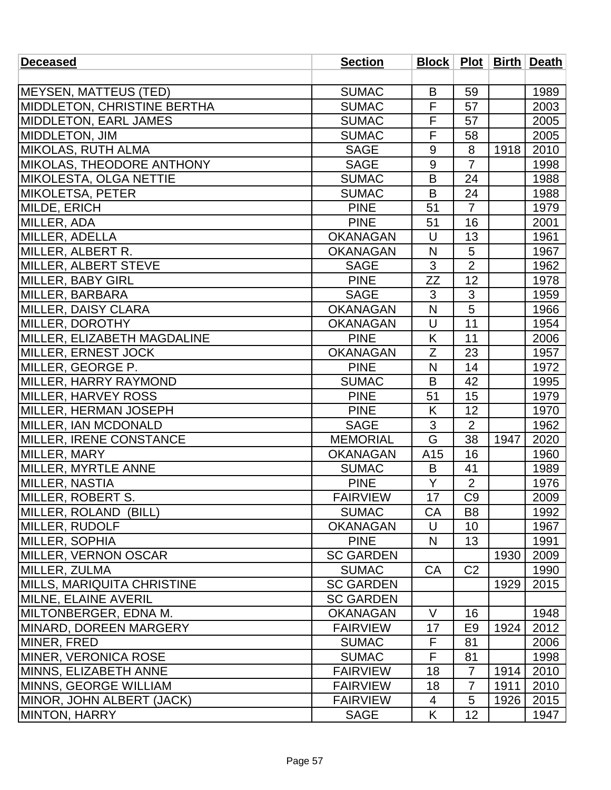| <b>Deceased</b>                    | <b>Section</b>   |                |                 |      | Block   Plot   Birth   Death |
|------------------------------------|------------------|----------------|-----------------|------|------------------------------|
|                                    |                  |                |                 |      |                              |
| <b>MEYSEN, MATTEUS (TED)</b>       | <b>SUMAC</b>     | B              | 59              |      | 1989                         |
| MIDDLETON, CHRISTINE BERTHA        | <b>SUMAC</b>     | F              | 57              |      | 2003                         |
| MIDDLETON, EARL JAMES              | <b>SUMAC</b>     | F              | 57              |      | 2005                         |
| MIDDLETON, JIM                     | <b>SUMAC</b>     | F              | 58              |      | 2005                         |
| MIKOLAS, RUTH ALMA                 | <b>SAGE</b>      | 9              | 8               | 1918 | 2010                         |
| MIKOLAS, THEODORE ANTHONY          | <b>SAGE</b>      | 9              | $\overline{7}$  |      | 1998                         |
| MIKOLESTA, OLGA NETTIE             | <b>SUMAC</b>     | B              | 24              |      | 1988                         |
| MIKOLETSA, PETER                   | <b>SUMAC</b>     | B              | 24              |      | 1988                         |
| MILDE, ERICH                       | <b>PINE</b>      | 51             | $\overline{7}$  |      | 1979                         |
| MILLER, ADA                        | <b>PINE</b>      | 51             | 16              |      | 2001                         |
| MILLER, ADELLA                     | <b>OKANAGAN</b>  | U              | 13              |      | 1961                         |
| MILLER, ALBERT R.                  | <b>OKANAGAN</b>  | N              | 5               |      | 1967                         |
| MILLER, ALBERT STEVE               | <b>SAGE</b>      | 3              | $\overline{2}$  |      | 1962                         |
| MILLER, BABY GIRL                  | <b>PINE</b>      | ZZ             | $\overline{12}$ |      | 1978                         |
| MILLER, BARBARA                    | <b>SAGE</b>      | 3              | 3               |      | 1959                         |
| MILLER, DAISY CLARA                | <b>OKANAGAN</b>  | N              | 5               |      | 1966                         |
| MILLER, DOROTHY                    | <b>OKANAGAN</b>  | U              | 11              |      | 1954                         |
| MILLER, ELIZABETH MAGDALINE        | <b>PINE</b>      | K              | 11              |      | 2006                         |
| <b>MILLER, ERNEST JOCK</b>         | <b>OKANAGAN</b>  | Z              | 23              |      | 1957                         |
| MILLER, GEORGE P.                  | <b>PINE</b>      | N              | 14              |      | 1972                         |
| MILLER, HARRY RAYMOND              | <b>SUMAC</b>     | B              | 42              |      | 1995                         |
| MILLER, HARVEY ROSS                | <b>PINE</b>      | 51             | 15              |      | 1979                         |
| MILLER, HERMAN JOSEPH              | <b>PINE</b>      | K              | 12              |      | 1970                         |
| MILLER, IAN MCDONALD               | <b>SAGE</b>      | $\mathfrak{S}$ | $\overline{2}$  |      | 1962                         |
| <b>MILLER, IRENE CONSTANCE</b>     | <b>MEMORIAL</b>  | G              | 38              | 1947 | 2020                         |
| MILLER, MARY                       | <b>OKANAGAN</b>  | A15            | 16              |      | 1960                         |
| MILLER, MYRTLE ANNE                | <b>SUMAC</b>     | B              | 41              |      | 1989                         |
| MILLER, NASTIA                     | <b>PINE</b>      | Y              | $\overline{2}$  |      | 1976                         |
| MILLER, ROBERT S.                  | <b>FAIRVIEW</b>  | 17             | C <sub>9</sub>  |      | 2009                         |
| MILLER, ROLAND (BILL)              | <b>SUMAC</b>     | CA             | B <sub>8</sub>  |      | 1992                         |
| <b>IMILLER, RUDOLF</b>             | <b>OKANAGAN</b>  | U              | 10              |      | 1967                         |
| <b>MILLER, SOPHIA</b>              | <b>PINE</b>      | N              | 13              |      | 1991                         |
| MILLER, VERNON OSCAR               | <b>SC GARDEN</b> |                |                 | 1930 | 2009                         |
| MILLER, ZULMA                      | <b>SUMAC</b>     | <b>CA</b>      | C <sub>2</sub>  |      | 1990                         |
| <b>IMILLS, MARIQUITA CHRISTINE</b> | <b>SC GARDEN</b> |                |                 | 1929 | 2015                         |
| <b>MILNE, ELAINE AVERIL</b>        | <b>SC GARDEN</b> |                |                 |      |                              |
| <b>IMILTONBERGER, EDNA M.</b>      | <b>OKANAGAN</b>  | V              | 16              |      | 1948                         |
| MINARD, DOREEN MARGERY             | <b>FAIRVIEW</b>  | 17             | E <sub>9</sub>  | 1924 | 2012                         |
| MINER, FRED                        | <b>SUMAC</b>     | F              | 81              |      | 2006                         |
| <b>IMINER, VERONICA ROSE</b>       | <b>SUMAC</b>     | F              | 81              |      | 1998                         |
| MINNS, ELIZABETH ANNE              | <b>FAIRVIEW</b>  | 18             | $\overline{7}$  | 1914 | 2010                         |
| <b>IMINNS, GEORGE WILLIAM</b>      | <b>FAIRVIEW</b>  | 18             | $\overline{7}$  | 1911 | 2010                         |
| MINOR, JOHN ALBERT (JACK)          | <b>FAIRVIEW</b>  | 4              | 5               | 1926 | 2015                         |
| MINTON, HARRY                      | <b>SAGE</b>      | K              | 12              |      | 1947                         |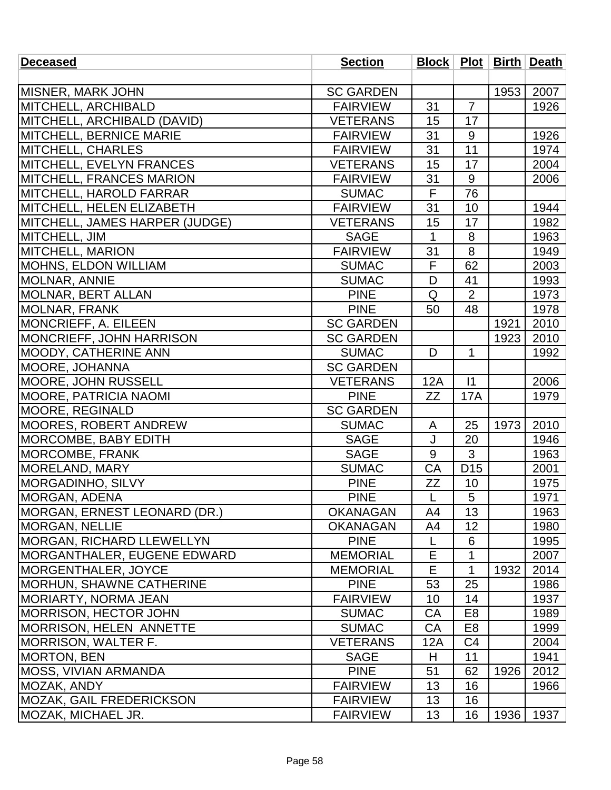| <b>Deceased</b>                      | <b>Section</b>   | Block   Plot   Birth   Death |                 |      |      |
|--------------------------------------|------------------|------------------------------|-----------------|------|------|
|                                      |                  |                              |                 |      |      |
| <b>MISNER, MARK JOHN</b>             | <b>SC GARDEN</b> |                              |                 | 1953 | 2007 |
| MITCHELL, ARCHIBALD                  | <b>FAIRVIEW</b>  | 31                           | $\overline{7}$  |      | 1926 |
| MITCHELL, ARCHIBALD (DAVID)          | <b>VETERANS</b>  | 15                           | 17              |      |      |
| <b>MITCHELL, BERNICE MARIE</b>       | <b>FAIRVIEW</b>  | 31                           | $9\,$           |      | 1926 |
| <b>MITCHELL, CHARLES</b>             | <b>FAIRVIEW</b>  | 31                           | 11              |      | 1974 |
| MITCHELL, EVELYN FRANCES             | <b>VETERANS</b>  | 15                           | 17              |      | 2004 |
| <b>MITCHELL, FRANCES MARION</b>      | <b>FAIRVIEW</b>  | 31                           | 9               |      | 2006 |
| MITCHELL, HAROLD FARRAR              | <b>SUMAC</b>     | F                            | 76              |      |      |
| MITCHELL, HELEN ELIZABETH            | <b>FAIRVIEW</b>  | 31                           | 10              |      | 1944 |
| MITCHELL, JAMES HARPER (JUDGE)       | <b>VETERANS</b>  | 15                           | 17              |      | 1982 |
| MITCHELL, JIM                        | <b>SAGE</b>      | $\mathbf{1}$                 | 8               |      | 1963 |
| <b>MITCHELL, MARION</b>              | <b>FAIRVIEW</b>  | 31                           | 8               |      | 1949 |
| <b>MOHNS, ELDON WILLIAM</b>          | <b>SUMAC</b>     | F                            | 62              |      | 2003 |
| <b>MOLNAR, ANNIE</b>                 | <b>SUMAC</b>     | D                            | 41              |      | 1993 |
| MOLNAR, BERT ALLAN                   | <b>PINE</b>      | Q                            | $\overline{2}$  |      | 1973 |
| MOLNAR, FRANK                        | <b>PINE</b>      | 50                           | 48              |      | 1978 |
| MONCRIEFF, A. EILEEN                 | <b>SC GARDEN</b> |                              |                 | 1921 | 2010 |
| MONCRIEFF, JOHN HARRISON             | <b>SC GARDEN</b> |                              |                 | 1923 | 2010 |
| <b>MOODY, CATHERINE ANN</b>          | <b>SUMAC</b>     | D                            | 1               |      | 1992 |
| <b>MOORE, JOHANNA</b>                | <b>SC GARDEN</b> |                              |                 |      |      |
| <b>MOORE, JOHN RUSSELL</b>           | <b>VETERANS</b>  | 12A                          | $\vert$ 1       |      | 2006 |
| <b>MOORE, PATRICIA NAOMI</b>         | <b>PINE</b>      | ZZ                           | <b>17A</b>      |      | 1979 |
| MOORE, REGINALD                      | <b>SC GARDEN</b> |                              |                 |      |      |
| <b>MOORES, ROBERT ANDREW</b>         | <b>SUMAC</b>     | A                            | 25              | 1973 | 2010 |
| MORCOMBE, BABY EDITH                 | <b>SAGE</b>      | J                            | 20              |      | 1946 |
| <b>MORCOMBE, FRANK</b>               | <b>SAGE</b>      | 9                            | 3               |      | 1963 |
| MORELAND, MARY                       | <b>SUMAC</b>     | CA                           | D <sub>15</sub> |      | 2001 |
| <b>MORGADINHO, SILVY</b>             | <b>PINE</b>      | <b>ZZ</b>                    | 10              |      | 1975 |
| MORGAN, ADENA                        | <b>PINE</b>      | L                            | 5               |      | 1971 |
| <b>IMORGAN, ERNEST LEONARD (DR.)</b> | <b>OKANAGAN</b>  | A4                           | 13              |      | 1963 |
| <b>MORGAN, NELLIE</b>                | <b>OKANAGAN</b>  | A4                           | 12              |      | 1980 |
| <b>MORGAN, RICHARD LLEWELLYN</b>     | <b>PINE</b>      | L                            | 6               |      | 1995 |
| <b>IMORGANTHALER, EUGENE EDWARD</b>  | <b>MEMORIAL</b>  | Е                            | 1               |      | 2007 |
| <b>MORGENTHALER, JOYCE</b>           | <b>MEMORIAL</b>  | Е                            | $\mathbf{1}$    | 1932 | 2014 |
| <b>MORHUN, SHAWNE CATHERINE</b>      | <b>PINE</b>      | 53                           | 25              |      | 1986 |
| <b>MORIARTY, NORMA JEAN</b>          | <b>FAIRVIEW</b>  | 10                           | 14              |      | 1937 |
| <b>IMORRISON, HECTOR JOHN</b>        | <b>SUMAC</b>     | CA                           | E <sub>8</sub>  |      | 1989 |
| <b>IMORRISON, HELEN ANNETTE</b>      | <b>SUMAC</b>     | CA                           | E <sub>8</sub>  |      | 1999 |
| MORRISON, WALTER F.                  | <b>VETERANS</b>  | 12A                          | C <sub>4</sub>  |      | 2004 |
| <b>MORTON, BEN</b>                   | <b>SAGE</b>      | H                            | 11              |      | 1941 |
| <b>MOSS, VIVIAN ARMANDA</b>          | <b>PINE</b>      | 51                           | 62              | 1926 | 2012 |
| MOZAK, ANDY                          | <b>FAIRVIEW</b>  | 13                           | 16              |      | 1966 |
| <b>MOZAK, GAIL FREDERICKSON</b>      | <b>FAIRVIEW</b>  | 13                           | 16              |      |      |
| <b>MOZAK, MICHAEL JR.</b>            | <b>FAIRVIEW</b>  | 13                           | 16              | 1936 | 1937 |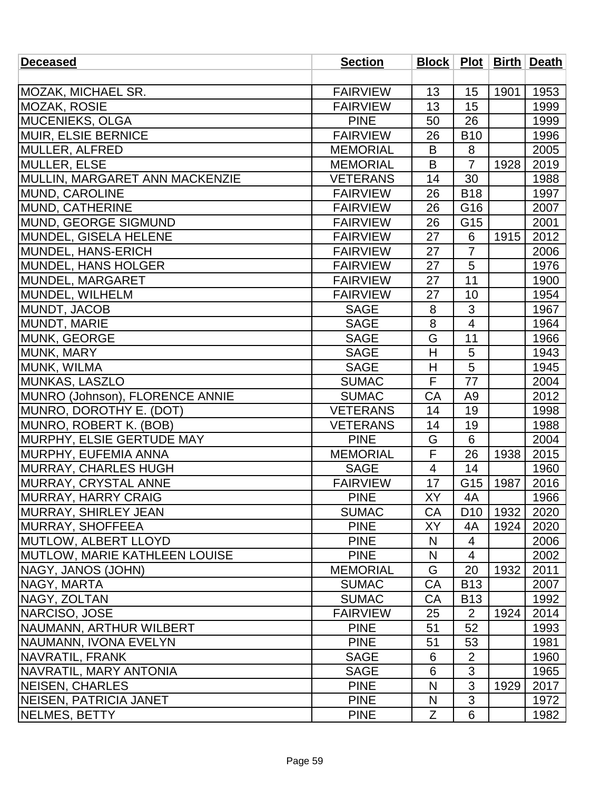| <b>Deceased</b>                      | <b>Section</b>  |                |                 |      | Block   Plot   Birth   Death |
|--------------------------------------|-----------------|----------------|-----------------|------|------------------------------|
|                                      |                 |                |                 |      |                              |
| <b>MOZAK, MICHAEL SR.</b>            | <b>FAIRVIEW</b> | 13             | 15              | 1901 | 1953                         |
| <b>MOZAK, ROSIE</b>                  | <b>FAIRVIEW</b> | 13             | 15              |      | 1999                         |
| <b>MUCENIEKS, OLGA</b>               | <b>PINE</b>     | 50             | 26              |      | 1999                         |
| <b>MUIR, ELSIE BERNICE</b>           | <b>FAIRVIEW</b> | 26             | <b>B10</b>      |      | 1996                         |
| MULLER, ALFRED                       | <b>MEMORIAL</b> | B              | 8               |      | 2005                         |
| MULLER, ELSE                         | <b>MEMORIAL</b> | B              | $\overline{7}$  | 1928 | 2019                         |
| MULLIN, MARGARET ANN MACKENZIE       | <b>VETERANS</b> | 14             | 30              |      | 1988                         |
| MUND, CAROLINE                       | <b>FAIRVIEW</b> | 26             | <b>B18</b>      |      | 1997                         |
| MUND, CATHERINE                      | <b>FAIRVIEW</b> | 26             | G16             |      | 2007                         |
| MUND, GEORGE SIGMUND                 | <b>FAIRVIEW</b> | 26             | G15             |      | 2001                         |
| MUNDEL, GISELA HELENE                | <b>FAIRVIEW</b> | 27             | 6               | 1915 | 2012                         |
| MUNDEL, HANS-ERICH                   | <b>FAIRVIEW</b> | 27             | $\overline{7}$  |      | 2006                         |
| MUNDEL, HANS HOLGER                  | <b>FAIRVIEW</b> | 27             | 5               |      | 1976                         |
| MUNDEL, MARGARET                     | <b>FAIRVIEW</b> | 27             | $\overline{11}$ |      | 1900                         |
| MUNDEL, WILHELM                      | <b>FAIRVIEW</b> | 27             | 10              |      | 1954                         |
| MUNDT, JACOB                         | <b>SAGE</b>     | 8              | 3               |      | 1967                         |
| MUNDT, MARIE                         | <b>SAGE</b>     | 8              | 4               |      | 1964                         |
| <b>MUNK, GEORGE</b>                  | <b>SAGE</b>     | G              | 11              |      | 1966                         |
| MUNK, MARY                           | <b>SAGE</b>     | H              | 5               |      | 1943                         |
| MUNK, WILMA                          | <b>SAGE</b>     | H              | 5               |      | 1945                         |
| MUNKAS, LASZLO                       | <b>SUMAC</b>    | F              | 77              |      | 2004                         |
| MUNRO (Johnson), FLORENCE ANNIE      | <b>SUMAC</b>    | CA             | A <sub>9</sub>  |      | 2012                         |
| MUNRO, DOROTHY E. (DOT)              | <b>VETERANS</b> | 14             | 19              |      | 1998                         |
| MUNRO, ROBERT K. (BOB)               | <b>VETERANS</b> | 14             | 19              |      | 1988                         |
| MURPHY, ELSIE GERTUDE MAY            | <b>PINE</b>     | G              | 6               |      | 2004                         |
| <b>IMURPHY, EUFEMIA ANNA</b>         | <b>MEMORIAL</b> | F              | 26              | 1938 | 2015                         |
| MURRAY, CHARLES HUGH                 | <b>SAGE</b>     | $\overline{4}$ | 14              |      | 1960                         |
| <b>MURRAY, CRYSTAL ANNE</b>          | <b>FAIRVIEW</b> | 17             | G15             | 1987 | 2016                         |
| MURRAY, HARRY CRAIG                  | <b>PINE</b>     | XY             | 4A              |      | 1966                         |
| <b>MURRAY, SHIRLEY JEAN</b>          | <b>SUMAC</b>    | <b>CA</b>      | D <sub>10</sub> | 1932 | 2020                         |
| <b>IMURRAY, SHOFFEEA</b>             | <b>PINE</b>     | XY             | 4A              | 1924 | 2020                         |
| <b>MUTLOW, ALBERT LLOYD</b>          | <b>PINE</b>     | N              | 4               |      | 2006                         |
| <b>MUTLOW, MARIE KATHLEEN LOUISE</b> | <b>PINE</b>     | N              | $\overline{4}$  |      | 2002                         |
| <b>NAGY, JANOS (JOHN)</b>            | <b>MEMORIAL</b> | G              | 20              | 1932 | 2011                         |
| NAGY, MARTA                          | <b>SUMAC</b>    | CA             | <b>B13</b>      |      | 2007                         |
| NAGY, ZOLTAN                         | <b>SUMAC</b>    | CA             | <b>B13</b>      |      | 1992                         |
| NARCISO, JOSE                        | <b>FAIRVIEW</b> | 25             | $\overline{2}$  | 1924 | 2014                         |
| <b>INAUMANN, ARTHUR WILBERT</b>      | <b>PINE</b>     | 51             | 52              |      | 1993                         |
| NAUMANN, IVONA EVELYN                | <b>PINE</b>     | 51             | 53              |      | 1981                         |
| NAVRATIL, FRANK                      | <b>SAGE</b>     | 6              | $\overline{2}$  |      | 1960                         |
| NAVRATIL, MARY ANTONIA               | <b>SAGE</b>     | 6              | 3               |      | 1965                         |
| <b>NEISEN, CHARLES</b>               | <b>PINE</b>     | N              | 3               | 1929 | 2017                         |
| <b>NEISEN, PATRICIA JANET</b>        | <b>PINE</b>     | N              | $\mathfrak{S}$  |      | 1972                         |
| NELMES, BETTY                        | <b>PINE</b>     | Z              | 6               |      | 1982                         |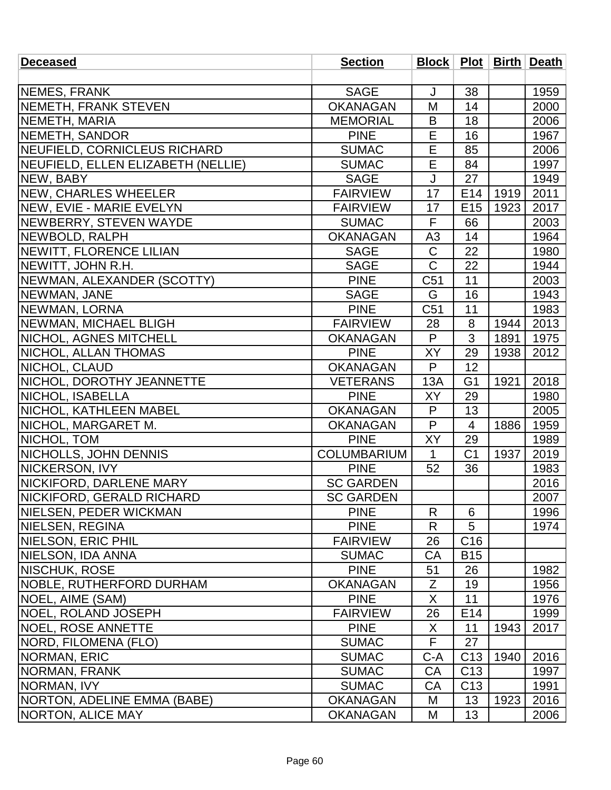| <b>Deceased</b>                    | <b>Section</b>     |                |                 |      | Block   Plot   Birth   Death |
|------------------------------------|--------------------|----------------|-----------------|------|------------------------------|
|                                    |                    |                |                 |      |                              |
| NEMES, FRANK                       | <b>SAGE</b>        | J              | 38              |      | 1959                         |
| <b>INEMETH, FRANK STEVEN</b>       | <b>OKANAGAN</b>    | M              | 14              |      | 2000                         |
| NEMETH, MARIA                      | <b>MEMORIAL</b>    | B              | 18              |      | 2006                         |
| <b>NEMETH, SANDOR</b>              | <b>PINE</b>        | E              | 16              |      | 1967                         |
| NEUFIELD, CORNICLEUS RICHARD       | <b>SUMAC</b>       | E              | 85              |      | 2006                         |
| NEUFIELD, ELLEN ELIZABETH (NELLIE) | <b>SUMAC</b>       | E              | 84              |      | 1997                         |
| NEW, BABY                          | <b>SAGE</b>        | J              | 27              |      | 1949                         |
| NEW, CHARLES WHEELER               | <b>FAIRVIEW</b>    | 17             | E <sub>14</sub> | 1919 | 2011                         |
| NEW, EVIE - MARIE EVELYN           | <b>FAIRVIEW</b>    | 17             | E <sub>15</sub> | 1923 | 2017                         |
| <b>NEWBERRY, STEVEN WAYDE</b>      | <b>SUMAC</b>       | F              | 66              |      | 2003                         |
| NEWBOLD, RALPH                     | <b>OKANAGAN</b>    | A <sub>3</sub> | 14              |      | 1964                         |
| <b>INEWITT, FLORENCE LILIAN</b>    | <b>SAGE</b>        | C              | 22              |      | 1980                         |
| NEWITT, JOHN R.H.                  | <b>SAGE</b>        | $\mathsf{C}$   | 22              |      | 1944                         |
| NEWMAN, ALEXANDER (SCOTTY)         | <b>PINE</b>        | C51            | 11              |      | 2003                         |
| NEWMAN, JANE                       | <b>SAGE</b>        | G              | 16              |      | 1943                         |
| <b>NEWMAN, LORNA</b>               | <b>PINE</b>        | C51            | 11              |      | 1983                         |
| <b>NEWMAN, MICHAEL BLIGH</b>       | <b>FAIRVIEW</b>    | 28             | 8               | 1944 | 2013                         |
| NICHOL, AGNES MITCHELL             | <b>OKANAGAN</b>    | P              | 3               | 1891 | 1975                         |
| NICHOL, ALLAN THOMAS               | <b>PINE</b>        | XY             | 29              | 1938 | 2012                         |
| NICHOL, CLAUD                      | <b>OKANAGAN</b>    | P              | 12              |      |                              |
| NICHOL, DOROTHY JEANNETTE          | <b>VETERANS</b>    | 13A            | G <sub>1</sub>  | 1921 | 2018                         |
| NICHOL, ISABELLA                   | <b>PINE</b>        | XY             | 29              |      | 1980                         |
| NICHOL, KATHLEEN MABEL             | <b>OKANAGAN</b>    | P              | 13              |      | 2005                         |
| NICHOL, MARGARET M.                | <b>OKANAGAN</b>    | P              | 4               | 1886 | 1959                         |
| NICHOL, TOM                        | <b>PINE</b>        | XY             | 29              |      | 1989                         |
| NICHOLLS, JOHN DENNIS              | <b>COLUMBARIUM</b> | $\mathbf{1}$   | C <sub>1</sub>  | 1937 | 2019                         |
| NICKERSON, IVY                     | <b>PINE</b>        | 52             | 36              |      | 1983                         |
| NICKIFORD, DARLENE MARY            | <b>SC GARDEN</b>   |                |                 |      | 2016                         |
| NICKIFORD, GERALD RICHARD          | <b>SC GARDEN</b>   |                |                 |      | 2007                         |
| <b>INIELSEN, PEDER WICKMAN</b>     | <b>PINE</b>        | R              | 6               |      | 1996                         |
| NIELSEN, REGINA                    | <b>PINE</b>        | R              | 5               |      | 1974                         |
| NIELSON, ERIC PHIL                 | <b>FAIRVIEW</b>    | 26             | C <sub>16</sub> |      |                              |
| NIELSON, IDA ANNA                  | <b>SUMAC</b>       | CA             | <b>B15</b>      |      |                              |
| <b>NISCHUK, ROSE</b>               | <b>PINE</b>        | 51             | 26              |      | 1982                         |
| <b>INOBLE, RUTHERFORD DURHAM</b>   | <b>OKANAGAN</b>    | Z              | 19              |      | 1956                         |
| NOEL, AIME (SAM)                   | <b>PINE</b>        | X              | 11              |      | 1976                         |
| NOEL, ROLAND JOSEPH                | <b>FAIRVIEW</b>    | 26             | E <sub>14</sub> |      | 1999                         |
| <b>NOEL, ROSE ANNETTE</b>          | <b>PINE</b>        | X              | 11              | 1943 | 2017                         |
| NORD, FILOMENA (FLO)               | <b>SUMAC</b>       | F.             | 27              |      |                              |
| <b>NORMAN, ERIC</b>                | <b>SUMAC</b>       | $C-A$          | C <sub>13</sub> | 1940 | 2016                         |
| NORMAN, FRANK                      | <b>SUMAC</b>       | CA             | C <sub>13</sub> |      | 1997                         |
| NORMAN, IVY                        | <b>SUMAC</b>       | CA             | C <sub>13</sub> |      | 1991                         |
| NORTON, ADELINE EMMA (BABE)        | <b>OKANAGAN</b>    | M              | 13              | 1923 | 2016                         |
| NORTON, ALICE MAY                  | <b>OKANAGAN</b>    | M              | 13              |      | 2006                         |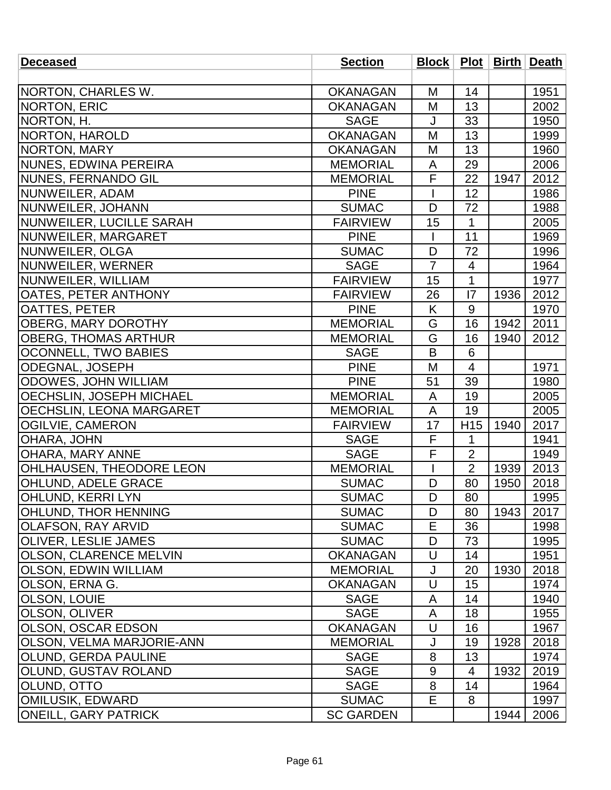| <b>Deceased</b>                  | <b>Section</b>   |                |                 |      | Block   Plot   Birth   Death |
|----------------------------------|------------------|----------------|-----------------|------|------------------------------|
|                                  |                  |                |                 |      |                              |
| NORTON, CHARLES W.               | <b>OKANAGAN</b>  | M              | 14              |      | 1951                         |
| NORTON, ERIC                     | <b>OKANAGAN</b>  | M              | 13              |      | 2002                         |
| NORTON, H.                       | <b>SAGE</b>      | J              | 33              |      | 1950                         |
| NORTON, HAROLD                   | <b>OKANAGAN</b>  | M              | 13              |      | 1999                         |
| NORTON, MARY                     | <b>OKANAGAN</b>  | M              | 13              |      | 1960                         |
| NUNES, EDWINA PEREIRA            | <b>MEMORIAL</b>  | A              | 29              |      | 2006                         |
| NUNES, FERNANDO GIL              | <b>MEMORIAL</b>  | F              | 22              | 1947 | 2012                         |
| NUNWEILER, ADAM                  | <b>PINE</b>      |                | 12              |      | 1986                         |
| NUNWEILER, JOHANN                | <b>SUMAC</b>     | D              | 72              |      | 1988                         |
| NUNWEILER, LUCILLE SARAH         | <b>FAIRVIEW</b>  | 15             | $\mathbf{1}$    |      | 2005                         |
| NUNWEILER, MARGARET              | <b>PINE</b>      |                | 11              |      | 1969                         |
| NUNWEILER, OLGA                  | <b>SUMAC</b>     | D              | 72              |      | 1996                         |
| NUNWEILER, WERNER                | <b>SAGE</b>      | $\overline{7}$ | 4               |      | 1964                         |
| NUNWEILER, WILLIAM               | <b>FAIRVIEW</b>  | 15             | $\mathbf{1}$    |      | 1977                         |
| <b>OATES, PETER ANTHONY</b>      | <b>FAIRVIEW</b>  | 26             | 7               | 1936 | 2012                         |
| <b>OATTES, PETER</b>             | <b>PINE</b>      | K              | 9               |      | 1970                         |
| <b>OBERG, MARY DOROTHY</b>       | <b>MEMORIAL</b>  | G              | 16              | 1942 | 2011                         |
| <b>OBERG, THOMAS ARTHUR</b>      | <b>MEMORIAL</b>  | G              | 16              | 1940 | 2012                         |
| <b>OCONNELL, TWO BABIES</b>      | <b>SAGE</b>      | B              | 6               |      |                              |
| ODEGNAL, JOSEPH                  | <b>PINE</b>      | M              | $\overline{4}$  |      | 1971                         |
| ODOWES, JOHN WILLIAM             | <b>PINE</b>      | 51             | 39              |      | 1980                         |
| OECHSLIN, JOSEPH MICHAEL         | <b>MEMORIAL</b>  | A              | 19              |      | 2005                         |
| <b>OECHSLIN, LEONA MARGARET</b>  | <b>MEMORIAL</b>  | A              | 19              |      | 2005                         |
| <b>OGILVIE, CAMERON</b>          | <b>FAIRVIEW</b>  | 17             | H <sub>15</sub> | 1940 | 2017                         |
| OHARA, JOHN                      | <b>SAGE</b>      | F              | $\mathbf{1}$    |      | 1941                         |
| <b>OHARA, MARY ANNE</b>          | <b>SAGE</b>      | F              | $\overline{2}$  |      | 1949                         |
| <b>OHLHAUSEN, THEODORE LEON</b>  | <b>MEMORIAL</b>  |                | $\overline{2}$  | 1939 | 2013                         |
| <b>OHLUND, ADELE GRACE</b>       | <b>SUMAC</b>     | D              | 80              | 1950 | 2018                         |
| <b>OHLUND, KERRI LYN</b>         | <b>SUMAC</b>     | D              | 80              |      | 1995                         |
| OHLUND, THOR HENNING             | <b>SUMAC</b>     | D              | 80              | 1943 | 2017                         |
| OLAFSON, RAY ARVID               | <b>SUMAC</b>     | Е              | 36              |      | 1998                         |
| <b>OLIVER, LESLIE JAMES</b>      | <b>SUMAC</b>     | D              | 73              |      | 1995                         |
| <b>OLSON, CLARENCE MELVIN</b>    | <b>OKANAGAN</b>  | U              | 14              |      | 1951                         |
| <b>OLSON, EDWIN WILLIAM</b>      | <b>MEMORIAL</b>  | J              | 20              | 1930 | 2018                         |
| OLSON, ERNA G.                   | <b>OKANAGAN</b>  | U              | 15              |      | 1974                         |
| <b>OLSON, LOUIE</b>              | <b>SAGE</b>      | A              | 14              |      | 1940                         |
| OLSON, OLIVER                    | <b>SAGE</b>      | A              | 18              |      | 1955                         |
| <b>OLSON, OSCAR EDSON</b>        | <b>OKANAGAN</b>  | U              | 16              |      | 1967                         |
| <b>OLSON, VELMA MARJORIE-ANN</b> | <b>MEMORIAL</b>  | J              | 19              | 1928 | 2018                         |
| <b>OLUND, GERDA PAULINE</b>      | <b>SAGE</b>      | 8              | 13              |      | 1974                         |
| <b>OLUND, GUSTAV ROLAND</b>      | <b>SAGE</b>      | 9              | 4               | 1932 | 2019                         |
| <b>OLUND, OTTO</b>               | <b>SAGE</b>      | 8              | 14              |      | 1964                         |
| <b>OMILUSIK, EDWARD</b>          | <b>SUMAC</b>     | E              | 8               |      | 1997                         |
| <b>ONEILL, GARY PATRICK</b>      | <b>SC GARDEN</b> |                |                 | 1944 | 2006                         |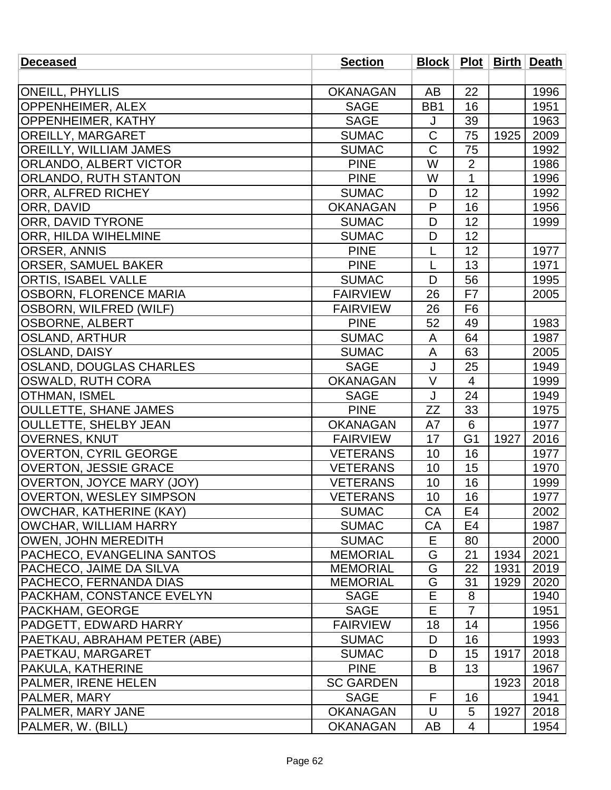| <b>Deceased</b>                   | <b>Section</b>   |                         |                |      | Block   Plot   Birth   Death |
|-----------------------------------|------------------|-------------------------|----------------|------|------------------------------|
|                                   |                  |                         |                |      |                              |
| <b>ONEILL, PHYLLIS</b>            | <b>OKANAGAN</b>  | AB                      | 22             |      | 1996                         |
| OPPENHEIMER, ALEX                 | <b>SAGE</b>      | BB1                     | 16             |      | 1951                         |
| <b>OPPENHEIMER, KATHY</b>         | <b>SAGE</b>      | J                       | 39             |      | 1963                         |
| <b>OREILLY, MARGARET</b>          | <b>SUMAC</b>     | $\mathsf C$             | 75             | 1925 | 2009                         |
| <b>OREILLY, WILLIAM JAMES</b>     | <b>SUMAC</b>     | $\mathsf C$             | 75             |      | 1992                         |
| <b>ORLANDO, ALBERT VICTOR</b>     | <b>PINE</b>      | $\overline{\mathsf{W}}$ | $\overline{2}$ |      | 1986                         |
| <b>ORLANDO, RUTH STANTON</b>      | <b>PINE</b>      | W                       | $\mathbf 1$    |      | 1996                         |
| <b>ORR, ALFRED RICHEY</b>         | <b>SUMAC</b>     | D                       | 12             |      | 1992                         |
| ORR, DAVID                        | <b>OKANAGAN</b>  | P                       | 16             |      | 1956                         |
| <b>ORR, DAVID TYRONE</b>          | <b>SUMAC</b>     | D                       | 12             |      | 1999                         |
| <b>ORR, HILDA WIHELMINE</b>       | <b>SUMAC</b>     | D                       | 12             |      |                              |
| <b>ORSER, ANNIS</b>               | <b>PINE</b>      | L                       | 12             |      | 1977                         |
| <b>ORSER, SAMUEL BAKER</b>        | <b>PINE</b>      | L                       | 13             |      | 1971                         |
| <b>ORTIS, ISABEL VALLE</b>        | <b>SUMAC</b>     | D                       | 56             |      | 1995                         |
| <b>OSBORN, FLORENCE MARIA</b>     | <b>FAIRVIEW</b>  | 26                      | F7             |      | 2005                         |
| <b>OSBORN, WILFRED (WILF)</b>     | <b>FAIRVIEW</b>  | 26                      | F <sub>6</sub> |      |                              |
| <b>OSBORNE, ALBERT</b>            | <b>PINE</b>      | 52                      | 49             |      | 1983                         |
| <b>OSLAND, ARTHUR</b>             | <b>SUMAC</b>     | A                       | 64             |      | 1987                         |
| <b>OSLAND, DAISY</b>              | <b>SUMAC</b>     | A                       | 63             |      | 2005                         |
| <b>OSLAND, DOUGLAS CHARLES</b>    | <b>SAGE</b>      | J                       | 25             |      | 1949                         |
| <b>OSWALD, RUTH CORA</b>          | <b>OKANAGAN</b>  | $\vee$                  | $\overline{4}$ |      | 1999                         |
| OTHMAN, ISMEL                     | <b>SAGE</b>      | J                       | 24             |      | 1949                         |
| <b>OULLETTE, SHANE JAMES</b>      | <b>PINE</b>      | <b>ZZ</b>               | 33             |      | 1975                         |
| <b>OULLETTE, SHELBY JEAN</b>      | <b>OKANAGAN</b>  | A7                      | 6              |      | 1977                         |
| <b>OVERNES, KNUT</b>              | <b>FAIRVIEW</b>  | 17                      | G <sub>1</sub> | 1927 | 2016                         |
| <b>OVERTON, CYRIL GEORGE</b>      | <b>VETERANS</b>  | 10                      | 16             |      | 1977                         |
| <b>OVERTON, JESSIE GRACE</b>      | <b>VETERANS</b>  | 10                      | 15             |      | 1970                         |
| <b>OVERTON, JOYCE MARY (JOY)</b>  | <b>VETERANS</b>  | 10                      | 16             |      | 1999                         |
| <b>OVERTON, WESLEY SIMPSON</b>    | <b>VETERANS</b>  | 10                      | 16             |      | 1977                         |
| OWCHAR, KATHERINE (KAY)           | <b>SUMAC</b>     | <b>CA</b>               | E4             |      | 2002                         |
| OWCHAR, WILLIAM HARRY             | <b>SUMAC</b>     | CA                      | E4             |      | 1987                         |
| <b>OWEN, JOHN MEREDITH</b>        | <b>SUMAC</b>     | Е                       | 80             |      | 2000                         |
| <b>PACHECO, EVANGELINA SANTOS</b> | <b>MEMORIAL</b>  | G                       | 21             | 1934 | 2021                         |
| <b>PACHECO, JAIME DA SILVA</b>    | <b>MEMORIAL</b>  | G                       | 22             | 1931 | 2019                         |
| PACHECO, FERNANDA DIAS            | <b>MEMORIAL</b>  | G                       | 31             | 1929 | 2020                         |
| PACKHAM, CONSTANCE EVELYN         | <b>SAGE</b>      | E                       | 8              |      | 1940                         |
| PACKHAM, GEORGE                   | <b>SAGE</b>      | E                       | $\overline{7}$ |      | 1951                         |
| PADGETT, EDWARD HARRY             | <b>FAIRVIEW</b>  | 18                      | 14             |      | 1956                         |
| PAETKAU, ABRAHAM PETER (ABE)      | <b>SUMAC</b>     | D                       | 16             |      | 1993                         |
| PAETKAU, MARGARET                 | <b>SUMAC</b>     | D                       | 15             | 1917 | 2018                         |
| PAKULA, KATHERINE                 | <b>PINE</b>      | B                       | 13             |      | 1967                         |
| PALMER, IRENE HELEN               | <b>SC GARDEN</b> |                         |                | 1923 | 2018                         |
| PALMER, MARY                      | <b>SAGE</b>      | F                       | 16             |      | 1941                         |
| <b>PALMER, MARY JANE</b>          | <b>OKANAGAN</b>  | U                       | 5              | 1927 | 2018                         |
| PALMER, W. (BILL)                 | <b>OKANAGAN</b>  | AB                      | 4              |      | 1954                         |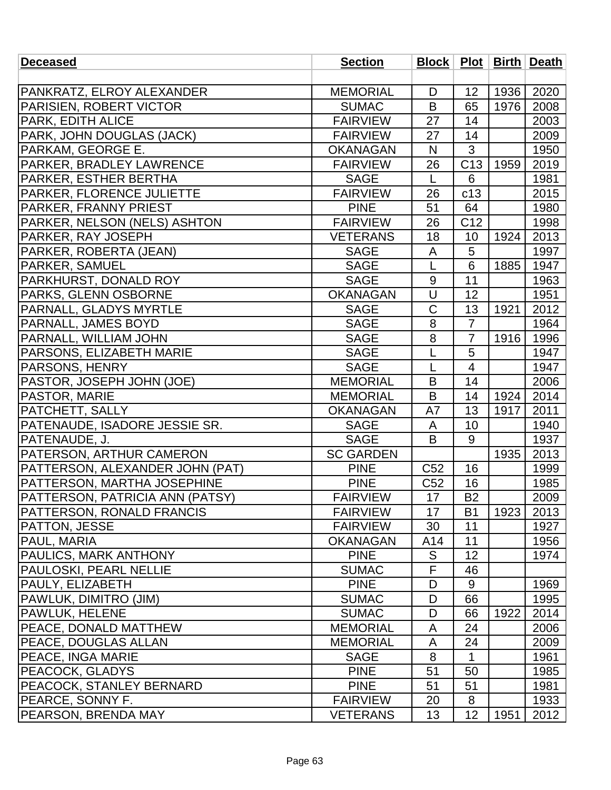| <b>Deceased</b>                 | <b>Section</b>   |                 |                 |      | Block   Plot   Birth   Death |
|---------------------------------|------------------|-----------------|-----------------|------|------------------------------|
|                                 |                  |                 |                 |      |                              |
| PANKRATZ, ELROY ALEXANDER       | <b>MEMORIAL</b>  | D               | 12              | 1936 | 2020                         |
| PARISIEN, ROBERT VICTOR         | <b>SUMAC</b>     | B               | 65              | 1976 | 2008                         |
| PARK, EDITH ALICE               | <b>FAIRVIEW</b>  | 27              | 14              |      | 2003                         |
| PARK, JOHN DOUGLAS (JACK)       | <b>FAIRVIEW</b>  | 27              | 14              |      | 2009                         |
| PARKAM, GEORGE E.               | <b>OKANAGAN</b>  | N               | 3               |      | 1950                         |
| PARKER, BRADLEY LAWRENCE        | <b>FAIRVIEW</b>  | 26              | C <sub>13</sub> | 1959 | 2019                         |
| PARKER, ESTHER BERTHA           | <b>SAGE</b>      | L               | 6               |      | 1981                         |
| PARKER, FLORENCE JULIETTE       | <b>FAIRVIEW</b>  | 26              | c13             |      | 2015                         |
| PARKER, FRANNY PRIEST           | <b>PINE</b>      | 51              | 64              |      | 1980                         |
| PARKER, NELSON (NELS) ASHTON    | <b>FAIRVIEW</b>  | 26              | C <sub>12</sub> |      | 1998                         |
| PARKER, RAY JOSEPH              | <b>VETERANS</b>  | 18              | 10              | 1924 | 2013                         |
| PARKER, ROBERTA (JEAN)          | <b>SAGE</b>      | A               | 5               |      | 1997                         |
| <b>PARKER, SAMUEL</b>           | <b>SAGE</b>      | L               | 6               | 1885 | 1947                         |
| PARKHURST, DONALD ROY           | <b>SAGE</b>      | 9               | 11              |      | 1963                         |
| PARKS, GLENN OSBORNE            | <b>OKANAGAN</b>  | U               | 12              |      | 1951                         |
| PARNALL, GLADYS MYRTLE          | <b>SAGE</b>      | $\mathsf C$     | 13              | 1921 | 2012                         |
| PARNALL, JAMES BOYD             | <b>SAGE</b>      | 8               | $\overline{7}$  |      | 1964                         |
| PARNALL, WILLIAM JOHN           | <b>SAGE</b>      | 8               | $\overline{7}$  | 1916 | 1996                         |
| PARSONS, ELIZABETH MARIE        | <b>SAGE</b>      | L               | 5               |      | 1947                         |
| PARSONS, HENRY                  | <b>SAGE</b>      | L               | $\overline{4}$  |      | 1947                         |
| PASTOR, JOSEPH JOHN (JOE)       | <b>MEMORIAL</b>  | B               | 14              |      | 2006                         |
| PASTOR, MARIE                   | <b>MEMORIAL</b>  | B               | 14              | 1924 | 2014                         |
| PATCHETT, SALLY                 | <b>OKANAGAN</b>  | A7              | 13              | 1917 | 2011                         |
| PATENAUDE, ISADORE JESSIE SR.   | <b>SAGE</b>      | A               | 10              |      | 1940                         |
| PATENAUDE, J.                   | <b>SAGE</b>      | B               | 9               |      | 1937                         |
| <b>PATERSON, ARTHUR CAMERON</b> | <b>SC GARDEN</b> |                 |                 | 1935 | 2013                         |
| PATTERSON, ALEXANDER JOHN (PAT) | <b>PINE</b>      | C <sub>52</sub> | 16              |      | 1999                         |
| PATTERSON, MARTHA JOSEPHINE     | <b>PINE</b>      | C <sub>52</sub> | 16              |      | 1985                         |
| PATTERSON, PATRICIA ANN (PATSY) | <b>FAIRVIEW</b>  | 17              | <b>B2</b>       |      | 2009                         |
| PATTERSON, RONALD FRANCIS       | <b>FAIRVIEW</b>  | 17              | <b>B1</b>       | 1923 | 2013                         |
| PATTON, JESSE                   | <b>FAIRVIEW</b>  | 30              | 11              |      | 1927                         |
| <b>PAUL, MARIA</b>              | <b>OKANAGAN</b>  | A14             | 11              |      | 1956                         |
| <b>PAULICS, MARK ANTHONY</b>    | <b>PINE</b>      | S               | 12              |      | 1974                         |
| <b>PAULOSKI, PEARL NELLIE</b>   | <b>SUMAC</b>     | F               | 46              |      |                              |
| PAULY, ELIZABETH                | <b>PINE</b>      | D               | 9               |      | 1969                         |
| PAWLUK, DIMITRO (JIM)           | <b>SUMAC</b>     | D               | 66              |      | 1995                         |
| PAWLUK, HELENE                  | <b>SUMAC</b>     | D               | 66              | 1922 | 2014                         |
| <b>PEACE, DONALD MATTHEW</b>    | <b>MEMORIAL</b>  | A               | 24              |      | 2006                         |
| PEACE, DOUGLAS ALLAN            | <b>MEMORIAL</b>  | A               | 24              |      | 2009                         |
| <b>PEACE, INGA MARIE</b>        | <b>SAGE</b>      | 8               | 1               |      | 1961                         |
| PEACOCK, GLADYS                 | <b>PINE</b>      | 51              | 50              |      | 1985                         |
| <b>PEACOCK, STANLEY BERNARD</b> | <b>PINE</b>      | 51              | 51              |      | 1981                         |
| PEARCE, SONNY F.                | <b>FAIRVIEW</b>  | 20              | 8               |      | 1933                         |
| <b>PEARSON, BRENDA MAY</b>      | <b>VETERANS</b>  | 13              | 12              | 1951 | 2012                         |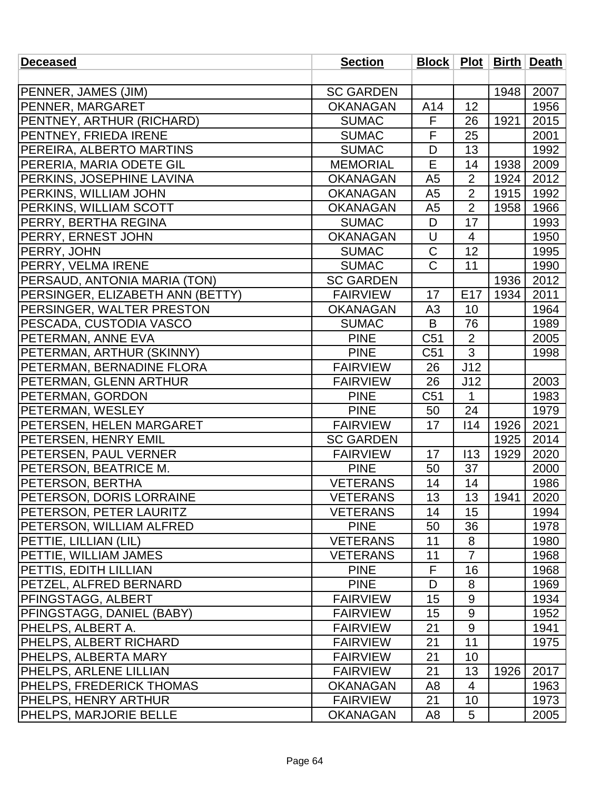| <b>Deceased</b>                  | <b>Section</b>   |                |                 |      | Block   Plot   Birth   Death |
|----------------------------------|------------------|----------------|-----------------|------|------------------------------|
|                                  |                  |                |                 |      |                              |
| <b>PENNER, JAMES (JIM)</b>       | <b>SC GARDEN</b> |                |                 | 1948 | 2007                         |
| <b>PENNER, MARGARET</b>          | <b>OKANAGAN</b>  | A14            | 12              |      | 1956                         |
| <b>PENTNEY, ARTHUR (RICHARD)</b> | <b>SUMAC</b>     | F              | 26              | 1921 | 2015                         |
| <b>PENTNEY, FRIEDA IRENE</b>     | <b>SUMAC</b>     | F              | 25              |      | 2001                         |
| <b>PEREIRA, ALBERTO MARTINS</b>  | <b>SUMAC</b>     | D              | 13              |      | 1992                         |
| PERERIA, MARIA ODETE GIL         | <b>MEMORIAL</b>  | Ē              | 14              | 1938 | 2009                         |
| <b>PERKINS, JOSEPHINE LAVINA</b> | <b>OKANAGAN</b>  | A <sub>5</sub> | $\overline{2}$  | 1924 | 2012                         |
| <b>PERKINS, WILLIAM JOHN</b>     | <b>OKANAGAN</b>  | A <sub>5</sub> | $\overline{2}$  | 1915 | 1992                         |
| <b>PERKINS, WILLIAM SCOTT</b>    | <b>OKANAGAN</b>  | A5             | $\overline{2}$  | 1958 | 1966                         |
| <b>PERRY, BERTHA REGINA</b>      | <b>SUMAC</b>     | D              | 17              |      | 1993                         |
| <b>PERRY, ERNEST JOHN</b>        | <b>OKANAGAN</b>  | U              | $\overline{4}$  |      | 1950                         |
| <b>PERRY, JOHN</b>               | <b>SUMAC</b>     | $\mathsf C$    | 12              |      | 1995                         |
| <b>PERRY, VELMA IRENE</b>        | <b>SUMAC</b>     | $\overline{C}$ | 11              |      | 1990                         |
| PERSAUD, ANTONIA MARIA (TON)     | <b>SC GARDEN</b> |                |                 | 1936 | 2012                         |
| PERSINGER, ELIZABETH ANN (BETTY) | <b>FAIRVIEW</b>  | 17             | E <sub>17</sub> | 1934 | 2011                         |
| <b>PERSINGER, WALTER PRESTON</b> | <b>OKANAGAN</b>  | A <sub>3</sub> | 10              |      | 1964                         |
| <b>PESCADA, CUSTODIA VASCO</b>   | <b>SUMAC</b>     | B              | 76              |      | 1989                         |
| <b>PETERMAN, ANNE EVA</b>        | <b>PINE</b>      | C51            | $\overline{2}$  |      | 2005                         |
| PETERMAN, ARTHUR (SKINNY)        | <b>PINE</b>      | C51            | 3               |      | 1998                         |
| PETERMAN, BERNADINE FLORA        | <b>FAIRVIEW</b>  | 26             | J12             |      |                              |
| <b>PETERMAN, GLENN ARTHUR</b>    | <b>FAIRVIEW</b>  | 26             | J12             |      | 2003                         |
| <b>PETERMAN, GORDON</b>          | <b>PINE</b>      | C51            | $\mathbf{1}$    |      | 1983                         |
| PETERMAN, WESLEY                 | <b>PINE</b>      | 50             | 24              |      | 1979                         |
| <b>PETERSEN, HELEN MARGARET</b>  | <b>FAIRVIEW</b>  | 17             | 114             | 1926 | 2021                         |
| <b>PETERSEN, HENRY EMIL</b>      | <b>SC GARDEN</b> |                |                 | 1925 | 2014                         |
| <b>PETERSEN, PAUL VERNER</b>     | <b>FAIRVIEW</b>  | 17             | 113             | 1929 | 2020                         |
| <b>PETERSON, BEATRICE M.</b>     | <b>PINE</b>      | 50             | 37              |      | 2000                         |
| <b>PETERSON, BERTHA</b>          | <b>VETERANS</b>  | 14             | 14              |      | 1986                         |
| <b>PETERSON, DORIS LORRAINE</b>  | <b>VETERANS</b>  | 13             | 13              | 1941 | 2020                         |
| <b>PETERSON, PETER LAURITZ</b>   | <b>VETERANS</b>  | 14             | 15              |      | 1994                         |
| <b>PETERSON, WILLIAM ALFRED</b>  | <b>PINE</b>      | 50             | 36              |      | 1978                         |
| PETTIE, LILLIAN (LIL)            | <b>VETERANS</b>  | 11             | 8               |      | 1980                         |
| <b>PETTIE, WILLIAM JAMES</b>     | <b>VETERANS</b>  | 11             | $\overline{7}$  |      | 1968                         |
| <b>PETTIS, EDITH LILLIAN</b>     | <b>PINE</b>      | F              | 16              |      | 1968                         |
| <b>PETZEL, ALFRED BERNARD</b>    | <b>PINE</b>      | D              | 8               |      | 1969                         |
| <b>PFINGSTAGG, ALBERT</b>        | <b>FAIRVIEW</b>  | 15             | 9               |      | 1934                         |
| <b>PFINGSTAGG, DANIEL (BABY)</b> | <b>FAIRVIEW</b>  | 15             | $9\,$           |      | 1952                         |
| <b>PHELPS, ALBERT A.</b>         | <b>FAIRVIEW</b>  | 21             | 9               |      | 1941                         |
| <b>PHELPS, ALBERT RICHARD</b>    | <b>FAIRVIEW</b>  | 21             | 11              |      | 1975                         |
| PHELPS, ALBERTA MARY             | <b>FAIRVIEW</b>  | 21             | 10              |      |                              |
| <b>PHELPS, ARLENE LILLIAN</b>    | <b>FAIRVIEW</b>  | 21             | 13              | 1926 | 2017                         |
| <b>PHELPS, FREDERICK THOMAS</b>  | <b>OKANAGAN</b>  | A <sub>8</sub> | 4               |      | 1963                         |
| <b>PHELPS, HENRY ARTHUR</b>      | <b>FAIRVIEW</b>  | 21             | 10              |      | 1973                         |
| <b>PHELPS, MARJORIE BELLE</b>    | <b>OKANAGAN</b>  | A <sub>8</sub> | 5               |      | 2005                         |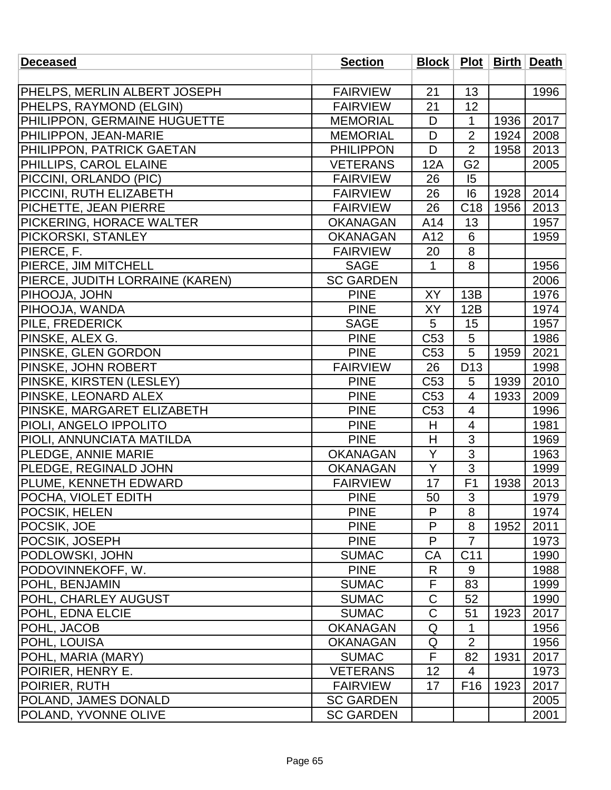| <b>Deceased</b>                 | <b>Section</b>   |                 |                 |      | Block   Plot   Birth   Death |
|---------------------------------|------------------|-----------------|-----------------|------|------------------------------|
|                                 |                  |                 |                 |      |                              |
| PHELPS, MERLIN ALBERT JOSEPH    | <b>FAIRVIEW</b>  | 21              | 13              |      | 1996                         |
| PHELPS, RAYMOND (ELGIN)         | <b>FAIRVIEW</b>  | 21              | 12              |      |                              |
| PHILIPPON, GERMAINE HUGUETTE    | <b>MEMORIAL</b>  | D               | $\mathbf{1}$    | 1936 | 2017                         |
| PHILIPPON, JEAN-MARIE           | <b>MEMORIAL</b>  | D               | $\overline{2}$  | 1924 | 2008                         |
| PHILIPPON, PATRICK GAETAN       | <b>PHILIPPON</b> | D               | $\overline{2}$  | 1958 | 2013                         |
| <b>PHILLIPS, CAROL ELAINE</b>   | <b>VETERANS</b>  | 12A             | G <sub>2</sub>  |      | 2005                         |
| PICCINI, ORLANDO (PIC)          | <b>FAIRVIEW</b>  | 26              | 15              |      |                              |
| PICCINI, RUTH ELIZABETH         | <b>FAIRVIEW</b>  | 26              | 16              | 1928 | 2014                         |
| PICHETTE, JEAN PIERRE           | <b>FAIRVIEW</b>  | 26              | C <sub>18</sub> | 1956 | 2013                         |
| PICKERING, HORACE WALTER        | <b>OKANAGAN</b>  | A14             | 13              |      | 1957                         |
| PICKORSKI, STANLEY              | <b>OKANAGAN</b>  | A12             | 6               |      | 1959                         |
| PIERCE, F.                      | <b>FAIRVIEW</b>  | 20              | 8               |      |                              |
| PIERCE, JIM MITCHELL            | <b>SAGE</b>      | 1               | 8               |      | 1956                         |
| PIERCE, JUDITH LORRAINE (KAREN) | <b>SC GARDEN</b> |                 |                 |      | 2006                         |
| PIHOOJA, JOHN                   | <b>PINE</b>      | <b>XY</b>       | 13B             |      | 1976                         |
| PIHOOJA, WANDA                  | <b>PINE</b>      | XY              | 12B             |      | 1974                         |
| PILE, FREDERICK                 | <b>SAGE</b>      | 5               | 15              |      | 1957                         |
| PINSKE, ALEX G.                 | <b>PINE</b>      | C <sub>53</sub> | 5               |      | 1986                         |
| PINSKE, GLEN GORDON             | <b>PINE</b>      | C <sub>53</sub> | 5               | 1959 | 2021                         |
| PINSKE, JOHN ROBERT             | <b>FAIRVIEW</b>  | 26              | D <sub>13</sub> |      | 1998                         |
| PINSKE, KIRSTEN (LESLEY)        | <b>PINE</b>      | C <sub>53</sub> | 5               | 1939 | 2010                         |
| PINSKE, LEONARD ALEX            | <b>PINE</b>      | C <sub>53</sub> | $\overline{4}$  | 1933 | 2009                         |
| PINSKE, MARGARET ELIZABETH      | <b>PINE</b>      | C <sub>53</sub> | 4               |      | 1996                         |
| PIOLI, ANGELO IPPOLITO          | <b>PINE</b>      | H               | 4               |      | 1981                         |
| PIOLI, ANNUNCIATA MATILDA       | <b>PINE</b>      | H               | 3               |      | 1969                         |
| <b>PLEDGE, ANNIE MARIE</b>      | <b>OKANAGAN</b>  | Y               | 3               |      | 1963                         |
| PLEDGE, REGINALD JOHN           | <b>OKANAGAN</b>  | Y               | 3               |      | 1999                         |
| PLUME, KENNETH EDWARD           | <b>FAIRVIEW</b>  | 17              | F <sub>1</sub>  | 1938 | 2013                         |
| POCHA, VIOLET EDITH             | <b>PINE</b>      | 50              | 3               |      | 1979                         |
| POCSIK, HELEN                   | <b>PINE</b>      | P               | 8               |      | 1974                         |
| POCSIK, JOE                     | <b>PINE</b>      | P               | 8               | 1952 | 2011                         |
| POCSIK, JOSEPH                  | <b>PINE</b>      | P               | $\overline{7}$  |      | 1973                         |
| PODLOWSKI, JOHN                 | <b>SUMAC</b>     | CA              | C <sub>11</sub> |      | 1990                         |
| PODOVINNEKOFF, W.               | <b>PINE</b>      | R               | 9               |      | 1988                         |
| POHL, BENJAMIN                  | <b>SUMAC</b>     | F               | 83              |      | 1999                         |
| POHL, CHARLEY AUGUST            | <b>SUMAC</b>     | $\mathsf C$     | 52              |      | 1990                         |
| POHL, EDNA ELCIE                | <b>SUMAC</b>     | $\overline{C}$  | 51              | 1923 | 2017                         |
| POHL, JACOB                     | <b>OKANAGAN</b>  | Q               | 1               |      | 1956                         |
| POHL, LOUISA                    | <b>OKANAGAN</b>  | Q               | $\overline{2}$  |      | 1956                         |
| POHL, MARIA (MARY)              | <b>SUMAC</b>     | F               | 82              | 1931 | 2017                         |
| POIRIER, HENRY E.               | <b>VETERANS</b>  | 12              | $\overline{4}$  |      | 1973                         |
| POIRIER, RUTH                   | <b>FAIRVIEW</b>  | 17              | F <sub>16</sub> | 1923 | 2017                         |
| POLAND, JAMES DONALD            | <b>SC GARDEN</b> |                 |                 |      | 2005                         |
| POLAND, YVONNE OLIVE            | <b>SC GARDEN</b> |                 |                 |      | 2001                         |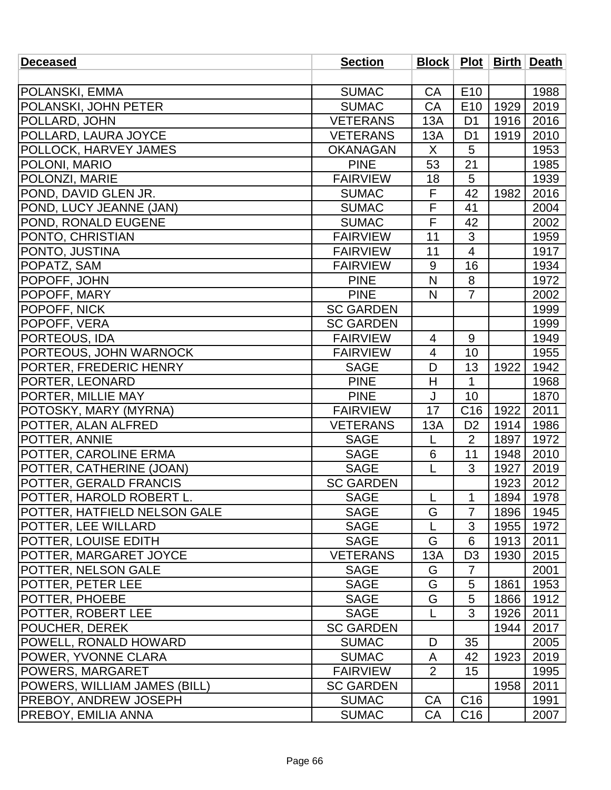| <b>Deceased</b>                     | <b>Section</b>   |                |                 |      | Block   Plot   Birth   Death |
|-------------------------------------|------------------|----------------|-----------------|------|------------------------------|
|                                     |                  |                |                 |      |                              |
| <b>POLANSKI, EMMA</b>               | <b>SUMAC</b>     | CA             | E <sub>10</sub> |      | 1988                         |
| POLANSKI, JOHN PETER                | <b>SUMAC</b>     | CA             | E <sub>10</sub> | 1929 | 2019                         |
| POLLARD, JOHN                       | <b>VETERANS</b>  | 13A            | D <sub>1</sub>  | 1916 | 2016                         |
| POLLARD, LAURA JOYCE                | <b>VETERANS</b>  | 13A            | D <sub>1</sub>  | 1919 | 2010                         |
| <b>POLLOCK, HARVEY JAMES</b>        | <b>OKANAGAN</b>  | X              | 5               |      | 1953                         |
| POLONI, MARIO                       | <b>PINE</b>      | 53             | 21              |      | 1985                         |
| <b>POLONZI, MARIE</b>               | <b>FAIRVIEW</b>  | 18             | 5               |      | 1939                         |
| POND, DAVID GLEN JR.                | <b>SUMAC</b>     | F              | 42              | 1982 | 2016                         |
| POND, LUCY JEANNE (JAN)             | <b>SUMAC</b>     | F              | 41              |      | 2004                         |
| <b>POND, RONALD EUGENE</b>          | <b>SUMAC</b>     | F              | 42              |      | 2002                         |
| PONTO, CHRISTIAN                    | <b>FAIRVIEW</b>  | 11             | 3               |      | 1959                         |
| <b>PONTO, JUSTINA</b>               | <b>FAIRVIEW</b>  | 11             | 4               |      | 1917                         |
| POPATZ, SAM                         | <b>FAIRVIEW</b>  | 9              | 16              |      | 1934                         |
| POPOFF, JOHN                        | <b>PINE</b>      | N              | 8               |      | 1972                         |
| POPOFF, MARY                        | <b>PINE</b>      | N              | $\overline{7}$  |      | 2002                         |
| POPOFF, NICK                        | <b>SC GARDEN</b> |                |                 |      | 1999                         |
| POPOFF, VERA                        | <b>SC GARDEN</b> |                |                 |      | 1999                         |
| <b>PORTEOUS, IDA</b>                | <b>FAIRVIEW</b>  | $\overline{4}$ | 9               |      | 1949                         |
| <b>PORTEOUS, JOHN WARNOCK</b>       | <b>FAIRVIEW</b>  | 4              | 10              |      | 1955                         |
| PORTER, FREDERIC HENRY              | <b>SAGE</b>      | D              | 13              | 1922 | 1942                         |
| PORTER, LEONARD                     | <b>PINE</b>      | H              | 1               |      | 1968                         |
| PORTER, MILLIE MAY                  | <b>PINE</b>      | J              | 10              |      | 1870                         |
| POTOSKY, MARY (MYRNA)               | <b>FAIRVIEW</b>  | 17             | C <sub>16</sub> | 1922 | 2011                         |
| POTTER, ALAN ALFRED                 | <b>VETERANS</b>  | 13A            | D <sub>2</sub>  | 1914 | 1986                         |
| POTTER, ANNIE                       | <b>SAGE</b>      | L              | $\overline{2}$  | 1897 | 1972                         |
| POTTER, CAROLINE ERMA               | <b>SAGE</b>      | 6              | 11              | 1948 | 2010                         |
| POTTER, CATHERINE (JOAN)            | <b>SAGE</b>      | L              | 3               | 1927 | 2019                         |
| <b>POTTER, GERALD FRANCIS</b>       | <b>SC GARDEN</b> |                |                 | 1923 | 2012                         |
| POTTER, HAROLD ROBERT L.            | <b>SAGE</b>      |                | 1               | 1894 | 1978                         |
| POTTER, HATFIELD NELSON GALE        | <b>SAGE</b>      | G              | $\overline{7}$  | 1896 | 1945                         |
| <b>POTTER, LEE WILLARD</b>          | <b>SAGE</b>      |                | 3               | 1955 | 1972                         |
| POTTER, LOUISE EDITH                | <b>SAGE</b>      | G              | 6               | 1913 | 2011                         |
| POTTER, MARGARET JOYCE              | <b>VETERANS</b>  | 13A            | D <sub>3</sub>  | 1930 | 2015                         |
| POTTER, NELSON GALE                 | <b>SAGE</b>      | G              | $\overline{7}$  |      | 2001                         |
| POTTER, PETER LEE                   | <b>SAGE</b>      | G              | 5               | 1861 | 1953                         |
| <b>POTTER, PHOEBE</b>               | <b>SAGE</b>      | G              | 5               | 1866 | 1912                         |
| POTTER, ROBERT LEE                  | <b>SAGE</b>      | L              | 3               | 1926 | 2011                         |
| <b>POUCHER, DEREK</b>               | <b>SC GARDEN</b> |                |                 | 1944 | 2017                         |
| <b>POWELL, RONALD HOWARD</b>        | <b>SUMAC</b>     | D              | 35              |      | 2005                         |
| <b>POWER, YVONNE CLARA</b>          | <b>SUMAC</b>     | A              | 42              | 1923 | 2019                         |
| POWERS, MARGARET                    | <b>FAIRVIEW</b>  | 2              | 15              |      | 1995                         |
| <b>POWERS, WILLIAM JAMES (BILL)</b> | <b>SC GARDEN</b> |                |                 | 1958 | 2011                         |
| <b>PREBOY, ANDREW JOSEPH</b>        | <b>SUMAC</b>     | CA             | C <sub>16</sub> |      | 1991                         |
| <b>PREBOY, EMILIA ANNA</b>          | <b>SUMAC</b>     | <b>CA</b>      | C <sub>16</sub> |      | 2007                         |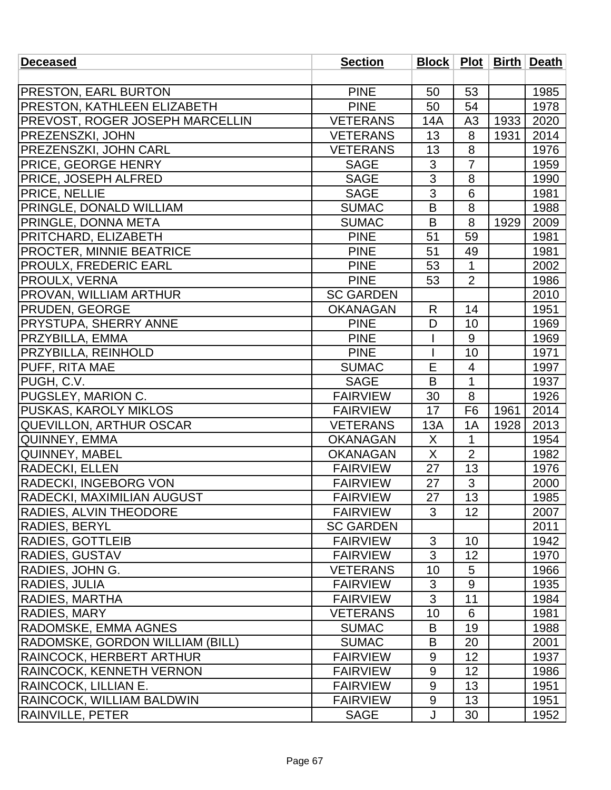| <b>Deceased</b>                        | <b>Section</b>   |                |                  |      | Block   Plot   Birth   Death |
|----------------------------------------|------------------|----------------|------------------|------|------------------------------|
|                                        |                  |                |                  |      |                              |
| <b>PRESTON, EARL BURTON</b>            | <b>PINE</b>      | 50             | 53               |      | 1985                         |
| <b>PRESTON, KATHLEEN ELIZABETH</b>     | <b>PINE</b>      | 50             | 54               |      | 1978                         |
| <b>PREVOST, ROGER JOSEPH MARCELLIN</b> | <b>VETERANS</b>  | 14A            | A3               | 1933 | 2020                         |
| <b>PREZENSZKI, JOHN</b>                | <b>VETERANS</b>  | 13             | 8                | 1931 | 2014                         |
| <b>PREZENSZKI, JOHN CARL</b>           | <b>VETERANS</b>  | 13             | 8                |      | 1976                         |
| <b>PRICE, GEORGE HENRY</b>             | <b>SAGE</b>      | 3              | $\overline{7}$   |      | 1959                         |
| <b>PRICE, JOSEPH ALFRED</b>            | <b>SAGE</b>      | $\overline{3}$ | 8                |      | 1990                         |
| <b>PRICE, NELLIE</b>                   | <b>SAGE</b>      | 3              | 6                |      | 1981                         |
| PRINGLE, DONALD WILLIAM                | <b>SUMAC</b>     | B              | 8                |      | 1988                         |
| <b>PRINGLE, DONNA META</b>             | <b>SUMAC</b>     | B              | 8                | 1929 | 2009                         |
| PRITCHARD, ELIZABETH                   | <b>PINE</b>      | 51             | 59               |      | 1981                         |
| <b>PROCTER, MINNIE BEATRICE</b>        | <b>PINE</b>      | 51             | 49               |      | 1981                         |
| <b>PROULX, FREDERIC EARL</b>           | <b>PINE</b>      | 53             | $\mathbf{1}$     |      | 2002                         |
| PROULX, VERNA                          | <b>PINE</b>      | 53             | $\overline{2}$   |      | 1986                         |
| <b>PROVAN, WILLIAM ARTHUR</b>          | <b>SC GARDEN</b> |                |                  |      | 2010                         |
| <b>PRUDEN, GEORGE</b>                  | <b>OKANAGAN</b>  | R              | 14               |      | 1951                         |
| <b>PRYSTUPA, SHERRY ANNE</b>           | <b>PINE</b>      | D              | 10               |      | 1969                         |
| <b>PRZYBILLA, EMMA</b>                 | <b>PINE</b>      |                | 9                |      | 1969                         |
| <b>PRZYBILLA, REINHOLD</b>             | <b>PINE</b>      |                | 10               |      | 1971                         |
| PUFF, RITA MAE                         | <b>SUMAC</b>     | E              | 4                |      | 1997                         |
| PUGH, C.V.                             | <b>SAGE</b>      | B              | $\mathbf{1}$     |      | 1937                         |
| PUGSLEY, MARION C.                     | <b>FAIRVIEW</b>  | 30             | 8                |      | 1926                         |
| <b>PUSKAS, KAROLY MIKLOS</b>           | <b>FAIRVIEW</b>  | 17             | F <sub>6</sub>   | 1961 | 2014                         |
| <b>QUEVILLON, ARTHUR OSCAR</b>         | <b>VETERANS</b>  | 13A            | 1A               | 1928 | 2013                         |
| QUINNEY, EMMA                          | <b>OKANAGAN</b>  | X              | $\mathbf{1}$     |      | 1954                         |
| <b>QUINNEY, MABEL</b>                  | <b>OKANAGAN</b>  | X              | $\overline{2}$   |      | 1982                         |
| <b>RADECKI, ELLEN</b>                  | <b>FAIRVIEW</b>  | 27             | 13               |      | 1976                         |
| <b>RADECKI, INGEBORG VON</b>           | <b>FAIRVIEW</b>  | 27             | 3                |      | 2000                         |
| RADECKI, MAXIMILIAN AUGUST             | <b>FAIRVIEW</b>  | 27             | 13               |      | 1985                         |
| RADIES, ALVIN THEODORE                 | <b>FAIRVIEW</b>  | 3              | 12               |      | 2007                         |
| <b>RADIES, BERYL</b>                   | <b>SC GARDEN</b> |                |                  |      | 2011                         |
| <b>RADIES, GOTTLEIB</b>                | <b>FAIRVIEW</b>  | 3              | 10               |      | 1942                         |
| <b>RADIES, GUSTAV</b>                  | <b>FAIRVIEW</b>  | 3              | 12               |      | 1970                         |
| RADIES, JOHN G.                        | <b>VETERANS</b>  | 10             | 5                |      | 1966                         |
| <b>RADIES, JULIA</b>                   | <b>FAIRVIEW</b>  | 3              | $\boldsymbol{9}$ |      | 1935                         |
| RADIES, MARTHA                         | <b>FAIRVIEW</b>  | 3              | 11               |      | 1984                         |
| <b>RADIES, MARY</b>                    | <b>VETERANS</b>  | 10             | 6                |      | 1981                         |
| <b>RADOMSKE, EMMA AGNES</b>            | <b>SUMAC</b>     | B              | 19               |      | 1988                         |
| RADOMSKE, GORDON WILLIAM (BILL)        | <b>SUMAC</b>     | B              | 20               |      | 2001                         |
| RAINCOCK, HERBERT ARTHUR               | <b>FAIRVIEW</b>  | 9              | 12               |      | 1937                         |
| RAINCOCK, KENNETH VERNON               | <b>FAIRVIEW</b>  | 9              | 12               |      | 1986                         |
| RAINCOCK, LILLIAN E.                   | <b>FAIRVIEW</b>  | 9              | 13               |      | 1951                         |
| <b>RAINCOCK, WILLIAM BALDWIN</b>       | <b>FAIRVIEW</b>  | 9              | 13               |      | 1951                         |
| <b>RAINVILLE, PETER</b>                | <b>SAGE</b>      | J              | 30               |      | 1952                         |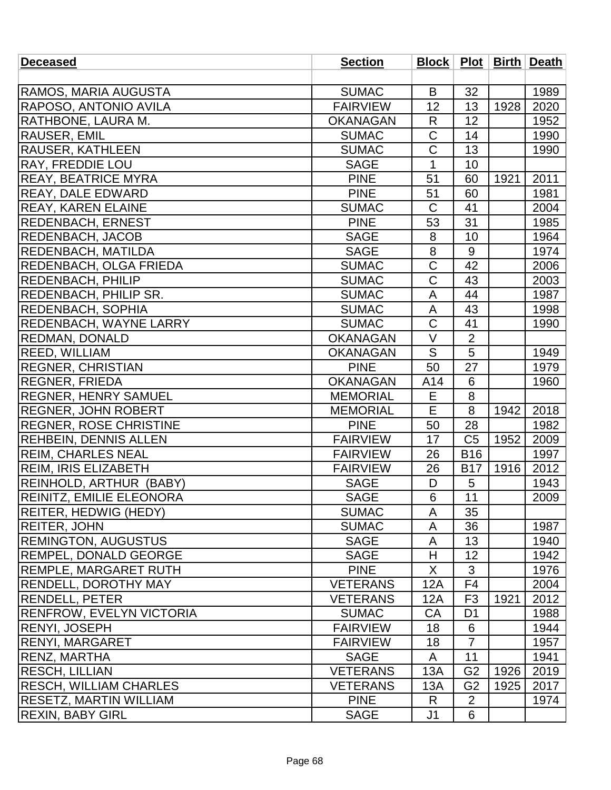| <b>Deceased</b>                 | <b>Section</b>  |                       |                |      | Block   Plot   Birth   Death |
|---------------------------------|-----------------|-----------------------|----------------|------|------------------------------|
|                                 |                 |                       |                |      |                              |
| RAMOS, MARIA AUGUSTA            | <b>SUMAC</b>    | B                     | 32             |      | 1989                         |
| RAPOSO, ANTONIO AVILA           | <b>FAIRVIEW</b> | 12                    | 13             | 1928 | 2020                         |
| RATHBONE, LAURA M.              | <b>OKANAGAN</b> | R                     | 12             |      | 1952                         |
| RAUSER, EMIL                    | <b>SUMAC</b>    | $\mathsf C$           | 14             |      | 1990                         |
| RAUSER, KATHLEEN                | <b>SUMAC</b>    | $\mathsf C$           | 13             |      | 1990                         |
| RAY, FREDDIE LOU                | <b>SAGE</b>     | $\overline{1}$        | 10             |      |                              |
| <b>REAY, BEATRICE MYRA</b>      | <b>PINE</b>     | 51                    | 60             | 1921 | 2011                         |
| <b>REAY, DALE EDWARD</b>        | <b>PINE</b>     | 51                    | 60             |      | 1981                         |
| <b>REAY, KAREN ELAINE</b>       | <b>SUMAC</b>    | $\mathsf C$           | 41             |      | 2004                         |
| <b>REDENBACH, ERNEST</b>        | <b>PINE</b>     | 53                    | 31             |      | 1985                         |
| <b>REDENBACH, JACOB</b>         | <b>SAGE</b>     | 8                     | 10             |      | 1964                         |
| <b>REDENBACH, MATILDA</b>       | <b>SAGE</b>     | 8                     | $9\,$          |      | 1974                         |
| <b>REDENBACH, OLGA FRIEDA</b>   | <b>SUMAC</b>    | $\mathsf C$           | 42             |      | 2006                         |
| <b>REDENBACH, PHILIP</b>        | <b>SUMAC</b>    | $\overline{\text{C}}$ | 43             |      | 2003                         |
| REDENBACH, PHILIP SR.           | <b>SUMAC</b>    | A                     | 44             |      | 1987                         |
| <b>REDENBACH, SOPHIA</b>        | <b>SUMAC</b>    | A                     | 43             |      | 1998                         |
| <b>REDENBACH, WAYNE LARRY</b>   | <b>SUMAC</b>    | $\mathsf C$           | 41             |      | 1990                         |
| <b>REDMAN, DONALD</b>           | <b>OKANAGAN</b> | $\vee$                | $\overline{2}$ |      |                              |
| REED, WILLIAM                   | <b>OKANAGAN</b> | S                     | 5              |      | 1949                         |
| <b>REGNER, CHRISTIAN</b>        | <b>PINE</b>     | 50                    | 27             |      | 1979                         |
| <b>REGNER, FRIEDA</b>           | <b>OKANAGAN</b> | A14                   | 6              |      | 1960                         |
| <b>REGNER, HENRY SAMUEL</b>     | <b>MEMORIAL</b> | Е                     | 8              |      |                              |
| <b>REGNER, JOHN ROBERT</b>      | <b>MEMORIAL</b> | E                     | 8              | 1942 | 2018                         |
| <b>REGNER, ROSE CHRISTINE</b>   | <b>PINE</b>     | 50                    | 28             |      | 1982                         |
| <b>REHBEIN, DENNIS ALLEN</b>    | <b>FAIRVIEW</b> | 17                    | C <sub>5</sub> | 1952 | 2009                         |
| <b>REIM, CHARLES NEAL</b>       | <b>FAIRVIEW</b> | 26                    | <b>B16</b>     |      | 1997                         |
| <b>REIM, IRIS ELIZABETH</b>     | <b>FAIRVIEW</b> | 26                    | <b>B17</b>     | 1916 | 2012                         |
| REINHOLD, ARTHUR (BABY)         | <b>SAGE</b>     | D                     | 5              |      | 1943                         |
| <b>REINITZ, EMILIE ELEONORA</b> | <b>SAGE</b>     | $6\,$                 | 11             |      | 2009                         |
| <b>REITER, HEDWIG (HEDY)</b>    | <b>SUMAC</b>    | A                     | 35             |      |                              |
| <b>REITER, JOHN</b>             | <b>SUMAC</b>    | A                     | 36             |      | 1987                         |
| <b>REMINGTON, AUGUSTUS</b>      | <b>SAGE</b>     | A                     | 13             |      | 1940                         |
| <b>REMPEL, DONALD GEORGE</b>    | <b>SAGE</b>     | H                     | 12             |      | 1942                         |
| <b>REMPLE, MARGARET RUTH</b>    | <b>PINE</b>     | X                     | 3              |      | 1976                         |
| <b>RENDELL, DOROTHY MAY</b>     | <b>VETERANS</b> | 12A                   | F4             |      | 2004                         |
| <b>RENDELL, PETER</b>           | <b>VETERANS</b> | 12A                   | F <sub>3</sub> | 1921 | 2012                         |
| <b>RENFROW, EVELYN VICTORIA</b> | <b>SUMAC</b>    | CA                    | D <sub>1</sub> |      | 1988                         |
| <b>RENYI, JOSEPH</b>            | <b>FAIRVIEW</b> | 18                    | 6              |      | 1944                         |
| <b>RENYI, MARGARET</b>          | <b>FAIRVIEW</b> | 18                    | $\overline{7}$ |      | 1957                         |
| <b>RENZ, MARTHA</b>             | <b>SAGE</b>     | A                     | 11             |      | 1941                         |
| <b>RESCH, LILLIAN</b>           | <b>VETERANS</b> | 13A                   | G <sub>2</sub> | 1926 | 2019                         |
| <b>RESCH, WILLIAM CHARLES</b>   | <b>VETERANS</b> | 13A                   | G <sub>2</sub> | 1925 | 2017                         |
| <b>RESETZ, MARTIN WILLIAM</b>   | <b>PINE</b>     | R                     | $\overline{2}$ |      | 1974                         |
| <b>REXIN, BABY GIRL</b>         | <b>SAGE</b>     | J <sub>1</sub>        | 6              |      |                              |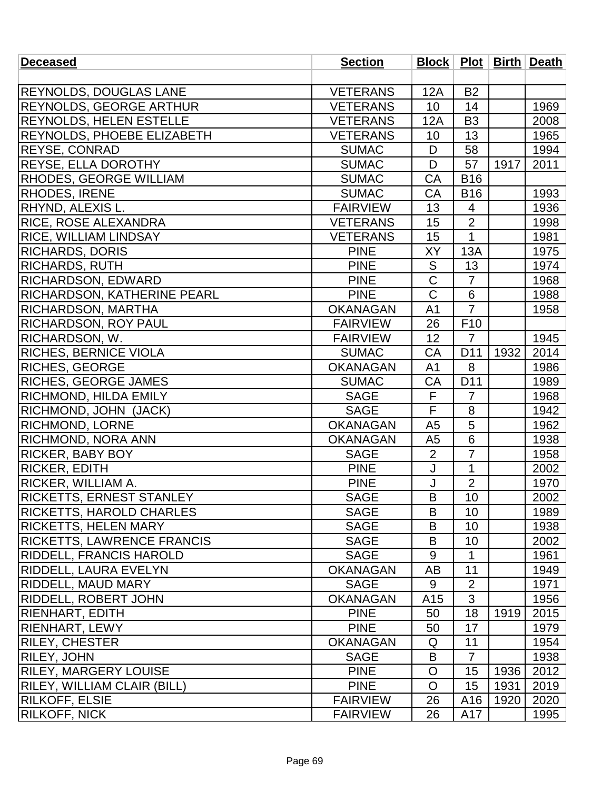| <b>Deceased</b>                    | <b>Section</b>  |                       |                 |      | Block   Plot   Birth   Death |
|------------------------------------|-----------------|-----------------------|-----------------|------|------------------------------|
|                                    |                 |                       |                 |      |                              |
| <b>REYNOLDS, DOUGLAS LANE</b>      | <b>VETERANS</b> | 12A                   | <b>B2</b>       |      |                              |
| <b>REYNOLDS, GEORGE ARTHUR</b>     | <b>VETERANS</b> | 10                    | 14              |      | 1969                         |
| <b>REYNOLDS, HELEN ESTELLE</b>     | <b>VETERANS</b> | 12A                   | B <sub>3</sub>  |      | 2008                         |
| REYNOLDS, PHOEBE ELIZABETH         | <b>VETERANS</b> | 10                    | 13              |      | 1965                         |
| <b>REYSE, CONRAD</b>               | <b>SUMAC</b>    | D                     | 58              |      | 1994                         |
| <b>REYSE, ELLA DOROTHY</b>         | <b>SUMAC</b>    | D                     | 57              | 1917 | 2011                         |
| <b>RHODES, GEORGE WILLIAM</b>      | <b>SUMAC</b>    | CA                    | <b>B16</b>      |      |                              |
| <b>RHODES, IRENE</b>               | <b>SUMAC</b>    | CA                    | <b>B16</b>      |      | 1993                         |
| RHYND, ALEXIS L.                   | <b>FAIRVIEW</b> | 13                    | $\overline{4}$  |      | 1936                         |
| <b>RICE, ROSE ALEXANDRA</b>        | <b>VETERANS</b> | 15                    | $\overline{2}$  |      | 1998                         |
| <b>RICE, WILLIAM LINDSAY</b>       | <b>VETERANS</b> | 15                    | $\mathbf{1}$    |      | 1981                         |
| <b>RICHARDS, DORIS</b>             | <b>PINE</b>     | XY                    | 13A             |      | 1975                         |
| <b>RICHARDS, RUTH</b>              | <b>PINE</b>     | S                     | 13              |      | 1974                         |
| <b>RICHARDSON, EDWARD</b>          | <b>PINE</b>     | $\overline{\text{C}}$ | $\overline{7}$  |      | 1968                         |
| <b>RICHARDSON, KATHERINE PEARL</b> | <b>PINE</b>     | $\mathsf C$           | 6               |      | 1988                         |
| <b>RICHARDSON, MARTHA</b>          | <b>OKANAGAN</b> | A <sub>1</sub>        | $\overline{7}$  |      | 1958                         |
| <b>RICHARDSON, ROY PAUL</b>        | <b>FAIRVIEW</b> | 26                    | F <sub>10</sub> |      |                              |
| <b>RICHARDSON, W.</b>              | <b>FAIRVIEW</b> | 12                    | $\overline{7}$  |      | 1945                         |
| <b>RICHES, BERNICE VIOLA</b>       | <b>SUMAC</b>    | CA                    | D <sub>11</sub> | 1932 | 2014                         |
| RICHES, GEORGE                     | <b>OKANAGAN</b> | A <sub>1</sub>        | 8               |      | 1986                         |
| <b>RICHES, GEORGE JAMES</b>        | <b>SUMAC</b>    | CA                    | D11             |      | 1989                         |
| <b>RICHMOND, HILDA EMILY</b>       | <b>SAGE</b>     | F                     | $\overline{7}$  |      | 1968                         |
| RICHMOND, JOHN (JACK)              | <b>SAGE</b>     | F                     | 8               |      | 1942                         |
| <b>RICHMOND, LORNE</b>             | <b>OKANAGAN</b> | A <sub>5</sub>        | 5               |      | 1962                         |
| <b>RICHMOND, NORA ANN</b>          | <b>OKANAGAN</b> | A <sub>5</sub>        | 6               |      | 1938                         |
| <b>RICKER, BABY BOY</b>            | <b>SAGE</b>     | $\overline{2}$        | 7               |      | 1958                         |
| <b>RICKER, EDITH</b>               | <b>PINE</b>     | J                     | $\mathbf{1}$    |      | 2002                         |
| RICKER, WILLIAM A.                 | <b>PINE</b>     | J                     | $\overline{2}$  |      | 1970                         |
| <b>RICKETTS, ERNEST STANLEY</b>    | <b>SAGE</b>     | $\overline{B}$        | 10              |      | 2002                         |
| <b>RICKETTS, HAROLD CHARLES</b>    | <b>SAGE</b>     | B                     | 10              |      | 1989                         |
| <b>RICKETTS, HELEN MARY</b>        | <b>SAGE</b>     | B                     | 10              |      | 1938                         |
| <b>RICKETTS, LAWRENCE FRANCIS</b>  | <b>SAGE</b>     | B                     | 10              |      | 2002                         |
| RIDDELL, FRANCIS HAROLD            | <b>SAGE</b>     | 9                     | 1               |      | 1961                         |
| <b>RIDDELL, LAURA EVELYN</b>       | <b>OKANAGAN</b> | AB                    | 11              |      | 1949                         |
| RIDDELL, MAUD MARY                 | <b>SAGE</b>     | 9                     | $\overline{2}$  |      | 1971                         |
| <b>RIDDELL, ROBERT JOHN</b>        | <b>OKANAGAN</b> | A <sub>15</sub>       | 3               |      | 1956                         |
| RIENHART, EDITH                    | <b>PINE</b>     | 50                    | 18              | 1919 | 2015                         |
| <b>RIENHART, LEWY</b>              | <b>PINE</b>     | 50                    | 17              |      | 1979                         |
| <b>RILEY, CHESTER</b>              | <b>OKANAGAN</b> | Q                     | 11              |      | 1954                         |
| <b>RILEY, JOHN</b>                 | <b>SAGE</b>     | B                     | $\overline{7}$  |      | 1938                         |
| RILEY, MARGERY LOUISE              | <b>PINE</b>     | $\circ$               | 15              | 1936 | 2012                         |
| <b>RILEY, WILLIAM CLAIR (BILL)</b> | <b>PINE</b>     | $\overline{O}$        | 15              | 1931 | 2019                         |
| <b>RILKOFF, ELSIE</b>              | <b>FAIRVIEW</b> | 26                    | A16             | 1920 | 2020                         |
| <b>RILKOFF, NICK</b>               | <b>FAIRVIEW</b> | 26                    | A17             |      | 1995                         |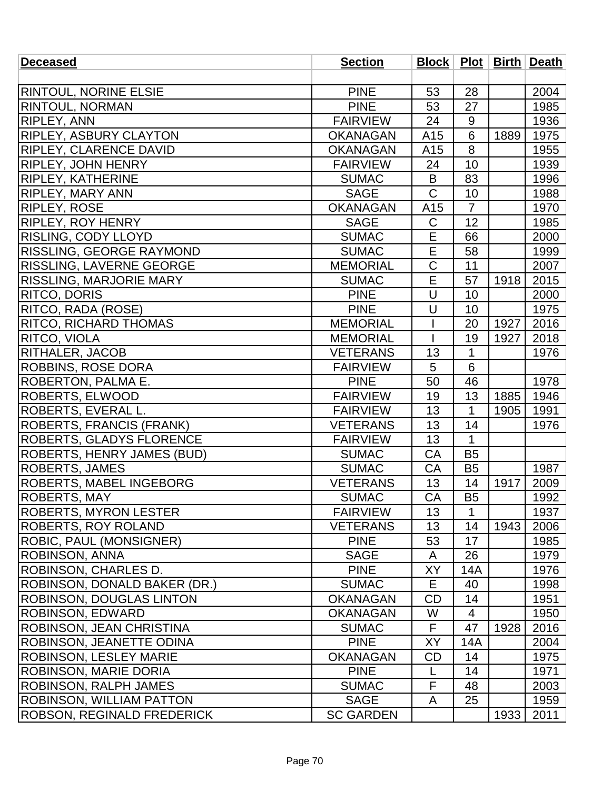| <b>Deceased</b>                   | <b>Section</b>   |                |                |      | Block   Plot   Birth   Death |
|-----------------------------------|------------------|----------------|----------------|------|------------------------------|
|                                   |                  |                |                |      |                              |
| <b>RINTOUL, NORINE ELSIE</b>      | <b>PINE</b>      | 53             | 28             |      | 2004                         |
| <b>RINTOUL, NORMAN</b>            | <b>PINE</b>      | 53             | 27             |      | 1985                         |
| <b>RIPLEY, ANN</b>                | <b>FAIRVIEW</b>  | 24             | 9              |      | 1936                         |
| <b>RIPLEY, ASBURY CLAYTON</b>     | <b>OKANAGAN</b>  | A15            | 6              | 1889 | 1975                         |
| <b>RIPLEY, CLARENCE DAVID</b>     | <b>OKANAGAN</b>  | A15            | 8              |      | 1955                         |
| <b>RIPLEY, JOHN HENRY</b>         | <b>FAIRVIEW</b>  | 24             | 10             |      | 1939                         |
| <b>RIPLEY, KATHERINE</b>          | <b>SUMAC</b>     | B              | 83             |      | 1996                         |
| <b>RIPLEY, MARY ANN</b>           | <b>SAGE</b>      | $\overline{C}$ | 10             |      | 1988                         |
| <b>RIPLEY, ROSE</b>               | <b>OKANAGAN</b>  | A15            | $\overline{7}$ |      | 1970                         |
| <b>RIPLEY, ROY HENRY</b>          | <b>SAGE</b>      | C              | 12             |      | 1985                         |
| <b>RISLING, CODY LLOYD</b>        | <b>SUMAC</b>     | E              | 66             |      | 2000                         |
| <b>RISSLING, GEORGE RAYMOND</b>   | <b>SUMAC</b>     | E              | 58             |      | 1999                         |
| <b>RISSLING, LAVERNE GEORGE</b>   | <b>MEMORIAL</b>  | $\mathsf C$    | 11             |      | 2007                         |
| RISSLING, MARJORIE MARY           | <b>SUMAC</b>     | E              | 57             | 1918 | 2015                         |
| <b>RITCO, DORIS</b>               | <b>PINE</b>      | U              | 10             |      | 2000                         |
| RITCO, RADA (ROSE)                | <b>PINE</b>      | U              | 10             |      | 1975                         |
| <b>RITCO, RICHARD THOMAS</b>      | <b>MEMORIAL</b>  |                | 20             | 1927 | 2016                         |
| <b>RITCO, VIOLA</b>               | <b>MEMORIAL</b>  |                | 19             | 1927 | 2018                         |
| <b>RITHALER, JACOB</b>            | <b>VETERANS</b>  | 13             | 1              |      | 1976                         |
| <b>ROBBINS, ROSE DORA</b>         | <b>FAIRVIEW</b>  | 5              | 6              |      |                              |
| ROBERTON, PALMA E.                | <b>PINE</b>      | 50             | 46             |      | 1978                         |
| <b>ROBERTS, ELWOOD</b>            | <b>FAIRVIEW</b>  | 19             | 13             | 1885 | 1946                         |
| ROBERTS, EVERAL L.                | <b>FAIRVIEW</b>  | 13             | 1              | 1905 | 1991                         |
| ROBERTS, FRANCIS (FRANK)          | <b>VETERANS</b>  | 13             | 14             |      | 1976                         |
| <b>ROBERTS, GLADYS FLORENCE</b>   | <b>FAIRVIEW</b>  | 13             | $\mathbf{1}$   |      |                              |
| <b>ROBERTS, HENRY JAMES (BUD)</b> | <b>SUMAC</b>     | CA             | <b>B5</b>      |      |                              |
| <b>ROBERTS, JAMES</b>             | <b>SUMAC</b>     | CA             | B <sub>5</sub> |      | 1987                         |
| <b>ROBERTS, MABEL INGEBORG</b>    | <b>VETERANS</b>  | 13             | 14             | 1917 | 2009                         |
| <b>ROBERTS, MAY</b>               | <b>SUMAC</b>     | CA             | <b>B5</b>      |      | 1992                         |
| ROBERTS, MYRON LESTER             | <b>FAIRVIEW</b>  | 13             | 1              |      | 1937                         |
| <b>ROBERTS, ROY ROLAND</b>        | <b>VETERANS</b>  | 13             | 14             | 1943 | 2006                         |
| <b>ROBIC, PAUL (MONSIGNER)</b>    | <b>PINE</b>      | 53             | 17             |      | 1985                         |
| <b>ROBINSON, ANNA</b>             | <b>SAGE</b>      | A              | 26             |      | 1979                         |
| ROBINSON, CHARLES D.              | <b>PINE</b>      | XY             | 14A            |      | 1976                         |
| ROBINSON, DONALD BAKER (DR.)      | <b>SUMAC</b>     | Е              | 40             |      | 1998                         |
| <b>ROBINSON, DOUGLAS LINTON</b>   | <b>OKANAGAN</b>  | CD             | 14             |      | 1951                         |
| ROBINSON, EDWARD                  | <b>OKANAGAN</b>  | W              | 4              |      | 1950                         |
| <b>ROBINSON, JEAN CHRISTINA</b>   | <b>SUMAC</b>     | F              | 47             | 1928 | 2016                         |
| ROBINSON, JEANETTE ODINA          | <b>PINE</b>      | XY             | 14A            |      | 2004                         |
| <b>ROBINSON, LESLEY MARIE</b>     | <b>OKANAGAN</b>  | <b>CD</b>      | 14             |      | 1975                         |
| ROBINSON, MARIE DORIA             | <b>PINE</b>      | L              | 14             |      | 1971                         |
| <b>ROBINSON, RALPH JAMES</b>      | <b>SUMAC</b>     | F              | 48             |      | 2003                         |
| <b>ROBINSON, WILLIAM PATTON</b>   | <b>SAGE</b>      | A              | 25             |      | 1959                         |
| <b>ROBSON, REGINALD FREDERICK</b> | <b>SC GARDEN</b> |                |                | 1933 | 2011                         |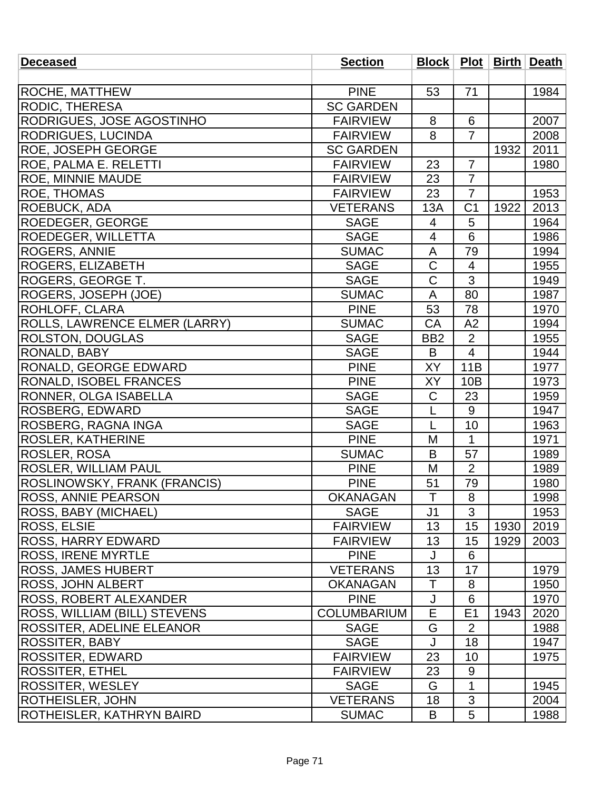| <b>Deceased</b>                  | <b>Section</b>     |                       |                |      | Block   Plot   Birth   Death |
|----------------------------------|--------------------|-----------------------|----------------|------|------------------------------|
|                                  |                    |                       |                |      |                              |
| ROCHE, MATTHEW                   | <b>PINE</b>        | 53                    | 71             |      | 1984                         |
| <b>RODIC, THERESA</b>            | <b>SC GARDEN</b>   |                       |                |      |                              |
| RODRIGUES, JOSE AGOSTINHO        | <b>FAIRVIEW</b>    | 8                     | 6              |      | 2007                         |
| <b>RODRIGUES, LUCINDA</b>        | <b>FAIRVIEW</b>    | 8                     | $\overline{7}$ |      | 2008                         |
| ROE, JOSEPH GEORGE               | <b>SC GARDEN</b>   |                       |                | 1932 | 2011                         |
| ROE, PALMA E. RELETTI            | <b>FAIRVIEW</b>    | 23                    | $\overline{7}$ |      | 1980                         |
| <b>ROE, MINNIE MAUDE</b>         | <b>FAIRVIEW</b>    | 23                    | $\overline{7}$ |      |                              |
| <b>ROE, THOMAS</b>               | <b>FAIRVIEW</b>    | 23                    | $\overline{7}$ |      | 1953                         |
| ROEBUCK, ADA                     | <b>VETERANS</b>    | 13A                   | C <sub>1</sub> | 1922 | 2013                         |
| ROEDEGER, GEORGE                 | <b>SAGE</b>        | 4                     | 5              |      | 1964                         |
| <b>ROEDEGER, WILLETTA</b>        | <b>SAGE</b>        | $\overline{4}$        | 6              |      | 1986                         |
| <b>ROGERS, ANNIE</b>             | <b>SUMAC</b>       | A                     | 79             |      | 1994                         |
| <b>ROGERS, ELIZABETH</b>         | <b>SAGE</b>        | C                     | 4              |      | 1955                         |
| ROGERS, GEORGE T.                | <b>SAGE</b>        | $\overline{\text{C}}$ | $\overline{3}$ |      | 1949                         |
| ROGERS, JOSEPH (JOE)             | <b>SUMAC</b>       | A                     | 80             |      | 1987                         |
| ROHLOFF, CLARA                   | <b>PINE</b>        | 53                    | 78             |      | 1970                         |
| ROLLS, LAWRENCE ELMER (LARRY)    | <b>SUMAC</b>       | CA                    | A2             |      | 1994                         |
| <b>ROLSTON, DOUGLAS</b>          | <b>SAGE</b>        | BB <sub>2</sub>       | $\overline{2}$ |      | 1955                         |
| RONALD, BABY                     | <b>SAGE</b>        | B                     | $\overline{4}$ |      | 1944                         |
| RONALD, GEORGE EDWARD            | <b>PINE</b>        | XY                    | 11B            |      | 1977                         |
| RONALD, ISOBEL FRANCES           | <b>PINE</b>        | XY                    | 10B            |      | 1973                         |
| RONNER, OLGA ISABELLA            | <b>SAGE</b>        | $\mathsf C$           | 23             |      | 1959                         |
| ROSBERG, EDWARD                  | <b>SAGE</b>        | L                     | 9              |      | 1947                         |
| ROSBERG, RAGNA INGA              | <b>SAGE</b>        | L                     | 10             |      | 1963                         |
| <b>ROSLER, KATHERINE</b>         | <b>PINE</b>        | M                     | $\mathbf{1}$   |      | 1971                         |
| ROSLER, ROSA                     | <b>SUMAC</b>       | B                     | 57             |      | 1989                         |
| ROSLER, WILLIAM PAUL             | <b>PINE</b>        | M                     | $\overline{2}$ |      | 1989                         |
| ROSLINOWSKY, FRANK (FRANCIS)     | <b>PINE</b>        | 51                    | 79             |      | 1980                         |
| <b>ROSS, ANNIE PEARSON</b>       | <b>OKANAGAN</b>    | $\mathsf T$           | 8              |      | 1998                         |
| ROSS, BABY (MICHAEL)             | <b>SAGE</b>        | J <sub>1</sub>        | 3              |      | 1953                         |
| ROSS, ELSIE                      | <b>FAIRVIEW</b>    | 13                    | 15             | 1930 | 2019                         |
| <b>ROSS, HARRY EDWARD</b>        | <b>FAIRVIEW</b>    | 13                    | 15             | 1929 | 2003                         |
| <b>ROSS, IRENE MYRTLE</b>        | <b>PINE</b>        | J                     | 6              |      |                              |
| <b>ROSS, JAMES HUBERT</b>        | <b>VETERANS</b>    | 13                    | 17             |      | 1979                         |
| <b>ROSS, JOHN ALBERT</b>         | <b>OKANAGAN</b>    | Τ                     | 8              |      | 1950                         |
| <b>ROSS, ROBERT ALEXANDER</b>    | <b>PINE</b>        | J                     | 6              |      | 1970                         |
| ROSS, WILLIAM (BILL) STEVENS     | <b>COLUMBARIUM</b> | E                     | E1             | 1943 | 2020                         |
| ROSSITER, ADELINE ELEANOR        | <b>SAGE</b>        | G                     | $\overline{2}$ |      | 1988                         |
| <b>ROSSITER, BABY</b>            | <b>SAGE</b>        | J                     | 18             |      | 1947                         |
| <b>ROSSITER, EDWARD</b>          | <b>FAIRVIEW</b>    | 23                    | 10             |      | 1975                         |
| <b>ROSSITER, ETHEL</b>           | <b>FAIRVIEW</b>    | 23                    | 9              |      |                              |
| <b>ROSSITER, WESLEY</b>          | <b>SAGE</b>        | G                     | 1              |      | 1945                         |
| <b>ROTHEISLER, JOHN</b>          | <b>VETERANS</b>    | 18                    | $\mathfrak{S}$ |      | 2004                         |
| <b>ROTHEISLER, KATHRYN BAIRD</b> | <b>SUMAC</b>       | B                     | 5              |      | 1988                         |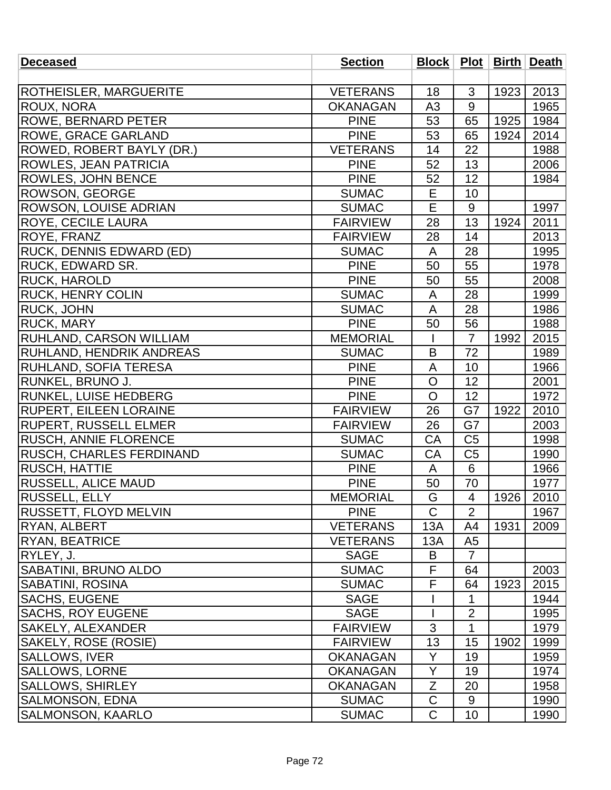| <b>Deceased</b>               | <b>Section</b>  |                |                          |      | Block   Plot   Birth   Death |
|-------------------------------|-----------------|----------------|--------------------------|------|------------------------------|
|                               |                 |                |                          |      |                              |
| <b>ROTHEISLER, MARGUERITE</b> | <b>VETERANS</b> | 18             | 3                        | 1923 | 2013                         |
| ROUX, NORA                    | <b>OKANAGAN</b> | A <sub>3</sub> | 9                        |      | 1965                         |
| <b>ROWE, BERNARD PETER</b>    | <b>PINE</b>     | 53             | 65                       | 1925 | 1984                         |
| ROWE, GRACE GARLAND           | <b>PINE</b>     | 53             | 65                       | 1924 | 2014                         |
| ROWED, ROBERT BAYLY (DR.)     | <b>VETERANS</b> | 14             | 22                       |      | 1988                         |
| ROWLES, JEAN PATRICIA         | <b>PINE</b>     | 52             | 13                       |      | 2006                         |
| ROWLES, JOHN BENCE            | <b>PINE</b>     | 52             | 12                       |      | 1984                         |
| ROWSON, GEORGE                | <b>SUMAC</b>    | E              | 10                       |      |                              |
| ROWSON, LOUISE ADRIAN         | <b>SUMAC</b>    | E              | 9                        |      | 1997                         |
| ROYE, CECILE LAURA            | <b>FAIRVIEW</b> | 28             | 13                       | 1924 | 2011                         |
| ROYE, FRANZ                   | <b>FAIRVIEW</b> | 28             | 14                       |      | 2013                         |
| RUCK, DENNIS EDWARD (ED)      | <b>SUMAC</b>    | A              | 28                       |      | 1995                         |
| RUCK, EDWARD SR.              | <b>PINE</b>     | 50             | 55                       |      | 1978                         |
| RUCK, HAROLD                  | <b>PINE</b>     | 50             | 55                       |      | 2008                         |
| <b>RUCK, HENRY COLIN</b>      | <b>SUMAC</b>    | A              | 28                       |      | 1999                         |
| RUCK, JOHN                    | <b>SUMAC</b>    | A              | 28                       |      | 1986                         |
| <b>RUCK, MARY</b>             | <b>PINE</b>     | 50             | 56                       |      | 1988                         |
| RUHLAND, CARSON WILLIAM       | <b>MEMORIAL</b> |                | $\overline{7}$           | 1992 | 2015                         |
| RUHLAND, HENDRIK ANDREAS      | <b>SUMAC</b>    | B              | 72                       |      | 1989                         |
| RUHLAND, SOFIA TERESA         | <b>PINE</b>     | A              | 10                       |      | 1966                         |
| RUNKEL, BRUNO J.              | <b>PINE</b>     | $\mathsf{O}$   | 12                       |      | 2001                         |
| RUNKEL, LUISE HEDBERG         | <b>PINE</b>     | $\overline{O}$ | 12                       |      | 1972                         |
| RUPERT, EILEEN LORAINE        | <b>FAIRVIEW</b> | 26             | G7                       | 1922 | 2010                         |
| <b>RUPERT, RUSSELL ELMER</b>  | <b>FAIRVIEW</b> | 26             | G7                       |      | 2003                         |
| RUSCH, ANNIE FLORENCE         | <b>SUMAC</b>    | CA             | C <sub>5</sub>           |      | 1998                         |
| RUSCH, CHARLES FERDINAND      | <b>SUMAC</b>    | СA             | C <sub>5</sub>           |      | 1990                         |
| RUSCH, HATTIE                 | <b>PINE</b>     | A              | 6                        |      | 1966                         |
| RUSSELL, ALICE MAUD           | <b>PINE</b>     | 50             | 70                       |      | 1977                         |
| <b>RUSSELL, ELLY</b>          | <b>MEMORIAL</b> | G              | $\overline{\mathcal{A}}$ | 1926 | 2010                         |
| <b>RUSSETT, FLOYD MELVIN</b>  | <b>PINE</b>     | $\mathsf{C}$   | $\overline{2}$           |      | 1967                         |
| <b>IRYAN, ALBERT</b>          | <b>VETERANS</b> | 13A            | A4                       | 1931 | 2009                         |
| <b>RYAN, BEATRICE</b>         | <b>VETERANS</b> | 13A            | A <sub>5</sub>           |      |                              |
| RYLEY, J.                     | <b>SAGE</b>     | B              | $\overline{7}$           |      |                              |
| SABATINI, BRUNO ALDO          | <b>SUMAC</b>    | F              | 64                       |      | 2003                         |
| <b>SABATINI, ROSINA</b>       | <b>SUMAC</b>    | F              | 64                       | 1923 | 2015                         |
| <b>SACHS, EUGENE</b>          | <b>SAGE</b>     |                | 1                        |      | 1944                         |
| <b>SACHS, ROY EUGENE</b>      | <b>SAGE</b>     |                | $\overline{2}$           |      | 1995                         |
| SAKELY, ALEXANDER             | <b>FAIRVIEW</b> | 3              | 1                        |      | 1979                         |
| SAKELY, ROSE (ROSIE)          | <b>FAIRVIEW</b> | 13             | 15                       | 1902 | 1999                         |
| <b>SALLOWS, IVER</b>          | <b>OKANAGAN</b> | Y              | 19                       |      | 1959                         |
| SALLOWS, LORNE                | <b>OKANAGAN</b> | Y              | 19                       |      | 1974                         |
| <b>SALLOWS, SHIRLEY</b>       | <b>OKANAGAN</b> | Ζ              | 20                       |      | 1958                         |
| <b>SALMONSON, EDNA</b>        | <b>SUMAC</b>    | $\mathsf C$    | 9                        |      | 1990                         |
| <b>SALMONSON, KAARLO</b>      | <b>SUMAC</b>    | $\mathsf{C}$   | 10                       |      | 1990                         |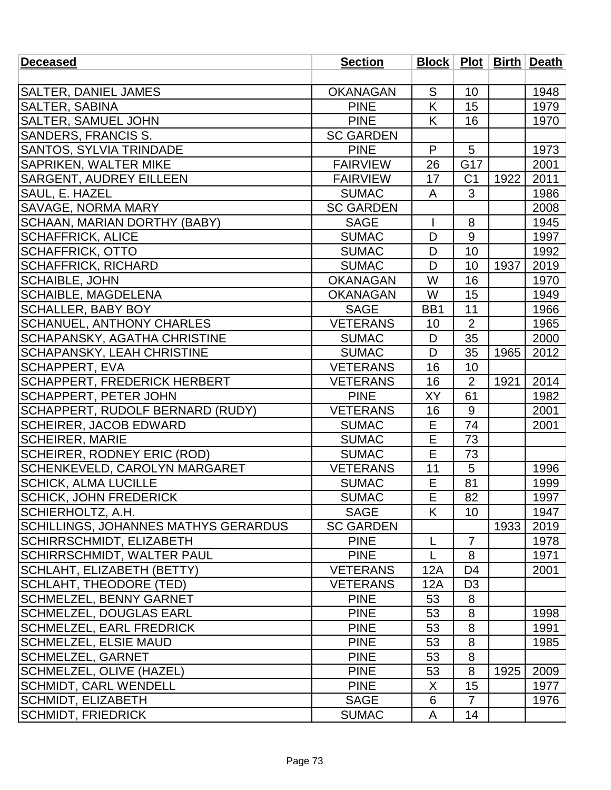| <b>Deceased</b>                         | <b>Section</b>   | Block   Plot   Birth   Death |                |      |      |
|-----------------------------------------|------------------|------------------------------|----------------|------|------|
|                                         |                  |                              |                |      |      |
| <b>SALTER, DANIEL JAMES</b>             | <b>OKANAGAN</b>  | S                            | 10             |      | 1948 |
| SALTER, SABINA                          | <b>PINE</b>      | K                            | 15             |      | 1979 |
| <b>SALTER, SAMUEL JOHN</b>              | <b>PINE</b>      | K                            | 16             |      | 1970 |
| <b>SANDERS, FRANCIS S.</b>              | <b>SC GARDEN</b> |                              |                |      |      |
| <b>SANTOS, SYLVIA TRINDADE</b>          | <b>PINE</b>      | $\mathsf{P}$                 | 5              |      | 1973 |
| SAPRIKEN, WALTER MIKE                   | <b>FAIRVIEW</b>  | 26                           | G17            |      | 2001 |
| <b>SARGENT, AUDREY EILLEEN</b>          | <b>FAIRVIEW</b>  | 17                           | C <sub>1</sub> | 1922 | 2011 |
| SAUL, E. HAZEL                          | <b>SUMAC</b>     | A                            | 3              |      | 1986 |
| <b>SAVAGE, NORMA MARY</b>               | <b>SC GARDEN</b> |                              |                |      | 2008 |
| SCHAAN, MARIAN DORTHY (BABY)            | <b>SAGE</b>      |                              | 8              |      | 1945 |
| <b>SCHAFFRICK, ALICE</b>                | <b>SUMAC</b>     | D                            | 9              |      | 1997 |
| <b>SCHAFFRICK, OTTO</b>                 | <b>SUMAC</b>     | D                            | 10             |      | 1992 |
| <b>SCHAFFRICK, RICHARD</b>              | <b>SUMAC</b>     | D                            | 10             | 1937 | 2019 |
| <b>SCHAIBLE, JOHN</b>                   | <b>OKANAGAN</b>  | W                            | 16             |      | 1970 |
| <b>SCHAIBLE, MAGDELENA</b>              | <b>OKANAGAN</b>  | W                            | 15             |      | 1949 |
| <b>SCHALLER, BABY BOY</b>               | <b>SAGE</b>      | BB1                          | 11             |      | 1966 |
| <b>SCHANUEL, ANTHONY CHARLES</b>        | <b>VETERANS</b>  | 10                           | $\overline{2}$ |      | 1965 |
| SCHAPANSKY, AGATHA CHRISTINE            | <b>SUMAC</b>     | D                            | 35             |      | 2000 |
| <b>SCHAPANSKY, LEAH CHRISTINE</b>       | <b>SUMAC</b>     | D                            | 35             | 1965 | 2012 |
| <b>SCHAPPERT, EVA</b>                   | <b>VETERANS</b>  | 16                           | 10             |      |      |
| <b>SCHAPPERT, FREDERICK HERBERT</b>     | <b>VETERANS</b>  | 16                           | $\overline{2}$ | 1921 | 2014 |
| <b>SCHAPPERT, PETER JOHN</b>            | <b>PINE</b>      | XY                           | 61             |      | 1982 |
| <b>SCHAPPERT, RUDOLF BERNARD (RUDY)</b> | <b>VETERANS</b>  | 16                           | 9              |      | 2001 |
| <b>SCHEIRER, JACOB EDWARD</b>           | <b>SUMAC</b>     | Е                            | 74             |      | 2001 |
| <b>SCHEIRER, MARIE</b>                  | <b>SUMAC</b>     | E                            | 73             |      |      |
| SCHEIRER, RODNEY ERIC (ROD)             | <b>SUMAC</b>     | E                            | 73             |      |      |
| <b>SCHENKEVELD, CAROLYN MARGARET</b>    | <b>VETERANS</b>  | 11                           | 5              |      | 1996 |
| <b>SCHICK, ALMA LUCILLE</b>             | <b>SUMAC</b>     | $\mathsf E$                  | 81             |      | 1999 |
| SCHICK, JOHN FREDERICK                  | <b>SUMAC</b>     | $\overline{\mathsf{E}}$      | 82             |      | 1997 |
| SCHIERHOLTZ, A.H.                       | <b>SAGE</b>      | K                            | 10             |      | 1947 |
| SCHILLINGS, JOHANNES MATHYS GERARDUS    | <b>SC GARDEN</b> |                              |                | 1933 | 2019 |
| <b>SCHIRRSCHMIDT, ELIZABETH</b>         | <b>PINE</b>      | L                            | $\overline{7}$ |      | 1978 |
| SCHIRRSCHMIDT, WALTER PAUL              | <b>PINE</b>      | L                            | 8              |      | 1971 |
| SCHLAHT, ELIZABETH (BETTY)              | <b>VETERANS</b>  | 12A                          | D <sub>4</sub> |      | 2001 |
| <b>SCHLAHT, THEODORE (TED)</b>          | <b>VETERANS</b>  | 12A                          | D <sub>3</sub> |      |      |
| <b>SCHMELZEL, BENNY GARNET</b>          | <b>PINE</b>      | 53                           | 8              |      |      |
| <b>SCHMELZEL, DOUGLAS EARL</b>          | <b>PINE</b>      | 53                           | 8              |      | 1998 |
| SCHMELZEL, EARL FREDRICK                | <b>PINE</b>      | 53                           | 8              |      | 1991 |
| <b>SCHMELZEL, ELSIE MAUD</b>            | <b>PINE</b>      | 53                           | 8              |      | 1985 |
| <b>SCHMELZEL, GARNET</b>                | <b>PINE</b>      | 53                           | 8              |      |      |
| SCHMELZEL, OLIVE (HAZEL)                | <b>PINE</b>      | 53                           | 8              | 1925 | 2009 |
| <b>SCHMIDT, CARL WENDELL</b>            | <b>PINE</b>      | X                            | 15             |      | 1977 |
| SCHMIDT, ELIZABETH                      | <b>SAGE</b>      | 6                            | $\overline{7}$ |      | 1976 |
| <b>SCHMIDT, FRIEDRICK</b>               | <b>SUMAC</b>     | A                            | 14             |      |      |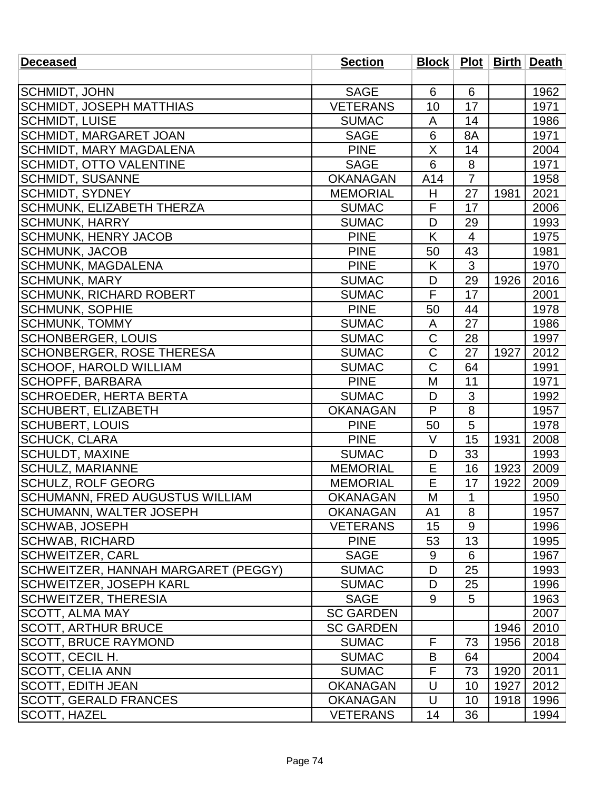| <b>Deceased</b>                     | <b>Section</b>   |                       |                |      | Block   Plot   Birth   Death |
|-------------------------------------|------------------|-----------------------|----------------|------|------------------------------|
|                                     |                  |                       |                |      |                              |
| SCHMIDT, JOHN                       | <b>SAGE</b>      | 6                     | 6              |      | 1962                         |
| <b>SCHMIDT, JOSEPH MATTHIAS</b>     | <b>VETERANS</b>  | 10                    | 17             |      | 1971                         |
| <b>SCHMIDT, LUISE</b>               | <b>SUMAC</b>     | A                     | 14             |      | 1986                         |
| <b>SCHMIDT, MARGARET JOAN</b>       | <b>SAGE</b>      | 6                     | 8A             |      | 1971                         |
| <b>SCHMIDT, MARY MAGDALENA</b>      | <b>PINE</b>      | X                     | 14             |      | 2004                         |
| <b>SCHMIDT, OTTO VALENTINE</b>      | <b>SAGE</b>      | 6                     | 8              |      | 1971                         |
| <b>SCHMIDT, SUSANNE</b>             | <b>OKANAGAN</b>  | A14                   | $\overline{7}$ |      | 1958                         |
| <b>SCHMIDT, SYDNEY</b>              | <b>MEMORIAL</b>  | H                     | 27             | 1981 | 2021                         |
| <b>SCHMUNK, ELIZABETH THERZA</b>    | <b>SUMAC</b>     | F                     | 17             |      | 2006                         |
| <b>SCHMUNK, HARRY</b>               | <b>SUMAC</b>     | D                     | 29             |      | 1993                         |
| <b>SCHMUNK, HENRY JACOB</b>         | <b>PINE</b>      | K                     | 4              |      | 1975                         |
| <b>SCHMUNK, JACOB</b>               | <b>PINE</b>      | 50                    | 43             |      | 1981                         |
| <b>SCHMUNK, MAGDALENA</b>           | <b>PINE</b>      | K                     | 3              |      | 1970                         |
| <b>SCHMUNK, MARY</b>                | <b>SUMAC</b>     | D                     | 29             | 1926 | 2016                         |
| <b>SCHMUNK, RICHARD ROBERT</b>      | <b>SUMAC</b>     | F                     | 17             |      | 2001                         |
| <b>SCHMUNK, SOPHIE</b>              | <b>PINE</b>      | 50                    | 44             |      | 1978                         |
| <b>SCHMUNK, TOMMY</b>               | <b>SUMAC</b>     | A                     | 27             |      | 1986                         |
| <b>SCHONBERGER, LOUIS</b>           | <b>SUMAC</b>     | C                     | 28             |      | 1997                         |
| SCHONBERGER, ROSE THERESA           | <b>SUMAC</b>     | $\overline{\text{C}}$ | 27             | 1927 | 2012                         |
| <b>SCHOOF, HAROLD WILLIAM</b>       | <b>SUMAC</b>     | $\mathsf C$           | 64             |      | 1991                         |
| <b>SCHOPFF, BARBARA</b>             | <b>PINE</b>      | M                     | 11             |      | 1971                         |
| <b>SCHROEDER, HERTA BERTA</b>       | <b>SUMAC</b>     | D                     | 3              |      | 1992                         |
| <b>SCHUBERT, ELIZABETH</b>          | <b>OKANAGAN</b>  | P                     | 8              |      | 1957                         |
| <b>SCHUBERT, LOUIS</b>              | <b>PINE</b>      | 50                    | 5              |      | 1978                         |
| <b>SCHUCK, CLARA</b>                | <b>PINE</b>      | $\vee$                | 15             | 1931 | 2008                         |
| <b>SCHULDT, MAXINE</b>              | <b>SUMAC</b>     | D                     | 33             |      | 1993                         |
| <b>SCHULZ, MARIANNE</b>             | <b>MEMORIAL</b>  | Е                     | 16             | 1923 | 2009                         |
| <b>SCHULZ, ROLF GEORG</b>           | <b>MEMORIAL</b>  | E                     | 17             | 1922 | 2009                         |
| SCHUMANN, FRED AUGUSTUS WILLIAM     | <b>OKANAGAN</b>  | M                     | 1              |      | 1950                         |
| <b>SCHUMANN, WALTER JOSEPH</b>      | <b>OKANAGAN</b>  | A <sub>1</sub>        | 8              |      | 1957                         |
| SCHWAB, JOSEPH                      | <b>VETERANS</b>  | 15                    | 9              |      | 1996                         |
| <b>SCHWAB, RICHARD</b>              | <b>PINE</b>      | 53                    | 13             |      | 1995                         |
| SCHWEITZER, CARL                    | <b>SAGE</b>      | 9                     | 6              |      | 1967                         |
| SCHWEITZER, HANNAH MARGARET (PEGGY) | <b>SUMAC</b>     | D                     | 25             |      | 1993                         |
| <b>SCHWEITZER, JOSEPH KARL</b>      | <b>SUMAC</b>     | D                     | 25             |      | 1996                         |
| <b>SCHWEITZER, THERESIA</b>         | <b>SAGE</b>      | 9                     | 5              |      | 1963                         |
| <b>SCOTT, ALMA MAY</b>              | <b>SC GARDEN</b> |                       |                |      | 2007                         |
| <b>SCOTT, ARTHUR BRUCE</b>          | <b>SC GARDEN</b> |                       |                | 1946 | 2010                         |
| <b>SCOTT, BRUCE RAYMOND</b>         | <b>SUMAC</b>     | F                     | 73             | 1956 | 2018                         |
| SCOTT, CECIL H.                     | <b>SUMAC</b>     | B                     | 64             |      | 2004                         |
| <b>SCOTT, CELIA ANN</b>             | <b>SUMAC</b>     | F                     | 73             | 1920 | 2011                         |
| <b>SCOTT, EDITH JEAN</b>            | <b>OKANAGAN</b>  | U                     | 10             | 1927 | 2012                         |
| <b>SCOTT, GERALD FRANCES</b>        | <b>OKANAGAN</b>  | U                     | 10             | 1918 | 1996                         |
| <b>SCOTT, HAZEL</b>                 | <b>VETERANS</b>  | 14                    | 36             |      | 1994                         |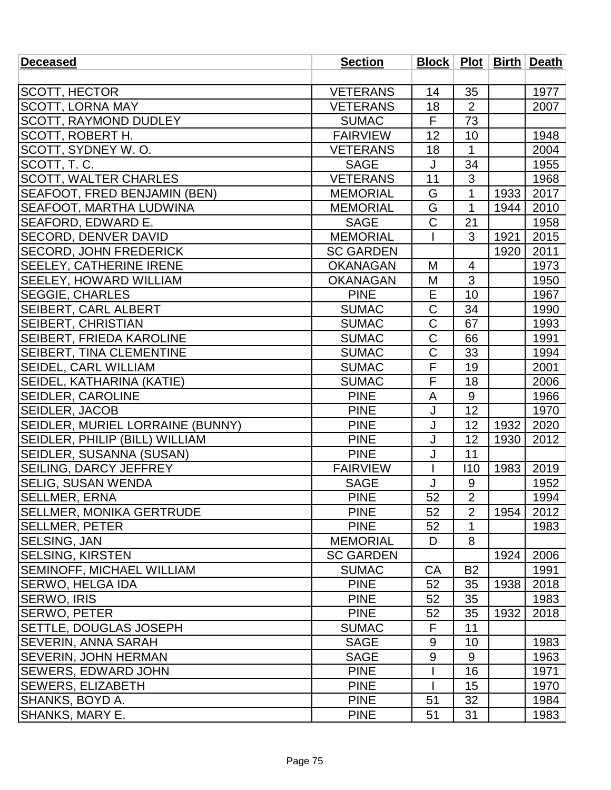| <b>Deceased</b>                  | <b>Section</b>   |                  |                |      | Block   Plot   Birth   Death |
|----------------------------------|------------------|------------------|----------------|------|------------------------------|
|                                  |                  |                  |                |      |                              |
| SCOTT, HECTOR                    | <b>VETERANS</b>  | 14               | 35             |      | 1977                         |
| <b>SCOTT, LORNA MAY</b>          | <b>VETERANS</b>  | 18               | $\overline{2}$ |      | 2007                         |
| <b>SCOTT, RAYMOND DUDLEY</b>     | <b>SUMAC</b>     | F                | 73             |      |                              |
| SCOTT, ROBERT H.                 | <b>FAIRVIEW</b>  | 12               | 10             |      | 1948                         |
| SCOTT, SYDNEY W.O.               | <b>VETERANS</b>  | 18               | 1              |      | 2004                         |
| SCOTT, T.C.                      | <b>SAGE</b>      | J                | 34             |      | 1955                         |
| <b>SCOTT, WALTER CHARLES</b>     | <b>VETERANS</b>  | 11               | 3              |      | 1968                         |
| SEAFOOT, FRED BENJAMIN (BEN)     | <b>MEMORIAL</b>  | G                | $\mathbf{1}$   | 1933 | 2017                         |
| <b>SEAFOOT, MARTHA LUDWINA</b>   | <b>MEMORIAL</b>  | G                | 1              | 1944 | 2010                         |
| SEAFORD, EDWARD E.               | <b>SAGE</b>      | $\mathsf C$      | 21             |      | 1958                         |
| <b>SECORD, DENVER DAVID</b>      | <b>MEMORIAL</b>  |                  | 3              | 1921 | 2015                         |
| <b>SECORD, JOHN FREDERICK</b>    | <b>SC GARDEN</b> |                  |                | 1920 | 2011                         |
| <b>SEELEY, CATHERINE IRENE</b>   | <b>OKANAGAN</b>  | M                | 4              |      | 1973                         |
| <b>SEELEY, HOWARD WILLIAM</b>    | <b>OKANAGAN</b>  | M                | $\overline{3}$ |      | 1950                         |
| <b>SEGGIE, CHARLES</b>           | <b>PINE</b>      | E                | 10             |      | 1967                         |
| <b>SEIBERT, CARL ALBERT</b>      | <b>SUMAC</b>     | $\mathsf C$      | 34             |      | 1990                         |
| <b>SEIBERT, CHRISTIAN</b>        | <b>SUMAC</b>     | $\overline{C}$   | 67             |      | 1993                         |
| SEIBERT, FRIEDA KAROLINE         | <b>SUMAC</b>     | C                | 66             |      | 1991                         |
| <b>SEIBERT, TINA CLEMENTINE</b>  | <b>SUMAC</b>     | C                | 33             |      | 1994                         |
| <b>SEIDEL, CARL WILLIAM</b>      | <b>SUMAC</b>     | $\overline{F}$   | 19             |      | 2001                         |
| SEIDEL, KATHARINA (KATIE)        | <b>SUMAC</b>     | F                | 18             |      | 2006                         |
| <b>SEIDLER, CAROLINE</b>         | <b>PINE</b>      | A                | 9              |      | 1966                         |
| <b>SEIDLER, JACOB</b>            | <b>PINE</b>      | J                | 12             |      | 1970                         |
| SEIDLER, MURIEL LORRAINE (BUNNY) | <b>PINE</b>      | J                | 12             | 1932 | 2020                         |
| SEIDLER, PHILIP (BILL) WILLIAM   | <b>PINE</b>      | J                | 12             | 1930 | 2012                         |
| SEIDLER, SUSANNA (SUSAN)         | <b>PINE</b>      | J                | 11             |      |                              |
| <b>SEILING, DARCY JEFFREY</b>    | <b>FAIRVIEW</b>  | $\overline{1}$   | 110            | 1983 | 2019                         |
| <b>SELIG, SUSAN WENDA</b>        | <b>SAGE</b>      | J                | $9\,$          |      | 1952                         |
| SELLMER, ERNA                    | <b>PINE</b>      | 52               | $\overline{2}$ |      | 1994                         |
| SELLMER, MONIKA GERTRUDE         | <b>PINE</b>      | 52               | $\overline{2}$ | 1954 | 2012                         |
| <b>SELLMER, PETER</b>            | <b>PINE</b>      | 52               | 1              |      | 1983                         |
| <b>SELSING, JAN</b>              | <b>MEMORIAL</b>  | D                | 8              |      |                              |
| <b>SELSING, KIRSTEN</b>          | <b>SC GARDEN</b> |                  |                | 1924 | 2006                         |
| <b>SEMINOFF, MICHAEL WILLIAM</b> | <b>SUMAC</b>     | CA               | <b>B2</b>      |      | 1991                         |
| <b>SERWO, HELGA IDA</b>          | <b>PINE</b>      | 52               | 35             | 1938 | 2018                         |
| <b>SERWO, IRIS</b>               | <b>PINE</b>      | 52               | 35             |      | 1983                         |
| <b>SERWO, PETER</b>              | <b>PINE</b>      | 52               | 35             | 1932 | 2018                         |
| <b>SETTLE, DOUGLAS JOSEPH</b>    | <b>SUMAC</b>     | F                | 11             |      |                              |
| <b>SEVERIN, ANNA SARAH</b>       | <b>SAGE</b>      | 9                | 10             |      | 1983                         |
| <b>SEVERIN, JOHN HERMAN</b>      | <b>SAGE</b>      | $\boldsymbol{9}$ | 9              |      | 1963                         |
| <b>SEWERS, EDWARD JOHN</b>       | <b>PINE</b>      |                  | 16             |      | 1971                         |
| <b>SEWERS, ELIZABETH</b>         | <b>PINE</b>      |                  | 15             |      | 1970                         |
| <b>SHANKS, BOYD A.</b>           | <b>PINE</b>      | 51               | 32             |      | 1984                         |
| SHANKS, MARY E.                  | <b>PINE</b>      | 51               | 31             |      | 1983                         |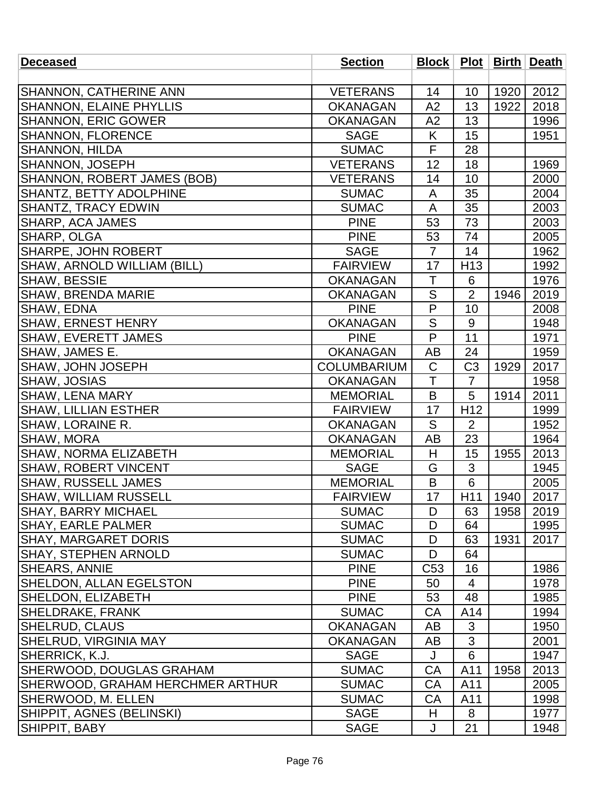| <b>Deceased</b>                  | <b>Section</b>     |                |                 |      | Block   Plot   Birth   Death |
|----------------------------------|--------------------|----------------|-----------------|------|------------------------------|
|                                  |                    |                |                 |      |                              |
| <b>SHANNON, CATHERINE ANN</b>    | <b>VETERANS</b>    | 14             | 10              | 1920 | 2012                         |
| <b>SHANNON, ELAINE PHYLLIS</b>   | <b>OKANAGAN</b>    | A2             | 13              | 1922 | 2018                         |
| <b>SHANNON, ERIC GOWER</b>       | <b>OKANAGAN</b>    | A2             | 13              |      | 1996                         |
| <b>SHANNON, FLORENCE</b>         | <b>SAGE</b>        | K              | 15              |      | 1951                         |
| <b>SHANNON, HILDA</b>            | <b>SUMAC</b>       | F              | 28              |      |                              |
| SHANNON, JOSEPH                  | <b>VETERANS</b>    | 12             | 18              |      | 1969                         |
| SHANNON, ROBERT JAMES (BOB)      | <b>VETERANS</b>    | 14             | 10              |      | 2000                         |
| SHANTZ, BETTY ADOLPHINE          | <b>SUMAC</b>       | A              | 35              |      | 2004                         |
| <b>SHANTZ, TRACY EDWIN</b>       | <b>SUMAC</b>       | A              | 35              |      | 2003                         |
| SHARP, ACA JAMES                 | <b>PINE</b>        | 53             | 73              |      | 2003                         |
| SHARP, OLGA                      | <b>PINE</b>        | 53             | 74              |      | 2005                         |
| SHARPE, JOHN ROBERT              | <b>SAGE</b>        | $\overline{7}$ | 14              |      | 1962                         |
| SHAW, ARNOLD WILLIAM (BILL)      | <b>FAIRVIEW</b>    | 17             | H <sub>13</sub> |      | 1992                         |
| <b>SHAW, BESSIE</b>              | <b>OKANAGAN</b>    | $\mathsf T$    | $6\phantom{1}6$ |      | 1976                         |
| <b>SHAW, BRENDA MARIE</b>        | <b>OKANAGAN</b>    | ${\sf S}$      | $\overline{2}$  | 1946 | 2019                         |
| SHAW, EDNA                       | <b>PINE</b>        | $\overline{P}$ | 10              |      | 2008                         |
| SHAW, ERNEST HENRY               | <b>OKANAGAN</b>    | S              | 9               |      | 1948                         |
| <b>SHAW, EVERETT JAMES</b>       | <b>PINE</b>        | P              | 11              |      | 1971                         |
| SHAW, JAMES E.                   | <b>OKANAGAN</b>    | AB             | 24              |      | 1959                         |
| SHAW, JOHN JOSEPH                | <b>COLUMBARIUM</b> | $\mathsf C$    | C <sub>3</sub>  | 1929 | 2017                         |
| SHAW, JOSIAS                     | <b>OKANAGAN</b>    | T              | $\overline{7}$  |      | 1958                         |
| <b>SHAW, LENA MARY</b>           | <b>MEMORIAL</b>    | B              | 5               | 1914 | 2011                         |
| <b>SHAW, LILLIAN ESTHER</b>      | <b>FAIRVIEW</b>    | 17             | H <sub>12</sub> |      | 1999                         |
| <b>SHAW, LORAINE R.</b>          | <b>OKANAGAN</b>    | S              | $\overline{2}$  |      | 1952                         |
| SHAW, MORA                       | <b>OKANAGAN</b>    | <b>AB</b>      | 23              |      | 1964                         |
| <b>SHAW, NORMA ELIZABETH</b>     | <b>MEMORIAL</b>    | H              | 15              | 1955 | 2013                         |
| <b>SHAW, ROBERT VINCENT</b>      | <b>SAGE</b>        | G              | 3               |      | 1945                         |
| <b>SHAW, RUSSELL JAMES</b>       | <b>MEMORIAL</b>    | B              | 6               |      | 2005                         |
| SHAW, WILLIAM RUSSELL            | <b>FAIRVIEW</b>    | 17             | H11             | 1940 | 2017                         |
| <b>SHAY, BARRY MICHAEL</b>       | <b>SUMAC</b>       | D              | 63              | 1958 | 2019                         |
| SHAY, EARLE PALMER               | <b>SUMAC</b>       | D              | 64              |      | 1995                         |
| <b>SHAY, MARGARET DORIS</b>      | <b>SUMAC</b>       | D              | 63              | 1931 | 2017                         |
| <b>SHAY, STEPHEN ARNOLD</b>      | <b>SUMAC</b>       | D              | 64              |      |                              |
| SHEARS, ANNIE                    | <b>PINE</b>        | C53            | 16              |      | 1986                         |
| <b>SHELDON, ALLAN EGELSTON</b>   | <b>PINE</b>        | 50             | 4               |      | 1978                         |
| SHELDON, ELIZABETH               | <b>PINE</b>        | 53             | 48              |      | 1985                         |
| <b>SHELDRAKE, FRANK</b>          | <b>SUMAC</b>       | CA             | A14             |      | 1994                         |
| <b>SHELRUD, CLAUS</b>            | <b>OKANAGAN</b>    | AB             | 3               |      | 1950                         |
| <b>SHELRUD, VIRGINIA MAY</b>     | <b>OKANAGAN</b>    | AB             | 3               |      | 2001                         |
| SHERRICK, K.J.                   | <b>SAGE</b>        | J              | 6               |      | 1947                         |
| <b>SHERWOOD, DOUGLAS GRAHAM</b>  | <b>SUMAC</b>       | CA             | A11             | 1958 | 2013                         |
| SHERWOOD, GRAHAM HERCHMER ARTHUR | <b>SUMAC</b>       | CA             | A11             |      | 2005                         |
| SHERWOOD, M. ELLEN               | <b>SUMAC</b>       | СA             | A11             |      | 1998                         |
| SHIPPIT, AGNES (BELINSKI)        | <b>SAGE</b>        | H              | 8               |      | 1977                         |
| <b>SHIPPIT, BABY</b>             | <b>SAGE</b>        | J              | 21              |      | 1948                         |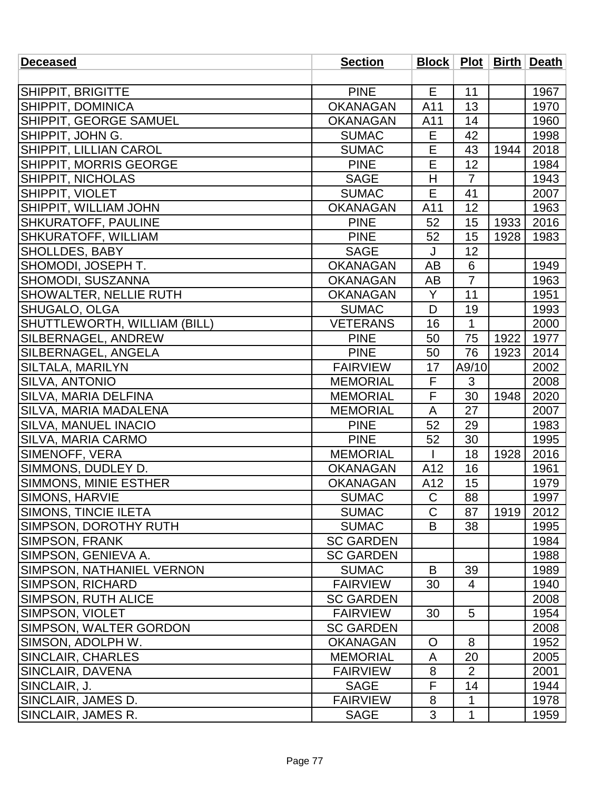| <b>Deceased</b>              | <b>Section</b>   |                |                |      | <b>Block   Plot   Birth   Death  </b> |
|------------------------------|------------------|----------------|----------------|------|---------------------------------------|
|                              |                  |                |                |      |                                       |
| SHIPPIT, BRIGITTE            | <b>PINE</b>      | E              | 11             |      | 1967                                  |
| SHIPPIT, DOMINICA            | <b>OKANAGAN</b>  | A11            | 13             |      | 1970                                  |
| SHIPPIT, GEORGE SAMUEL       | <b>OKANAGAN</b>  | A11            | 14             |      | 1960                                  |
| SHIPPIT, JOHN G.             | <b>SUMAC</b>     | E              | 42             |      | 1998                                  |
| SHIPPIT, LILLIAN CAROL       | <b>SUMAC</b>     | E              | 43             | 1944 | 2018                                  |
| SHIPPIT, MORRIS GEORGE       | <b>PINE</b>      | E              | 12             |      | 1984                                  |
| <b>SHIPPIT, NICHOLAS</b>     | <b>SAGE</b>      | H              | $\overline{7}$ |      | 1943                                  |
| SHIPPIT, VIOLET              | <b>SUMAC</b>     | E              | 41             |      | 2007                                  |
| SHIPPIT, WILLIAM JOHN        | <b>OKANAGAN</b>  | A11            | 12             |      | 1963                                  |
| SHKURATOFF, PAULINE          | <b>PINE</b>      | 52             | 15             | 1933 | 2016                                  |
| SHKURATOFF, WILLIAM          | <b>PINE</b>      | 52             | 15             | 1928 | 1983                                  |
| <b>SHOLLDES, BABY</b>        | <b>SAGE</b>      | J              | 12             |      |                                       |
| SHOMODI, JOSEPH T.           | <b>OKANAGAN</b>  | AB             | 6              |      | 1949                                  |
| SHOMODI, SUSZANNA            | <b>OKANAGAN</b>  | AB             | $\overline{7}$ |      | 1963                                  |
| SHOWALTER, NELLIE RUTH       | <b>OKANAGAN</b>  | Y              | 11             |      | 1951                                  |
| SHUGALO, OLGA                | <b>SUMAC</b>     | D              | 19             |      | 1993                                  |
| SHUTTLEWORTH, WILLIAM (BILL) | <b>VETERANS</b>  | 16             | $\mathbf 1$    |      | 2000                                  |
| SILBERNAGEL, ANDREW          | <b>PINE</b>      | 50             | 75             | 1922 | 1977                                  |
| SILBERNAGEL, ANGELA          | <b>PINE</b>      | 50             | 76             | 1923 | 2014                                  |
| SILTALA, MARILYN             | <b>FAIRVIEW</b>  | 17             | A9/10          |      | 2002                                  |
| SILVA, ANTONIO               | <b>MEMORIAL</b>  | F              | 3              |      | 2008                                  |
| SILVA, MARIA DELFINA         | <b>MEMORIAL</b>  | F              | 30             | 1948 | 2020                                  |
| SILVA, MARIA MADALENA        | <b>MEMORIAL</b>  | A              | 27             |      | 2007                                  |
| <b>SILVA, MANUEL INACIO</b>  | <b>PINE</b>      | 52             | 29             |      | 1983                                  |
| SILVA, MARIA CARMO           | <b>PINE</b>      | 52             | 30             |      | 1995                                  |
| SIMENOFF, VERA               | <b>MEMORIAL</b>  |                | 18             | 1928 | 2016                                  |
| SIMMONS, DUDLEY D.           | <b>OKANAGAN</b>  | A12            | 16             |      | 1961                                  |
| SIMMONS, MINIE ESTHER        | <b>OKANAGAN</b>  | A12            | 15             |      | 1979                                  |
| SIMONS, HARVIE               | <b>SUMAC</b>     | $\mathsf C$    | 88             |      | 1997                                  |
| <b>SIMONS, TINCIE ILETA</b>  | <b>SUMAC</b>     | $\mathsf{C}$   | 87             | 1919 | 2012                                  |
| SIMPSON, DOROTHY RUTH        | <b>SUMAC</b>     | B              | 38             |      | 1995                                  |
| <b>SIMPSON, FRANK</b>        | <b>SC GARDEN</b> |                |                |      | 1984                                  |
| SIMPSON, GENIEVA A.          | <b>SC GARDEN</b> |                |                |      | 1988                                  |
| SIMPSON, NATHANIEL VERNON    | <b>SUMAC</b>     | B              | 39             |      | 1989                                  |
| <b>SIMPSON, RICHARD</b>      | <b>FAIRVIEW</b>  | 30             | 4              |      | 1940                                  |
| <b>SIMPSON, RUTH ALICE</b>   | <b>SC GARDEN</b> |                |                |      | 2008                                  |
| SIMPSON, VIOLET              | <b>FAIRVIEW</b>  | 30             | 5              |      | 1954                                  |
| SIMPSON, WALTER GORDON       | <b>SC GARDEN</b> |                |                |      | 2008                                  |
| SIMSON, ADOLPH W.            | <b>OKANAGAN</b>  | $\overline{O}$ | 8              |      | 1952                                  |
| <b>SINCLAIR, CHARLES</b>     | <b>MEMORIAL</b>  | A              | 20             |      | 2005                                  |
| SINCLAIR, DAVENA             | <b>FAIRVIEW</b>  | 8              | $\overline{2}$ |      | 2001                                  |
| SINCLAIR, J.                 | <b>SAGE</b>      | F              | 14             |      | 1944                                  |
| SINCLAIR, JAMES D.           | <b>FAIRVIEW</b>  | 8              | 1              |      | 1978                                  |
| SINCLAIR, JAMES R.           | <b>SAGE</b>      | 3              | $\mathbf{1}$   |      | 1959                                  |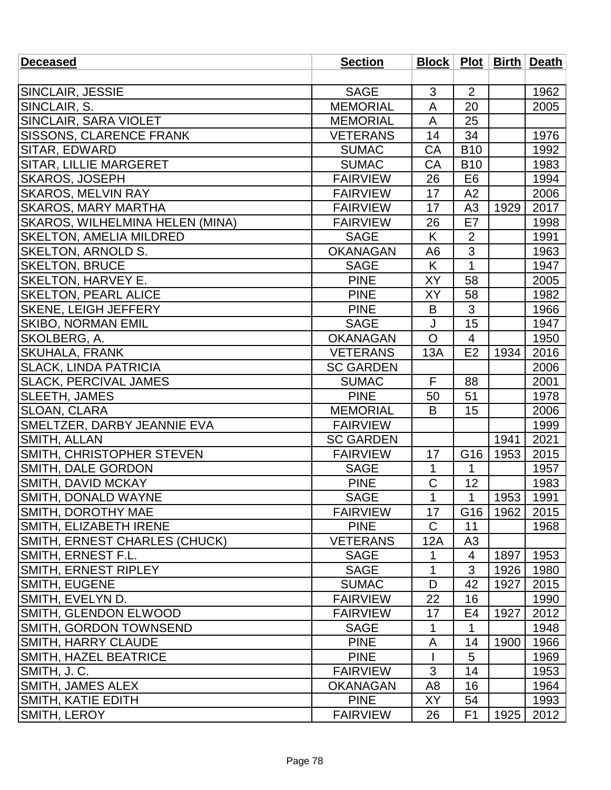| <b>Deceased</b>                 | <b>Section</b>   |                |                 |      | Block   Plot   Birth   Death |
|---------------------------------|------------------|----------------|-----------------|------|------------------------------|
|                                 |                  |                |                 |      |                              |
| SINCLAIR, JESSIE                | <b>SAGE</b>      | 3              | 2               |      | 1962                         |
| SINCLAIR, S.                    | <b>MEMORIAL</b>  | A              | 20              |      | 2005                         |
| SINCLAIR, SARA VIOLET           | <b>MEMORIAL</b>  | A              | 25              |      |                              |
| <b>SISSONS, CLARENCE FRANK</b>  | <b>VETERANS</b>  | 14             | 34              |      | 1976                         |
| SITAR, EDWARD                   | <b>SUMAC</b>     | CA             | <b>B10</b>      |      | 1992                         |
| SITAR, LILLIE MARGERET          | <b>SUMAC</b>     | CA             | <b>B10</b>      |      | 1983                         |
| <b>SKAROS, JOSEPH</b>           | <b>FAIRVIEW</b>  | 26             | E <sub>6</sub>  |      | 1994                         |
| <b>SKAROS, MELVIN RAY</b>       | <b>FAIRVIEW</b>  | 17             | A2              |      | 2006                         |
| <b>SKAROS, MARY MARTHA</b>      | <b>FAIRVIEW</b>  | 17             | A3              | 1929 | 2017                         |
| SKAROS, WILHELMINA HELEN (MINA) | <b>FAIRVIEW</b>  | 26             | E7              |      | 1998                         |
| <b>SKELTON, AMELIA MILDRED</b>  | <b>SAGE</b>      | K              | $\overline{2}$  |      | 1991                         |
| <b>SKELTON, ARNOLD S.</b>       | <b>OKANAGAN</b>  | A <sub>6</sub> | 3               |      | 1963                         |
| <b>SKELTON, BRUCE</b>           | <b>SAGE</b>      | K              | $\mathbf{1}$    |      | 1947                         |
| <b>SKELTON, HARVEY E.</b>       | <b>PINE</b>      | XY             | 58              |      | 2005                         |
| <b>SKELTON, PEARL ALICE</b>     | <b>PINE</b>      | XY             | 58              |      | 1982                         |
| SKENE, LEIGH JEFFERY            | <b>PINE</b>      | B              | 3               |      | 1966                         |
| <b>SKIBO, NORMAN EMIL</b>       | <b>SAGE</b>      | J              | 15              |      | 1947                         |
| SKOLBERG, A.                    | <b>OKANAGAN</b>  | $\overline{O}$ | $\overline{4}$  |      | 1950                         |
| <b>SKUHALA, FRANK</b>           | <b>VETERANS</b>  | 13A            | E2              | 1934 | 2016                         |
| <b>SLACK, LINDA PATRICIA</b>    | <b>SC GARDEN</b> |                |                 |      | 2006                         |
| <b>SLACK, PERCIVAL JAMES</b>    | <b>SUMAC</b>     | F              | 88              |      | 2001                         |
| SLEETH, JAMES                   | <b>PINE</b>      | 50             | 51              |      | 1978                         |
| <b>SLOAN, CLARA</b>             | <b>MEMORIAL</b>  | B              | 15              |      | 2006                         |
| SMELTZER, DARBY JEANNIE EVA     | <b>FAIRVIEW</b>  |                |                 |      | 1999                         |
| SMITH, ALLAN                    | <b>SC GARDEN</b> |                |                 | 1941 | 2021                         |
| SMITH, CHRISTOPHER STEVEN       | <b>FAIRVIEW</b>  | 17             | G16             | 1953 | 2015                         |
| SMITH, DALE GORDON              | <b>SAGE</b>      | $\mathbf{1}$   | 1               |      | 1957                         |
| SMITH, DAVID MCKAY              | <b>PINE</b>      | $\mathsf C$    | 12              |      | 1983                         |
| SMITH, DONALD WAYNE             | <b>SAGE</b>      | $\overline{1}$ | $\mathbf 1$     | 1953 | 1991                         |
| SMITH, DOROTHY MAE              | <b>FAIRVIEW</b>  | 17             | G <sub>16</sub> | 1962 | 2015                         |
| <b>SMITH, ELIZABETH IRENE</b>   | <b>PINE</b>      | C              | 11              |      | 1968                         |
| SMITH, ERNEST CHARLES (CHUCK)   | <b>VETERANS</b>  | 12A            | A3              |      |                              |
| SMITH, ERNEST F.L.              | <b>SAGE</b>      | 1              | 4               | 1897 | 1953                         |
| <b>SMITH, ERNEST RIPLEY</b>     | <b>SAGE</b>      | 1              | 3               | 1926 | 1980                         |
| <b>SMITH, EUGENE</b>            | <b>SUMAC</b>     | D              | 42              | 1927 | 2015                         |
| SMITH, EVELYN D.                | <b>FAIRVIEW</b>  | 22             | 16              |      | 1990                         |
| SMITH, GLENDON ELWOOD           | <b>FAIRVIEW</b>  | 17             | E4              | 1927 | 2012                         |
| ISMITH, GORDON TOWNSEND         | <b>SAGE</b>      | 1              | 1               |      | 1948                         |
| <b>SMITH, HARRY CLAUDE</b>      | <b>PINE</b>      | A              | 14              | 1900 | 1966                         |
| <b>SMITH, HAZEL BEATRICE</b>    | <b>PINE</b>      |                | 5               |      | 1969                         |
| SMITH, J.C.                     | <b>FAIRVIEW</b>  | 3              | 14              |      | 1953                         |
| <b>SMITH, JAMES ALEX</b>        | <b>OKANAGAN</b>  | A <sub>8</sub> | 16              |      | 1964                         |
| SMITH, KATIE EDITH              | <b>PINE</b>      | <b>XY</b>      | 54              |      | 1993                         |
| SMITH, LEROY                    | <b>FAIRVIEW</b>  | 26             | F <sub>1</sub>  | 1925 | 2012                         |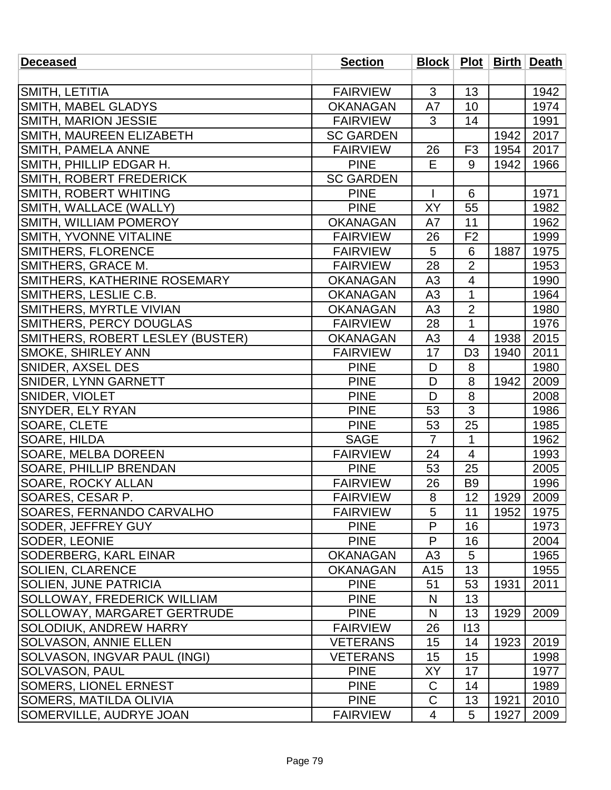| <b>Deceased</b>                    | <b>Section</b>   |                |                          |      | Block   Plot   Birth   Death |
|------------------------------------|------------------|----------------|--------------------------|------|------------------------------|
|                                    |                  |                |                          |      |                              |
| <b>SMITH, LETITIA</b>              | <b>FAIRVIEW</b>  | 3              | 13                       |      | 1942                         |
| <b>SMITH, MABEL GLADYS</b>         | <b>OKANAGAN</b>  | A7             | 10                       |      | 1974                         |
| SMITH, MARION JESSIE               | <b>FAIRVIEW</b>  | 3              | 14                       |      | 1991                         |
| SMITH, MAUREEN ELIZABETH           | <b>SC GARDEN</b> |                |                          | 1942 | 2017                         |
| SMITH, PAMELA ANNE                 | <b>FAIRVIEW</b>  | 26             | F <sub>3</sub>           | 1954 | 2017                         |
| SMITH, PHILLIP EDGAR H.            | <b>PINE</b>      | E              | 9                        | 1942 | 1966                         |
| <b>SMITH, ROBERT FREDERICK</b>     | <b>SC GARDEN</b> |                |                          |      |                              |
| SMITH, ROBERT WHITING              | <b>PINE</b>      |                | 6                        |      | 1971                         |
| SMITH, WALLACE (WALLY)             | <b>PINE</b>      | XY             | 55                       |      | 1982                         |
| SMITH, WILLIAM POMEROY             | <b>OKANAGAN</b>  | A7             | 11                       |      | 1962                         |
| <b>SMITH, YVONNE VITALINE</b>      | <b>FAIRVIEW</b>  | 26             | F <sub>2</sub>           |      | 1999                         |
| <b>SMITHERS, FLORENCE</b>          | <b>FAIRVIEW</b>  | 5              | 6                        | 1887 | 1975                         |
| SMITHERS, GRACE M.                 | <b>FAIRVIEW</b>  | 28             | $\overline{2}$           |      | 1953                         |
| SMITHERS, KATHERINE ROSEMARY       | <b>OKANAGAN</b>  | A3             | 4                        |      | 1990                         |
| SMITHERS, LESLIE C.B.              | <b>OKANAGAN</b>  | A3             | 1                        |      | 1964                         |
| SMITHERS, MYRTLE VIVIAN            | <b>OKANAGAN</b>  | A3             | $\overline{2}$           |      | 1980                         |
| <b>SMITHERS, PERCY DOUGLAS</b>     | <b>FAIRVIEW</b>  | 28             | 1                        |      | 1976                         |
| SMITHERS, ROBERT LESLEY (BUSTER)   | <b>OKANAGAN</b>  | A3             | $\overline{4}$           | 1938 | 2015                         |
| <b>SMOKE, SHIRLEY ANN</b>          | <b>FAIRVIEW</b>  | 17             | D <sub>3</sub>           | 1940 | 2011                         |
| <b>SNIDER, AXSEL DES</b>           | <b>PINE</b>      | D              | 8                        |      | 1980                         |
| <b>SNIDER, LYNN GARNETT</b>        | <b>PINE</b>      | D              | 8                        | 1942 | 2009                         |
| <b>SNIDER, VIOLET</b>              | <b>PINE</b>      | D              | 8                        |      | 2008                         |
| <b>SNYDER, ELY RYAN</b>            | <b>PINE</b>      | 53             | 3                        |      | 1986                         |
| SOARE, CLETE                       | <b>PINE</b>      | 53             | 25                       |      | 1985                         |
| <b>SOARE, HILDA</b>                | <b>SAGE</b>      | $\overline{7}$ | $\mathbf{1}$             |      | 1962                         |
| <b>SOARE, MELBA DOREEN</b>         | <b>FAIRVIEW</b>  | 24             | $\overline{\mathcal{A}}$ |      | 1993                         |
| <b>SOARE, PHILLIP BRENDAN</b>      | <b>PINE</b>      | 53             | 25                       |      | 2005                         |
| SOARE, ROCKY ALLAN                 | <b>FAIRVIEW</b>  | 26             | B <sub>9</sub>           |      | 1996                         |
| SOARES, CESAR P.                   | <b>FAIRVIEW</b>  | 8              | 12                       | 1929 | 2009                         |
| <b>SOARES, FERNANDO CARVALHO</b>   | <b>FAIRVIEW</b>  | 5              | 11                       | 1952 | 1975                         |
| <b>SODER, JEFFREY GUY</b>          | <b>PINE</b>      | P              | 16                       |      | 1973                         |
| <b>SODER, LEONIE</b>               | <b>PINE</b>      | P              | 16                       |      | 2004                         |
| <b>SODERBERG, KARL EINAR</b>       | <b>OKANAGAN</b>  | A <sub>3</sub> | 5                        |      | 1965                         |
| SOLIEN, CLARENCE                   | <b>OKANAGAN</b>  | A15            | 13                       |      | 1955                         |
| <b>SOLIEN, JUNE PATRICIA</b>       | <b>PINE</b>      | 51             | 53                       | 1931 | 2011                         |
| <b>SOLLOWAY, FREDERICK WILLIAM</b> | <b>PINE</b>      | N              | 13                       |      |                              |
| <b>SOLLOWAY, MARGARET GERTRUDE</b> | <b>PINE</b>      | N              | 13                       | 1929 | 2009                         |
| SOLODIUK, ANDREW HARRY             | <b>FAIRVIEW</b>  | 26             | 113                      |      |                              |
| <b>SOLVASON, ANNIE ELLEN</b>       | <b>VETERANS</b>  | 15             | 14                       | 1923 | 2019                         |
| SOLVASON, INGVAR PAUL (INGI)       | <b>VETERANS</b>  | 15             | 15                       |      | 1998                         |
| <b>SOLVASON, PAUL</b>              | <b>PINE</b>      | XY             | 17                       |      | 1977                         |
| <b>SOMERS, LIONEL ERNEST</b>       | <b>PINE</b>      | C              | 14                       |      | 1989                         |
| SOMERS, MATILDA OLIVIA             | <b>PINE</b>      | $\mathsf C$    | 13                       | 1921 | 2010                         |
| <b>SOMERVILLE, AUDRYE JOAN</b>     | <b>FAIRVIEW</b>  | $\overline{4}$ | 5                        | 1927 | 2009                         |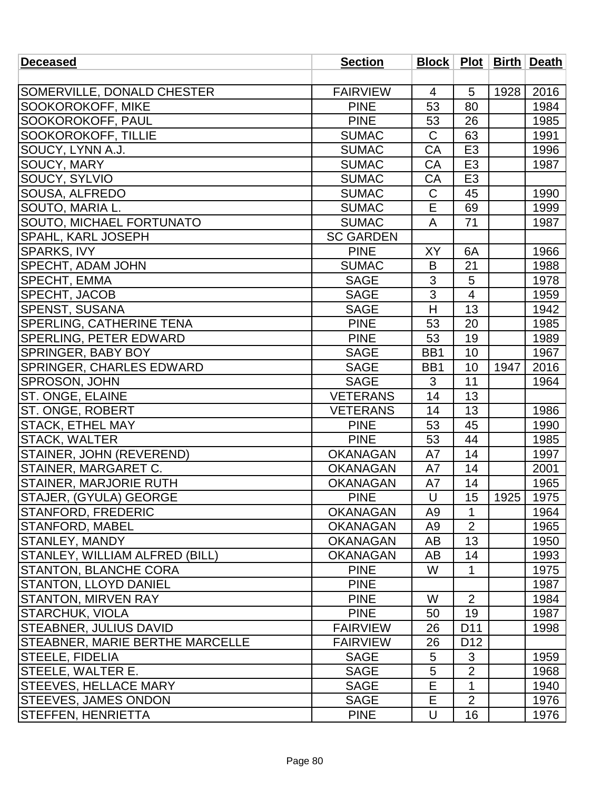| <b>Section</b>   |                                                                                                                                                        |                                                |                                                                                   |                                                |
|------------------|--------------------------------------------------------------------------------------------------------------------------------------------------------|------------------------------------------------|-----------------------------------------------------------------------------------|------------------------------------------------|
|                  |                                                                                                                                                        |                                                |                                                                                   |                                                |
| <b>FAIRVIEW</b>  | 4                                                                                                                                                      | 5                                              | 1928                                                                              | 2016                                           |
| <b>PINE</b>      | 53                                                                                                                                                     | 80                                             |                                                                                   | 1984                                           |
| <b>PINE</b>      | 53                                                                                                                                                     | 26                                             |                                                                                   | 1985                                           |
| <b>SUMAC</b>     | $\mathsf C$                                                                                                                                            | 63                                             |                                                                                   | 1991                                           |
| <b>SUMAC</b>     | CA                                                                                                                                                     | E <sub>3</sub>                                 |                                                                                   | 1996                                           |
| <b>SUMAC</b>     | CA                                                                                                                                                     | E <sub>3</sub>                                 |                                                                                   | 1987                                           |
| <b>SUMAC</b>     | CA                                                                                                                                                     | E <sub>3</sub>                                 |                                                                                   |                                                |
| <b>SUMAC</b>     | $\mathsf C$                                                                                                                                            | 45                                             |                                                                                   | 1990                                           |
| <b>SUMAC</b>     | E                                                                                                                                                      | 69                                             |                                                                                   | 1999                                           |
| <b>SUMAC</b>     | A                                                                                                                                                      | 71                                             |                                                                                   | 1987                                           |
| <b>SC GARDEN</b> |                                                                                                                                                        |                                                |                                                                                   |                                                |
| <b>PINE</b>      | XY                                                                                                                                                     | 6A                                             |                                                                                   | 1966                                           |
| <b>SUMAC</b>     | B                                                                                                                                                      | 21                                             |                                                                                   | 1988                                           |
| <b>SAGE</b>      |                                                                                                                                                        | 5                                              |                                                                                   | 1978                                           |
|                  |                                                                                                                                                        | $\overline{\mathbf{4}}$                        |                                                                                   | 1959                                           |
|                  | H                                                                                                                                                      |                                                |                                                                                   | 1942                                           |
|                  |                                                                                                                                                        |                                                |                                                                                   | 1985                                           |
|                  |                                                                                                                                                        |                                                |                                                                                   | 1989                                           |
| <b>SAGE</b>      | BB1                                                                                                                                                    | 10                                             |                                                                                   | 1967                                           |
|                  | BB1                                                                                                                                                    |                                                |                                                                                   | 2016                                           |
|                  | 3                                                                                                                                                      | 11                                             |                                                                                   | 1964                                           |
| <b>VETERANS</b>  | 14                                                                                                                                                     | 13                                             |                                                                                   |                                                |
| <b>VETERANS</b>  | 14                                                                                                                                                     | 13                                             |                                                                                   | 1986                                           |
| <b>PINE</b>      |                                                                                                                                                        | 45                                             |                                                                                   | 1990                                           |
| <b>PINE</b>      | 53                                                                                                                                                     | 44                                             |                                                                                   | 1985                                           |
| <b>OKANAGAN</b>  | A7                                                                                                                                                     | 14                                             |                                                                                   | 1997                                           |
| <b>OKANAGAN</b>  | A7                                                                                                                                                     | 14                                             |                                                                                   | 2001                                           |
| <b>OKANAGAN</b>  | A7                                                                                                                                                     | 14                                             |                                                                                   | 1965                                           |
|                  | U                                                                                                                                                      |                                                |                                                                                   | 1975                                           |
| <b>OKANAGAN</b>  | A9                                                                                                                                                     | $\mathbf{1}$                                   |                                                                                   | 1964                                           |
| <b>OKANAGAN</b>  | A <sub>9</sub>                                                                                                                                         | $\overline{2}$                                 |                                                                                   | 1965                                           |
| <b>OKANAGAN</b>  | AB                                                                                                                                                     | 13                                             |                                                                                   | 1950                                           |
| <b>OKANAGAN</b>  | AB                                                                                                                                                     | 14                                             |                                                                                   | 1993                                           |
| <b>PINE</b>      | W                                                                                                                                                      | $\mathbf{1}$                                   |                                                                                   | 1975                                           |
|                  |                                                                                                                                                        |                                                |                                                                                   | 1987                                           |
| <b>PINE</b>      | W                                                                                                                                                      |                                                |                                                                                   | 1984                                           |
| <b>PINE</b>      | 50                                                                                                                                                     | 19                                             |                                                                                   | 1987                                           |
|                  |                                                                                                                                                        |                                                |                                                                                   | 1998                                           |
| <b>FAIRVIEW</b>  |                                                                                                                                                        | D <sub>12</sub>                                |                                                                                   |                                                |
| <b>SAGE</b>      | 5                                                                                                                                                      | 3                                              |                                                                                   | 1959                                           |
| <b>SAGE</b>      |                                                                                                                                                        | $\overline{2}$                                 |                                                                                   | 1968                                           |
| <b>SAGE</b>      | E                                                                                                                                                      | $\mathbf{1}$                                   |                                                                                   | 1940                                           |
|                  |                                                                                                                                                        |                                                |                                                                                   | 1976                                           |
| <b>PINE</b>      | U                                                                                                                                                      | 16                                             |                                                                                   | 1976                                           |
|                  | <b>SAGE</b><br><b>SAGE</b><br><b>PINE</b><br><b>PINE</b><br><b>SAGE</b><br><b>SAGE</b><br><b>PINE</b><br><b>PINE</b><br><b>FAIRVIEW</b><br><b>SAGE</b> | 3<br>3<br>53<br>53<br>53<br>26<br>26<br>5<br>Е | 13<br>20<br>19<br>10<br>15<br>$\overline{2}$<br>D <sub>11</sub><br>$\overline{2}$ | Block   Plot   Birth   Death  <br>1947<br>1925 |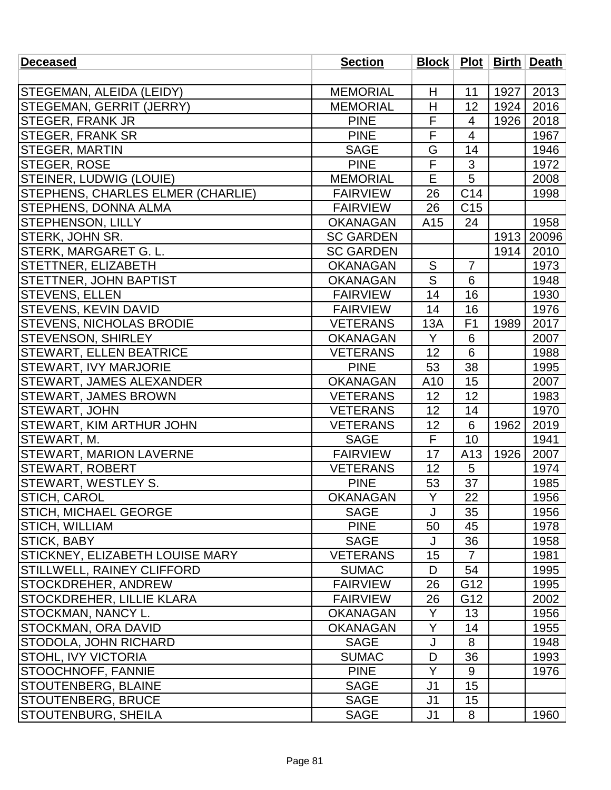| <b>Deceased</b>                   | <b>Section</b>   |                         |                 |      | <b>Block</b>   <b>Plot</b>   <b>Birth</b>   <b>Death</b> |
|-----------------------------------|------------------|-------------------------|-----------------|------|----------------------------------------------------------|
|                                   |                  |                         |                 |      |                                                          |
| STEGEMAN, ALEIDA (LEIDY)          | <b>MEMORIAL</b>  | H                       | 11              | 1927 | 2013                                                     |
| STEGEMAN, GERRIT (JERRY)          | <b>MEMORIAL</b>  | Н                       | 12              | 1924 | 2016                                                     |
| <b>STEGER, FRANK JR</b>           | <b>PINE</b>      | F                       | $\overline{4}$  | 1926 | 2018                                                     |
| <b>STEGER, FRANK SR</b>           | <b>PINE</b>      | F                       | $\overline{4}$  |      | 1967                                                     |
| <b>STEGER, MARTIN</b>             | <b>SAGE</b>      | G                       | 14              |      | 1946                                                     |
| <b>STEGER, ROSE</b>               | <b>PINE</b>      | F                       | 3               |      | 1972                                                     |
| <b>STEINER, LUDWIG (LOUIE)</b>    | <b>MEMORIAL</b>  | E                       | 5               |      | 2008                                                     |
| STEPHENS, CHARLES ELMER (CHARLIE) | <b>FAIRVIEW</b>  | 26                      | C14             |      | 1998                                                     |
| STEPHENS, DONNA ALMA              | <b>FAIRVIEW</b>  | 26                      | C <sub>15</sub> |      |                                                          |
| <b>STEPHENSON, LILLY</b>          | <b>OKANAGAN</b>  | A <sub>15</sub>         | 24              |      | 1958                                                     |
| STERK, JOHN SR.                   | <b>SC GARDEN</b> |                         |                 | 1913 | 20096                                                    |
| <b>STERK, MARGARET G. L.</b>      | <b>SC GARDEN</b> |                         |                 | 1914 | 2010                                                     |
| <b>STETTNER, ELIZABETH</b>        | <b>OKANAGAN</b>  | S                       | $\overline{7}$  |      | 1973                                                     |
| <b>STETTNER, JOHN BAPTIST</b>     | <b>OKANAGAN</b>  | $\overline{\mathsf{S}}$ | 6               |      | 1948                                                     |
| <b>STEVENS, ELLEN</b>             | <b>FAIRVIEW</b>  | 14                      | 16              |      | 1930                                                     |
| <b>STEVENS, KEVIN DAVID</b>       | <b>FAIRVIEW</b>  | 14                      | 16              |      | 1976                                                     |
| <b>STEVENS, NICHOLAS BRODIE</b>   | <b>VETERANS</b>  | 13A                     | F <sub>1</sub>  | 1989 | 2017                                                     |
| <b>STEVENSON, SHIRLEY</b>         | <b>OKANAGAN</b>  | Y                       | 6               |      | 2007                                                     |
| <b>STEWART, ELLEN BEATRICE</b>    | <b>VETERANS</b>  | 12                      | 6               |      | 1988                                                     |
| <b>STEWART, IVY MARJORIE</b>      | <b>PINE</b>      | 53                      | 38              |      | 1995                                                     |
| <b>STEWART, JAMES ALEXANDER</b>   | <b>OKANAGAN</b>  | A10                     | 15              |      | 2007                                                     |
| <b>STEWART, JAMES BROWN</b>       | <b>VETERANS</b>  | 12                      | 12              |      | 1983                                                     |
| <b>STEWART, JOHN</b>              | <b>VETERANS</b>  | 12                      | 14              |      | 1970                                                     |
| <b>STEWART, KIM ARTHUR JOHN</b>   | <b>VETERANS</b>  | 12                      | 6               | 1962 | 2019                                                     |
| STEWART, M.                       | <b>SAGE</b>      | F                       | 10              |      | 1941                                                     |
| <b>STEWART, MARION LAVERNE</b>    | <b>FAIRVIEW</b>  | 17                      | A13             | 1926 | 2007                                                     |
| <b>STEWART, ROBERT</b>            | <b>VETERANS</b>  | 12                      | 5               |      | 1974                                                     |
| STEWART, WESTLEY S.               | <b>PINE</b>      | 53                      | 37              |      | 1985                                                     |
| STICH, CAROL                      | <b>OKANAGAN</b>  | Y                       | 22              |      | 1956                                                     |
| <b>STICH, MICHAEL GEORGE</b>      | <b>SAGE</b>      | $\mathsf{J}$            | 35              |      | 1956                                                     |
| <b>STICH, WILLIAM</b>             | <b>PINE</b>      | 50                      | 45              |      | 1978                                                     |
| <b>STICK, BABY</b>                | <b>SAGE</b>      | J                       | 36              |      | 1958                                                     |
| STICKNEY, ELIZABETH LOUISE MARY   | <b>VETERANS</b>  | 15                      | $\overline{7}$  |      | 1981                                                     |
| <b>STILLWELL, RAINEY CLIFFORD</b> | <b>SUMAC</b>     | D                       | 54              |      | 1995                                                     |
| <b>STOCKDREHER, ANDREW</b>        | <b>FAIRVIEW</b>  | 26                      | G12             |      | 1995                                                     |
| <b>STOCKDREHER, LILLIE KLARA</b>  | <b>FAIRVIEW</b>  | 26                      | G12             |      | 2002                                                     |
| <b>STOCKMAN, NANCY L.</b>         | <b>OKANAGAN</b>  | Y                       | 13              |      | 1956                                                     |
| STOCKMAN, ORA DAVID               | <b>OKANAGAN</b>  | Y                       | 14              |      | 1955                                                     |
| <b>STODOLA, JOHN RICHARD</b>      | <b>SAGE</b>      | J                       | 8               |      | 1948                                                     |
| <b>STOHL, IVY VICTORIA</b>        | <b>SUMAC</b>     | D                       | 36              |      | 1993                                                     |
| <b>STOOCHNOFF, FANNIE</b>         | <b>PINE</b>      | Y                       | 9               |      | 1976                                                     |
| <b>STOUTENBERG, BLAINE</b>        | <b>SAGE</b>      | J <sub>1</sub>          | 15              |      |                                                          |
| STOUTENBERG, BRUCE                | <b>SAGE</b>      | J <sub>1</sub>          | 15              |      |                                                          |
| <b>STOUTENBURG, SHEILA</b>        | <b>SAGE</b>      | J <sub>1</sub>          | 8               |      | 1960                                                     |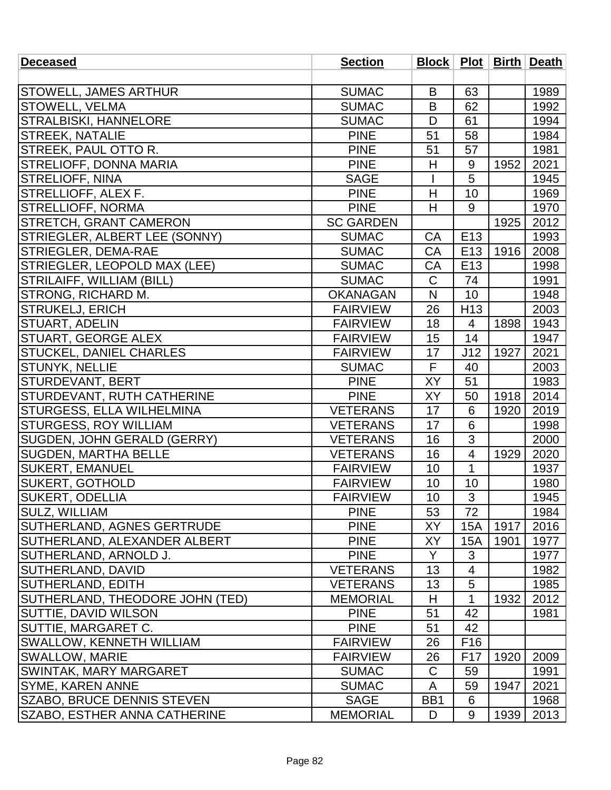| <b>Deceased</b>                     | <b>Section</b>   |                  |                 |      | Block   Plot   Birth   Death |
|-------------------------------------|------------------|------------------|-----------------|------|------------------------------|
|                                     |                  |                  |                 |      |                              |
| <b>STOWELL, JAMES ARTHUR</b>        | <b>SUMAC</b>     | B                | 63              |      | 1989                         |
| <b>STOWELL, VELMA</b>               | <b>SUMAC</b>     | B                | 62              |      | 1992                         |
| <b>STRALBISKI, HANNELORE</b>        | <b>SUMAC</b>     | D                | 61              |      | 1994                         |
| <b>STREEK, NATALIE</b>              | <b>PINE</b>      | 51               | 58              |      | 1984                         |
| <b>STREEK, PAUL OTTO R.</b>         | <b>PINE</b>      | 51               | 57              |      | 1981                         |
| <b>STRELIOFF, DONNA MARIA</b>       | <b>PINE</b>      | H                | 9               | 1952 | 2021                         |
| <b>STRELIOFF, NINA</b>              | <b>SAGE</b>      |                  | 5               |      | 1945                         |
| STRELLIOFF, ALEX F.                 | <b>PINE</b>      | H                | 10              |      | 1969                         |
| <b>STRELLIOFF, NORMA</b>            | <b>PINE</b>      | H                | 9               |      | 1970                         |
| <b>STRETCH, GRANT CAMERON</b>       | <b>SC GARDEN</b> |                  |                 | 1925 | 2012                         |
| STRIEGLER, ALBERT LEE (SONNY)       | <b>SUMAC</b>     | CA               | E <sub>13</sub> |      | 1993                         |
| <b>STRIEGLER, DEMA-RAE</b>          | <b>SUMAC</b>     | CA               | E <sub>13</sub> | 1916 | 2008                         |
| STRIEGLER, LEOPOLD MAX (LEE)        | <b>SUMAC</b>     | CA               | E13             |      | 1998                         |
| STRILAIFF, WILLIAM (BILL)           | <b>SUMAC</b>     | $\mathsf C$      | 74              |      | 1991                         |
| <b>STRONG, RICHARD M.</b>           | <b>OKANAGAN</b>  | N                | 10              |      | 1948                         |
| <b>STRUKELJ, ERICH</b>              | <b>FAIRVIEW</b>  | 26               | H <sub>13</sub> |      | 2003                         |
| <b>STUART, ADELIN</b>               | <b>FAIRVIEW</b>  | 18               | 4               | 1898 | 1943                         |
| STUART, GEORGE ALEX                 | <b>FAIRVIEW</b>  | 15               | 14              |      | 1947                         |
| STUCKEL, DANIEL CHARLES             | <b>FAIRVIEW</b>  | 17               | J12             | 1927 | 2021                         |
| <b>STUNYK, NELLIE</b>               | <b>SUMAC</b>     | F                | 40              |      | 2003                         |
| <b>STURDEVANT, BERT</b>             | <b>PINE</b>      | XY               | 51              |      | 1983                         |
| <b>STURDEVANT, RUTH CATHERINE</b>   | <b>PINE</b>      | XY               | 50              | 1918 | 2014                         |
| STURGESS, ELLA WILHELMINA           | <b>VETERANS</b>  | 17               | 6               | 1920 | 2019                         |
| <b>STURGESS, ROY WILLIAM</b>        | <b>VETERANS</b>  | 17               | 6               |      | 1998                         |
| SUGDEN, JOHN GERALD (GERRY)         | <b>VETERANS</b>  | 16               | 3               |      | 2000                         |
| <b>SUGDEN, MARTHA BELLE</b>         | <b>VETERANS</b>  | 16               | 4               | 1929 | 2020                         |
| <b>SUKERT, EMANUEL</b>              | <b>FAIRVIEW</b>  | 10               | $\mathbf{1}$    |      | 1937                         |
| <b>SUKERT, GOTHOLD</b>              | <b>FAIRVIEW</b>  | 10               | 10              |      | 1980                         |
| SUKERT, ODELLIA                     | <b>FAIRVIEW</b>  | 10               | $\mathfrak{S}$  |      | 1945                         |
| SULZ, WILLIAM                       | <b>PINE</b>      | 53               | 72              |      | 1984                         |
| SUTHERLAND, AGNES GERTRUDE          | <b>PINE</b>      | XY               | 15A             | 1917 | 2016                         |
| SUTHERLAND, ALEXANDER ALBERT        | <b>PINE</b>      | XY               | 15A             | 1901 | 1977                         |
| SUTHERLAND, ARNOLD J.               | <b>PINE</b>      | Y                | 3               |      | 1977                         |
| SUTHERLAND, DAVID                   | <b>VETERANS</b>  | 13               | 4               |      | 1982                         |
| <b>SUTHERLAND, EDITH</b>            | <b>VETERANS</b>  | 13               | 5               |      | 1985                         |
| SUTHERLAND, THEODORE JOHN (TED)     | <b>MEMORIAL</b>  | H                | 1               | 1932 | 2012                         |
| <b>SUTTIE, DAVID WILSON</b>         | <b>PINE</b>      | 51               | 42              |      | 1981                         |
| SUTTIE, MARGARET C.                 | <b>PINE</b>      | 51               | 42              |      |                              |
| <b>SWALLOW, KENNETH WILLIAM</b>     | <b>FAIRVIEW</b>  | 26               | F <sub>16</sub> |      |                              |
| <b>SWALLOW, MARIE</b>               | <b>FAIRVIEW</b>  | 26               | F <sub>17</sub> | 1920 | 2009                         |
| <b>SWINTAK, MARY MARGARET</b>       | <b>SUMAC</b>     | $\mathsf C$      | 59              |      | 1991                         |
| <b>SYME, KAREN ANNE</b>             | <b>SUMAC</b>     | A                | 59              | 1947 | 2021                         |
| SZABO, BRUCE DENNIS STEVEN          | <b>SAGE</b>      | B <sub>B</sub> 1 | 6               |      | 1968                         |
| <b>SZABO, ESTHER ANNA CATHERINE</b> | <b>MEMORIAL</b>  | D                | 9               | 1939 | 2013                         |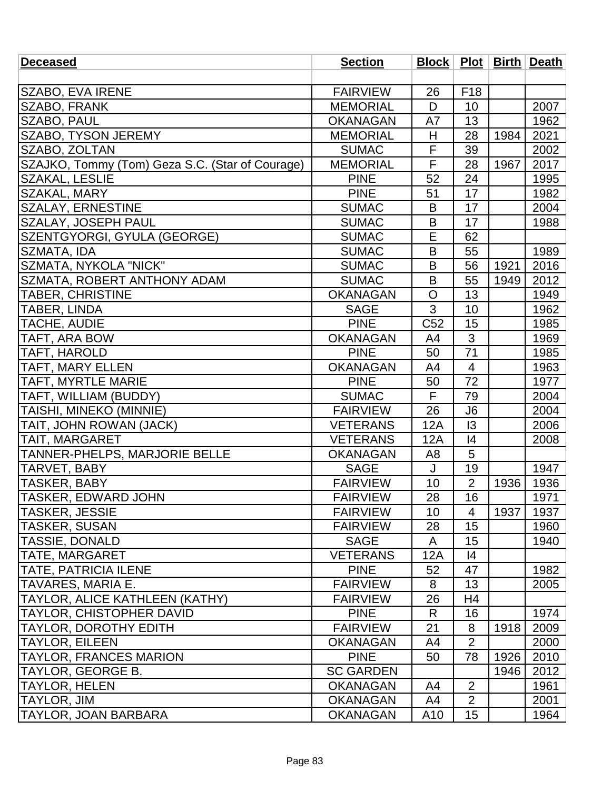| <b>Deceased</b>                                 | <b>Section</b>   |                 |                 |      | Block   Plot   Birth   Death |
|-------------------------------------------------|------------------|-----------------|-----------------|------|------------------------------|
|                                                 |                  |                 |                 |      |                              |
| SZABO, EVA IRENE                                | <b>FAIRVIEW</b>  | 26              | F <sub>18</sub> |      |                              |
| <b>SZABO, FRANK</b>                             | <b>MEMORIAL</b>  | D               | 10              |      | 2007                         |
| <b>SZABO, PAUL</b>                              | <b>OKANAGAN</b>  | A7              | 13              |      | 1962                         |
| <b>SZABO, TYSON JEREMY</b>                      | <b>MEMORIAL</b>  | H               | 28              | 1984 | 2021                         |
| SZABO, ZOLTAN                                   | <b>SUMAC</b>     | F               | 39              |      | 2002                         |
| SZAJKO, Tommy (Tom) Geza S.C. (Star of Courage) | <b>MEMORIAL</b>  | F               | 28              | 1967 | 2017                         |
| <b>SZAKAL, LESLIE</b>                           | <b>PINE</b>      | 52              | 24              |      | 1995                         |
| SZAKAL, MARY                                    | <b>PINE</b>      | 51              | 17              |      | 1982                         |
| <b>SZALAY, ERNESTINE</b>                        | <b>SUMAC</b>     | B               | 17              |      | 2004                         |
| <b>SZALAY, JOSEPH PAUL</b>                      | <b>SUMAC</b>     | B               | 17              |      | 1988                         |
| SZENTGYORGI, GYULA (GEORGE)                     | <b>SUMAC</b>     | E               | 62              |      |                              |
| SZMATA, IDA                                     | <b>SUMAC</b>     | B               | 55              |      | 1989                         |
| SZMATA, NYKOLA "NICK"                           | <b>SUMAC</b>     | B               | 56              | 1921 | 2016                         |
| <b>SZMATA, ROBERT ANTHONY ADAM</b>              | <b>SUMAC</b>     | B               | 55              | 1949 | 2012                         |
| <b>TABER, CHRISTINE</b>                         | <b>OKANAGAN</b>  | $\circ$         | 13              |      | 1949                         |
| <b>TABER, LINDA</b>                             | <b>SAGE</b>      | 3               | 10              |      | 1962                         |
| <b>TACHE, AUDIE</b>                             | <b>PINE</b>      | C <sub>52</sub> | 15              |      | 1985                         |
| TAFT, ARA BOW                                   | <b>OKANAGAN</b>  | A4              | 3               |      | 1969                         |
| <b>TAFT, HAROLD</b>                             | <b>PINE</b>      | 50              | 71              |      | 1985                         |
| <b>TAFT, MARY ELLEN</b>                         | <b>OKANAGAN</b>  | A4              | $\overline{4}$  |      | 1963                         |
| <b>TAFT, MYRTLE MARIE</b>                       | <b>PINE</b>      | 50              | 72              |      | 1977                         |
| TAFT, WILLIAM (BUDDY)                           | <b>SUMAC</b>     | F.              | 79              |      | 2004                         |
| <b>TAISHI, MINEKO (MINNIE)</b>                  | <b>FAIRVIEW</b>  | 26              | J6              |      | 2004                         |
| TAIT, JOHN ROWAN (JACK)                         | <b>VETERANS</b>  | 12A             | 13              |      | 2006                         |
| TAIT, MARGARET                                  | <b>VETERANS</b>  | 12A             | 4               |      | 2008                         |
| TANNER-PHELPS, MARJORIE BELLE                   | <b>OKANAGAN</b>  | A8              | 5               |      |                              |
| <b>TARVET, BABY</b>                             | <b>SAGE</b>      | J               | 19              |      | 1947                         |
| <b>TASKER, BABY</b>                             | <b>FAIRVIEW</b>  | 10              | $\overline{2}$  | 1936 | 1936                         |
| <b>TASKER, EDWARD JOHN</b>                      | <b>FAIRVIEW</b>  | 28              | 16              |      | 1971                         |
| TASKER, JESSIE                                  | <b>FAIRVIEW</b>  | 10              | 4               | 1937 | 1937                         |
| <b>TASKER, SUSAN</b>                            | <b>FAIRVIEW</b>  | 28              | 15              |      | 1960                         |
| <b>TASSIE, DONALD</b>                           | <b>SAGE</b>      | A               | 15              |      | 1940                         |
| <b>TATE, MARGARET</b>                           | <b>VETERANS</b>  | 12A             | 4               |      |                              |
| <b>TATE, PATRICIA ILENE</b>                     | <b>PINE</b>      | 52              | 47              |      | 1982                         |
| <b>TAVARES, MARIA E.</b>                        | <b>FAIRVIEW</b>  | 8               | 13              |      | 2005                         |
| TAYLOR, ALICE KATHLEEN (KATHY)                  | <b>FAIRVIEW</b>  | 26              | H <sub>4</sub>  |      |                              |
| TAYLOR, CHISTOPHER DAVID                        | <b>PINE</b>      | R               | 16              |      | 1974                         |
| TAYLOR, DOROTHY EDITH                           | <b>FAIRVIEW</b>  | 21              | 8               | 1918 | 2009                         |
| <b>TAYLOR, EILEEN</b>                           | <b>OKANAGAN</b>  | A4              | $\overline{2}$  |      | 2000                         |
| <b>TAYLOR, FRANCES MARION</b>                   | <b>PINE</b>      | 50              | 78              | 1926 | 2010                         |
| TAYLOR, GEORGE B.                               | <b>SC GARDEN</b> |                 |                 | 1946 | 2012                         |
| <b>TAYLOR, HELEN</b>                            | <b>OKANAGAN</b>  | A4              | $\overline{2}$  |      | 1961                         |
| <b>TAYLOR, JIM</b>                              | <b>OKANAGAN</b>  | A4              | $\overline{2}$  |      | 2001                         |
| <b>TAYLOR, JOAN BARBARA</b>                     | <b>OKANAGAN</b>  | A <sub>10</sub> | 15              |      | 1964                         |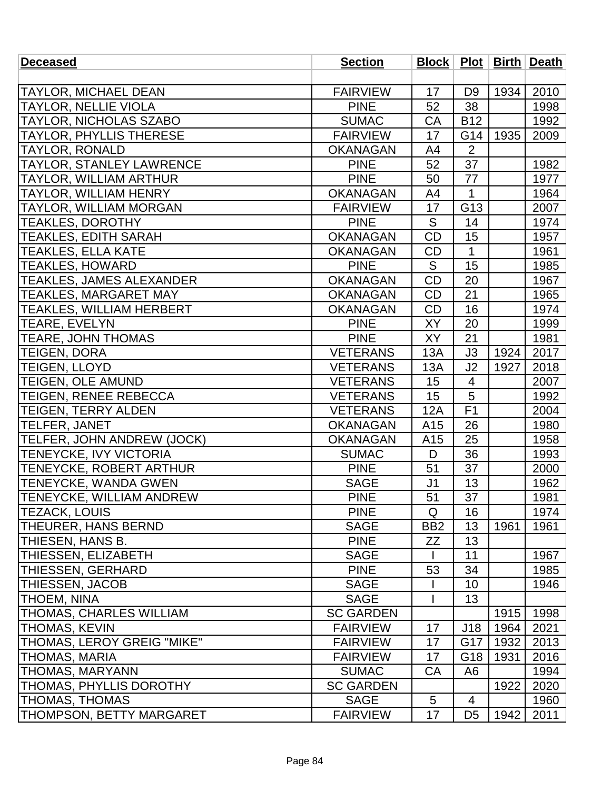| <b>Deceased</b>                 | <b>Section</b>   |                 |                 |      | Block   Plot   Birth   Death |
|---------------------------------|------------------|-----------------|-----------------|------|------------------------------|
|                                 |                  |                 |                 |      |                              |
| <b>TAYLOR, MICHAEL DEAN</b>     | <b>FAIRVIEW</b>  | 17              | D <sub>9</sub>  | 1934 | 2010                         |
| <b>TAYLOR, NELLIE VIOLA</b>     | <b>PINE</b>      | 52              | 38              |      | 1998                         |
| TAYLOR, NICHOLAS SZABO          | <b>SUMAC</b>     | CA              | <b>B12</b>      |      | 1992                         |
| <b>TAYLOR, PHYLLIS THERESE</b>  | <b>FAIRVIEW</b>  | 17              | G14             | 1935 | 2009                         |
| <b>TAYLOR, RONALD</b>           | <b>OKANAGAN</b>  | A4              | $\overline{2}$  |      |                              |
| TAYLOR, STANLEY LAWRENCE        | <b>PINE</b>      | 52              | 37              |      | 1982                         |
| TAYLOR, WILLIAM ARTHUR          | <b>PINE</b>      | 50              | 77              |      | 1977                         |
| <b>TAYLOR, WILLIAM HENRY</b>    | <b>OKANAGAN</b>  | A4              | $\mathbf{1}$    |      | 1964                         |
| <b>TAYLOR, WILLIAM MORGAN</b>   | <b>FAIRVIEW</b>  | 17              | G13             |      | 2007                         |
| <b>TEAKLES, DOROTHY</b>         | <b>PINE</b>      | S               | 14              |      | 1974                         |
| <b>TEAKLES, EDITH SARAH</b>     | <b>OKANAGAN</b>  | <b>CD</b>       | 15              |      | 1957                         |
| <b>TEAKLES, ELLA KATE</b>       | <b>OKANAGAN</b>  | <b>CD</b>       | $\mathbf{1}$    |      | 1961                         |
| <b>TEAKLES, HOWARD</b>          | <b>PINE</b>      | S               | 15              |      | 1985                         |
| <b>TEAKLES, JAMES ALEXANDER</b> | <b>OKANAGAN</b>  | <b>CD</b>       | $\overline{20}$ |      | 1967                         |
| <b>TEAKLES, MARGARET MAY</b>    | <b>OKANAGAN</b>  | CD              | 21              |      | 1965                         |
| <b>TEAKLES, WILLIAM HERBERT</b> | <b>OKANAGAN</b>  | CD              | 16              |      | 1974                         |
| <b>TEARE, EVELYN</b>            | <b>PINE</b>      | XY              | 20              |      | 1999                         |
| <b>TEARE, JOHN THOMAS</b>       | <b>PINE</b>      | <b>XY</b>       | 21              |      | 1981                         |
| <b>TEIGEN, DORA</b>             | <b>VETERANS</b>  | 13A             | J3              | 1924 | 2017                         |
| <b>TEIGEN, LLOYD</b>            | <b>VETERANS</b>  | 13A             | J2              | 1927 | 2018                         |
| <b>TEIGEN, OLE AMUND</b>        | <b>VETERANS</b>  | 15              | $\overline{4}$  |      | 2007                         |
| <b>TEIGEN, RENEE REBECCA</b>    | <b>VETERANS</b>  | 15              | 5               |      | 1992                         |
| <b>TEIGEN, TERRY ALDEN</b>      | <b>VETERANS</b>  | 12A             | F1              |      | 2004                         |
| TELFER, JANET                   | <b>OKANAGAN</b>  | A <sub>15</sub> | 26              |      | 1980                         |
| TELFER, JOHN ANDREW (JOCK)      | <b>OKANAGAN</b>  | A15             | 25              |      | 1958                         |
| TENEYCKE, IVY VICTORIA          | <b>SUMAC</b>     | D               | 36              |      | 1993                         |
| <b>TENEYCKE, ROBERT ARTHUR</b>  | <b>PINE</b>      | 51              | 37              |      | 2000                         |
| <b>TENEYCKE, WANDA GWEN</b>     | <b>SAGE</b>      | J <sub>1</sub>  | 13              |      | 1962                         |
| <b>TENEYCKE, WILLIAM ANDREW</b> | <b>PINE</b>      | 51              | 37              |      | 1981                         |
| <b>TEZACK, LOUIS</b>            | <b>PINE</b>      | Q               | 16              |      | 1974                         |
| <b>THEURER, HANS BERND</b>      | <b>SAGE</b>      | BB <sub>2</sub> | 13              | 1961 | 1961                         |
| THIESEN, HANS B.                | <b>PINE</b>      | ZΖ              | 13              |      |                              |
| <b>THIESSEN, ELIZABETH</b>      | <b>SAGE</b>      |                 | 11              |      | 1967                         |
| <b>THIESSEN, GERHARD</b>        | <b>PINE</b>      | 53              | 34              |      | 1985                         |
| <b>THIESSEN, JACOB</b>          | <b>SAGE</b>      |                 | 10              |      | 1946                         |
| <b>THOEM, NINA</b>              | <b>SAGE</b>      |                 | 13              |      |                              |
| <b>THOMAS, CHARLES WILLIAM</b>  | <b>SC GARDEN</b> |                 |                 | 1915 | 1998                         |
| <b>THOMAS, KEVIN</b>            | <b>FAIRVIEW</b>  | 17              | J18             | 1964 | 2021                         |
| THOMAS, LEROY GREIG "MIKE"      | <b>FAIRVIEW</b>  | 17              | G17             | 1932 | 2013                         |
| <b>THOMAS, MARIA</b>            | <b>FAIRVIEW</b>  | 17              | G18             | 1931 | 2016                         |
| <b>THOMAS, MARYANN</b>          | <b>SUMAC</b>     | CA              | A <sub>6</sub>  |      | 1994                         |
| <b>THOMAS, PHYLLIS DOROTHY</b>  | <b>SC GARDEN</b> |                 |                 | 1922 | 2020                         |
| <b>THOMAS, THOMAS</b>           | <b>SAGE</b>      | 5               | 4               |      | 1960                         |
| THOMPSON, BETTY MARGARET        | <b>FAIRVIEW</b>  | 17              | D <sub>5</sub>  | 1942 | 2011                         |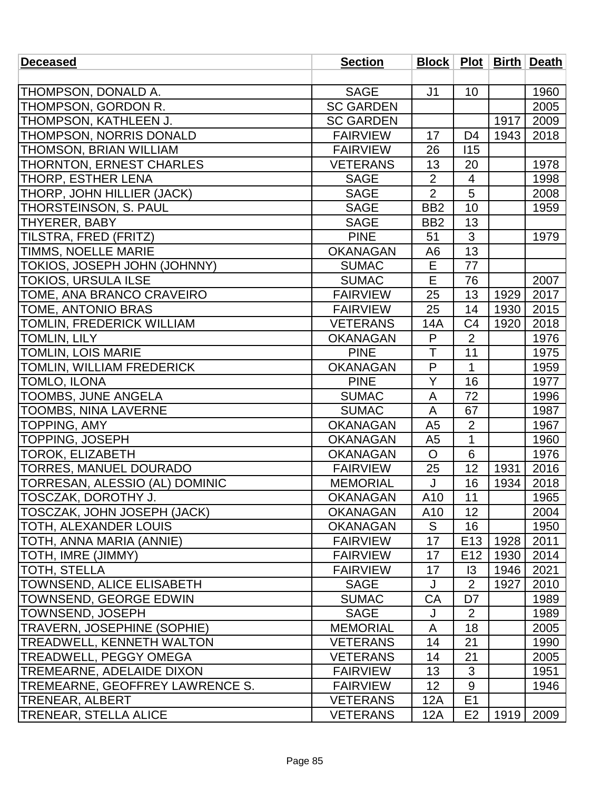| <b>Deceased</b>                    | <b>Section</b>   |                         |                 |      | Block   Plot   Birth   Death |
|------------------------------------|------------------|-------------------------|-----------------|------|------------------------------|
|                                    |                  |                         |                 |      |                              |
| THOMPSON, DONALD A.                | <b>SAGE</b>      | J1                      | 10              |      | 1960                         |
| THOMPSON, GORDON R.                | <b>SC GARDEN</b> |                         |                 |      | 2005                         |
| THOMPSON, KATHLEEN J.              | <b>SC GARDEN</b> |                         |                 | 1917 | 2009                         |
| THOMPSON, NORRIS DONALD            | <b>FAIRVIEW</b>  | 17                      | D <sub>4</sub>  | 1943 | 2018                         |
| THOMSON, BRIAN WILLIAM             | <b>FAIRVIEW</b>  | 26                      | 115             |      |                              |
| THORNTON, ERNEST CHARLES           | <b>VETERANS</b>  | 13                      | 20              |      | 1978                         |
| THORP, ESTHER LENA                 | <b>SAGE</b>      | $\overline{2}$          | $\overline{4}$  |      | 1998                         |
| THORP, JOHN HILLIER (JACK)         | <b>SAGE</b>      | $\overline{2}$          | 5               |      | 2008                         |
| THORSTEINSON, S. PAUL              | <b>SAGE</b>      | BB <sub>2</sub>         | 10              |      | 1959                         |
| THYERER, BABY                      | <b>SAGE</b>      | BB <sub>2</sub>         | 13              |      |                              |
| TILSTRA, FRED (FRITZ)              | <b>PINE</b>      | 51                      | 3               |      | 1979                         |
| <b>TIMMS, NOELLE MARIE</b>         | <b>OKANAGAN</b>  | A <sub>6</sub>          | 13              |      |                              |
| TOKIOS, JOSEPH JOHN (JOHNNY)       | <b>SUMAC</b>     | E                       | 77              |      |                              |
| <b>TOKIOS, URSULA ILSE</b>         | <b>SUMAC</b>     | E                       | 76              |      | 2007                         |
| TOME, ANA BRANCO CRAVEIRO          | <b>FAIRVIEW</b>  | 25                      | 13              | 1929 | 2017                         |
| TOME, ANTONIO BRAS                 | <b>FAIRVIEW</b>  | 25                      | 14              | 1930 | 2015                         |
| TOMLIN, FREDERICK WILLIAM          | <b>VETERANS</b>  | 14A                     | C <sub>4</sub>  | 1920 | 2018                         |
| TOMLIN, LILY                       | <b>OKANAGAN</b>  | P                       | $\overline{2}$  |      | 1976                         |
| <b>TOMLIN, LOIS MARIE</b>          | <b>PINE</b>      | $\overline{\mathsf{T}}$ | 11              |      | 1975                         |
| TOMLIN, WILLIAM FREDERICK          | <b>OKANAGAN</b>  | $\mathsf{P}$            | $\mathbf{1}$    |      | 1959                         |
| TOMLO, ILONA                       | <b>PINE</b>      | Y                       | 16              |      | 1977                         |
| TOOMBS, JUNE ANGELA                | <b>SUMAC</b>     | A                       | 72              |      | 1996                         |
| <b>TOOMBS, NINA LAVERNE</b>        | <b>SUMAC</b>     | A                       | 67              |      | 1987                         |
| <b>TOPPING, AMY</b>                | <b>OKANAGAN</b>  | A <sub>5</sub>          | $\overline{2}$  |      | 1967                         |
| TOPPING, JOSEPH                    | <b>OKANAGAN</b>  | A <sub>5</sub>          | $\mathbf{1}$    |      | 1960                         |
| <b>TOROK, ELIZABETH</b>            | <b>OKANAGAN</b>  | $\mathsf{O}$            | 6               |      | 1976                         |
| <b>TORRES, MANUEL DOURADO</b>      | <b>FAIRVIEW</b>  | 25                      | 12              | 1931 | 2016                         |
| TORRESAN, ALESSIO (AL) DOMINIC     | <b>MEMORIAL</b>  | J                       | 16              | 1934 | 2018                         |
| TOSCZAK, DOROTHY J.                | <b>OKANAGAN</b>  | A <sub>10</sub>         | 11              |      | 1965                         |
| TOSCZAK, JOHN JOSEPH (JACK)        | <b>OKANAGAN</b>  | A10                     | 12              |      | 2004                         |
| TOTH, ALEXANDER LOUIS              | <b>OKANAGAN</b>  | S                       | 16              |      | 1950                         |
| TOTH, ANNA MARIA (ANNIE)           | <b>FAIRVIEW</b>  | 17                      | E <sub>13</sub> | 1928 | 2011                         |
| [TOTH, IMRE (JIMMY)                | <b>FAIRVIEW</b>  | 17                      | E <sub>12</sub> | 1930 | 2014                         |
| TOTH, STELLA                       | <b>FAIRVIEW</b>  | 17                      | $\overline{3}$  | 1946 | 2021                         |
| <b>TOWNSEND, ALICE ELISABETH</b>   | <b>SAGE</b>      | J                       | $\overline{2}$  | 1927 | 2010                         |
| TOWNSEND, GEORGE EDWIN             | <b>SUMAC</b>     | СA                      | D7              |      | 1989                         |
| TOWNSEND, JOSEPH                   | SAGE             | J                       | $\overline{2}$  |      | 1989                         |
| <b>TRAVERN, JOSEPHINE (SOPHIE)</b> | <b>MEMORIAL</b>  | A                       | 18              |      | 2005                         |
| <b>TREADWELL, KENNETH WALTON</b>   | <b>VETERANS</b>  | 14                      | 21              |      | 1990                         |
| <b>TREADWELL, PEGGY OMEGA</b>      | <b>VETERANS</b>  | 14                      | 21              |      | 2005                         |
| <b>TREMEARNE, ADELAIDE DIXON</b>   | <b>FAIRVIEW</b>  | 13                      | 3               |      | 1951                         |
| TREMEARNE, GEOFFREY LAWRENCE S.    | <b>FAIRVIEW</b>  | 12 <sub>2</sub>         | $9\,$           |      | 1946                         |
| TRENEAR, ALBERT                    | <b>VETERANS</b>  | 12A                     | E1              |      |                              |
| <b>TRENEAR, STELLA ALICE</b>       | <b>VETERANS</b>  | <b>12A</b>              | E <sub>2</sub>  | 1919 | 2009                         |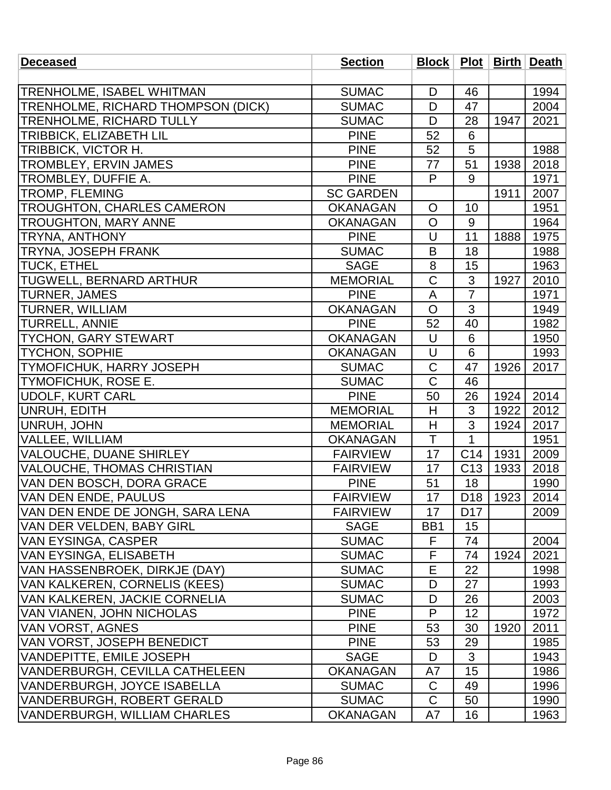| <b>Deceased</b>                       | <b>Section</b>   |                       |                 |                        | Block   Plot   Birth   Death |
|---------------------------------------|------------------|-----------------------|-----------------|------------------------|------------------------------|
|                                       |                  |                       |                 |                        |                              |
| TRENHOLME, ISABEL WHITMAN             | <b>SUMAC</b>     | D                     | 46              |                        | 1994                         |
| TRENHOLME, RICHARD THOMPSON (DICK)    | <b>SUMAC</b>     | D                     | 47              |                        | 2004                         |
| <b>TRENHOLME, RICHARD TULLY</b>       | <b>SUMAC</b>     | D                     | 28              | 1947                   | 2021                         |
| <b>TRIBBICK, ELIZABETH LIL</b>        | <b>PINE</b>      | 52                    | 6               |                        |                              |
| TRIBBICK, VICTOR H.                   | <b>PINE</b>      | 52                    | 5               |                        | 1988                         |
| TROMBLEY, ERVIN JAMES                 | <b>PINE</b>      | 77                    | 51              | 1938                   | 2018                         |
| <b>TROMBLEY, DUFFIE A.</b>            | <b>PINE</b>      | P                     | 9               |                        | 1971                         |
| <b>TROMP, FLEMING</b>                 | <b>SC GARDEN</b> |                       |                 | 1911                   | 2007                         |
| <b>TROUGHTON, CHARLES CAMERON</b>     | <b>OKANAGAN</b>  | $\circ$               | 10              |                        | 1951                         |
| <b>TROUGHTON, MARY ANNE</b>           | <b>OKANAGAN</b>  | $\circ$               | 9               |                        | 1964                         |
| TRYNA, ANTHONY                        | <b>PINE</b>      | U                     | 11              | 1888                   | 1975                         |
| <b>TRYNA, JOSEPH FRANK</b>            | <b>SUMAC</b>     | B                     | 18              |                        | 1988                         |
| <b>TUCK, ETHEL</b>                    | <b>SAGE</b>      | 8                     | 15              |                        | 1963                         |
| <b>TUGWELL, BERNARD ARTHUR</b>        | <b>MEMORIAL</b>  | $\overline{\text{C}}$ | 3               | 1927                   | 2010                         |
| <b>TURNER, JAMES</b>                  | <b>PINE</b>      | A                     | $\overline{7}$  |                        | 1971                         |
| <b>TURNER, WILLIAM</b>                | <b>OKANAGAN</b>  | $\circ$               | 3               |                        | 1949                         |
| <b>TURRELL, ANNIE</b>                 | <b>PINE</b>      | 52                    | 40              |                        | 1982                         |
| <b>TYCHON, GARY STEWART</b>           | <b>OKANAGAN</b>  | U                     | 6               |                        | 1950                         |
| <b>TYCHON, SOPHIE</b>                 | <b>OKANAGAN</b>  | U                     | 6               |                        | 1993                         |
| <b>TYMOFICHUK, HARRY JOSEPH</b>       | <b>SUMAC</b>     | $\overline{C}$        | 47              | 1926                   | 2017                         |
| <b>TYMOFICHUK, ROSE E.</b>            | <b>SUMAC</b>     | $\mathsf C$           | 46              |                        |                              |
| UDOLF, KURT CARL                      | <b>PINE</b>      | 50                    | 26              | 1924                   | 2014                         |
| UNRUH, EDITH                          | <b>MEMORIAL</b>  | H                     | 3               | 1922                   | 2012                         |
| UNRUH, JOHN                           | <b>MEMORIAL</b>  | Η                     | 3               | 1924                   | 2017                         |
| VALLEE, WILLIAM                       | <b>OKANAGAN</b>  | Ŧ                     | $\mathbf 1$     |                        | 1951                         |
| VALOUCHE, DUANE SHIRLEY               | <b>FAIRVIEW</b>  | 17                    | C14             | 1931                   | 2009                         |
| VALOUCHE, THOMAS CHRISTIAN            | <b>FAIRVIEW</b>  | 17                    | C <sub>13</sub> | 1933                   | 2018                         |
| VAN DEN BOSCH, DORA GRACE             | <b>PINE</b>      | 51                    | 18              |                        | 1990                         |
| <b>VAN DEN ENDE, PAULUS</b>           | <b>FAIRVIEW</b>  | 17                    |                 | D <sub>18</sub>   1923 | 2014                         |
| VAN DEN ENDE DE JONGH, SARA LENA      | <b>FAIRVIEW</b>  | 17                    | D <sub>17</sub> |                        | 2009                         |
| VAN DER VELDEN, BABY GIRL             | <b>SAGE</b>      | BB <sub>1</sub>       | 15              |                        |                              |
| VAN EYSINGA, CASPER                   | <b>SUMAC</b>     | F                     | 74              |                        | 2004                         |
| VAN EYSINGA, ELISABETH                | <b>SUMAC</b>     | F                     | 74              | 1924                   | 2021                         |
| VAN HASSENBROEK, DIRKJE (DAY)         | <b>SUMAC</b>     | Е                     | 22              |                        | 1998                         |
| VAN KALKEREN, CORNELIS (KEES)         | <b>SUMAC</b>     | D                     | 27              |                        | 1993                         |
| VAN KALKEREN, JACKIE CORNELIA         | <b>SUMAC</b>     | D                     | 26              |                        | 2003                         |
| VAN VIANEN, JOHN NICHOLAS             | <b>PINE</b>      | P                     | 12              |                        | 1972                         |
| VAN VORST, AGNES                      | <b>PINE</b>      | 53                    | 30              | 1920                   | 2011                         |
| VAN VORST, JOSEPH BENEDICT            | <b>PINE</b>      | 53                    | 29              |                        | 1985                         |
| VANDEPITTE, EMILE JOSEPH              | <b>SAGE</b>      | D                     | 3               |                        | 1943                         |
| <b>VANDERBURGH, CEVILLA CATHELEEN</b> | <b>OKANAGAN</b>  | A7                    | 15              |                        | 1986                         |
| VANDERBURGH, JOYCE ISABELLA           | <b>SUMAC</b>     | $\mathsf C$           | 49              |                        | 1996                         |
| VANDERBURGH, ROBERT GERALD            | <b>SUMAC</b>     | C                     | 50              |                        | 1990                         |
| VANDERBURGH, WILLIAM CHARLES          | <b>OKANAGAN</b>  | A7                    | 16              |                        | 1963                         |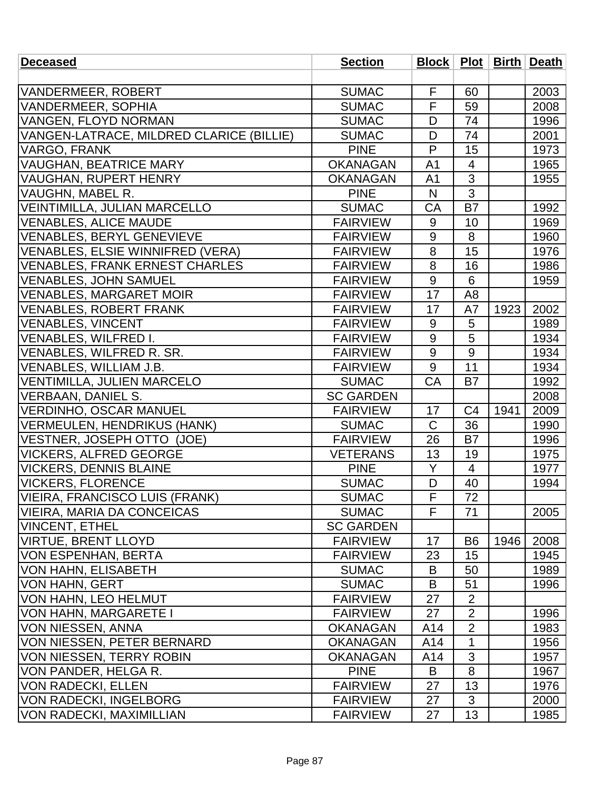| <b>Deceased</b>                          | <b>Section</b>   |                         |                |      | Block   Plot   Birth   Death |
|------------------------------------------|------------------|-------------------------|----------------|------|------------------------------|
|                                          |                  |                         |                |      |                              |
| VANDERMEER, ROBERT                       | <b>SUMAC</b>     | F                       | 60             |      | 2003                         |
| VANDERMEER, SOPHIA                       | <b>SUMAC</b>     | $\overline{\mathsf{F}}$ | 59             |      | 2008                         |
| VANGEN, FLOYD NORMAN                     | <b>SUMAC</b>     | D                       | 74             |      | 1996                         |
| VANGEN-LATRACE, MILDRED CLARICE (BILLIE) | <b>SUMAC</b>     | D                       | 74             |      | 2001                         |
| <b>VARGO, FRANK</b>                      | <b>PINE</b>      | $\mathsf{P}$            | 15             |      | 1973                         |
| <b>VAUGHAN, BEATRICE MARY</b>            | <b>OKANAGAN</b>  | A <sub>1</sub>          | $\overline{4}$ |      | 1965                         |
| VAUGHAN, RUPERT HENRY                    | <b>OKANAGAN</b>  | A <sub>1</sub>          | 3              |      | 1955                         |
| <b>VAUGHN, MABEL R.</b>                  | <b>PINE</b>      | $\mathsf{N}$            | 3              |      |                              |
| VEINTIMILLA, JULIAN MARCELLO             | <b>SUMAC</b>     | CA                      | <b>B7</b>      |      | 1992                         |
| <b>VENABLES, ALICE MAUDE</b>             | <b>FAIRVIEW</b>  | 9                       | 10             |      | 1969                         |
| <b>VENABLES, BERYL GENEVIEVE</b>         | <b>FAIRVIEW</b>  | 9                       | 8              |      | 1960                         |
| VENABLES, ELSIE WINNIFRED (VERA)         | <b>FAIRVIEW</b>  | 8                       | 15             |      | 1976                         |
| <b>VENABLES, FRANK ERNEST CHARLES</b>    | <b>FAIRVIEW</b>  | 8                       | 16             |      | 1986                         |
| <b>VENABLES, JOHN SAMUEL</b>             | <b>FAIRVIEW</b>  | 9                       | 6              |      | 1959                         |
| <b>VENABLES, MARGARET MOIR</b>           | <b>FAIRVIEW</b>  | 17                      | A <sub>8</sub> |      |                              |
| <b>VENABLES, ROBERT FRANK</b>            | <b>FAIRVIEW</b>  | 17                      | A7             | 1923 | 2002                         |
| <b>VENABLES, VINCENT</b>                 | <b>FAIRVIEW</b>  | 9                       | 5              |      | 1989                         |
| VENABLES, WILFRED I.                     | <b>FAIRVIEW</b>  | 9                       | $\overline{5}$ |      | 1934                         |
| VENABLES, WILFRED R. SR.                 | <b>FAIRVIEW</b>  | $9\,$                   | 9              |      | 1934                         |
| VENABLES, WILLIAM J.B.                   | <b>FAIRVIEW</b>  | 9                       | 11             |      | 1934                         |
| VENTIMILLA, JULIEN MARCELO               | <b>SUMAC</b>     | CA                      | <b>B7</b>      |      | 1992                         |
| VERBAAN, DANIEL S.                       | <b>SC GARDEN</b> |                         |                |      | 2008                         |
| VERDINHO, OSCAR MANUEL                   | <b>FAIRVIEW</b>  | 17                      | C <sub>4</sub> | 1941 | 2009                         |
| <b>VERMEULEN, HENDRIKUS (HANK)</b>       | <b>SUMAC</b>     | $\mathsf C$             | 36             |      | 1990                         |
| VESTNER, JOSEPH OTTO (JOE)               | <b>FAIRVIEW</b>  | 26                      | <b>B7</b>      |      | 1996                         |
| VICKERS, ALFRED GEORGE                   | <b>VETERANS</b>  | 13                      | 19             |      | 1975                         |
| <b>VICKERS, DENNIS BLAINE</b>            | <b>PINE</b>      | Y                       | $\overline{4}$ |      | 1977                         |
| <b>VICKERS, FLORENCE</b>                 | <b>SUMAC</b>     | D                       | 40             |      | 1994                         |
| VIEIRA, FRANCISCO LUIS (FRANK)           | <b>SUMAC</b>     | $\overline{F}$          | 72             |      |                              |
| VIEIRA, MARIA DA CONCEICAS               | <b>SUMAC</b>     | F                       | 71             |      | 2005                         |
| VINCENT, ETHEL                           | <b>SC GARDEN</b> |                         |                |      |                              |
| VIRTUE, BRENT LLOYD                      | <b>FAIRVIEW</b>  | 17                      | B <sub>6</sub> | 1946 | 2008                         |
| VON ESPENHAN, BERTA                      | <b>FAIRVIEW</b>  | 23                      | 15             |      | 1945                         |
| VON HAHN, ELISABETH                      | <b>SUMAC</b>     | B                       | 50             |      | 1989                         |
| VON HAHN, GERT                           | <b>SUMAC</b>     | B                       | 51             |      | 1996                         |
| VON HAHN, LEO HELMUT                     | <b>FAIRVIEW</b>  | 27                      | $\overline{2}$ |      |                              |
| VON HAHN, MARGARETE I                    | <b>FAIRVIEW</b>  | 27                      | $\overline{2}$ |      | 1996                         |
| VON NIESSEN, ANNA                        | <b>OKANAGAN</b>  | A14                     | $\overline{2}$ |      | 1983                         |
| VON NIESSEN, PETER BERNARD               | <b>OKANAGAN</b>  | A14                     | 1              |      | 1956                         |
| VON NIESSEN, TERRY ROBIN                 | <b>OKANAGAN</b>  | A14                     | 3              |      | 1957                         |
| VON PANDER, HELGA R.                     | <b>PINE</b>      | B                       | 8              |      | 1967                         |
| VON RADECKI, ELLEN                       | <b>FAIRVIEW</b>  | 27                      | 13             |      | 1976                         |
| VON RADECKI, INGELBORG                   | <b>FAIRVIEW</b>  | 27                      | 3              |      | 2000                         |
| <b>VON RADECKI, MAXIMILLIAN</b>          | <b>FAIRVIEW</b>  | 27                      | 13             |      | 1985                         |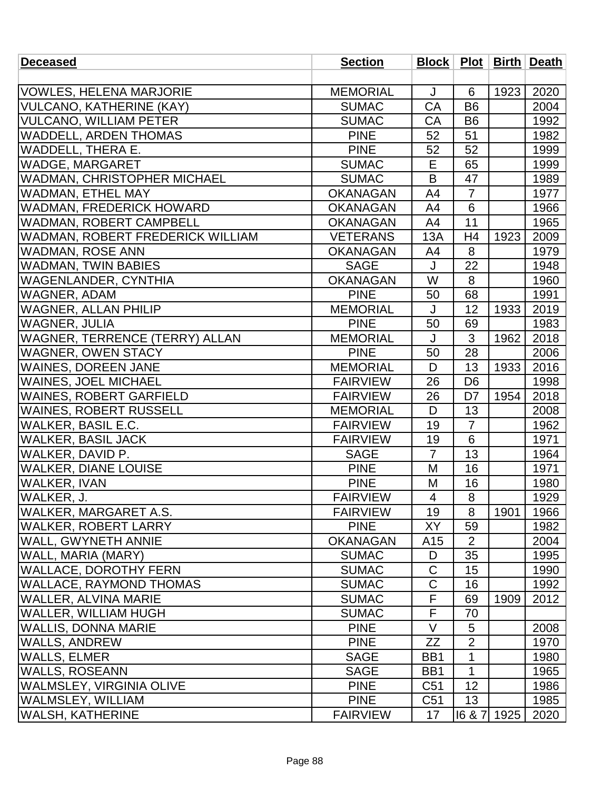| <b>Deceased</b>                    | <b>Section</b>  |                  |                 |      | Block   Plot   Birth   Death |
|------------------------------------|-----------------|------------------|-----------------|------|------------------------------|
|                                    |                 |                  |                 |      |                              |
| <b>VOWLES, HELENA MARJORIE</b>     | <b>MEMORIAL</b> | J                | 6               | 1923 | 2020                         |
| <b>VULCANO, KATHERINE (KAY)</b>    | <b>SUMAC</b>    | CA               | <b>B6</b>       |      | 2004                         |
| <b>VULCANO, WILLIAM PETER</b>      | <b>SUMAC</b>    | CA               | B <sub>6</sub>  |      | 1992                         |
| <b>WADDELL, ARDEN THOMAS</b>       | <b>PINE</b>     | 52               | 51              |      | 1982                         |
| WADDELL, THERA E.                  | <b>PINE</b>     | 52               | 52              |      | 1999                         |
| <b>WADGE, MARGARET</b>             | <b>SUMAC</b>    | E                | 65              |      | 1999                         |
| <b>WADMAN, CHRISTOPHER MICHAEL</b> | <b>SUMAC</b>    | B                | 47              |      | 1989                         |
| <b>WADMAN, ETHEL MAY</b>           | <b>OKANAGAN</b> | A4               | $\overline{7}$  |      | 1977                         |
| <b>WADMAN, FREDERICK HOWARD</b>    | <b>OKANAGAN</b> | A4               | $6\phantom{1}6$ |      | 1966                         |
| WADMAN, ROBERT CAMPBELL            | <b>OKANAGAN</b> | A4               | 11              |      | 1965                         |
| WADMAN, ROBERT FREDERICK WILLIAM   | <b>VETERANS</b> | 13A              | H <sub>4</sub>  | 1923 | 2009                         |
| <b>WADMAN, ROSE ANN</b>            | <b>OKANAGAN</b> | A4               | 8               |      | 1979                         |
| <b>WADMAN, TWIN BABIES</b>         | <b>SAGE</b>     | J                | 22              |      | 1948                         |
| <b>WAGENLANDER, CYNTHIA</b>        | <b>OKANAGAN</b> | W                | 8               |      | 1960                         |
| <b>WAGNER, ADAM</b>                | <b>PINE</b>     | 50               | 68              |      | 1991                         |
| <b>WAGNER, ALLAN PHILIP</b>        | <b>MEMORIAL</b> | J                | 12              | 1933 | 2019                         |
| <b>WAGNER, JULIA</b>               | <b>PINE</b>     | 50               | 69              |      | 1983                         |
| WAGNER, TERRENCE (TERRY) ALLAN     | <b>MEMORIAL</b> | J                | 3               | 1962 | 2018                         |
| <b>WAGNER, OWEN STACY</b>          | <b>PINE</b>     | 50               | 28              |      | 2006                         |
| <b>WAINES, DOREEN JANE</b>         | <b>MEMORIAL</b> | D                | 13              | 1933 | 2016                         |
| <b>WAINES, JOEL MICHAEL</b>        | <b>FAIRVIEW</b> | 26               | D <sub>6</sub>  |      | 1998                         |
| <b>WAINES, ROBERT GARFIELD</b>     | <b>FAIRVIEW</b> | 26               | D7              | 1954 | 2018                         |
| <b>WAINES, ROBERT RUSSELL</b>      | <b>MEMORIAL</b> | D                | 13              |      | 2008                         |
| WALKER, BASIL E.C.                 | <b>FAIRVIEW</b> | 19               | $\overline{7}$  |      | 1962                         |
| <b>WALKER, BASIL JACK</b>          | <b>FAIRVIEW</b> | 19               | 6               |      | 1971                         |
| WALKER, DAVID P.                   | <b>SAGE</b>     | $\overline{7}$   | 13              |      | 1964                         |
| <b>WALKER, DIANE LOUISE</b>        | <b>PINE</b>     | M                | 16              |      | 1971                         |
| <b>WALKER, IVAN</b>                | <b>PINE</b>     | M                | 16              |      | 1980                         |
| WALKER, J.                         | <b>FAIRVIEW</b> | $\overline{4}$   | 8               |      | 1929                         |
| <b>WALKER, MARGARET A.S.</b>       | <b>FAIRVIEW</b> | 19               | 8               | 1901 | 1966                         |
| WALKER, ROBERT LARRY               | <b>PINE</b>     | XY               | 59              |      | 1982                         |
| WALL, GWYNETH ANNIE                | <b>OKANAGAN</b> | A15              | $\overline{2}$  |      | 2004                         |
| WALL, MARIA (MARY)                 | <b>SUMAC</b>    | D                | 35              |      | 1995                         |
| WALLACE, DOROTHY FERN              | <b>SUMAC</b>    | C                | 15              |      | 1990                         |
| <b>WALLACE, RAYMOND THOMAS</b>     | <b>SUMAC</b>    | C                | 16              |      | 1992                         |
| WALLER, ALVINA MARIE               | <b>SUMAC</b>    | F                | 69              | 1909 | 2012                         |
| WALLER, WILLIAM HUGH               | <b>SUMAC</b>    | F                | 70              |      |                              |
| WALLIS, DONNA MARIE                | <b>PINE</b>     | V                | 5               |      | 2008                         |
| <b>WALLS, ANDREW</b>               | <b>PINE</b>     | ZZ               | $\overline{2}$  |      | 1970                         |
| WALLS, ELMER                       | <b>SAGE</b>     | BB <sub>1</sub>  | $\mathbf{1}$    |      | 1980                         |
| <b>WALLS, ROSEANN</b>              | <b>SAGE</b>     | B <sub>B</sub> 1 | 1               |      | 1965                         |
| WALMSLEY, VIRGINIA OLIVE           | <b>PINE</b>     | C <sub>51</sub>  | 12              |      | 1986                         |
| <b>WALMSLEY, WILLIAM</b>           | <b>PINE</b>     | C <sub>51</sub>  | 13              |      | 1985                         |
| WALSH, KATHERINE                   | <b>FAIRVIEW</b> | 17               | 16 & 7          | 1925 | 2020                         |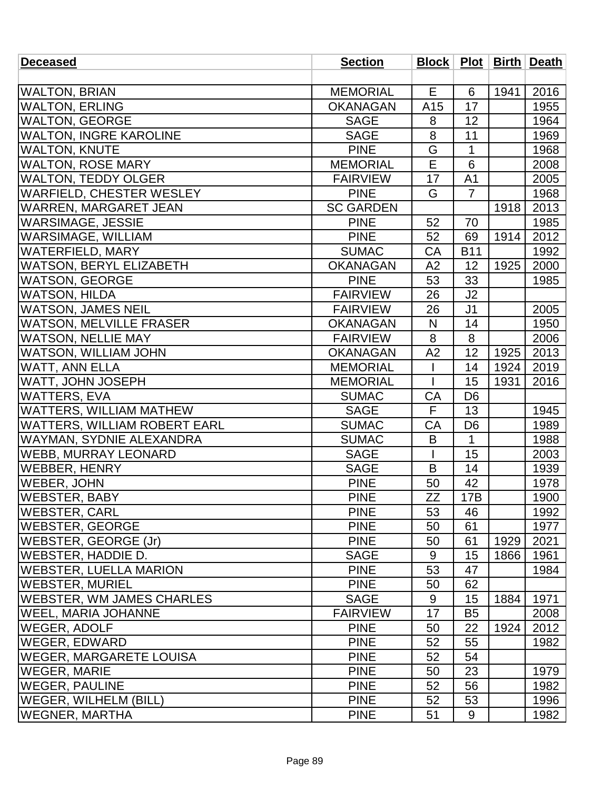| <b>Deceased</b>                     | <b>Section</b>   |                |                |      | Block   Plot   Birth   Death |
|-------------------------------------|------------------|----------------|----------------|------|------------------------------|
|                                     |                  |                |                |      |                              |
| <b>WALTON, BRIAN</b>                | <b>MEMORIAL</b>  | E              | 6              | 1941 | 2016                         |
| <b>WALTON, ERLING</b>               | <b>OKANAGAN</b>  | A15            | 17             |      | 1955                         |
| <b>WALTON, GEORGE</b>               | <b>SAGE</b>      | 8              | 12             |      | 1964                         |
| <b>WALTON, INGRE KAROLINE</b>       | <b>SAGE</b>      | 8              | 11             |      | 1969                         |
| <b>WALTON, KNUTE</b>                | <b>PINE</b>      | G              | 1              |      | 1968                         |
| <b>WALTON, ROSE MARY</b>            | <b>MEMORIAL</b>  | Ē              | 6              |      | 2008                         |
| <b>WALTON, TEDDY OLGER</b>          | <b>FAIRVIEW</b>  | 17             | A <sub>1</sub> |      | 2005                         |
| WARFIELD, CHESTER WESLEY            | <b>PINE</b>      | G              | $\overline{7}$ |      | 1968                         |
| <b>WARREN, MARGARET JEAN</b>        | <b>SC GARDEN</b> |                |                | 1918 | 2013                         |
| <b>WARSIMAGE, JESSIE</b>            | <b>PINE</b>      | 52             | 70             |      | 1985                         |
| <b>WARSIMAGE, WILLIAM</b>           | <b>PINE</b>      | 52             | 69             | 1914 | 2012                         |
| <b>WATERFIELD, MARY</b>             | <b>SUMAC</b>     | CA             | <b>B11</b>     |      | 1992                         |
| <b>WATSON, BERYL ELIZABETH</b>      | <b>OKANAGAN</b>  | A2             | 12             | 1925 | 2000                         |
| <b>WATSON, GEORGE</b>               | <b>PINE</b>      | 53             | 33             |      | 1985                         |
| <b>WATSON, HILDA</b>                | <b>FAIRVIEW</b>  | 26             | J2             |      |                              |
| <b>WATSON, JAMES NEIL</b>           | <b>FAIRVIEW</b>  | 26             | J <sub>1</sub> |      | 2005                         |
| <b>WATSON, MELVILLE FRASER</b>      | <b>OKANAGAN</b>  | N              | 14             |      | 1950                         |
| <b>WATSON, NELLIE MAY</b>           | <b>FAIRVIEW</b>  | 8              | 8              |      | 2006                         |
| <b>WATSON, WILLIAM JOHN</b>         | <b>OKANAGAN</b>  | A2             | 12             | 1925 | 2013                         |
| <b>WATT, ANN ELLA</b>               | <b>MEMORIAL</b>  | $\overline{1}$ | 14             | 1924 | 2019                         |
| WATT, JOHN JOSEPH                   | <b>MEMORIAL</b>  |                | 15             | 1931 | 2016                         |
| <b>WATTERS, EVA</b>                 | <b>SUMAC</b>     | CA             | D <sub>6</sub> |      |                              |
| <b>WATTERS, WILLIAM MATHEW</b>      | <b>SAGE</b>      | F              | 13             |      | 1945                         |
| <b>WATTERS, WILLIAM ROBERT EARL</b> | <b>SUMAC</b>     | CA             | D <sub>6</sub> |      | 1989                         |
| <b>WAYMAN, SYDNIE ALEXANDRA</b>     | <b>SUMAC</b>     | B              | $\mathbf{1}$   |      | 1988                         |
| <b>WEBB, MURRAY LEONARD</b>         | <b>SAGE</b>      |                | 15             |      | 2003                         |
| <b>WEBBER, HENRY</b>                | <b>SAGE</b>      | B              | 14             |      | 1939                         |
| <b>WEBER, JOHN</b>                  | <b>PINE</b>      | 50             | 42             |      | 1978                         |
| <b>WEBSTER, BABY</b>                | <b>PINE</b>      | ZΖ             | 17B            |      | 1900                         |
| <b>WEBSTER, CARL</b>                | <b>PINE</b>      | 53             | 46             |      | 1992                         |
| <b>WEBSTER, GEORGE</b>              | <b>PINE</b>      | 50             | 61             |      | 1977                         |
| WEBSTER, GEORGE (Jr)                | <b>PINE</b>      | 50             | 61             | 1929 | 2021                         |
| WEBSTER, HADDIE D.                  | <b>SAGE</b>      | 9              | 15             | 1866 | 1961                         |
| <b>WEBSTER, LUELLA MARION</b>       | <b>PINE</b>      | 53             | 47             |      | 1984                         |
| <b>WEBSTER, MURIEL</b>              | <b>PINE</b>      | 50             | 62             |      |                              |
| <b>IWEBSTER, WM JAMES CHARLES</b>   | <b>SAGE</b>      | 9              | 15             | 1884 | 1971                         |
| <b>WEEL, MARIA JOHANNE</b>          | <b>FAIRVIEW</b>  | 17             | B <sub>5</sub> |      | 2008                         |
| <b>WEGER, ADOLF</b>                 | <b>PINE</b>      | 50             | 22             | 1924 | 2012                         |
| <b>WEGER, EDWARD</b>                | <b>PINE</b>      | 52             | 55             |      | 1982                         |
| <b>WEGER, MARGARETE LOUISA</b>      | <b>PINE</b>      | 52             | 54             |      |                              |
| <b>WEGER, MARIE</b>                 | <b>PINE</b>      | 50             | 23             |      | 1979                         |
| <b>WEGER, PAULINE</b>               | <b>PINE</b>      | 52             | 56             |      | 1982                         |
| WEGER, WILHELM (BILL)               | <b>PINE</b>      | 52             | 53             |      | 1996                         |
| <b>WEGNER, MARTHA</b>               | <b>PINE</b>      | 51             | 9              |      | 1982                         |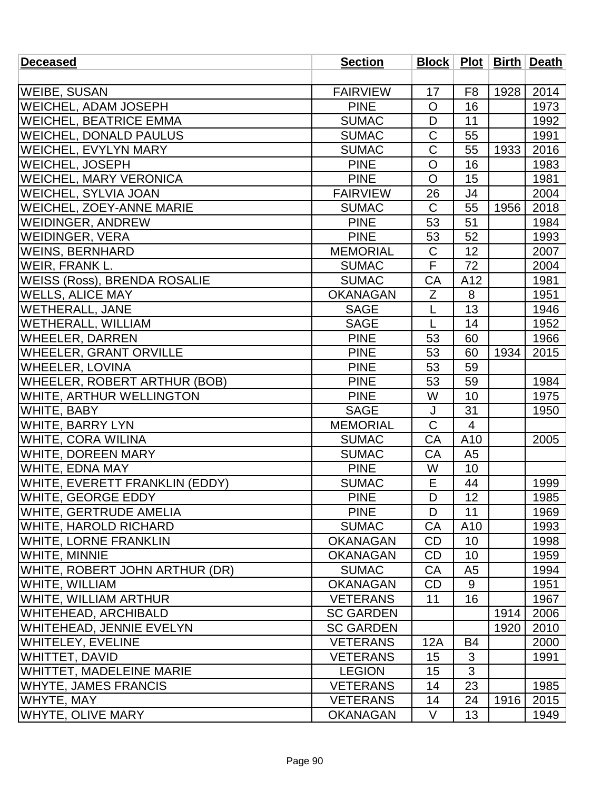| <b>Deceased</b>                 | <b>Section</b>   |                |                |      | Block   Plot   Birth   Death |
|---------------------------------|------------------|----------------|----------------|------|------------------------------|
|                                 |                  |                |                |      |                              |
| <b>WEIBE, SUSAN</b>             | <b>FAIRVIEW</b>  | 17             | F <sub>8</sub> | 1928 | 2014                         |
| <b>WEICHEL, ADAM JOSEPH</b>     | <b>PINE</b>      | $\circ$        | 16             |      | 1973                         |
| <b>WEICHEL, BEATRICE EMMA</b>   | <b>SUMAC</b>     | D              | 11             |      | 1992                         |
| <b>WEICHEL, DONALD PAULUS</b>   | <b>SUMAC</b>     | $\mathsf C$    | 55             |      | 1991                         |
| <b>WEICHEL, EVYLYN MARY</b>     | <b>SUMAC</b>     | $\mathsf C$    | 55             | 1933 | 2016                         |
| WEICHEL, JOSEPH                 | <b>PINE</b>      | $\overline{O}$ | 16             |      | 1983                         |
| <b>WEICHEL, MARY VERONICA</b>   | <b>PINE</b>      | $\mathsf{O}$   | 15             |      | 1981                         |
| <b>WEICHEL, SYLVIA JOAN</b>     | <b>FAIRVIEW</b>  | 26             | J4             |      | 2004                         |
| <b>WEICHEL, ZOEY-ANNE MARIE</b> | <b>SUMAC</b>     | $\mathsf{C}$   | 55             | 1956 | 2018                         |
| <b>WEIDINGER, ANDREW</b>        | <b>PINE</b>      | 53             | 51             |      | 1984                         |
| <b>WEIDINGER, VERA</b>          | <b>PINE</b>      | 53             | 52             |      | 1993                         |
| <b>WEINS, BERNHARD</b>          | <b>MEMORIAL</b>  | $\mathsf C$    | 12             |      | 2007                         |
| WEIR, FRANK L.                  | <b>SUMAC</b>     | F              | 72             |      | 2004                         |
| WEISS (Ross), BRENDA ROSALIE    | <b>SUMAC</b>     | CA             | A12            |      | 1981                         |
| <b>WELLS, ALICE MAY</b>         | <b>OKANAGAN</b>  | Z              | 8              |      | 1951                         |
| <b>WETHERALL, JANE</b>          | <b>SAGE</b>      | L              | 13             |      | 1946                         |
| <b>WETHERALL, WILLIAM</b>       | <b>SAGE</b>      | L              | 14             |      | 1952                         |
| WHEELER, DARREN                 | <b>PINE</b>      | 53             | 60             |      | 1966                         |
| <b>WHEELER, GRANT ORVILLE</b>   | <b>PINE</b>      | 53             | 60             | 1934 | 2015                         |
| <b>WHEELER, LOVINA</b>          | <b>PINE</b>      | 53             | 59             |      |                              |
| WHEELER, ROBERT ARTHUR (BOB)    | <b>PINE</b>      | 53             | 59             |      | 1984                         |
| WHITE, ARTHUR WELLINGTON        | <b>PINE</b>      | W              | 10             |      | 1975                         |
| WHITE, BABY                     | <b>SAGE</b>      | J              | 31             |      | 1950                         |
| <b>WHITE, BARRY LYN</b>         | <b>MEMORIAL</b>  | $\mathsf C$    | $\overline{4}$ |      |                              |
| <b>WHITE, CORA WILINA</b>       | <b>SUMAC</b>     | CA             | A10            |      | 2005                         |
| <b>WHITE, DOREEN MARY</b>       | <b>SUMAC</b>     | CA             | A <sub>5</sub> |      |                              |
| <b>WHITE, EDNA MAY</b>          | <b>PINE</b>      | W              | 10             |      |                              |
| WHITE, EVERETT FRANKLIN (EDDY)  | <b>SUMAC</b>     | E              | 44             |      | 1999                         |
| <b>WHITE, GEORGE EDDY</b>       | <b>PINE</b>      | D              | 12             |      | 1985                         |
| <b>WHITE, GERTRUDE AMELIA</b>   | <b>PINE</b>      | D              | 11             |      | 1969                         |
| WHITE, HAROLD RICHARD           | <b>SUMAC</b>     | CA             | A10            |      | 1993                         |
| <b>WHITE, LORNE FRANKLIN</b>    | <b>OKANAGAN</b>  | CD             | 10             |      | 1998                         |
| <b>WHITE, MINNIE</b>            | <b>OKANAGAN</b>  | <b>CD</b>      | 10             |      | 1959                         |
| WHITE, ROBERT JOHN ARTHUR (DR)  | <b>SUMAC</b>     | CA             | A <sub>5</sub> |      | 1994                         |
| <b>WHITE, WILLIAM</b>           | <b>OKANAGAN</b>  | CD             | 9              |      | 1951                         |
| WHITE, WILLIAM ARTHUR           | <b>VETERANS</b>  | 11             | 16             |      | 1967                         |
| <b>WHITEHEAD, ARCHIBALD</b>     | <b>SC GARDEN</b> |                |                | 1914 | 2006                         |
| <b>WHITEHEAD, JENNIE EVELYN</b> | <b>SC GARDEN</b> |                |                | 1920 | 2010                         |
| <b>WHITELEY, EVELINE</b>        | <b>VETERANS</b>  | 12A            | <b>B4</b>      |      | 2000                         |
| <b>WHITTET, DAVID</b>           | <b>VETERANS</b>  | 15             | 3              |      | 1991                         |
| WHITTET, MADELEINE MARIE        | <b>LEGION</b>    | 15             | 3              |      |                              |
| <b>WHYTE, JAMES FRANCIS</b>     | <b>VETERANS</b>  | 14             | 23             |      | 1985                         |
| <b>WHYTE, MAY</b>               | <b>VETERANS</b>  | 14             | 24             | 1916 | 2015                         |
| <b>WHYTE, OLIVE MARY</b>        | <b>OKANAGAN</b>  | V              | 13             |      | 1949                         |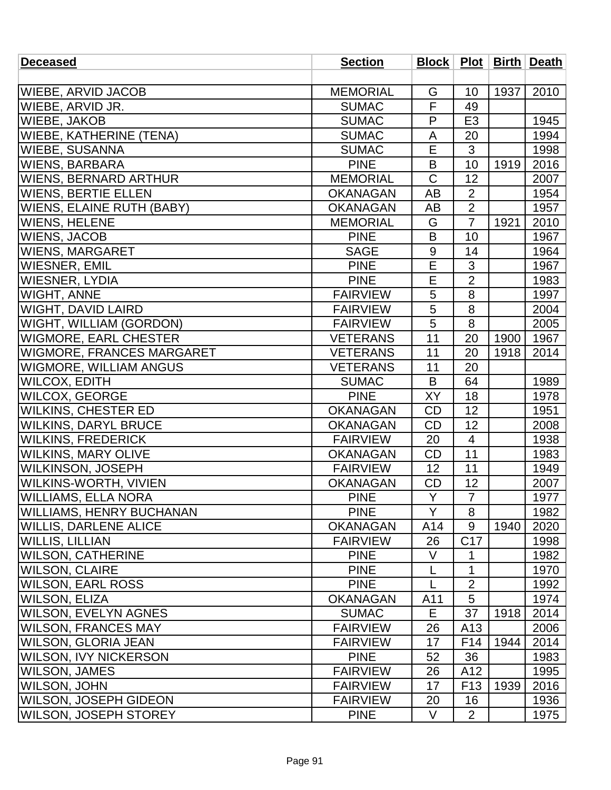| <b>Deceased</b>                  | <b>Section</b>  |             |                 |      | Block   Plot   Birth   Death |
|----------------------------------|-----------------|-------------|-----------------|------|------------------------------|
|                                  |                 |             |                 |      |                              |
| <b>WIEBE, ARVID JACOB</b>        | <b>MEMORIAL</b> | G           | 10              | 1937 | 2010                         |
| WIEBE, ARVID JR.                 | <b>SUMAC</b>    | F           | 49              |      |                              |
| WIEBE, JAKOB                     | <b>SUMAC</b>    | P           | E <sub>3</sub>  |      | 1945                         |
| <b>WIEBE, KATHERINE (TENA)</b>   | <b>SUMAC</b>    | A           | 20              |      | 1994                         |
| <b>WIEBE, SUSANNA</b>            | <b>SUMAC</b>    | E           | 3               |      | 1998                         |
| <b>WIENS, BARBARA</b>            | <b>PINE</b>     | B           | 10              | 1919 | 2016                         |
| <b>WIENS, BERNARD ARTHUR</b>     | <b>MEMORIAL</b> | $\mathsf C$ | 12              |      | 2007                         |
| <b>WIENS, BERTIE ELLEN</b>       | <b>OKANAGAN</b> | AB          | $\overline{2}$  |      | 1954                         |
| WIENS, ELAINE RUTH (BABY)        | <b>OKANAGAN</b> | AB          | $\overline{2}$  |      | 1957                         |
| <b>WIENS, HELENE</b>             | <b>MEMORIAL</b> | G           | $\overline{7}$  | 1921 | 2010                         |
| <b>WIENS, JACOB</b>              | <b>PINE</b>     | B           | 10              |      | 1967                         |
| <b>WIENS, MARGARET</b>           | <b>SAGE</b>     | 9           | 14              |      | 1964                         |
| <b>WIESNER, EMIL</b>             | <b>PINE</b>     | E           | 3               |      | 1967                         |
| <b>WIESNER, LYDIA</b>            | <b>PINE</b>     | Ē           | $\overline{2}$  |      | 1983                         |
| <b>WIGHT, ANNE</b>               | <b>FAIRVIEW</b> | 5           | 8               |      | 1997                         |
| <b>WIGHT, DAVID LAIRD</b>        | <b>FAIRVIEW</b> | 5           | 8               |      | 2004                         |
| WIGHT, WILLIAM (GORDON)          | <b>FAIRVIEW</b> | 5           | 8               |      | 2005                         |
| <b>WIGMORE, EARL CHESTER</b>     | <b>VETERANS</b> | 11          | 20              | 1900 | 1967                         |
| <b>WIGMORE, FRANCES MARGARET</b> | <b>VETERANS</b> | 11          | 20              | 1918 | 2014                         |
| <b>WIGMORE, WILLIAM ANGUS</b>    | <b>VETERANS</b> | 11          | 20              |      |                              |
| <b>WILCOX, EDITH</b>             | <b>SUMAC</b>    | B           | 64              |      | 1989                         |
| WILCOX, GEORGE                   | <b>PINE</b>     | XY          | 18              |      | 1978                         |
| <b>WILKINS, CHESTER ED</b>       | <b>OKANAGAN</b> | CD          | 12              |      | 1951                         |
| <b>WILKINS, DARYL BRUCE</b>      | <b>OKANAGAN</b> | <b>CD</b>   | 12              |      | 2008                         |
| <b>WILKINS, FREDERICK</b>        | <b>FAIRVIEW</b> | 20          | $\overline{4}$  |      | 1938                         |
| <b>WILKINS, MARY OLIVE</b>       | <b>OKANAGAN</b> | <b>CD</b>   | 11              |      | 1983                         |
| WILKINSON, JOSEPH                | <b>FAIRVIEW</b> | 12          | 11              |      | 1949                         |
| <b>WILKINS-WORTH, VIVIEN</b>     | <b>OKANAGAN</b> | <b>CD</b>   | 12              |      | 2007                         |
| <b>WILLIAMS, ELLA NORA</b>       | <b>PINE</b>     | Y           | $\overline{7}$  |      | 1977                         |
| <b>WILLIAMS, HENRY BUCHANAN</b>  | <b>PINE</b>     | Y           | 8               |      | 1982                         |
| <b>WILLIS, DARLENE ALICE</b>     | <b>OKANAGAN</b> | A14         | 9               | 1940 | 2020                         |
| <b>WILLIS, LILLIAN</b>           | <b>FAIRVIEW</b> | 26          | C <sub>17</sub> |      | 1998                         |
| <b>WILSON, CATHERINE</b>         | <b>PINE</b>     | V           | 1               |      | 1982                         |
| <b>WILSON, CLAIRE</b>            | <b>PINE</b>     | L           | $\mathbf{1}$    |      | 1970                         |
| <b>WILSON, EARL ROSS</b>         | <b>PINE</b>     | L           | $\overline{2}$  |      | 1992                         |
| <b>WILSON, ELIZA</b>             | <b>OKANAGAN</b> | A11         | 5               |      | 1974                         |
| <b>WILSON, EVELYN AGNES</b>      | <b>SUMAC</b>    | E           | 37              | 1918 | 2014                         |
| <b>WILSON, FRANCES MAY</b>       | <b>FAIRVIEW</b> | 26          | A13             |      | 2006                         |
| <b>WILSON, GLORIA JEAN</b>       | <b>FAIRVIEW</b> | 17          | F <sub>14</sub> | 1944 | 2014                         |
| <b>WILSON, IVY NICKERSON</b>     | <b>PINE</b>     | 52          | 36              |      | 1983                         |
| <b>WILSON, JAMES</b>             | <b>FAIRVIEW</b> | 26          | A12             |      | 1995                         |
| <b>WILSON, JOHN</b>              | <b>FAIRVIEW</b> | 17          | F <sub>13</sub> | 1939 | 2016                         |
| <b>WILSON, JOSEPH GIDEON</b>     | <b>FAIRVIEW</b> | 20          | 16              |      | 1936                         |
| <b>WILSON, JOSEPH STOREY</b>     | <b>PINE</b>     | V           | $\overline{2}$  |      | 1975                         |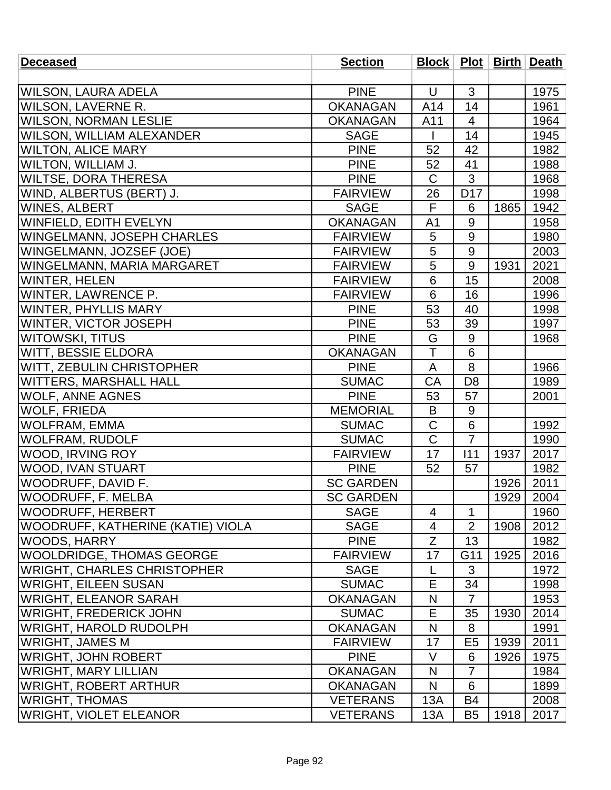| <b>Deceased</b>                   | <b>Section</b>   |                |                 |      | Block   Plot   Birth   Death |
|-----------------------------------|------------------|----------------|-----------------|------|------------------------------|
|                                   |                  |                |                 |      |                              |
| WILSON, LAURA ADELA               | <b>PINE</b>      | $\cup$         | 3               |      | 1975                         |
| <b>WILSON, LAVERNE R.</b>         | <b>OKANAGAN</b>  | A14            | 14              |      | 1961                         |
| <b>WILSON, NORMAN LESLIE</b>      | <b>OKANAGAN</b>  | A11            | $\overline{4}$  |      | 1964                         |
| <b>WILSON, WILLIAM ALEXANDER</b>  | <b>SAGE</b>      |                | 14              |      | 1945                         |
| <b>WILTON, ALICE MARY</b>         | <b>PINE</b>      | 52             | 42              |      | 1982                         |
| WILTON, WILLIAM J.                | <b>PINE</b>      | 52             | 41              |      | 1988                         |
| <b>WILTSE, DORA THERESA</b>       | <b>PINE</b>      | C              | 3               |      | 1968                         |
| WIND, ALBERTUS (BERT) J.          | <b>FAIRVIEW</b>  | 26             | D <sub>17</sub> |      | 1998                         |
| <b>WINES, ALBERT</b>              | <b>SAGE</b>      | F              | 6               | 1865 | 1942                         |
| WINFIELD, EDITH EVELYN            | <b>OKANAGAN</b>  | A <sub>1</sub> | 9               |      | 1958                         |
| WINGELMANN, JOSEPH CHARLES        | <b>FAIRVIEW</b>  | 5              | 9               |      | 1980                         |
| WINGELMANN, JOZSEF (JOE)          | <b>FAIRVIEW</b>  | 5              | $9\,$           |      | 2003                         |
| WINGELMANN, MARIA MARGARET        | <b>FAIRVIEW</b>  | 5              | 9               | 1931 | 2021                         |
| <b>WINTER, HELEN</b>              | <b>FAIRVIEW</b>  | $\overline{6}$ | $\overline{15}$ |      | 2008                         |
| <b>WINTER, LAWRENCE P.</b>        | <b>FAIRVIEW</b>  | 6              | 16              |      | 1996                         |
| <b>WINTER, PHYLLIS MARY</b>       | <b>PINE</b>      | 53             | 40              |      | 1998                         |
| <b>WINTER, VICTOR JOSEPH</b>      | <b>PINE</b>      | 53             | 39              |      | 1997                         |
| <b>WITOWSKI, TITUS</b>            | <b>PINE</b>      | G              | 9               |      | 1968                         |
| WITT, BESSIE ELDORA               | <b>OKANAGAN</b>  | Ť              | 6               |      |                              |
| <b>WITT, ZEBULIN CHRISTOPHER</b>  | <b>PINE</b>      | A              | 8               |      | 1966                         |
| <b>WITTERS, MARSHALL HALL</b>     | <b>SUMAC</b>     | CA             | D <sub>8</sub>  |      | 1989                         |
| <b>WOLF, ANNE AGNES</b>           | <b>PINE</b>      | 53             | 57              |      | 2001                         |
| <b>WOLF, FRIEDA</b>               | <b>MEMORIAL</b>  | B              | 9               |      |                              |
| <b>WOLFRAM, EMMA</b>              | <b>SUMAC</b>     | $\mathsf C$    | $\,6$           |      | 1992                         |
| <b>WOLFRAM, RUDOLF</b>            | <b>SUMAC</b>     | C              | $\overline{7}$  |      | 1990                         |
| <b>WOOD, IRVING ROY</b>           | <b>FAIRVIEW</b>  | 17             | 111             | 1937 | 2017                         |
| WOOD, IVAN STUART                 | <b>PINE</b>      | 52             | 57              |      | 1982                         |
| WOODRUFF, DAVID F.                | <b>SC GARDEN</b> |                |                 | 1926 | 2011                         |
| <b>WOODRUFF, F. MELBA</b>         | <b>SC GARDEN</b> |                |                 | 1929 | 2004                         |
| <b>WOODRUFF, HERBERT</b>          | <b>SAGE</b>      | $\overline{4}$ | $\mathbf 1$     |      | 1960                         |
| WOODRUFF, KATHERINE (KATIE) VIOLA | <b>SAGE</b>      | 4              | $\overline{2}$  | 1908 | 2012                         |
| <b>WOODS, HARRY</b>               | <b>PINE</b>      | Z              | 13              |      | 1982                         |
| WOOLDRIDGE, THOMAS GEORGE         | <b>FAIRVIEW</b>  | 17             | G11             | 1925 | 2016                         |
| WRIGHT, CHARLES CHRISTOPHER       | <b>SAGE</b>      |                | 3               |      | 1972                         |
| WRIGHT, EILEEN SUSAN              | <b>SUMAC</b>     | E              | 34              |      | 1998                         |
| WRIGHT, ELEANOR SARAH             | <b>OKANAGAN</b>  | N              | $\overline{7}$  |      | 1953                         |
| WRIGHT, FREDERICK JOHN            | <b>SUMAC</b>     | E              | 35              | 1930 | 2014                         |
| WRIGHT, HAROLD RUDOLPH            | <b>OKANAGAN</b>  | N              | 8               |      | 1991                         |
| <b>WRIGHT, JAMES M</b>            | <b>FAIRVIEW</b>  | 17             | E <sub>5</sub>  | 1939 | 2011                         |
| WRIGHT, JOHN ROBERT               | <b>PINE</b>      | V              | 6               | 1926 | 1975                         |
| WRIGHT, MARY LILLIAN              | <b>OKANAGAN</b>  | N              | $\overline{7}$  |      | 1984                         |
| WRIGHT, ROBERT ARTHUR             | <b>OKANAGAN</b>  | N              | 6               |      | 1899                         |
| <b>WRIGHT, THOMAS</b>             | <b>VETERANS</b>  | 13A            | <b>B4</b>       |      | 2008                         |
| <b>WRIGHT, VIOLET ELEANOR</b>     | <b>VETERANS</b>  | 13A            | B <sub>5</sub>  | 1918 | 2017                         |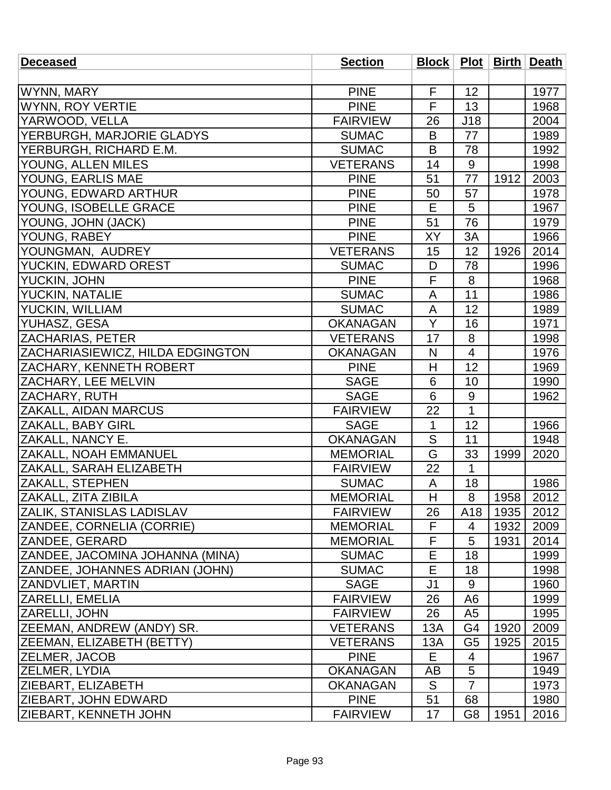| <b>Deceased</b>                        | <b>Section</b>  |                         |                |      | <b>Block   Plot   Birth   Death</b> |
|----------------------------------------|-----------------|-------------------------|----------------|------|-------------------------------------|
|                                        |                 |                         |                |      |                                     |
| WYNN, MARY                             | <b>PINE</b>     | F                       | 12             |      | 1977                                |
| WYNN, ROY VERTIE                       | <b>PINE</b>     | $\overline{\mathsf{F}}$ | 13             |      | 1968                                |
| YARWOOD, VELLA                         | <b>FAIRVIEW</b> | 26                      | J18            |      | 2004                                |
| YERBURGH, MARJORIE GLADYS              | <b>SUMAC</b>    | B                       | 77             |      | 1989                                |
| YERBURGH, RICHARD E.M.                 | <b>SUMAC</b>    | B                       | 78             |      | 1992                                |
| YOUNG, ALLEN MILES                     | <b>VETERANS</b> | 14                      | 9              |      | 1998                                |
| YOUNG, EARLIS MAE                      | <b>PINE</b>     | 51                      | 77             | 1912 | 2003                                |
| YOUNG, EDWARD ARTHUR                   | <b>PINE</b>     | 50                      | 57             |      | 1978                                |
| YOUNG, ISOBELLE GRACE                  | <b>PINE</b>     | E                       | 5              |      | 1967                                |
| YOUNG, JOHN (JACK)                     | <b>PINE</b>     | 51                      | 76             |      | 1979                                |
| YOUNG, RABEY                           | <b>PINE</b>     | XY                      | 3A             |      | 1966                                |
| YOUNGMAN, AUDREY                       | <b>VETERANS</b> | 15                      | 12             | 1926 | 2014                                |
| YUCKIN, EDWARD OREST                   | <b>SUMAC</b>    | D                       | 78             |      | 1996                                |
| YUCKIN, JOHN                           | <b>PINE</b>     | $\overline{\mathsf{F}}$ | 8              |      | 1968                                |
| <b>YUCKIN, NATALIE</b>                 | <b>SUMAC</b>    | A                       | 11             |      | 1986                                |
| <b>YUCKIN, WILLIAM</b>                 | <b>SUMAC</b>    | A                       | 12             |      | 1989                                |
| YUHASZ, GESA                           | <b>OKANAGAN</b> | Y                       | 16             |      | 1971                                |
| <b>ZACHARIAS, PETER</b>                | <b>VETERANS</b> | 17                      | 8              |      | 1998                                |
| ZACHARIASIEWICZ, HILDA EDGINGTON       | <b>OKANAGAN</b> | N                       | $\overline{4}$ |      | 1976                                |
| <b>ZACHARY, KENNETH ROBERT</b>         | <b>PINE</b>     | H                       | 12             |      | 1969                                |
| <b>ZACHARY, LEE MELVIN</b>             | <b>SAGE</b>     | 6                       | 10             |      | 1990                                |
| <b>ZACHARY, RUTH</b>                   | <b>SAGE</b>     | 6                       | $9\,$          |      | 1962                                |
| <b>ZAKALL, AIDAN MARCUS</b>            | <b>FAIRVIEW</b> | 22                      | $\mathbf{1}$   |      |                                     |
| <b>ZAKALL, BABY GIRL</b>               | <b>SAGE</b>     | 1                       | 12             |      | 1966                                |
| <b>ZAKALL, NANCY E.</b>                | <b>OKANAGAN</b> | S                       | 11             |      | 1948                                |
| <b>ZAKALL, NOAH EMMANUEL</b>           | <b>MEMORIAL</b> | G                       | 33             | 1999 | 2020                                |
| <b>ZAKALL, SARAH ELIZABETH</b>         | <b>FAIRVIEW</b> | 22                      | $\mathbf{1}$   |      |                                     |
| <b>ZAKALL, STEPHEN</b>                 | <b>SUMAC</b>    | A                       | 18             |      | 1986                                |
| ZAKALL, ZITA ZIBILA                    | <b>MEMORIAL</b> | H                       | 8              | 1958 | 2012                                |
| <b>ZALIK, STANISLAS LADISLAV</b>       | <b>FAIRVIEW</b> | 26                      | A18            | 1935 | 2012                                |
| <b>ZANDEE, CORNELIA (CORRIE)</b>       | <b>MEMORIAL</b> | F                       | 4              | 1932 | 2009                                |
| ZANDEE, GERARD                         | <b>MEMORIAL</b> | F                       | 5              | 1931 | 2014                                |
| <b>ZANDEE, JACOMINA JOHANNA (MINA)</b> | <b>SUMAC</b>    | E                       | 18             |      | 1999                                |
| <b>ZANDEE, JOHANNES ADRIAN (JOHN)</b>  | <b>SUMAC</b>    | Е                       | 18             |      | 1998                                |
| <b>ZANDVLIET, MARTIN</b>               | <b>SAGE</b>     | J <sub>1</sub>          | 9              |      | 1960                                |
| <b>ZARELLI, EMELIA</b>                 | <b>FAIRVIEW</b> | 26                      | A6             |      | 1999                                |
| <b>ZARELLI, JOHN</b>                   | <b>FAIRVIEW</b> | 26                      | A <sub>5</sub> |      | 1995                                |
| <b>ZEEMAN, ANDREW (ANDY) SR.</b>       | <b>VETERANS</b> | 13A                     | G4             | 1920 | 2009                                |
| <b>ZEEMAN, ELIZABETH (BETTY)</b>       | <b>VETERANS</b> | 13A                     | G <sub>5</sub> | 1925 | 2015                                |
| <b>ZELMER, JACOB</b>                   | <b>PINE</b>     | Е                       | 4              |      | 1967                                |
| <b>ZELMER, LYDIA</b>                   | <b>OKANAGAN</b> | AB                      | $\overline{5}$ |      | 1949                                |
| <b>ZIEBART, ELIZABETH</b>              | <b>OKANAGAN</b> | S                       | $\overline{7}$ |      | 1973                                |
| <b>ZIEBART, JOHN EDWARD</b>            | <b>PINE</b>     | 51                      | 68             |      | 1980                                |
| <b>ZIEBART, KENNETH JOHN</b>           | <b>FAIRVIEW</b> | 17                      | G <sub>8</sub> | 1951 | 2016                                |